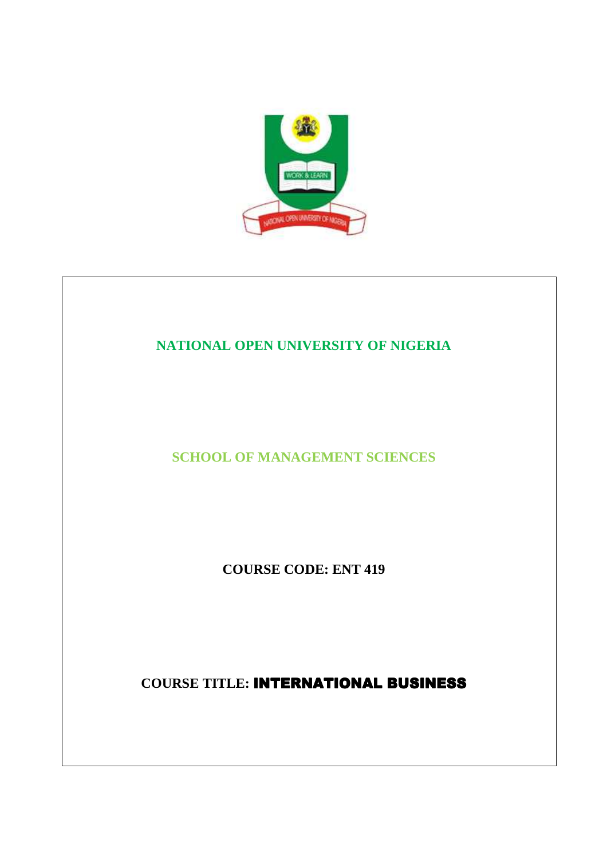

## **NATIONAL OPEN UNIVERSITY OF NIGERIA**

**SCHOOL OF MANAGEMENT SCIENCES** 

**COURSE CODE: ENT 419** 

**COURSE TITLE:** INTERNATIONAL BUSINESS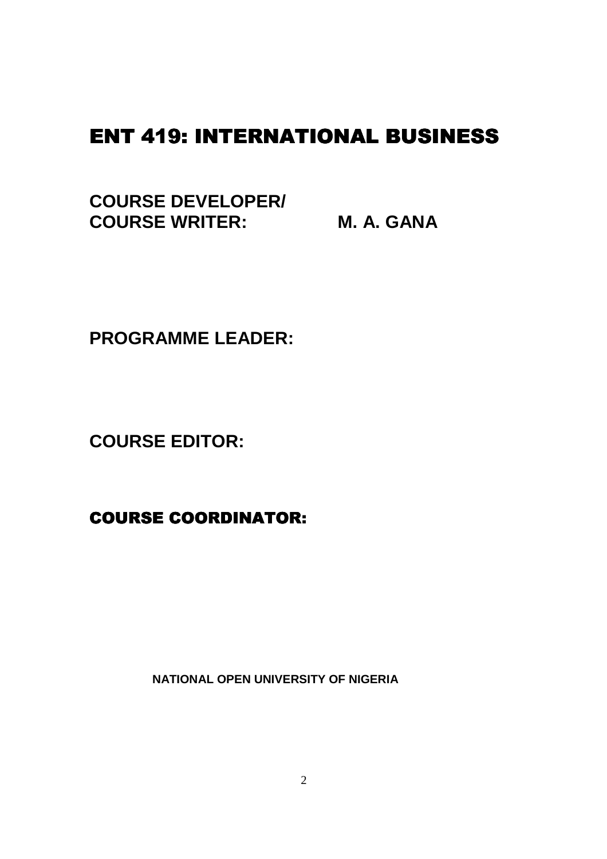# **ENT 419: INTERNATIONAL BUSINESS**

**COURSE DEVELOPER/ COURSE WRITER: M. A. GANA** 

**PROGRAMME LEADER:** 

**COURSE EDITOR:** 

**COURSE COORDINATOR:** 

 **NATIONAL OPEN UNIVERSITY OF NIGERIA**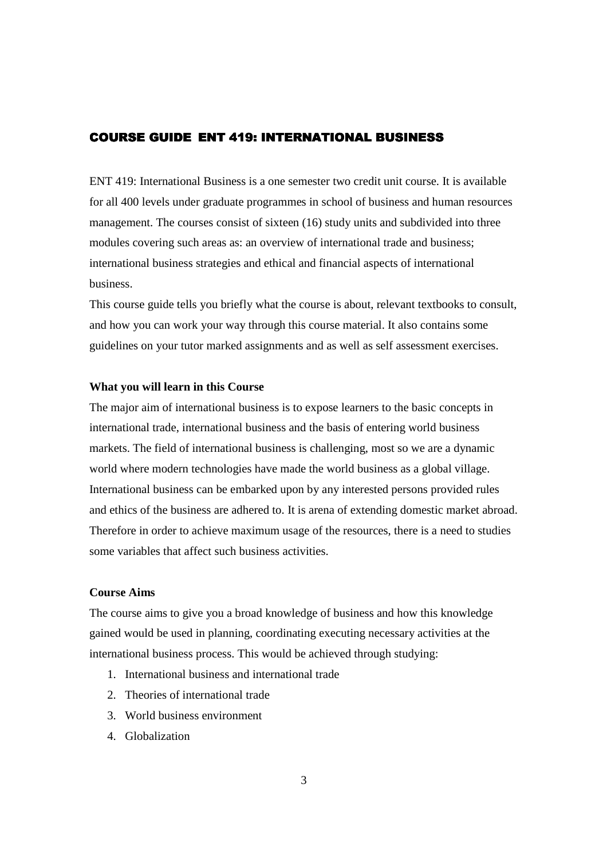## COURSE GUIDE ENT 419: INTERNATIONAL BUSINESS

ENT 419: International Business is a one semester two credit unit course. It is available for all 400 levels under graduate programmes in school of business and human resources management. The courses consist of sixteen (16) study units and subdivided into three modules covering such areas as: an overview of international trade and business; international business strategies and ethical and financial aspects of international business.

This course guide tells you briefly what the course is about, relevant textbooks to consult, and how you can work your way through this course material. It also contains some guidelines on your tutor marked assignments and as well as self assessment exercises.

#### **What you will learn in this Course**

The major aim of international business is to expose learners to the basic concepts in international trade, international business and the basis of entering world business markets. The field of international business is challenging, most so we are a dynamic world where modern technologies have made the world business as a global village. International business can be embarked upon by any interested persons provided rules and ethics of the business are adhered to. It is arena of extending domestic market abroad. Therefore in order to achieve maximum usage of the resources, there is a need to studies some variables that affect such business activities.

## **Course Aims**

The course aims to give you a broad knowledge of business and how this knowledge gained would be used in planning, coordinating executing necessary activities at the international business process. This would be achieved through studying:

- 1. International business and international trade
- 2. Theories of international trade
- 3. World business environment
- 4. Globalization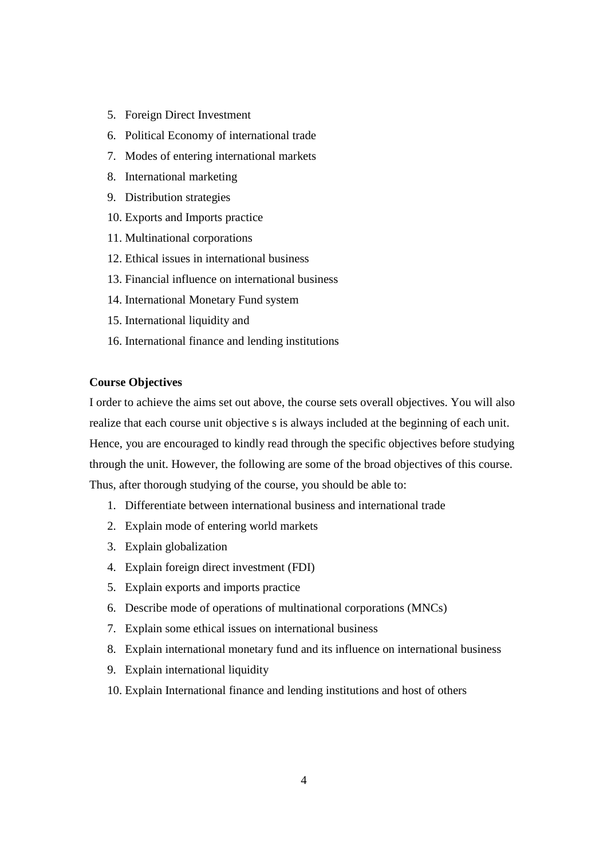- 5. Foreign Direct Investment
- 6. Political Economy of international trade
- 7. Modes of entering international markets
- 8. International marketing
- 9. Distribution strategies
- 10. Exports and Imports practice
- 11. Multinational corporations
- 12. Ethical issues in international business
- 13. Financial influence on international business
- 14. International Monetary Fund system
- 15. International liquidity and
- 16. International finance and lending institutions

## **Course Objectives**

I order to achieve the aims set out above, the course sets overall objectives. You will also realize that each course unit objective s is always included at the beginning of each unit. Hence, you are encouraged to kindly read through the specific objectives before studying through the unit. However, the following are some of the broad objectives of this course. Thus, after thorough studying of the course, you should be able to:

- 1. Differentiate between international business and international trade
- 2. Explain mode of entering world markets
- 3. Explain globalization
- 4. Explain foreign direct investment (FDI)
- 5. Explain exports and imports practice
- 6. Describe mode of operations of multinational corporations (MNCs)
- 7. Explain some ethical issues on international business
- 8. Explain international monetary fund and its influence on international business
- 9. Explain international liquidity
- 10. Explain International finance and lending institutions and host of others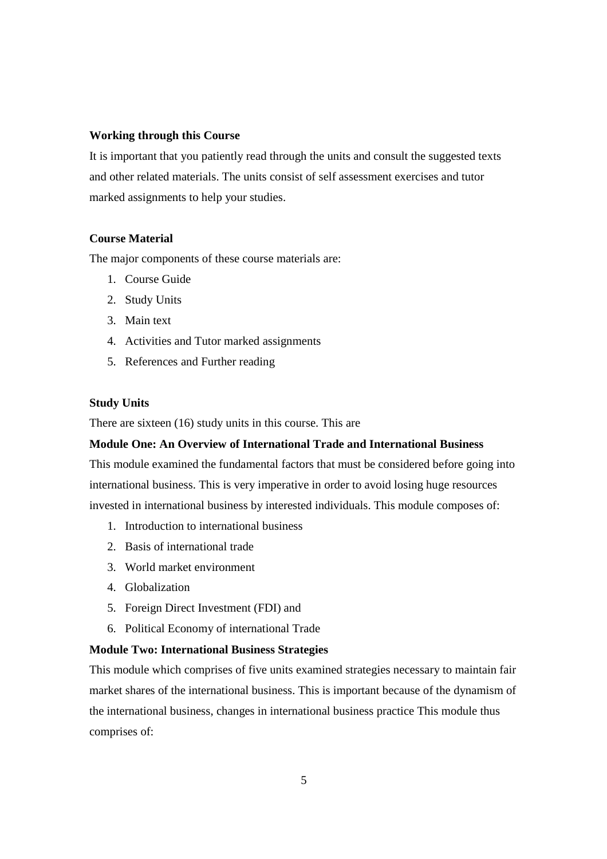#### **Working through this Course**

It is important that you patiently read through the units and consult the suggested texts and other related materials. The units consist of self assessment exercises and tutor marked assignments to help your studies.

## **Course Material**

The major components of these course materials are:

- 1. Course Guide
- 2. Study Units
- 3. Main text
- 4. Activities and Tutor marked assignments
- 5. References and Further reading

## **Study Units**

There are sixteen (16) study units in this course. This are

## **Module One: An Overview of International Trade and International Business**

This module examined the fundamental factors that must be considered before going into international business. This is very imperative in order to avoid losing huge resources invested in international business by interested individuals. This module composes of:

- 1. Introduction to international business
- 2. Basis of international trade
- 3. World market environment
- 4. Globalization
- 5. Foreign Direct Investment (FDI) and
- 6. Political Economy of international Trade

## **Module Two: International Business Strategies**

This module which comprises of five units examined strategies necessary to maintain fair market shares of the international business. This is important because of the dynamism of the international business, changes in international business practice This module thus comprises of: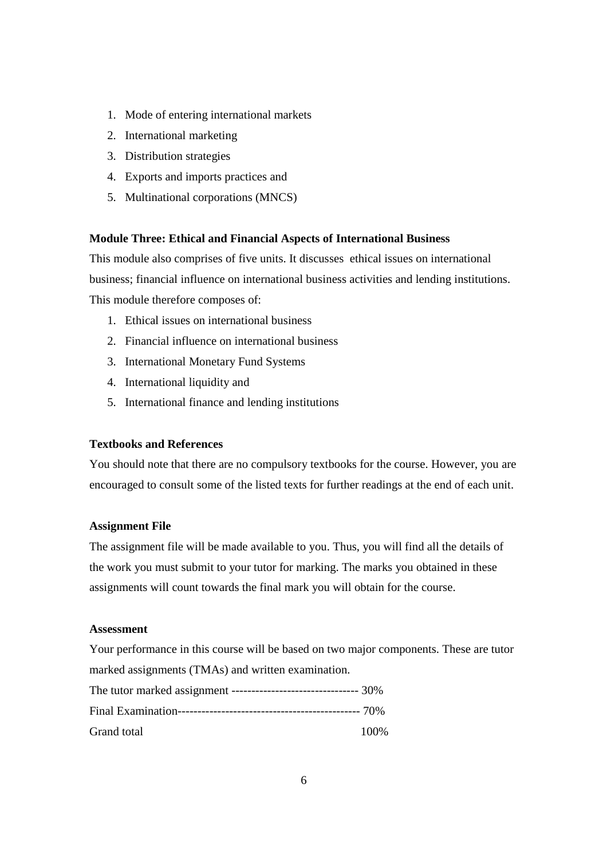- 1. Mode of entering international markets
- 2. International marketing
- 3. Distribution strategies
- 4. Exports and imports practices and
- 5. Multinational corporations (MNCS)

#### **Module Three: Ethical and Financial Aspects of International Business**

This module also comprises of five units. It discusses ethical issues on international business; financial influence on international business activities and lending institutions. This module therefore composes of:

- 1. Ethical issues on international business
- 2. Financial influence on international business
- 3. International Monetary Fund Systems
- 4. International liquidity and
- 5. International finance and lending institutions

## **Textbooks and References**

You should note that there are no compulsory textbooks for the course. However, you are encouraged to consult some of the listed texts for further readings at the end of each unit.

#### **Assignment File**

The assignment file will be made available to you. Thus, you will find all the details of the work you must submit to your tutor for marking. The marks you obtained in these assignments will count towards the final mark you will obtain for the course.

#### **Assessment**

Your performance in this course will be based on two major components. These are tutor marked assignments (TMAs) and written examination.

| The tutor marked assignment --------------------------------- 30% |      |
|-------------------------------------------------------------------|------|
|                                                                   |      |
| Grand total                                                       | 100% |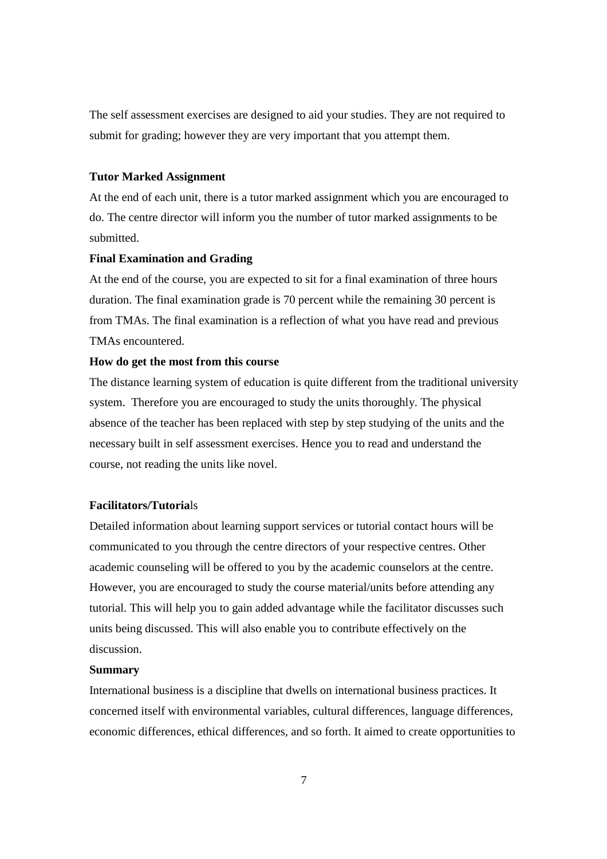The self assessment exercises are designed to aid your studies. They are not required to submit for grading; however they are very important that you attempt them.

#### **Tutor Marked Assignment**

At the end of each unit, there is a tutor marked assignment which you are encouraged to do. The centre director will inform you the number of tutor marked assignments to be submitted.

#### **Final Examination and Grading**

At the end of the course, you are expected to sit for a final examination of three hours duration. The final examination grade is 70 percent while the remaining 30 percent is from TMAs. The final examination is a reflection of what you have read and previous TMAs encountered.

#### **How do get the most from this course**

The distance learning system of education is quite different from the traditional university system. Therefore you are encouraged to study the units thoroughly. The physical absence of the teacher has been replaced with step by step studying of the units and the necessary built in self assessment exercises. Hence you to read and understand the course, not reading the units like novel.

## **Facilitators/Tutoria**ls

Detailed information about learning support services or tutorial contact hours will be communicated to you through the centre directors of your respective centres. Other academic counseling will be offered to you by the academic counselors at the centre. However, you are encouraged to study the course material/units before attending any tutorial. This will help you to gain added advantage while the facilitator discusses such units being discussed. This will also enable you to contribute effectively on the discussion.

#### **Summary**

International business is a discipline that dwells on international business practices. It concerned itself with environmental variables, cultural differences, language differences, economic differences, ethical differences, and so forth. It aimed to create opportunities to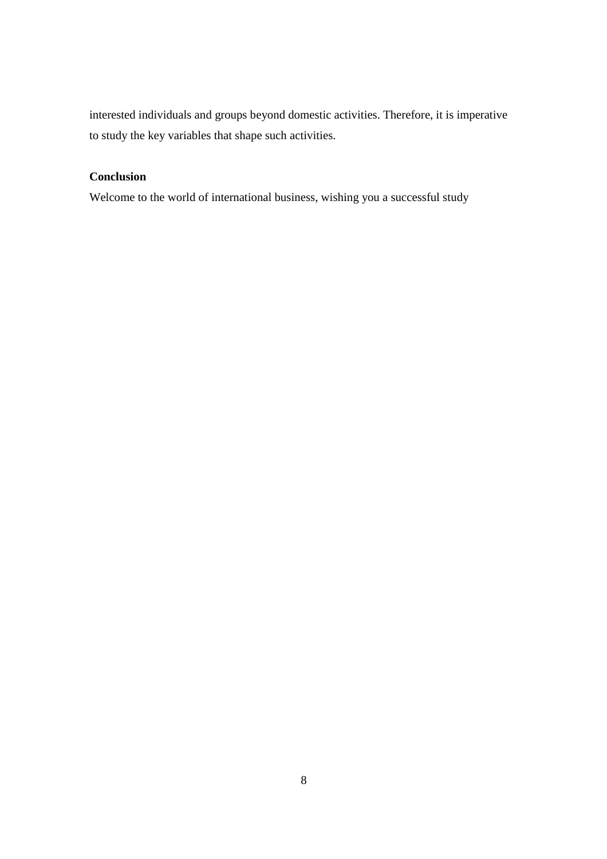interested individuals and groups beyond domestic activities. Therefore, it is imperative to study the key variables that shape such activities.

## **Conclusion**

Welcome to the world of international business, wishing you a successful study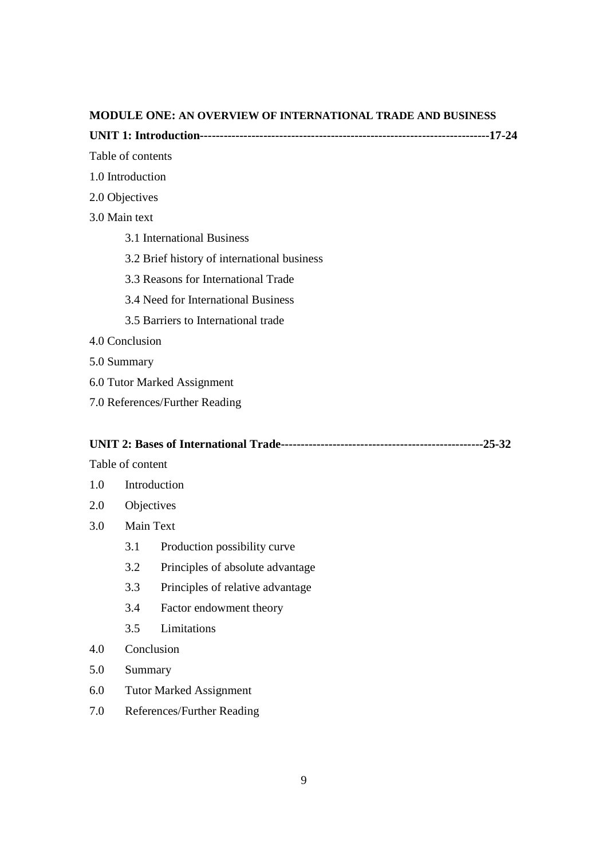#### **MODULE ONE: AN OVERVIEW OF INTERNATIONAL TRADE AND BUSINESS**

**UNIT 1: Introduction-------------------------------------------------------------------------17-24** 

#### Table of contents

- 1.0 Introduction
- 2.0 Objectives
- 3.0 Main text
	- 3.1 International Business
	- 3.2 Brief history of international business
	- 3.3 Reasons for International Trade
	- 3.4 Need for International Business
	- 3.5 Barriers to International trade
- 4.0 Conclusion
- 5.0 Summary
- 6.0 Tutor Marked Assignment
- 7.0 References/Further Reading

## **UNIT 2: Bases of International Trade---------------------------------------------------25-32**

Table of content

- 1.0 Introduction
- 2.0 Objectives
- 3.0 Main Text
	- 3.1 Production possibility curve
	- 3.2 Principles of absolute advantage
	- 3.3 Principles of relative advantage
	- 3.4 Factor endowment theory
	- 3.5 Limitations
- 4.0 Conclusion
- 5.0 Summary
- 6.0 Tutor Marked Assignment
- 7.0 References/Further Reading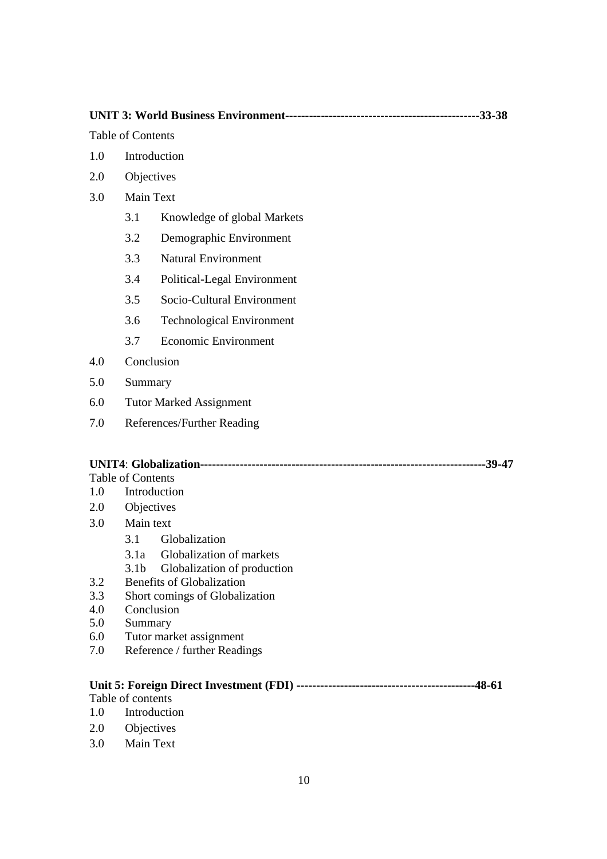**UNIT 3: World Business Environment-------------------------------------------------33-38** 

Table of Contents

- 1.0 Introduction
- 2.0 Objectives
- 3.0 Main Text
	- 3.1 Knowledge of global Markets
	- 3.2 Demographic Environment
	- 3.3 Natural Environment
	- 3.4 Political-Legal Environment
	- 3.5 Socio-Cultural Environment
	- 3.6 Technological Environment
	- 3.7 Economic Environment
- 4.0 Conclusion
- 5.0 Summary
- 6.0 Tutor Marked Assignment
- 7.0 References/Further Reading

## **UNIT4**: **Globalization------------------------------------------------------------------------39-47**

Table of Contents

- 1.0 Introduction
- 2.0 Objectives
- 3.0 Main text
	- 3.1 Globalization
	- 3.1a Globalization of markets
	- 3.1b Globalization of production
- 3.2 Benefits of Globalization
- 3.3 Short comings of Globalization
- 4.0 Conclusion
- 5.0 Summary
- 6.0 Tutor market assignment
- 7.0 Reference / further Readings

#### **Unit 5: Foreign Direct Investment (FDI) ---------------------------------------------48-61**

Table of contents

- 1.0 Introduction
- 2.0 Objectives
- 3.0 Main Text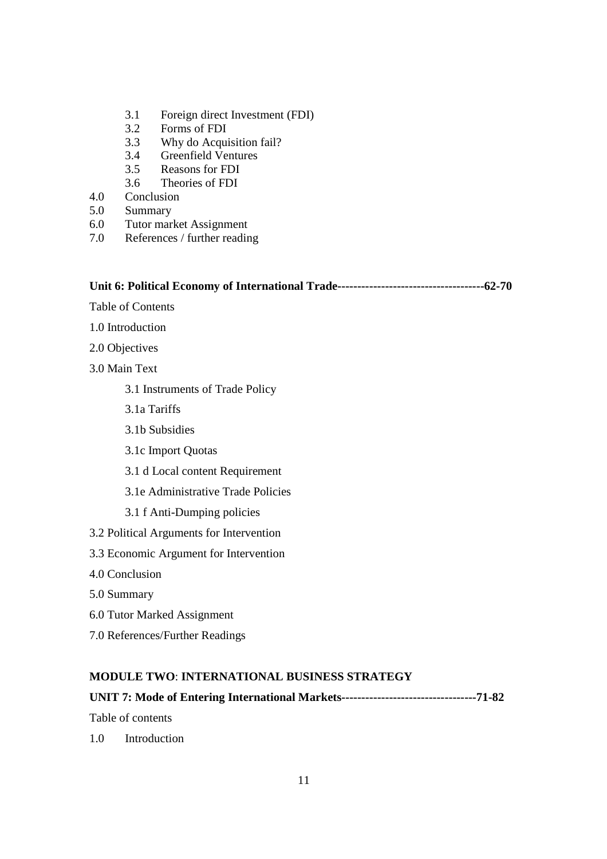- 3.1 Foreign direct Investment (FDI)
- 3.2 Forms of FDI
- 3.3 Why do Acquisition fail?
- 3.4 Greenfield Ventures
- 3.5 Reasons for FDI
- 3.6 Theories of FDI
- 4.0 Conclusion
- 5.0 Summary
- 6.0 Tutor market Assignment
- 7.0 References / further reading

#### **Unit 6: Political Economy of International Trade-------------------------------------62-70**

Table of Contents

- 1.0 Introduction
- 2.0 Objectives
- 3.0 Main Text
	- 3.1 Instruments of Trade Policy
	- 3.1a Tariffs
	- 3.1b Subsidies
	- 3.1c Import Quotas
	- 3.1 d Local content Requirement
	- 3.1e Administrative Trade Policies
	- 3.1 f Anti-Dumping policies
- 3.2 Political Arguments for Intervention
- 3.3 Economic Argument for Intervention
- 4.0 Conclusion
- 5.0 Summary
- 6.0 Tutor Marked Assignment
- 7.0 References/Further Readings

#### **MODULE TWO**: **INTERNATIONAL BUSINESS STRATEGY**

## **UNIT 7: Mode of Entering International Markets----------------------------------71-82**

Table of contents

1.0 Introduction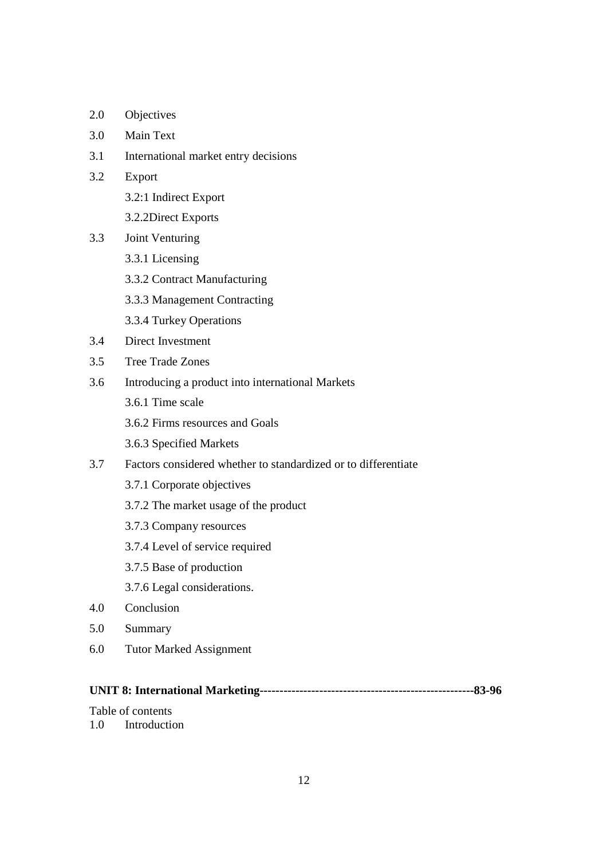- 2.0 Objectives
- 3.0 Main Text
- 3.1 International market entry decisions
- 3.2 Export
	- 3.2:1 Indirect Export
	- 3.2.2Direct Exports
- 3.3 Joint Venturing
	- 3.3.1 Licensing
	- 3.3.2 Contract Manufacturing
	- 3.3.3 Management Contracting
	- 3.3.4 Turkey Operations
- 3.4 Direct Investment
- 3.5 Tree Trade Zones
- 3.6 Introducing a product into international Markets
	- 3.6.1 Time scale
	- 3.6.2 Firms resources and Goals
	- 3.6.3 Specified Markets
- 3.7 Factors considered whether to standardized or to differentiate
	- 3.7.1 Corporate objectives
	- 3.7.2 The market usage of the product
	- 3.7.3 Company resources
	- 3.7.4 Level of service required
	- 3.7.5 Base of production
	- 3.7.6 Legal considerations.
- 4.0 Conclusion
- 5.0 Summary
- 6.0 Tutor Marked Assignment

## **UNIT 8: International Marketing------------------------------------------------------83-96**

Table of contents

## 1.0 Introduction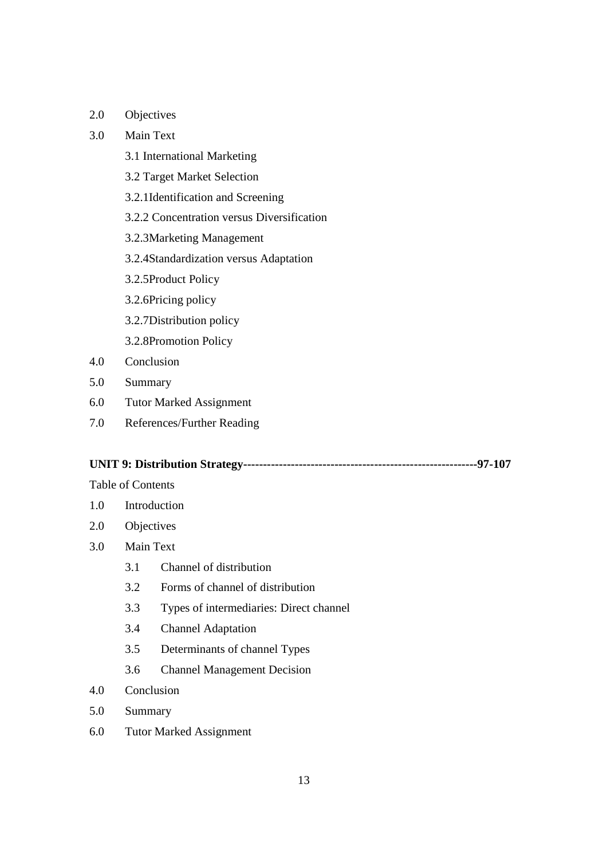2.0 Objectives

## 3.0 Main Text

- 3.1 International Marketing
- 3.2 Target Market Selection
- 3.2.1Identification and Screening
- 3.2.2 Concentration versus Diversification
- 3.2.3Marketing Management
- 3.2.4Standardization versus Adaptation
- 3.2.5Product Policy
- 3.2.6Pricing policy
- 3.2.7Distribution policy
- 3.2.8Promotion Policy
- 4.0 Conclusion
- 5.0 Summary
- 6.0 Tutor Marked Assignment
- 7.0 References/Further Reading

#### **UNIT 9: Distribution Strategy-----------------------------------------------------------97-107**

#### Table of Contents

- 1.0 Introduction
- 2.0 Objectives
- 3.0 Main Text
	- 3.1 Channel of distribution
	- 3.2 Forms of channel of distribution
	- 3.3 Types of intermediaries: Direct channel
	- 3.4 Channel Adaptation
	- 3.5 Determinants of channel Types
	- 3.6 Channel Management Decision
- 4.0 Conclusion
- 5.0 Summary
- 6.0 Tutor Marked Assignment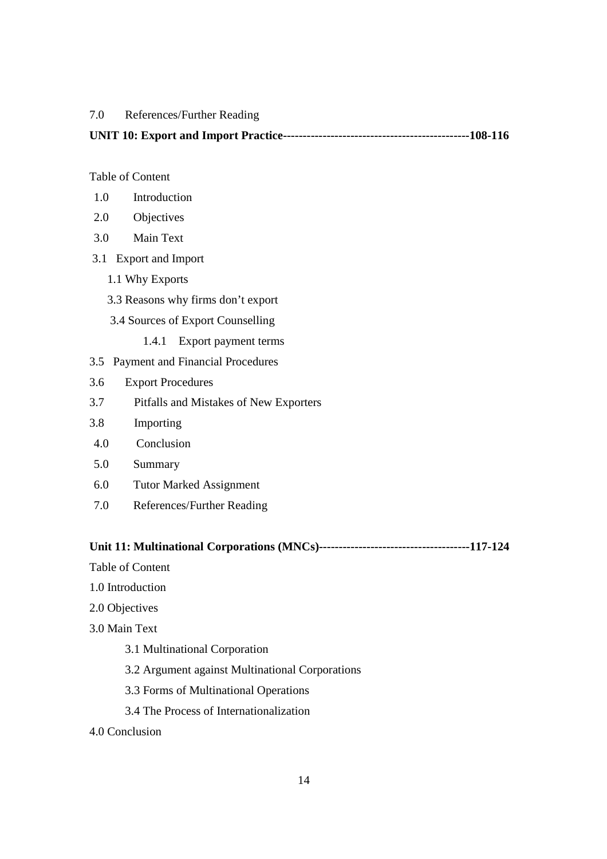## 7.0 References/Further Reading

|--|--|

#### Table of Content

- 1.0 Introduction
- 2.0 Objectives
- 3.0 Main Text
- 3.1 Export and Import
	- 1.1 Why Exports
	- 3.3 Reasons why firms don't export
	- 3.4 Sources of Export Counselling
		- 1.4.1 Export payment terms
- 3.5 Payment and Financial Procedures
- 3.6 Export Procedures
- 3.7 Pitfalls and Mistakes of New Exporters
- 3.8 Importing
- 4.0 Conclusion
- 5.0 Summary
- 6.0 Tutor Marked Assignment
- 7.0 References/Further Reading

#### **Unit 11: Multinational Corporations (MNCs)--------------------------------------117-124**

- Table of Content
- 1.0 Introduction
- 2.0 Objectives
- 3.0 Main Text
	- 3.1 Multinational Corporation
	- 3.2 Argument against Multinational Corporations
	- 3.3 Forms of Multinational Operations
	- 3.4 The Process of Internationalization
- 4.0 Conclusion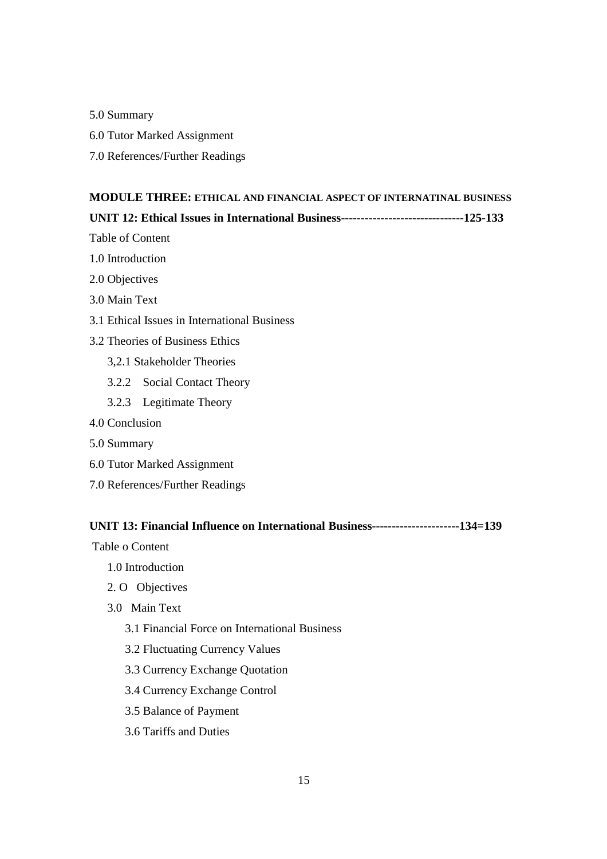- 5.0 Summary
- 6.0 Tutor Marked Assignment
- 7.0 References/Further Readings

## **MODULE THREE: ETHICAL AND FINANCIAL ASPECT OF INTERNATINAL BUSINESS**

#### **UNIT 12: Ethical Issues in International Business-------------------------------125-133**

Table of Content

- 1.0 Introduction
- 2.0 Objectives
- 3.0 Main Text
- 3.1 Ethical Issues in International Business
- 3.2 Theories of Business Ethics
	- 3,2.1 Stakeholder Theories
	- 3.2.2 Social Contact Theory
	- 3.2.3 Legitimate Theory
- 4.0 Conclusion
- 5.0 Summary
- 6.0 Tutor Marked Assignment
- 7.0 References/Further Readings

## **UNIT 13: Financial Influence on International Business----------------------134=139**

Table o Content

- 1.0 Introduction
- 2. O Objectives
- 3.0 Main Text
	- 3.1 Financial Force on International Business
	- 3.2 Fluctuating Currency Values
	- 3.3 Currency Exchange Quotation
	- 3.4 Currency Exchange Control
	- 3.5 Balance of Payment
	- 3.6 Tariffs and Duties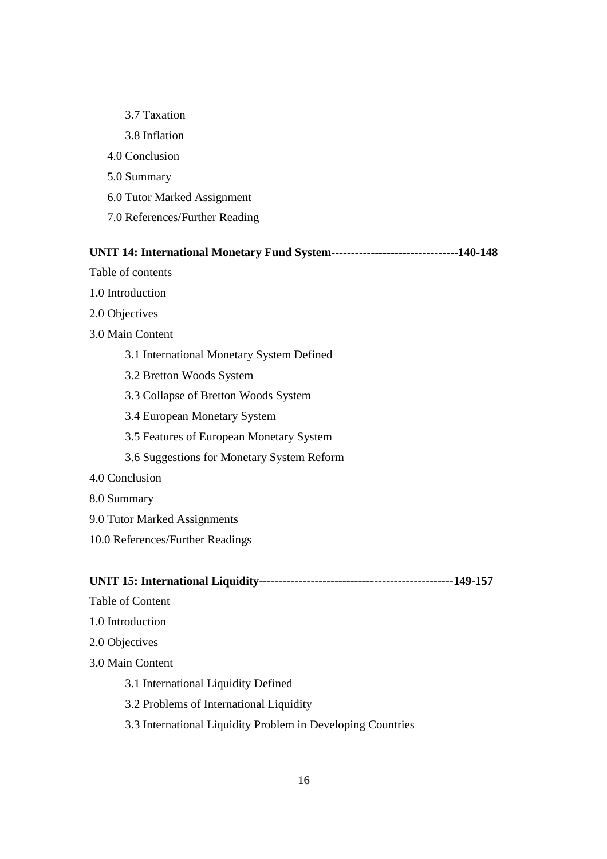3.7 Taxation 3.8 Inflation 4.0 Conclusion 5.0 Summary 6.0 Tutor Marked Assignment 7.0 References/Further Reading

#### **UNIT 14: International Monetary Fund System--------------------------------140-148**

Table of contents

- 1.0 Introduction
- 2.0 Objectives
- 3.0 Main Content
	- 3.1 International Monetary System Defined
	- 3.2 Bretton Woods System
	- 3.3 Collapse of Bretton Woods System
	- 3.4 European Monetary System
	- 3.5 Features of European Monetary System
	- 3.6 Suggestions for Monetary System Reform
- 4.0 Conclusion
- 8.0 Summary
- 9.0 Tutor Marked Assignments
- 10.0 References/Further Readings

**UNIT 15: International Liquidity-------------------------------------------------149-157** 

- Table of Content
- 1.0 Introduction
- 2.0 Objectives
- 3.0 Main Content
	- 3.1 International Liquidity Defined
	- 3.2 Problems of International Liquidity
	- 3.3 International Liquidity Problem in Developing Countries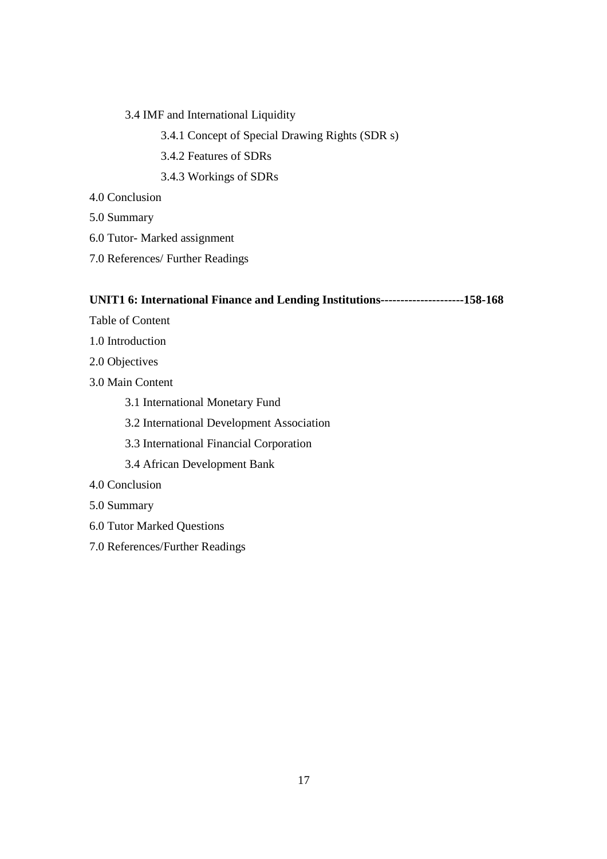- 3.4 IMF and International Liquidity
	- 3.4.1 Concept of Special Drawing Rights (SDR s)
	- 3.4.2 Features of SDRs
	- 3.4.3 Workings of SDRs
- 4.0 Conclusion
- 5.0 Summary
- 6.0 Tutor- Marked assignment
- 7.0 References/ Further Readings

## **UNIT1 6: International Finance and Lending Institutions---------------------158-168**

- Table of Content
- 1.0 Introduction
- 2.0 Objectives
- 3.0 Main Content
	- 3.1 International Monetary Fund
	- 3.2 International Development Association
	- 3.3 International Financial Corporation
	- 3.4 African Development Bank
- 4.0 Conclusion
- 5.0 Summary
- 6.0 Tutor Marked Questions
- 7.0 References/Further Readings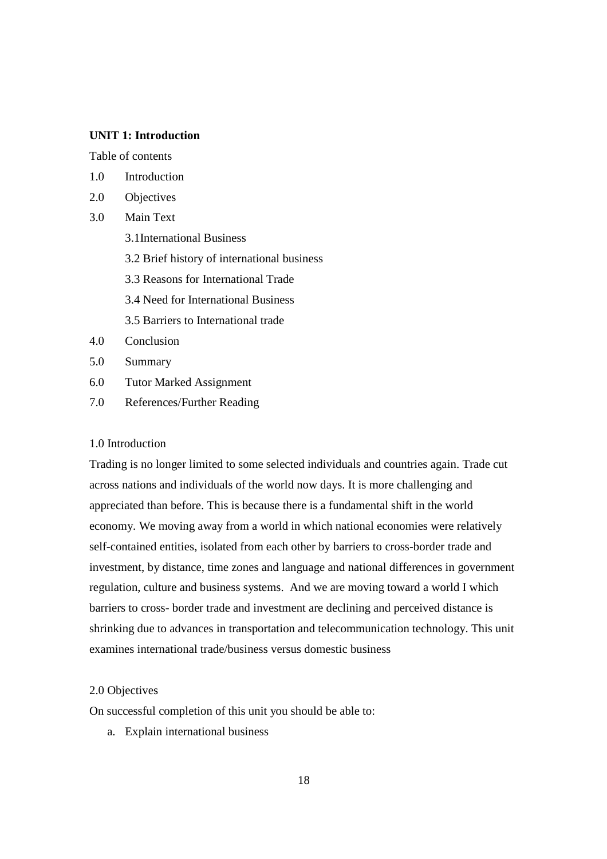#### **UNIT 1: Introduction**

Table of contents

- 1.0 Introduction
- 2.0 Objectives
- 3.0 Main Text
	- 3.1International Business
	- 3.2 Brief history of international business
	- 3.3 Reasons for International Trade
	- 3.4 Need for International Business
	- 3.5 Barriers to International trade
- 4.0 Conclusion
- 5.0 Summary
- 6.0 Tutor Marked Assignment
- 7.0 References/Further Reading

#### 1.0 Introduction

Trading is no longer limited to some selected individuals and countries again. Trade cut across nations and individuals of the world now days. It is more challenging and appreciated than before. This is because there is a fundamental shift in the world economy. We moving away from a world in which national economies were relatively self-contained entities, isolated from each other by barriers to cross-border trade and investment, by distance, time zones and language and national differences in government regulation, culture and business systems. And we are moving toward a world I which barriers to cross- border trade and investment are declining and perceived distance is shrinking due to advances in transportation and telecommunication technology. This unit examines international trade/business versus domestic business

#### 2.0 Objectives

On successful completion of this unit you should be able to:

a. Explain international business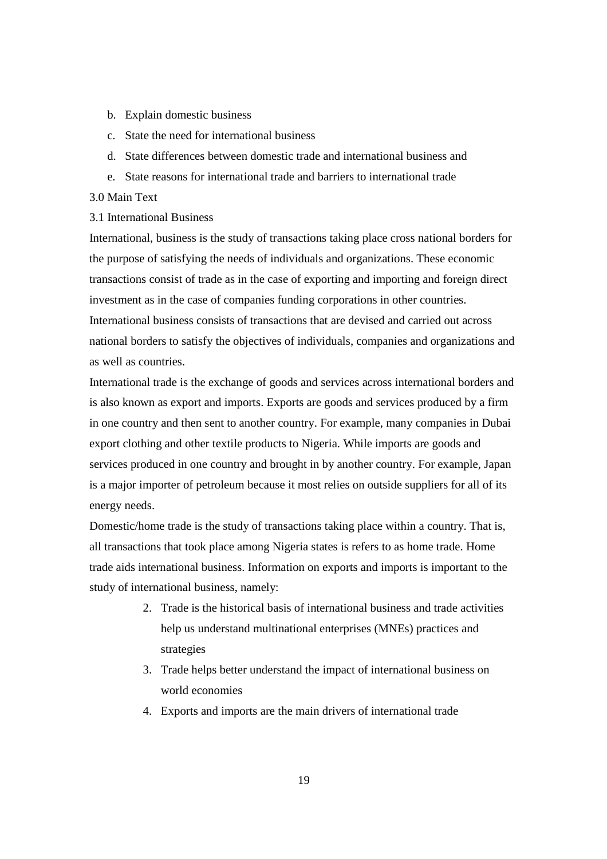- b. Explain domestic business
- c. State the need for international business
- d. State differences between domestic trade and international business and
- e. State reasons for international trade and barriers to international trade

#### 3.0 Main Text

#### 3.1 International Business

International, business is the study of transactions taking place cross national borders for the purpose of satisfying the needs of individuals and organizations. These economic transactions consist of trade as in the case of exporting and importing and foreign direct investment as in the case of companies funding corporations in other countries. International business consists of transactions that are devised and carried out across national borders to satisfy the objectives of individuals, companies and organizations and as well as countries.

International trade is the exchange of goods and services across international borders and is also known as export and imports. Exports are goods and services produced by a firm in one country and then sent to another country. For example, many companies in Dubai export clothing and other textile products to Nigeria. While imports are goods and services produced in one country and brought in by another country. For example, Japan is a major importer of petroleum because it most relies on outside suppliers for all of its energy needs.

Domestic/home trade is the study of transactions taking place within a country. That is, all transactions that took place among Nigeria states is refers to as home trade. Home trade aids international business. Information on exports and imports is important to the study of international business, namely:

- 2. Trade is the historical basis of international business and trade activities help us understand multinational enterprises (MNEs) practices and strategies
- 3. Trade helps better understand the impact of international business on world economies
- 4. Exports and imports are the main drivers of international trade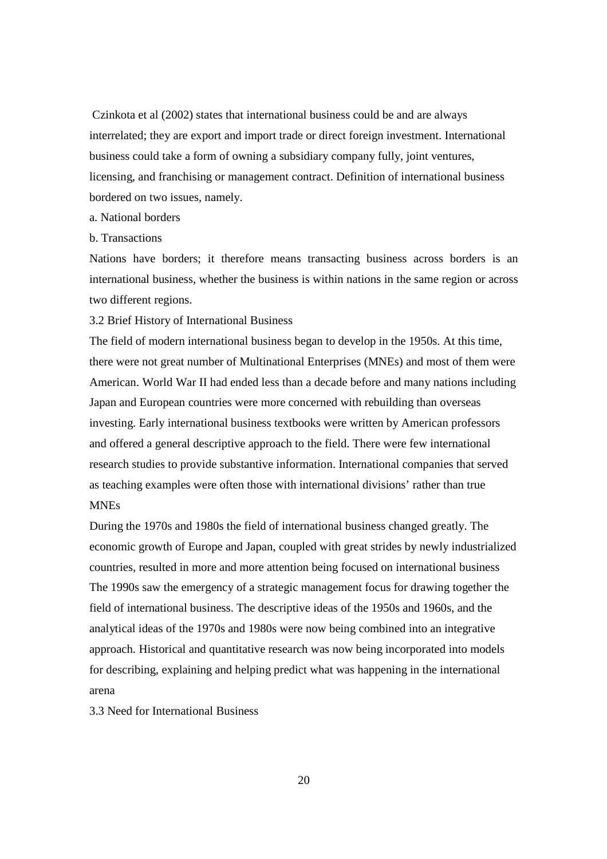Czinkota et al (2002) states that international business could be and are always interrelated; they are export and import trade or direct foreign investment. International business could take a form of owning a subsidiary company fully, joint ventures, licensing, and franchising or management contract. Definition of international business bordered on two issues, namely.

- a. National borders
- b. Transactions

Nations have borders; it therefore means transacting business across borders is an international business, whether the business is within nations in the same region or across two different regions.

3.2 Brief History of International Business

The field of modern international business began to develop in the 1950s. At this time, there were not great number of Multinational Enterprises (MNEs) and most of them were American. World War II had ended less than a decade before and many nations including Japan and European countries were more concerned with rebuilding than overseas investing. Early international business textbooks were written by American professors and offered a general descriptive approach to the field. There were few international research studies to provide substantive information. International companies that served as teaching examples were often those with international divisions' rather than true MNEs

During the 1970s and 1980s the field of international business changed greatly. The economic growth of Europe and Japan, coupled with great strides by newly industrialized countries, resulted in more and more attention being focused on international business The 1990s saw the emergency of a strategic management focus for drawing together the field of international business. The descriptive ideas of the 1950s and 1960s, and the analytical ideas of the 1970s and 1980s were now being combined into an integrative approach. Historical and quantitative research was now being incorporated into models for describing, explaining and helping predict what was happening in the international arena

3.3 Need for International Business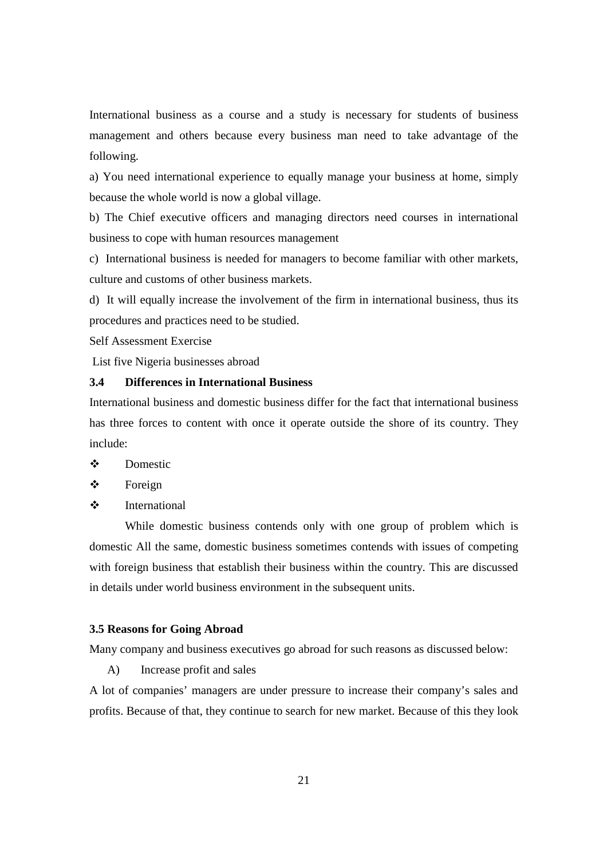International business as a course and a study is necessary for students of business management and others because every business man need to take advantage of the following.

a) You need international experience to equally manage your business at home, simply because the whole world is now a global village.

b) The Chief executive officers and managing directors need courses in international business to cope with human resources management

c) International business is needed for managers to become familiar with other markets, culture and customs of other business markets.

d) It will equally increase the involvement of the firm in international business, thus its procedures and practices need to be studied.

Self Assessment Exercise

List five Nigeria businesses abroad

## **3.4 Differences in International Business**

International business and domestic business differ for the fact that international business has three forces to content with once it operate outside the shore of its country. They include:

- Domestic
- **❖** Foreign
- International

While domestic business contends only with one group of problem which is domestic All the same, domestic business sometimes contends with issues of competing with foreign business that establish their business within the country. This are discussed in details under world business environment in the subsequent units.

#### **3.5 Reasons for Going Abroad**

Many company and business executives go abroad for such reasons as discussed below:

A) Increase profit and sales

A lot of companies' managers are under pressure to increase their company's sales and profits. Because of that, they continue to search for new market. Because of this they look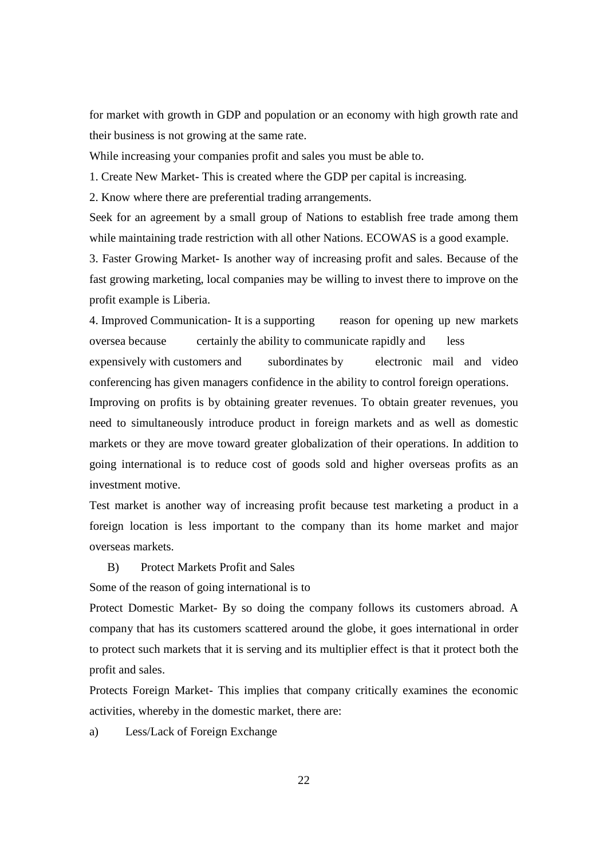for market with growth in GDP and population or an economy with high growth rate and their business is not growing at the same rate.

While increasing your companies profit and sales you must be able to.

1. Create New Market- This is created where the GDP per capital is increasing.

2. Know where there are preferential trading arrangements.

Seek for an agreement by a small group of Nations to establish free trade among them while maintaining trade restriction with all other Nations. ECOWAS is a good example.

3. Faster Growing Market- Is another way of increasing profit and sales. Because of the fast growing marketing, local companies may be willing to invest there to improve on the profit example is Liberia.

4. Improved Communication- It is a supporting reason for opening up new markets oversea because certainly the ability to communicate rapidly and less expensively with customers and subordinates by electronic mail and video conferencing has given managers confidence in the ability to control foreign operations.

Improving on profits is by obtaining greater revenues. To obtain greater revenues, you need to simultaneously introduce product in foreign markets and as well as domestic markets or they are move toward greater globalization of their operations. In addition to going international is to reduce cost of goods sold and higher overseas profits as an investment motive.

Test market is another way of increasing profit because test marketing a product in a foreign location is less important to the company than its home market and major overseas markets.

B) Protect Markets Profit and Sales

Some of the reason of going international is to

Protect Domestic Market- By so doing the company follows its customers abroad. A company that has its customers scattered around the globe, it goes international in order to protect such markets that it is serving and its multiplier effect is that it protect both the profit and sales.

Protects Foreign Market- This implies that company critically examines the economic activities, whereby in the domestic market, there are:

a) Less/Lack of Foreign Exchange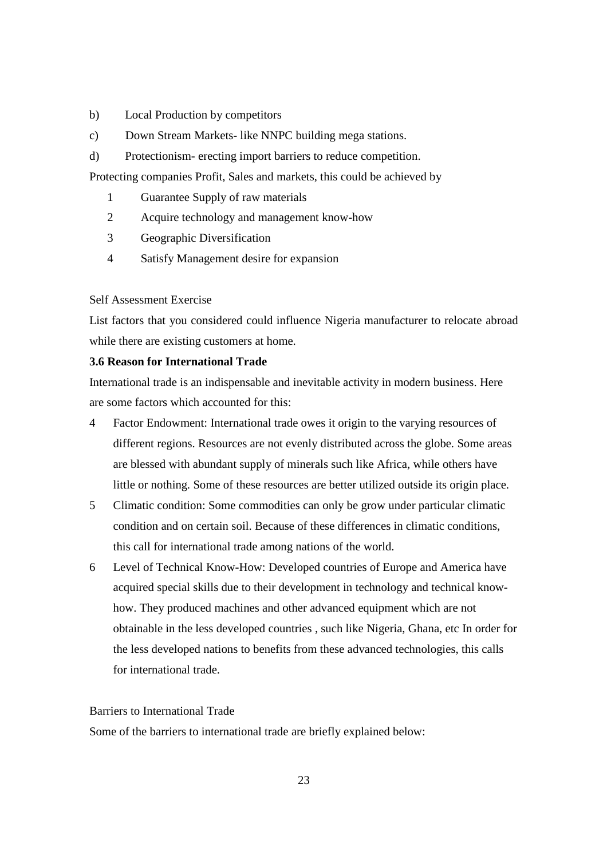- b) Local Production by competitors
- c) Down Stream Markets- like NNPC building mega stations.
- d) Protectionism- erecting import barriers to reduce competition.

Protecting companies Profit, Sales and markets, this could be achieved by

- 1 Guarantee Supply of raw materials
- 2 Acquire technology and management know-how
- 3 Geographic Diversification
- 4 Satisfy Management desire for expansion

#### Self Assessment Exercise

List factors that you considered could influence Nigeria manufacturer to relocate abroad while there are existing customers at home.

## **3.6 Reason for International Trade**

International trade is an indispensable and inevitable activity in modern business. Here are some factors which accounted for this:

- 4 Factor Endowment: International trade owes it origin to the varying resources of different regions. Resources are not evenly distributed across the globe. Some areas are blessed with abundant supply of minerals such like Africa, while others have little or nothing. Some of these resources are better utilized outside its origin place.
- 5 Climatic condition: Some commodities can only be grow under particular climatic condition and on certain soil. Because of these differences in climatic conditions, this call for international trade among nations of the world.
- 6 Level of Technical Know-How: Developed countries of Europe and America have acquired special skills due to their development in technology and technical knowhow. They produced machines and other advanced equipment which are not obtainable in the less developed countries , such like Nigeria, Ghana, etc In order for the less developed nations to benefits from these advanced technologies, this calls for international trade.

## Barriers to International Trade

Some of the barriers to international trade are briefly explained below: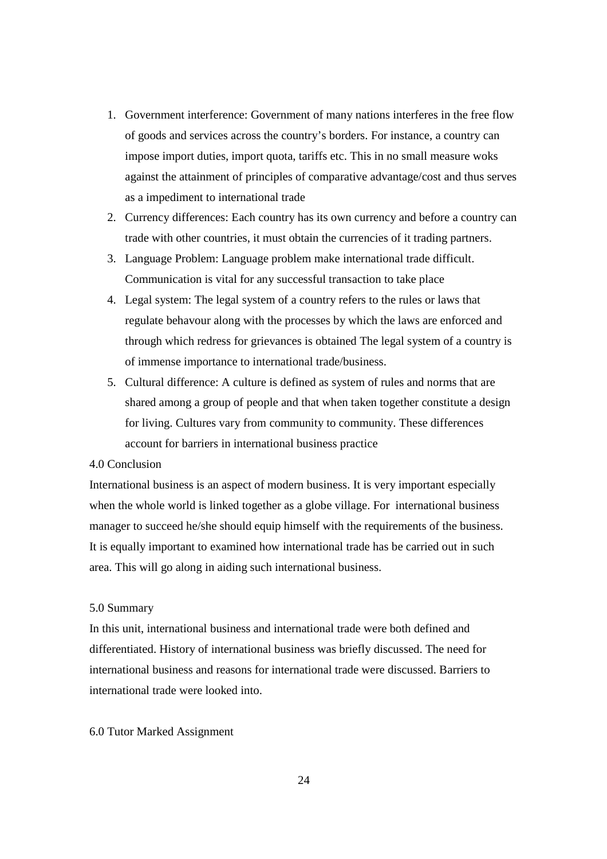- 1. Government interference: Government of many nations interferes in the free flow of goods and services across the country's borders. For instance, a country can impose import duties, import quota, tariffs etc. This in no small measure woks against the attainment of principles of comparative advantage/cost and thus serves as a impediment to international trade
- 2. Currency differences: Each country has its own currency and before a country can trade with other countries, it must obtain the currencies of it trading partners.
- 3. Language Problem: Language problem make international trade difficult. Communication is vital for any successful transaction to take place
- 4. Legal system: The legal system of a country refers to the rules or laws that regulate behavour along with the processes by which the laws are enforced and through which redress for grievances is obtained The legal system of a country is of immense importance to international trade/business.
- 5. Cultural difference: A culture is defined as system of rules and norms that are shared among a group of people and that when taken together constitute a design for living. Cultures vary from community to community. These differences account for barriers in international business practice

## 4.0 Conclusion

International business is an aspect of modern business. It is very important especially when the whole world is linked together as a globe village. For international business manager to succeed he/she should equip himself with the requirements of the business. It is equally important to examined how international trade has be carried out in such area. This will go along in aiding such international business.

#### 5.0 Summary

In this unit, international business and international trade were both defined and differentiated. History of international business was briefly discussed. The need for international business and reasons for international trade were discussed. Barriers to international trade were looked into.

#### 6.0 Tutor Marked Assignment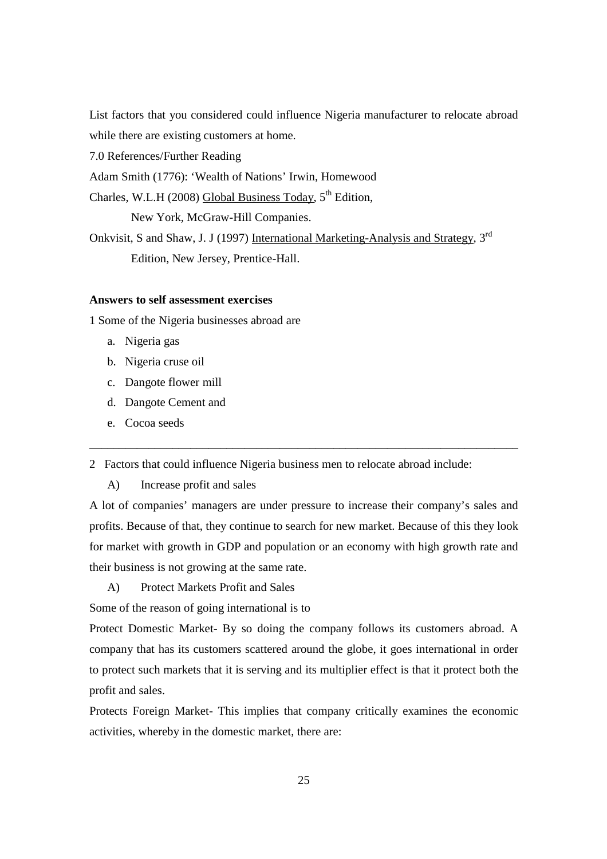List factors that you considered could influence Nigeria manufacturer to relocate abroad while there are existing customers at home.

7.0 References/Further Reading

Adam Smith (1776): 'Wealth of Nations' Irwin, Homewood

Charles, W.L.H (2008) Global Business Today,  $5<sup>th</sup>$  Edition,

New York, McGraw-Hill Companies.

Onkvisit, S and Shaw, J. J (1997) International Marketing-Analysis and Strategy, 3<sup>rd</sup> Edition, New Jersey, Prentice-Hall.

#### **Answers to self assessment exercises**

1 Some of the Nigeria businesses abroad are

- a. Nigeria gas
- b. Nigeria cruse oil
- c. Dangote flower mill
- d. Dangote Cement and
- e. Cocoa seeds

2 Factors that could influence Nigeria business men to relocate abroad include:

A) Increase profit and sales

A lot of companies' managers are under pressure to increase their company's sales and profits. Because of that, they continue to search for new market. Because of this they look for market with growth in GDP and population or an economy with high growth rate and their business is not growing at the same rate.

\_\_\_\_\_\_\_\_\_\_\_\_\_\_\_\_\_\_\_\_\_\_\_\_\_\_\_\_\_\_\_\_\_\_\_\_\_\_\_\_\_\_\_\_\_\_\_\_\_\_\_\_\_\_\_\_\_\_\_\_\_\_\_\_\_\_\_\_\_\_\_\_

A) Protect Markets Profit and Sales

Some of the reason of going international is to

Protect Domestic Market- By so doing the company follows its customers abroad. A company that has its customers scattered around the globe, it goes international in order to protect such markets that it is serving and its multiplier effect is that it protect both the profit and sales.

Protects Foreign Market- This implies that company critically examines the economic activities, whereby in the domestic market, there are: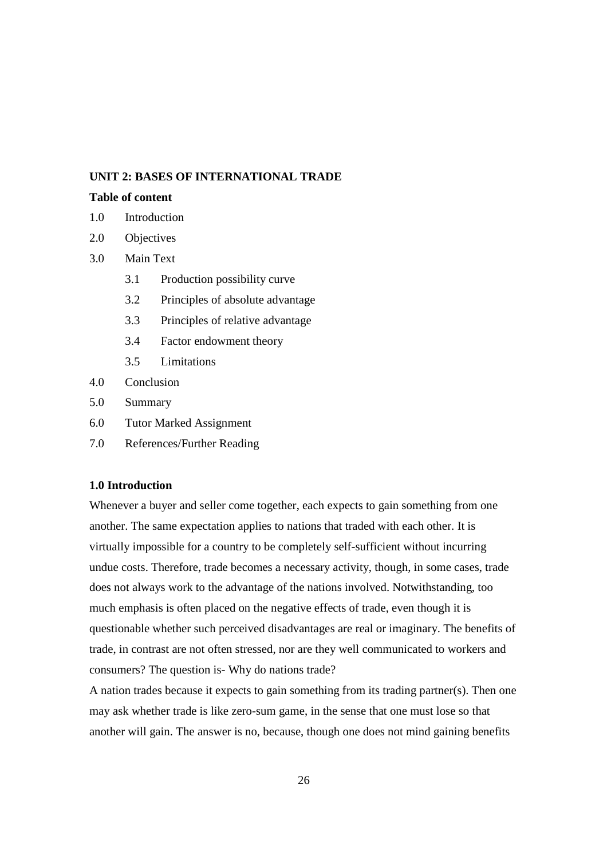## **UNIT 2: BASES OF INTERNATIONAL TRADE**

#### **Table of content**

- 1.0 Introduction
- 2.0 Objectives
- 3.0 Main Text
	- 3.1 Production possibility curve
	- 3.2 Principles of absolute advantage
	- 3.3 Principles of relative advantage
	- 3.4 Factor endowment theory
	- 3.5 Limitations
- 4.0 Conclusion
- 5.0 Summary
- 6.0 Tutor Marked Assignment
- 7.0 References/Further Reading

#### **1.0 Introduction**

Whenever a buyer and seller come together, each expects to gain something from one another. The same expectation applies to nations that traded with each other. It is virtually impossible for a country to be completely self-sufficient without incurring undue costs. Therefore, trade becomes a necessary activity, though, in some cases, trade does not always work to the advantage of the nations involved. Notwithstanding, too much emphasis is often placed on the negative effects of trade, even though it is questionable whether such perceived disadvantages are real or imaginary. The benefits of trade, in contrast are not often stressed, nor are they well communicated to workers and consumers? The question is- Why do nations trade?

A nation trades because it expects to gain something from its trading partner(s). Then one may ask whether trade is like zero-sum game, in the sense that one must lose so that another will gain. The answer is no, because, though one does not mind gaining benefits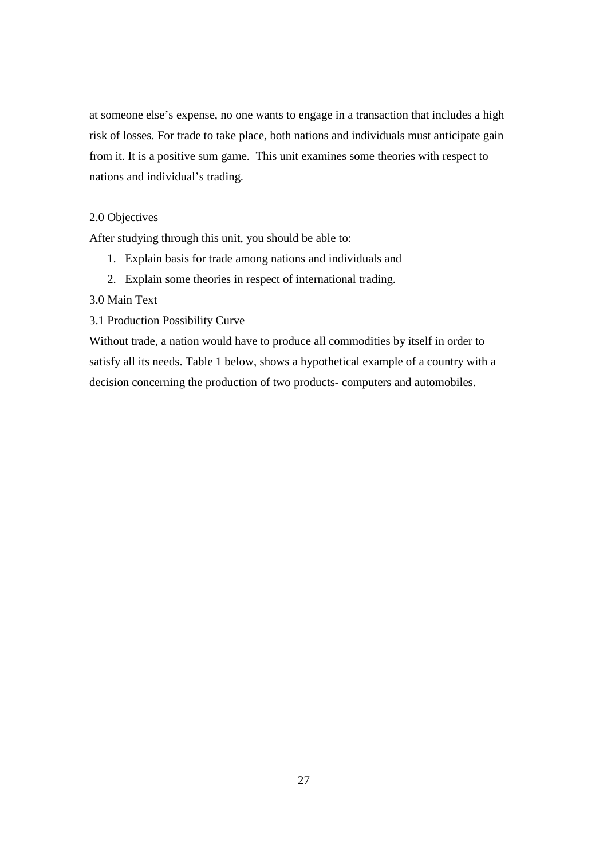at someone else's expense, no one wants to engage in a transaction that includes a high risk of losses. For trade to take place, both nations and individuals must anticipate gain from it. It is a positive sum game. This unit examines some theories with respect to nations and individual's trading.

## 2.0 Objectives

After studying through this unit, you should be able to:

- 1. Explain basis for trade among nations and individuals and
- 2. Explain some theories in respect of international trading.

## 3.0 Main Text

3.1 Production Possibility Curve

Without trade, a nation would have to produce all commodities by itself in order to satisfy all its needs. Table 1 below, shows a hypothetical example of a country with a decision concerning the production of two products- computers and automobiles.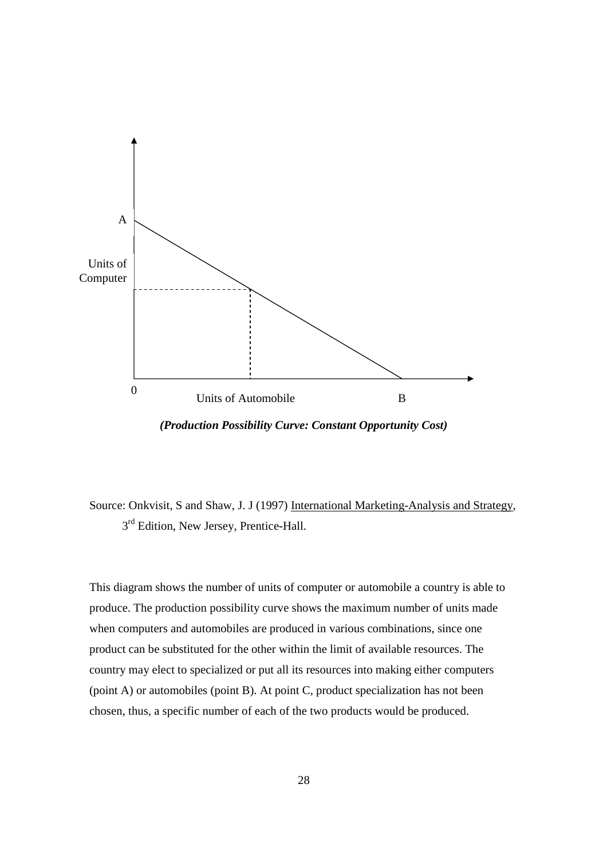

*(Production Possibility Curve: Constant Opportunity Cost)* 

Source: Onkvisit, S and Shaw, J. J (1997) International Marketing-Analysis and Strategy,  $3<sup>rd</sup>$  Edition, New Jersey, Prentice-Hall.

This diagram shows the number of units of computer or automobile a country is able to produce. The production possibility curve shows the maximum number of units made when computers and automobiles are produced in various combinations, since one product can be substituted for the other within the limit of available resources. The country may elect to specialized or put all its resources into making either computers (point A) or automobiles (point B). At point C, product specialization has not been chosen, thus, a specific number of each of the two products would be produced.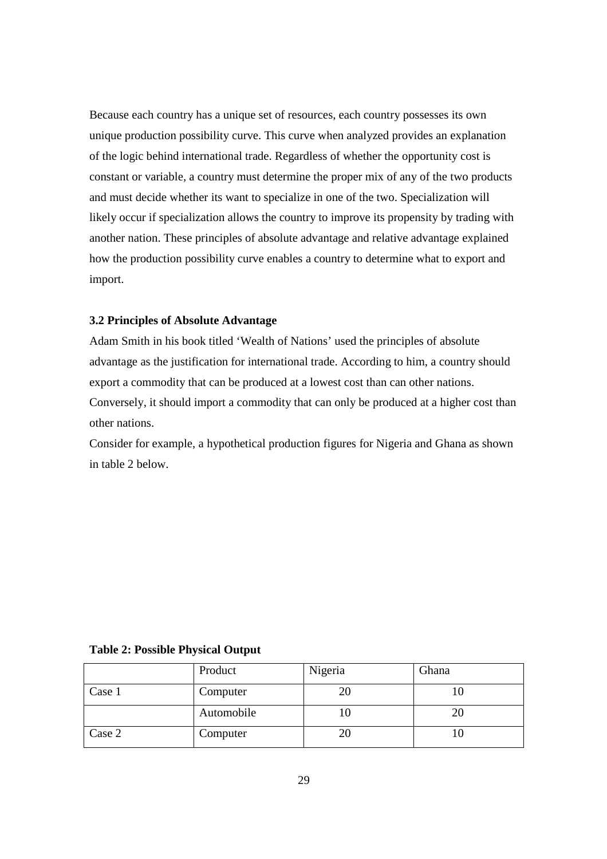Because each country has a unique set of resources, each country possesses its own unique production possibility curve. This curve when analyzed provides an explanation of the logic behind international trade. Regardless of whether the opportunity cost is constant or variable, a country must determine the proper mix of any of the two products and must decide whether its want to specialize in one of the two. Specialization will likely occur if specialization allows the country to improve its propensity by trading with another nation. These principles of absolute advantage and relative advantage explained how the production possibility curve enables a country to determine what to export and import.

#### **3.2 Principles of Absolute Advantage**

Adam Smith in his book titled 'Wealth of Nations' used the principles of absolute advantage as the justification for international trade. According to him, a country should export a commodity that can be produced at a lowest cost than can other nations. Conversely, it should import a commodity that can only be produced at a higher cost than other nations.

Consider for example, a hypothetical production figures for Nigeria and Ghana as shown in table 2 below.

#### **Table 2: Possible Physical Output**

|        | Product    | Nigeria | Ghana |
|--------|------------|---------|-------|
| Case 1 | Computer   | 20      |       |
|        | Automobile |         |       |
| Case 2 | Computer   | 20      |       |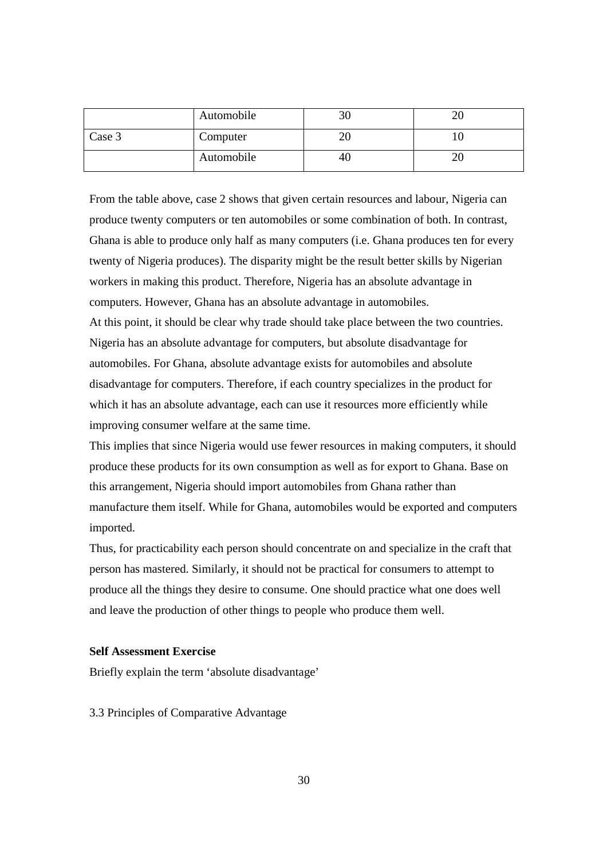|        | Automobile | 30 | ∠∪ |
|--------|------------|----|----|
| Case 3 | Computer   | ZU |    |
|        | Automobile | 40 | ∠∪ |

From the table above, case 2 shows that given certain resources and labour, Nigeria can produce twenty computers or ten automobiles or some combination of both. In contrast, Ghana is able to produce only half as many computers (i.e. Ghana produces ten for every twenty of Nigeria produces). The disparity might be the result better skills by Nigerian workers in making this product. Therefore, Nigeria has an absolute advantage in computers. However, Ghana has an absolute advantage in automobiles. At this point, it should be clear why trade should take place between the two countries. Nigeria has an absolute advantage for computers, but absolute disadvantage for automobiles. For Ghana, absolute advantage exists for automobiles and absolute disadvantage for computers. Therefore, if each country specializes in the product for which it has an absolute advantage, each can use it resources more efficiently while improving consumer welfare at the same time.

This implies that since Nigeria would use fewer resources in making computers, it should produce these products for its own consumption as well as for export to Ghana. Base on this arrangement, Nigeria should import automobiles from Ghana rather than manufacture them itself. While for Ghana, automobiles would be exported and computers imported.

Thus, for practicability each person should concentrate on and specialize in the craft that person has mastered. Similarly, it should not be practical for consumers to attempt to produce all the things they desire to consume. One should practice what one does well and leave the production of other things to people who produce them well.

#### **Self Assessment Exercise**

Briefly explain the term 'absolute disadvantage'

3.3 Principles of Comparative Advantage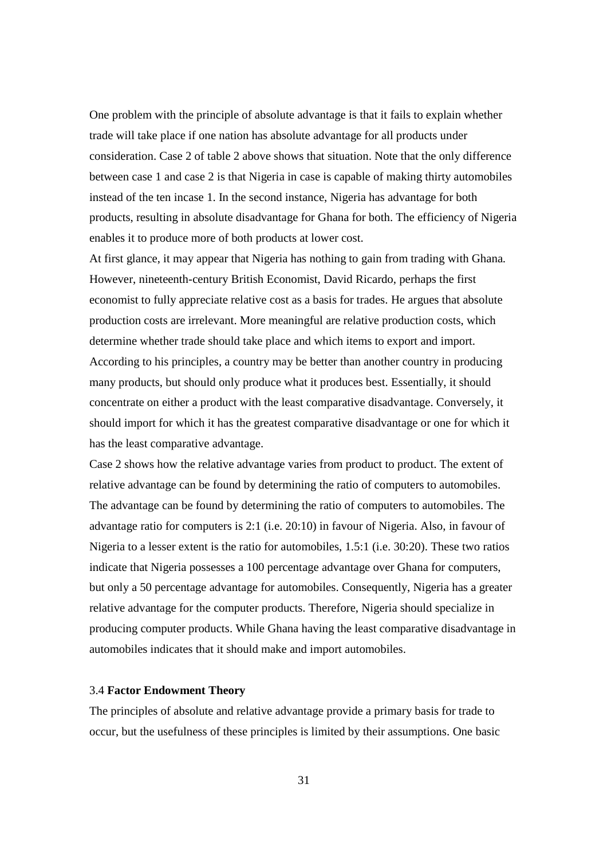One problem with the principle of absolute advantage is that it fails to explain whether trade will take place if one nation has absolute advantage for all products under consideration. Case 2 of table 2 above shows that situation. Note that the only difference between case 1 and case 2 is that Nigeria in case is capable of making thirty automobiles instead of the ten incase 1. In the second instance, Nigeria has advantage for both products, resulting in absolute disadvantage for Ghana for both. The efficiency of Nigeria enables it to produce more of both products at lower cost.

At first glance, it may appear that Nigeria has nothing to gain from trading with Ghana. However, nineteenth-century British Economist, David Ricardo, perhaps the first economist to fully appreciate relative cost as a basis for trades. He argues that absolute production costs are irrelevant. More meaningful are relative production costs, which determine whether trade should take place and which items to export and import. According to his principles, a country may be better than another country in producing many products, but should only produce what it produces best. Essentially, it should concentrate on either a product with the least comparative disadvantage. Conversely, it should import for which it has the greatest comparative disadvantage or one for which it has the least comparative advantage.

Case 2 shows how the relative advantage varies from product to product. The extent of relative advantage can be found by determining the ratio of computers to automobiles. The advantage can be found by determining the ratio of computers to automobiles. The advantage ratio for computers is 2:1 (i.e. 20:10) in favour of Nigeria. Also, in favour of Nigeria to a lesser extent is the ratio for automobiles, 1.5:1 (i.e. 30:20). These two ratios indicate that Nigeria possesses a 100 percentage advantage over Ghana for computers, but only a 50 percentage advantage for automobiles. Consequently, Nigeria has a greater relative advantage for the computer products. Therefore, Nigeria should specialize in producing computer products. While Ghana having the least comparative disadvantage in automobiles indicates that it should make and import automobiles.

#### 3.4 **Factor Endowment Theory**

The principles of absolute and relative advantage provide a primary basis for trade to occur, but the usefulness of these principles is limited by their assumptions. One basic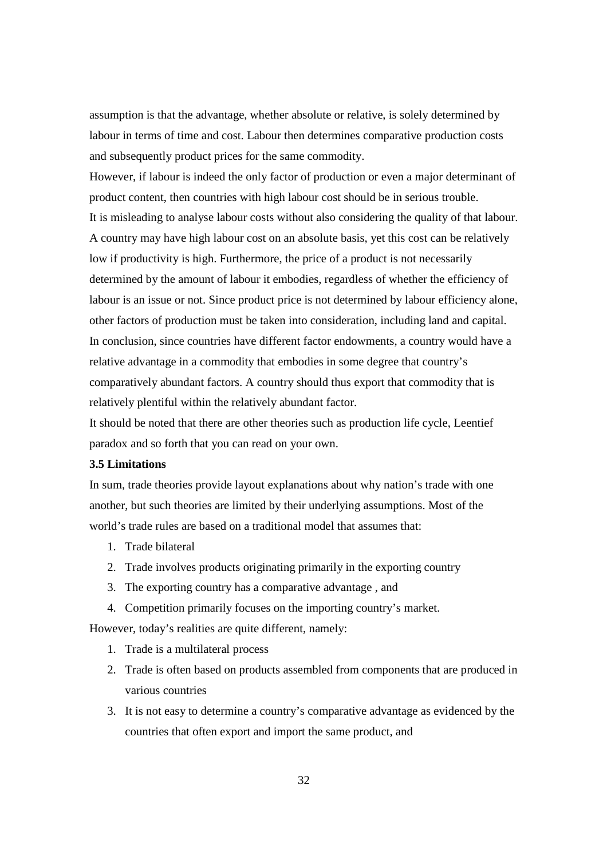assumption is that the advantage, whether absolute or relative, is solely determined by labour in terms of time and cost. Labour then determines comparative production costs and subsequently product prices for the same commodity.

However, if labour is indeed the only factor of production or even a major determinant of product content, then countries with high labour cost should be in serious trouble. It is misleading to analyse labour costs without also considering the quality of that labour. A country may have high labour cost on an absolute basis, yet this cost can be relatively low if productivity is high. Furthermore, the price of a product is not necessarily determined by the amount of labour it embodies, regardless of whether the efficiency of labour is an issue or not. Since product price is not determined by labour efficiency alone, other factors of production must be taken into consideration, including land and capital. In conclusion, since countries have different factor endowments, a country would have a relative advantage in a commodity that embodies in some degree that country's comparatively abundant factors. A country should thus export that commodity that is relatively plentiful within the relatively abundant factor.

It should be noted that there are other theories such as production life cycle, Leentief paradox and so forth that you can read on your own.

#### **3.5 Limitations**

In sum, trade theories provide layout explanations about why nation's trade with one another, but such theories are limited by their underlying assumptions. Most of the world's trade rules are based on a traditional model that assumes that:

- 1. Trade bilateral
- 2. Trade involves products originating primarily in the exporting country
- 3. The exporting country has a comparative advantage , and
- 4. Competition primarily focuses on the importing country's market.

However, today's realities are quite different, namely:

- 1. Trade is a multilateral process
- 2. Trade is often based on products assembled from components that are produced in various countries
- 3. It is not easy to determine a country's comparative advantage as evidenced by the countries that often export and import the same product, and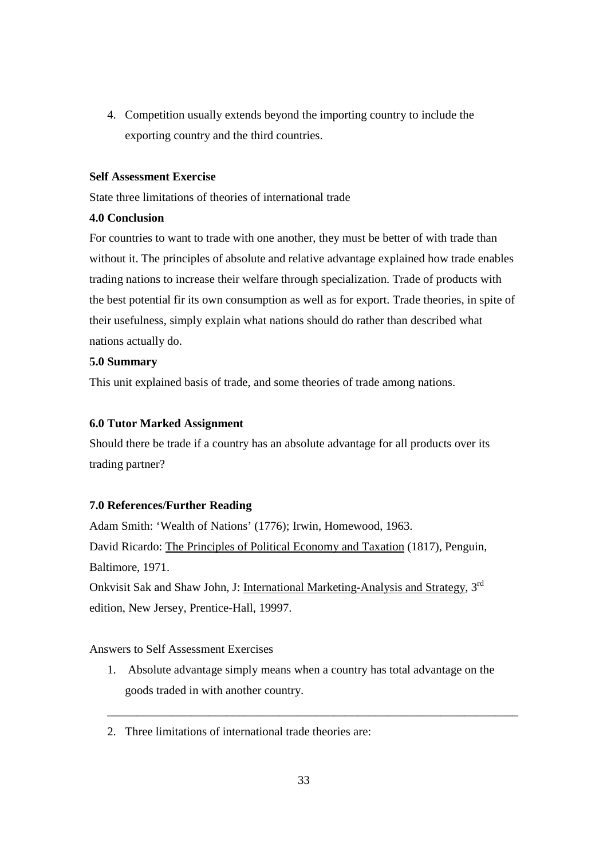4. Competition usually extends beyond the importing country to include the exporting country and the third countries.

#### **Self Assessment Exercise**

State three limitations of theories of international trade

## **4.0 Conclusion**

For countries to want to trade with one another, they must be better of with trade than without it. The principles of absolute and relative advantage explained how trade enables trading nations to increase their welfare through specialization. Trade of products with the best potential fir its own consumption as well as for export. Trade theories, in spite of their usefulness, simply explain what nations should do rather than described what nations actually do.

## **5.0 Summary**

This unit explained basis of trade, and some theories of trade among nations.

#### **6.0 Tutor Marked Assignment**

Should there be trade if a country has an absolute advantage for all products over its trading partner?

## **7.0 References/Further Reading**

Adam Smith: 'Wealth of Nations' (1776); Irwin, Homewood, 1963. David Ricardo: The Principles of Political Economy and Taxation (1817), Penguin, Baltimore, 1971.

Onkvisit Sak and Shaw John, J: International Marketing-Analysis and Strategy, 3<sup>rd</sup> edition, New Jersey, Prentice-Hall, 19997.

Answers to Self Assessment Exercises

1. Absolute advantage simply means when a country has total advantage on the goods traded in with another country.

\_\_\_\_\_\_\_\_\_\_\_\_\_\_\_\_\_\_\_\_\_\_\_\_\_\_\_\_\_\_\_\_\_\_\_\_\_\_\_\_\_\_\_\_\_\_\_\_\_\_\_\_\_\_\_\_\_\_\_\_\_\_\_\_\_\_\_\_\_

2. Three limitations of international trade theories are: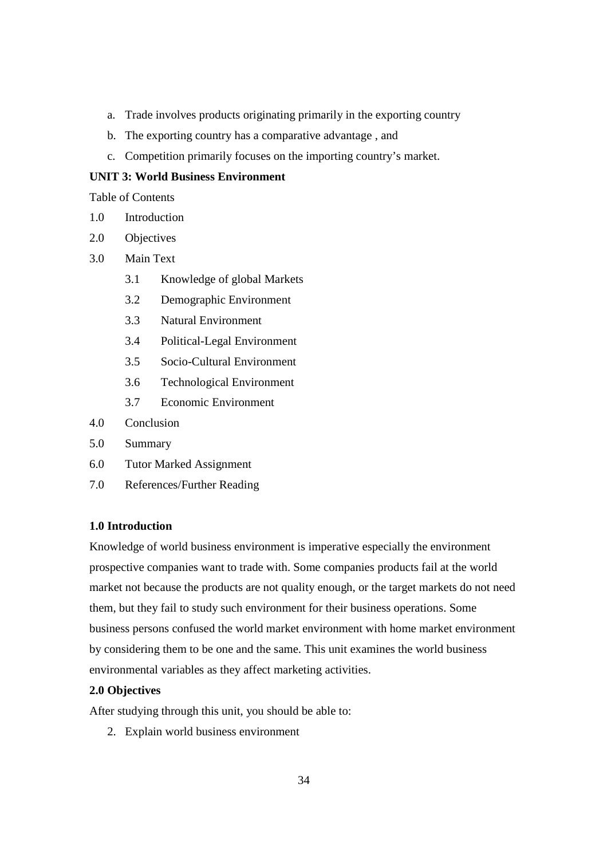- a. Trade involves products originating primarily in the exporting country
- b. The exporting country has a comparative advantage , and
- c. Competition primarily focuses on the importing country's market.

## **UNIT 3: World Business Environment**

Table of Contents

- 1.0 Introduction
- 2.0 Objectives
- 3.0 Main Text
	- 3.1 Knowledge of global Markets
	- 3.2 Demographic Environment
	- 3.3 Natural Environment
	- 3.4 Political-Legal Environment
	- 3.5 Socio-Cultural Environment
	- 3.6 Technological Environment
	- 3.7 Economic Environment
- 4.0 Conclusion
- 5.0 Summary
- 6.0 Tutor Marked Assignment
- 7.0 References/Further Reading

#### **1.0 Introduction**

Knowledge of world business environment is imperative especially the environment prospective companies want to trade with. Some companies products fail at the world market not because the products are not quality enough, or the target markets do not need them, but they fail to study such environment for their business operations. Some business persons confused the world market environment with home market environment by considering them to be one and the same. This unit examines the world business environmental variables as they affect marketing activities.

#### **2.0 Objectives**

After studying through this unit, you should be able to:

2. Explain world business environment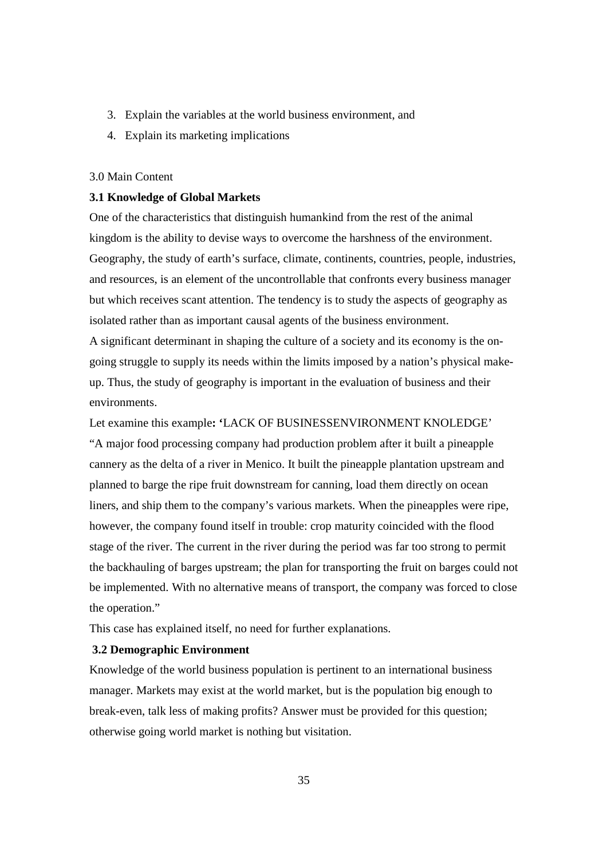- 3. Explain the variables at the world business environment, and
- 4. Explain its marketing implications

#### 3.0 Main Content

#### **3.1 Knowledge of Global Markets**

One of the characteristics that distinguish humankind from the rest of the animal kingdom is the ability to devise ways to overcome the harshness of the environment. Geography, the study of earth's surface, climate, continents, countries, people, industries, and resources, is an element of the uncontrollable that confronts every business manager but which receives scant attention. The tendency is to study the aspects of geography as isolated rather than as important causal agents of the business environment.

A significant determinant in shaping the culture of a society and its economy is the ongoing struggle to supply its needs within the limits imposed by a nation's physical makeup. Thus, the study of geography is important in the evaluation of business and their environments.

Let examine this example**: '**LACK OF BUSINESSENVIRONMENT KNOLEDGE' "A major food processing company had production problem after it built a pineapple cannery as the delta of a river in Menico. It built the pineapple plantation upstream and planned to barge the ripe fruit downstream for canning, load them directly on ocean liners, and ship them to the company's various markets. When the pineapples were ripe, however, the company found itself in trouble: crop maturity coincided with the flood stage of the river. The current in the river during the period was far too strong to permit the backhauling of barges upstream; the plan for transporting the fruit on barges could not be implemented. With no alternative means of transport, the company was forced to close the operation."

This case has explained itself, no need for further explanations.

#### **3.2 Demographic Environment**

Knowledge of the world business population is pertinent to an international business manager. Markets may exist at the world market, but is the population big enough to break-even, talk less of making profits? Answer must be provided for this question; otherwise going world market is nothing but visitation.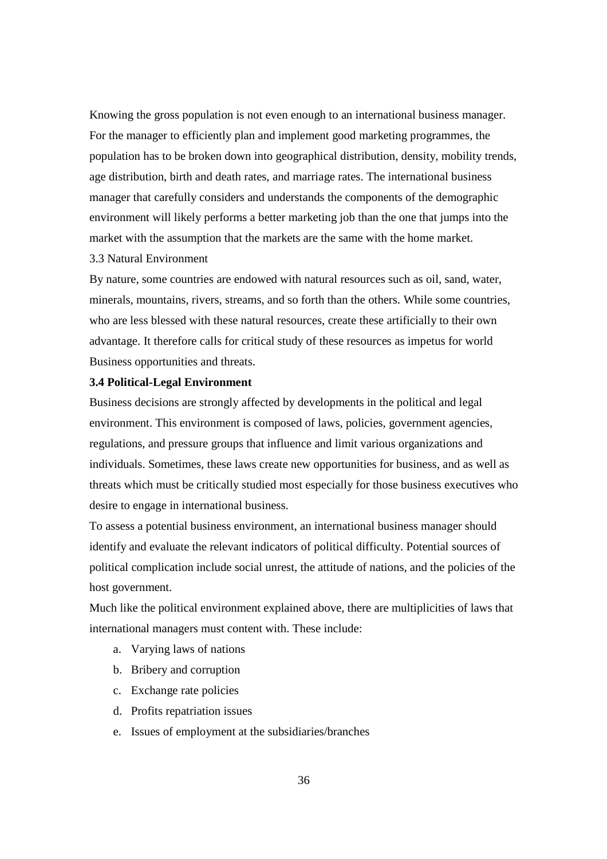Knowing the gross population is not even enough to an international business manager. For the manager to efficiently plan and implement good marketing programmes, the population has to be broken down into geographical distribution, density, mobility trends, age distribution, birth and death rates, and marriage rates. The international business manager that carefully considers and understands the components of the demographic environment will likely performs a better marketing job than the one that jumps into the market with the assumption that the markets are the same with the home market. 3.3 Natural Environment

By nature, some countries are endowed with natural resources such as oil, sand, water, minerals, mountains, rivers, streams, and so forth than the others. While some countries, who are less blessed with these natural resources, create these artificially to their own advantage. It therefore calls for critical study of these resources as impetus for world Business opportunities and threats.

#### **3.4 Political-Legal Environment**

Business decisions are strongly affected by developments in the political and legal environment. This environment is composed of laws, policies, government agencies, regulations, and pressure groups that influence and limit various organizations and individuals. Sometimes, these laws create new opportunities for business, and as well as threats which must be critically studied most especially for those business executives who desire to engage in international business.

To assess a potential business environment, an international business manager should identify and evaluate the relevant indicators of political difficulty. Potential sources of political complication include social unrest, the attitude of nations, and the policies of the host government.

Much like the political environment explained above, there are multiplicities of laws that international managers must content with. These include:

- a. Varying laws of nations
- b. Bribery and corruption
- c. Exchange rate policies
- d. Profits repatriation issues
- e. Issues of employment at the subsidiaries/branches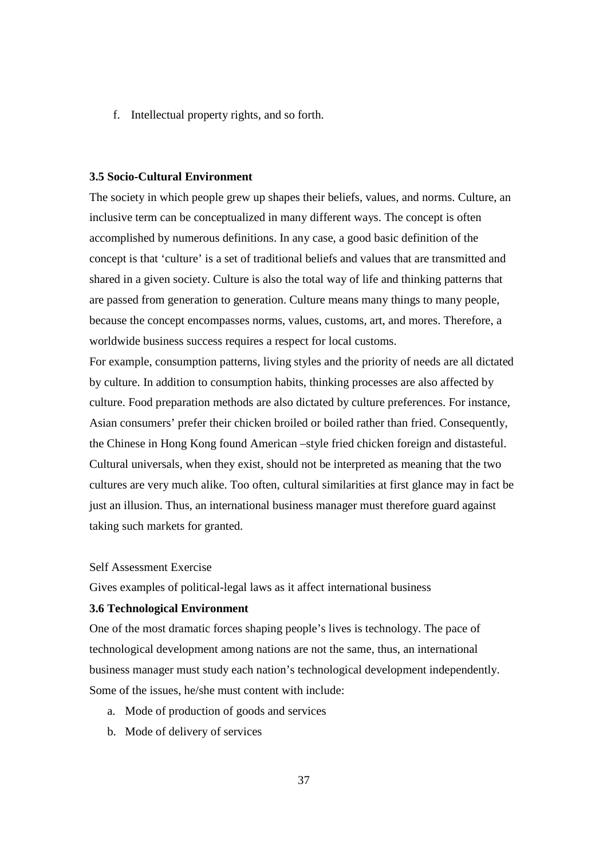f. Intellectual property rights, and so forth.

#### **3.5 Socio-Cultural Environment**

The society in which people grew up shapes their beliefs, values, and norms. Culture, an inclusive term can be conceptualized in many different ways. The concept is often accomplished by numerous definitions. In any case, a good basic definition of the concept is that 'culture' is a set of traditional beliefs and values that are transmitted and shared in a given society. Culture is also the total way of life and thinking patterns that are passed from generation to generation. Culture means many things to many people, because the concept encompasses norms, values, customs, art, and mores. Therefore, a worldwide business success requires a respect for local customs.

For example, consumption patterns, living styles and the priority of needs are all dictated by culture. In addition to consumption habits, thinking processes are also affected by culture. Food preparation methods are also dictated by culture preferences. For instance, Asian consumers' prefer their chicken broiled or boiled rather than fried. Consequently, the Chinese in Hong Kong found American –style fried chicken foreign and distasteful. Cultural universals, when they exist, should not be interpreted as meaning that the two cultures are very much alike. Too often, cultural similarities at first glance may in fact be just an illusion. Thus, an international business manager must therefore guard against taking such markets for granted.

#### Self Assessment Exercise

Gives examples of political-legal laws as it affect international business

#### **3.6 Technological Environment**

One of the most dramatic forces shaping people's lives is technology. The pace of technological development among nations are not the same, thus, an international business manager must study each nation's technological development independently. Some of the issues, he/she must content with include:

- a. Mode of production of goods and services
- b. Mode of delivery of services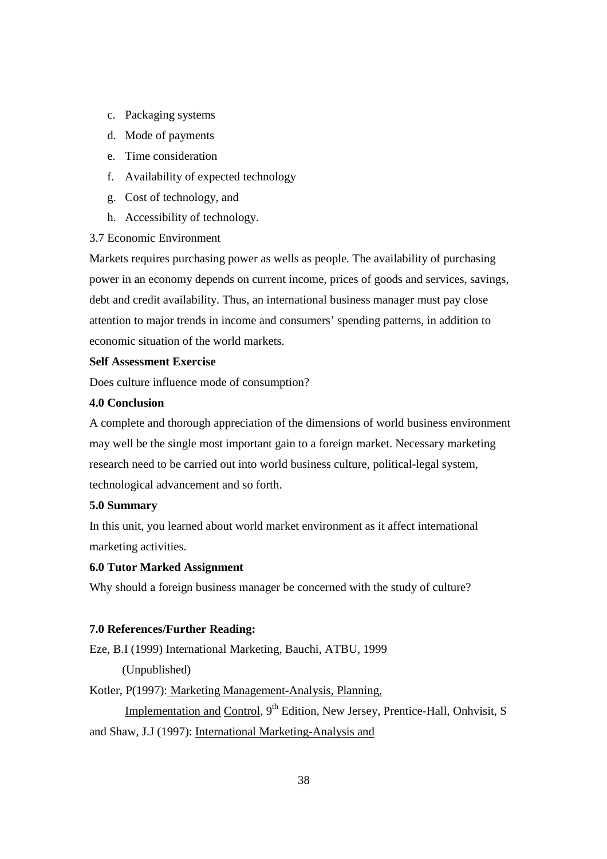- c. Packaging systems
- d. Mode of payments
- e. Time consideration
- f. Availability of expected technology
- g. Cost of technology, and
- h. Accessibility of technology.

#### 3.7 Economic Environment

Markets requires purchasing power as wells as people. The availability of purchasing power in an economy depends on current income, prices of goods and services, savings, debt and credit availability. Thus, an international business manager must pay close attention to major trends in income and consumers' spending patterns, in addition to economic situation of the world markets.

## **Self Assessment Exercise**

Does culture influence mode of consumption?

#### **4.0 Conclusion**

A complete and thorough appreciation of the dimensions of world business environment may well be the single most important gain to a foreign market. Necessary marketing research need to be carried out into world business culture, political-legal system, technological advancement and so forth.

#### **5.0 Summary**

In this unit, you learned about world market environment as it affect international marketing activities.

## **6.0 Tutor Marked Assignment**

Why should a foreign business manager be concerned with the study of culture?

#### **7.0 References/Further Reading:**

Eze, B.I (1999) International Marketing, Bauchi, ATBU, 1999

(Unpublished)

Kotler, P(1997): Marketing Management-Analysis, Planning,

Implementation and Control, 9<sup>th</sup> Edition, New Jersey, Prentice-Hall, Onhvisit, S and Shaw, J.J (1997): International Marketing-Analysis and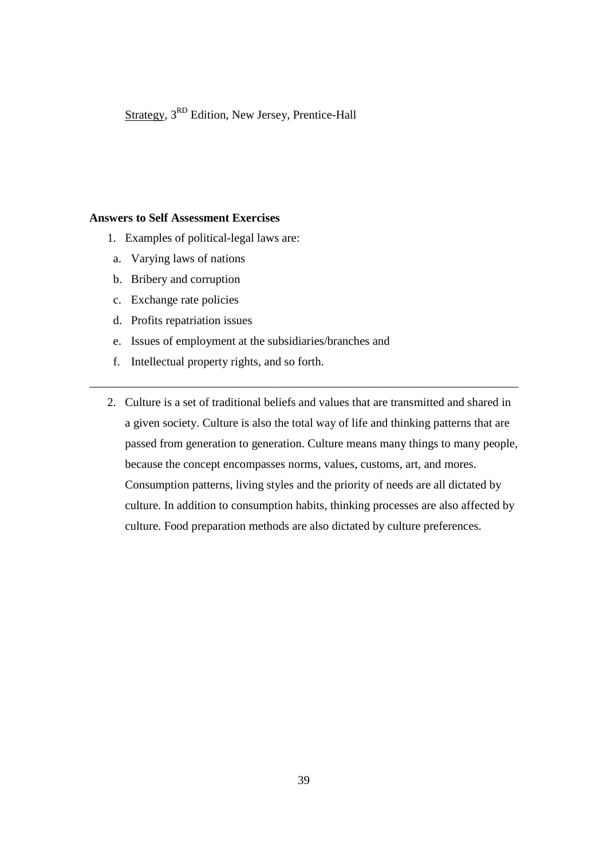Strategy, 3RD Edition, New Jersey, Prentice-Hall

## **Answers to Self Assessment Exercises**

- 1. Examples of political-legal laws are:
- a. Varying laws of nations
- b. Bribery and corruption
- c. Exchange rate policies
- d. Profits repatriation issues
- e. Issues of employment at the subsidiaries/branches and
- f. Intellectual property rights, and so forth.
- 2. Culture is a set of traditional beliefs and values that are transmitted and shared in a given society. Culture is also the total way of life and thinking patterns that are passed from generation to generation. Culture means many things to many people, because the concept encompasses norms, values, customs, art, and mores. Consumption patterns, living styles and the priority of needs are all dictated by culture. In addition to consumption habits, thinking processes are also affected by culture. Food preparation methods are also dictated by culture preferences.

\_\_\_\_\_\_\_\_\_\_\_\_\_\_\_\_\_\_\_\_\_\_\_\_\_\_\_\_\_\_\_\_\_\_\_\_\_\_\_\_\_\_\_\_\_\_\_\_\_\_\_\_\_\_\_\_\_\_\_\_\_\_\_\_\_\_\_\_\_\_\_\_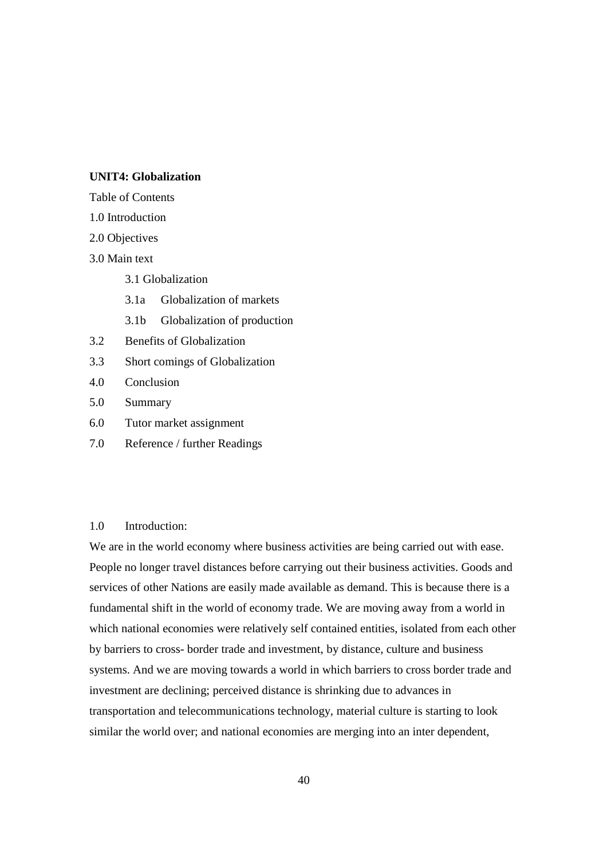#### **UNIT4: Globalization**

Table of Contents

- 1.0 Introduction
- 2.0 Objectives
- 3.0 Main text
	- 3.1 Globalization
	- 3.1a Globalization of markets
	- 3.1b Globalization of production
- 3.2 Benefits of Globalization
- 3.3 Short comings of Globalization
- 4.0 Conclusion
- 5.0 Summary
- 6.0 Tutor market assignment
- 7.0 Reference / further Readings

#### 1.0 Introduction:

We are in the world economy where business activities are being carried out with ease. People no longer travel distances before carrying out their business activities. Goods and services of other Nations are easily made available as demand. This is because there is a fundamental shift in the world of economy trade. We are moving away from a world in which national economies were relatively self contained entities, isolated from each other by barriers to cross- border trade and investment, by distance, culture and business systems. And we are moving towards a world in which barriers to cross border trade and investment are declining; perceived distance is shrinking due to advances in transportation and telecommunications technology, material culture is starting to look similar the world over; and national economies are merging into an inter dependent,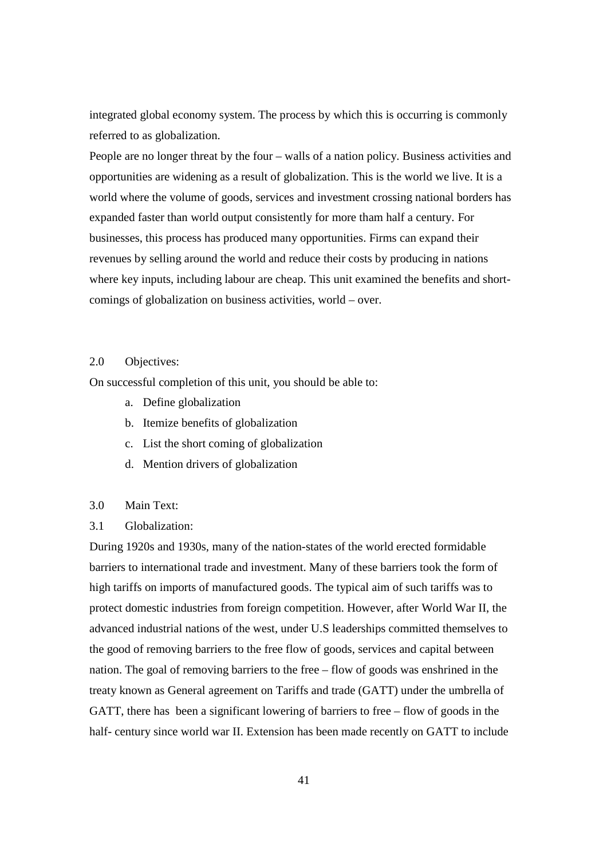integrated global economy system. The process by which this is occurring is commonly referred to as globalization.

People are no longer threat by the four – walls of a nation policy. Business activities and opportunities are widening as a result of globalization. This is the world we live. It is a world where the volume of goods, services and investment crossing national borders has expanded faster than world output consistently for more tham half a century. For businesses, this process has produced many opportunities. Firms can expand their revenues by selling around the world and reduce their costs by producing in nations where key inputs, including labour are cheap. This unit examined the benefits and shortcomings of globalization on business activities, world – over.

## 2.0 Objectives:

On successful completion of this unit, you should be able to:

- a. Define globalization
- b. Itemize benefits of globalization
- c. List the short coming of globalization
- d. Mention drivers of globalization

#### 3.0 Main Text:

#### 3.1 Globalization:

During 1920s and 1930s, many of the nation-states of the world erected formidable barriers to international trade and investment. Many of these barriers took the form of high tariffs on imports of manufactured goods. The typical aim of such tariffs was to protect domestic industries from foreign competition. However, after World War II, the advanced industrial nations of the west, under U.S leaderships committed themselves to the good of removing barriers to the free flow of goods, services and capital between nation. The goal of removing barriers to the free – flow of goods was enshrined in the treaty known as General agreement on Tariffs and trade (GATT) under the umbrella of GATT, there has been a significant lowering of barriers to free – flow of goods in the half- century since world war II. Extension has been made recently on GATT to include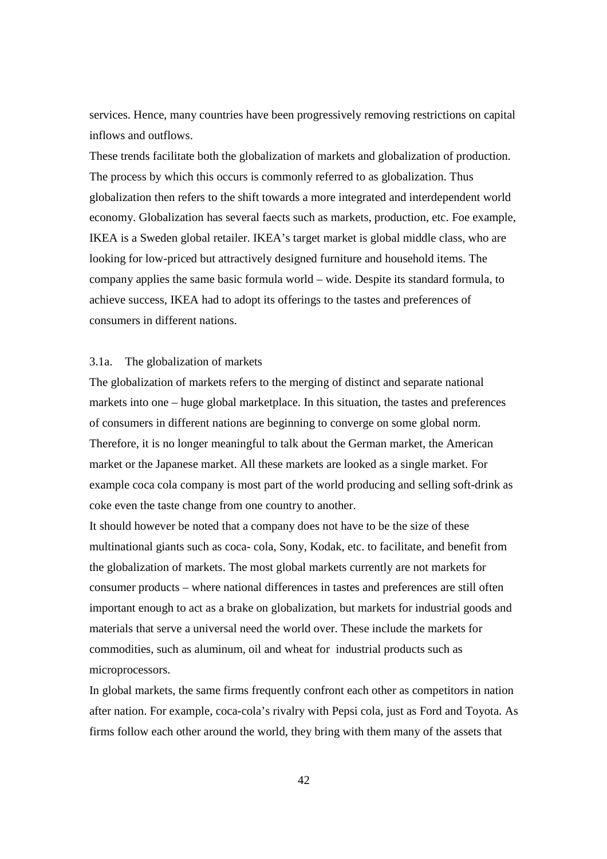services. Hence, many countries have been progressively removing restrictions on capital inflows and outflows.

These trends facilitate both the globalization of markets and globalization of production. The process by which this occurs is commonly referred to as globalization. Thus globalization then refers to the shift towards a more integrated and interdependent world economy. Globalization has several faects such as markets, production, etc. Foe example, IKEA is a Sweden global retailer. IKEA's target market is global middle class, who are looking for low-priced but attractively designed furniture and household items. The company applies the same basic formula world – wide. Despite its standard formula, to achieve success, IKEA had to adopt its offerings to the tastes and preferences of consumers in different nations.

## 3.1a. The globalization of markets

The globalization of markets refers to the merging of distinct and separate national markets into one – huge global marketplace. In this situation, the tastes and preferences of consumers in different nations are beginning to converge on some global norm. Therefore, it is no longer meaningful to talk about the German market, the American market or the Japanese market. All these markets are looked as a single market. For example coca cola company is most part of the world producing and selling soft-drink as coke even the taste change from one country to another.

It should however be noted that a company does not have to be the size of these multinational giants such as coca- cola, Sony, Kodak, etc. to facilitate, and benefit from the globalization of markets. The most global markets currently are not markets for consumer products – where national differences in tastes and preferences are still often important enough to act as a brake on globalization, but markets for industrial goods and materials that serve a universal need the world over. These include the markets for commodities, such as aluminum, oil and wheat for industrial products such as microprocessors.

In global markets, the same firms frequently confront each other as competitors in nation after nation. For example, coca-cola's rivalry with Pepsi cola, just as Ford and Toyota. As firms follow each other around the world, they bring with them many of the assets that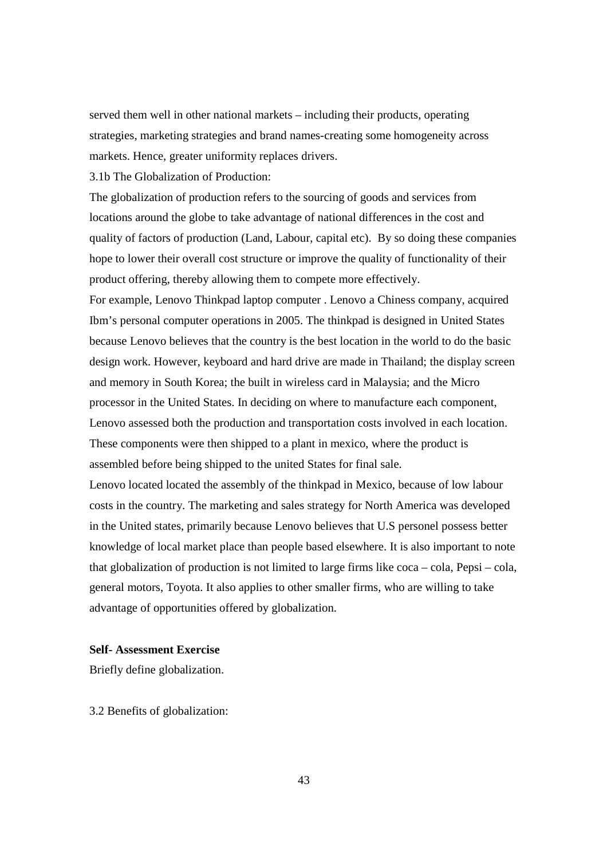served them well in other national markets – including their products, operating strategies, marketing strategies and brand names-creating some homogeneity across markets. Hence, greater uniformity replaces drivers.

3.1b The Globalization of Production:

The globalization of production refers to the sourcing of goods and services from locations around the globe to take advantage of national differences in the cost and quality of factors of production (Land, Labour, capital etc). By so doing these companies hope to lower their overall cost structure or improve the quality of functionality of their product offering, thereby allowing them to compete more effectively.

For example, Lenovo Thinkpad laptop computer . Lenovo a Chiness company, acquired Ibm's personal computer operations in 2005. The thinkpad is designed in United States because Lenovo believes that the country is the best location in the world to do the basic design work. However, keyboard and hard drive are made in Thailand; the display screen and memory in South Korea; the built in wireless card in Malaysia; and the Micro processor in the United States. In deciding on where to manufacture each component, Lenovo assessed both the production and transportation costs involved in each location. These components were then shipped to a plant in mexico, where the product is assembled before being shipped to the united States for final sale.

Lenovo located located the assembly of the thinkpad in Mexico, because of low labour costs in the country. The marketing and sales strategy for North America was developed in the United states, primarily because Lenovo believes that U.S personel possess better knowledge of local market place than people based elsewhere. It is also important to note that globalization of production is not limited to large firms like coca – cola, Pepsi – cola, general motors, Toyota. It also applies to other smaller firms, who are willing to take advantage of opportunities offered by globalization.

#### **Self- Assessment Exercise**

Briefly define globalization.

3.2 Benefits of globalization: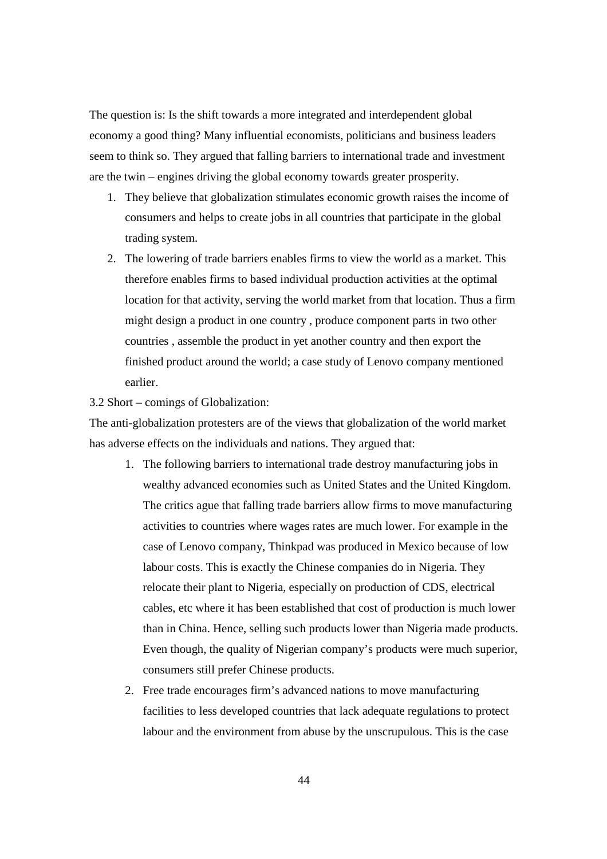The question is: Is the shift towards a more integrated and interdependent global economy a good thing? Many influential economists, politicians and business leaders seem to think so. They argued that falling barriers to international trade and investment are the twin – engines driving the global economy towards greater prosperity.

- 1. They believe that globalization stimulates economic growth raises the income of consumers and helps to create jobs in all countries that participate in the global trading system.
- 2. The lowering of trade barriers enables firms to view the world as a market. This therefore enables firms to based individual production activities at the optimal location for that activity, serving the world market from that location. Thus a firm might design a product in one country , produce component parts in two other countries , assemble the product in yet another country and then export the finished product around the world; a case study of Lenovo company mentioned earlier.

#### 3.2 Short – comings of Globalization:

The anti-globalization protesters are of the views that globalization of the world market has adverse effects on the individuals and nations. They argued that:

- 1. The following barriers to international trade destroy manufacturing jobs in wealthy advanced economies such as United States and the United Kingdom. The critics ague that falling trade barriers allow firms to move manufacturing activities to countries where wages rates are much lower. For example in the case of Lenovo company, Thinkpad was produced in Mexico because of low labour costs. This is exactly the Chinese companies do in Nigeria. They relocate their plant to Nigeria, especially on production of CDS, electrical cables, etc where it has been established that cost of production is much lower than in China. Hence, selling such products lower than Nigeria made products. Even though, the quality of Nigerian company's products were much superior, consumers still prefer Chinese products.
- 2. Free trade encourages firm's advanced nations to move manufacturing facilities to less developed countries that lack adequate regulations to protect labour and the environment from abuse by the unscrupulous. This is the case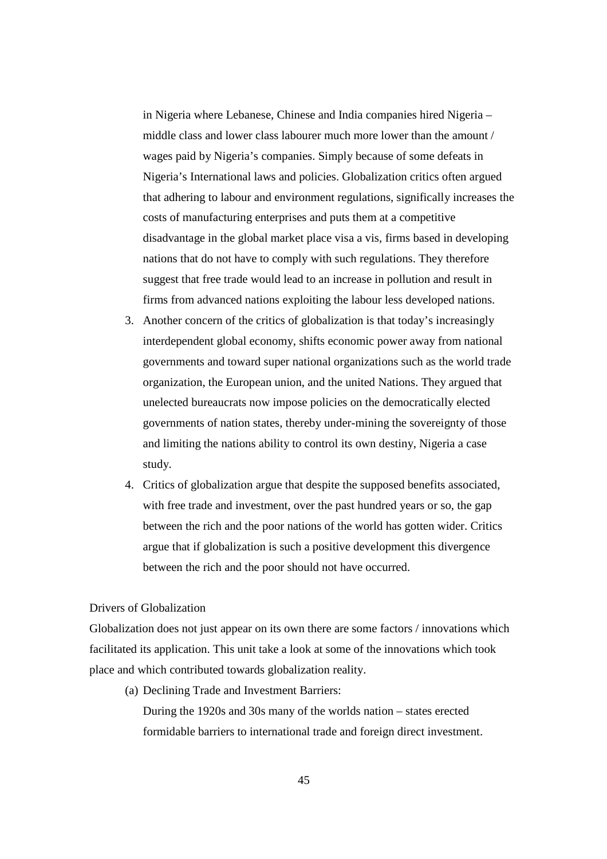in Nigeria where Lebanese, Chinese and India companies hired Nigeria – middle class and lower class labourer much more lower than the amount / wages paid by Nigeria's companies. Simply because of some defeats in Nigeria's International laws and policies. Globalization critics often argued that adhering to labour and environment regulations, significally increases the costs of manufacturing enterprises and puts them at a competitive disadvantage in the global market place visa a vis, firms based in developing nations that do not have to comply with such regulations. They therefore suggest that free trade would lead to an increase in pollution and result in firms from advanced nations exploiting the labour less developed nations.

- 3. Another concern of the critics of globalization is that today's increasingly interdependent global economy, shifts economic power away from national governments and toward super national organizations such as the world trade organization, the European union, and the united Nations. They argued that unelected bureaucrats now impose policies on the democratically elected governments of nation states, thereby under-mining the sovereignty of those and limiting the nations ability to control its own destiny, Nigeria a case study.
- 4. Critics of globalization argue that despite the supposed benefits associated, with free trade and investment, over the past hundred years or so, the gap between the rich and the poor nations of the world has gotten wider. Critics argue that if globalization is such a positive development this divergence between the rich and the poor should not have occurred.

## Drivers of Globalization

Globalization does not just appear on its own there are some factors / innovations which facilitated its application. This unit take a look at some of the innovations which took place and which contributed towards globalization reality.

(a) Declining Trade and Investment Barriers:

During the 1920s and 30s many of the worlds nation – states erected formidable barriers to international trade and foreign direct investment.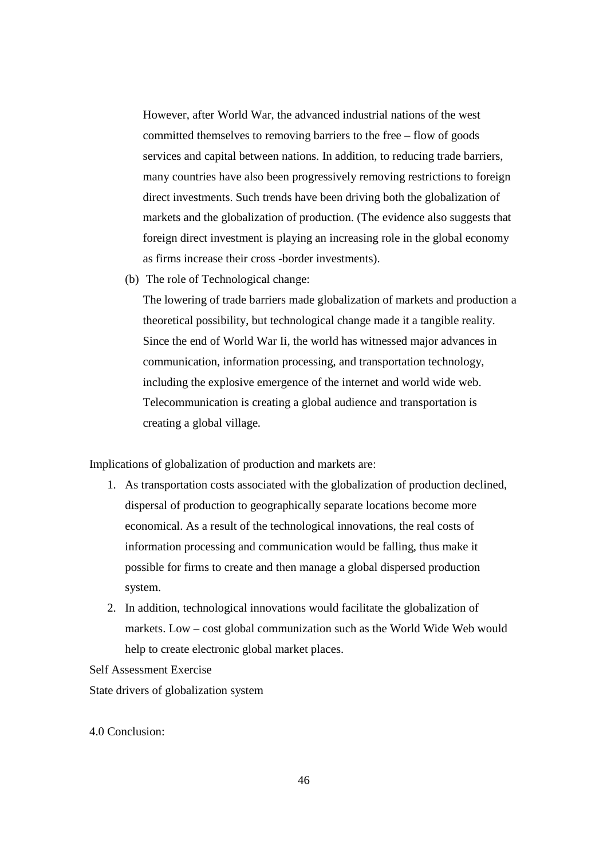However, after World War, the advanced industrial nations of the west committed themselves to removing barriers to the free – flow of goods services and capital between nations. In addition, to reducing trade barriers, many countries have also been progressively removing restrictions to foreign direct investments. Such trends have been driving both the globalization of markets and the globalization of production. (The evidence also suggests that foreign direct investment is playing an increasing role in the global economy as firms increase their cross -border investments).

(b) The role of Technological change:

The lowering of trade barriers made globalization of markets and production a theoretical possibility, but technological change made it a tangible reality. Since the end of World War Ii, the world has witnessed major advances in communication, information processing, and transportation technology, including the explosive emergence of the internet and world wide web. Telecommunication is creating a global audience and transportation is creating a global village.

Implications of globalization of production and markets are:

- 1. As transportation costs associated with the globalization of production declined, dispersal of production to geographically separate locations become more economical. As a result of the technological innovations, the real costs of information processing and communication would be falling, thus make it possible for firms to create and then manage a global dispersed production system.
- 2. In addition, technological innovations would facilitate the globalization of markets. Low – cost global communization such as the World Wide Web would help to create electronic global market places.

Self Assessment Exercise

State drivers of globalization system

4.0 Conclusion: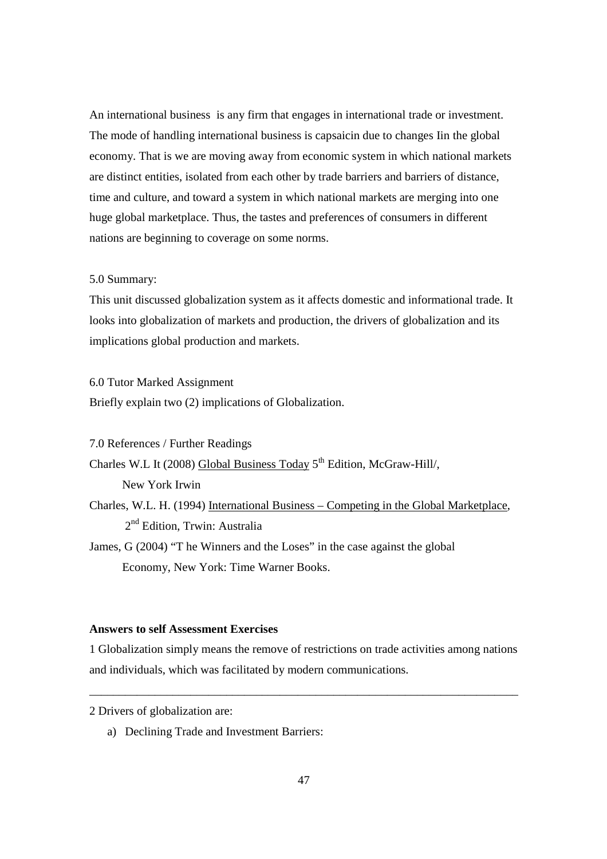An international business is any firm that engages in international trade or investment. The mode of handling international business is capsaicin due to changes Iin the global economy. That is we are moving away from economic system in which national markets are distinct entities, isolated from each other by trade barriers and barriers of distance, time and culture, and toward a system in which national markets are merging into one huge global marketplace. Thus, the tastes and preferences of consumers in different nations are beginning to coverage on some norms.

#### 5.0 Summary:

This unit discussed globalization system as it affects domestic and informational trade. It looks into globalization of markets and production, the drivers of globalization and its implications global production and markets.

6.0 Tutor Marked Assignment

Briefly explain two (2) implications of Globalization.

7.0 References / Further Readings

Charles W.L It (2008) Global Business Today 5<sup>th</sup> Edition, McGraw-Hill/,

New York Irwin

Charles, W.L. H. (1994) International Business – Competing in the Global Marketplace, 2<sup>nd</sup> Edition, Trwin: Australia

James, G (2004) "T he Winners and the Loses" in the case against the global Economy, New York: Time Warner Books.

## **Answers to self Assessment Exercises**

1 Globalization simply means the remove of restrictions on trade activities among nations and individuals, which was facilitated by modern communications.

\_\_\_\_\_\_\_\_\_\_\_\_\_\_\_\_\_\_\_\_\_\_\_\_\_\_\_\_\_\_\_\_\_\_\_\_\_\_\_\_\_\_\_\_\_\_\_\_\_\_\_\_\_\_\_\_\_\_\_\_\_\_\_\_\_\_\_\_\_\_\_\_

a) Declining Trade and Investment Barriers:

<sup>2</sup> Drivers of globalization are: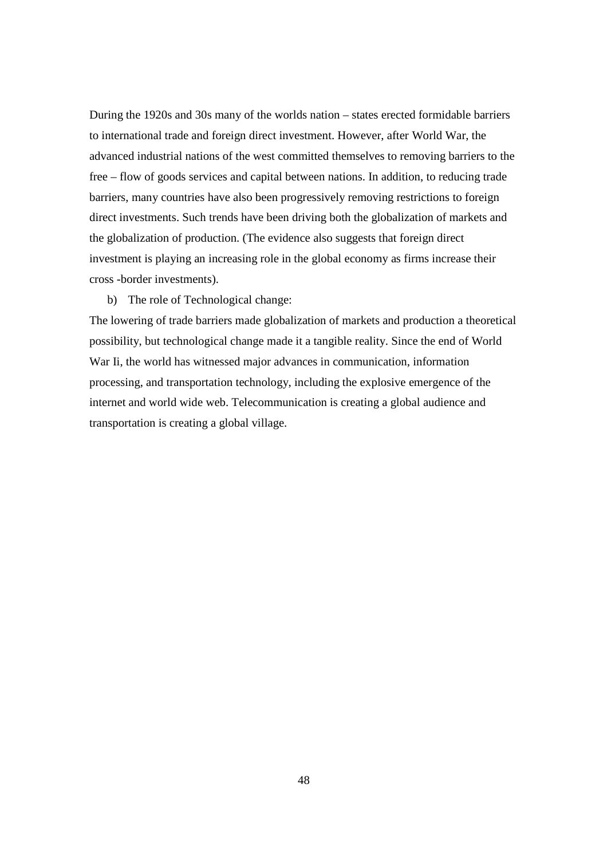During the 1920s and 30s many of the worlds nation – states erected formidable barriers to international trade and foreign direct investment. However, after World War, the advanced industrial nations of the west committed themselves to removing barriers to the free – flow of goods services and capital between nations. In addition, to reducing trade barriers, many countries have also been progressively removing restrictions to foreign direct investments. Such trends have been driving both the globalization of markets and the globalization of production. (The evidence also suggests that foreign direct investment is playing an increasing role in the global economy as firms increase their cross -border investments).

b) The role of Technological change:

The lowering of trade barriers made globalization of markets and production a theoretical possibility, but technological change made it a tangible reality. Since the end of World War Ii, the world has witnessed major advances in communication, information processing, and transportation technology, including the explosive emergence of the internet and world wide web. Telecommunication is creating a global audience and transportation is creating a global village.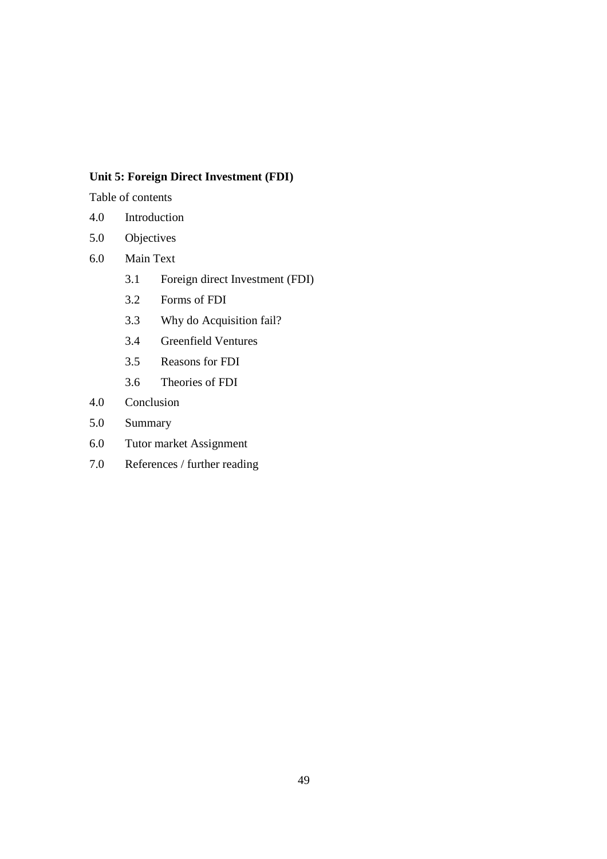## **Unit 5: Foreign Direct Investment (FDI)**

Table of contents

- 4.0 Introduction
- 5.0 Objectives
- 6.0 Main Text
	- 3.1 Foreign direct Investment (FDI)
	- 3.2 Forms of FDI
	- 3.3 Why do Acquisition fail?
	- 3.4 Greenfield Ventures
	- 3.5 Reasons for FDI
	- 3.6 Theories of FDI
- 4.0 Conclusion
- 5.0 Summary
- 6.0 Tutor market Assignment
- 7.0 References / further reading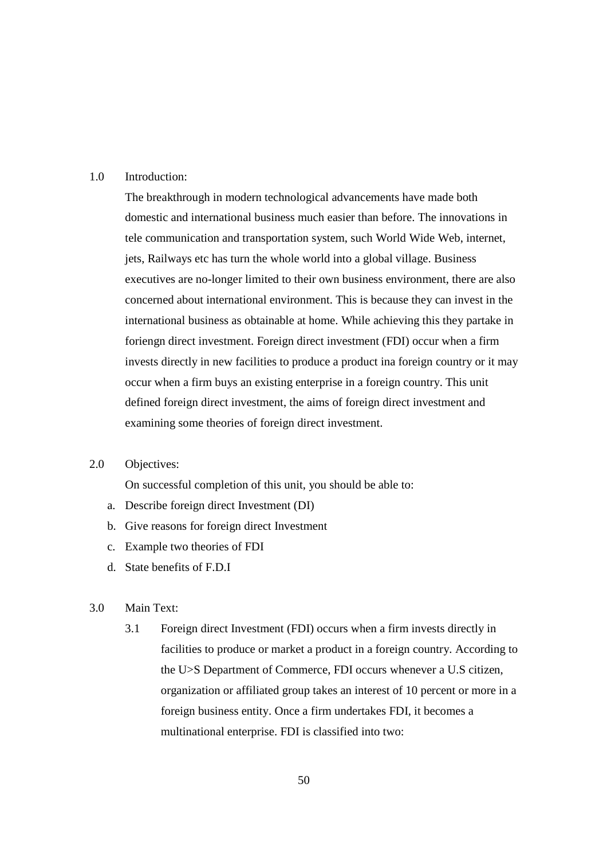## 1.0 Introduction:

The breakthrough in modern technological advancements have made both domestic and international business much easier than before. The innovations in tele communication and transportation system, such World Wide Web, internet, jets, Railways etc has turn the whole world into a global village. Business executives are no-longer limited to their own business environment, there are also concerned about international environment. This is because they can invest in the international business as obtainable at home. While achieving this they partake in foriengn direct investment. Foreign direct investment (FDI) occur when a firm invests directly in new facilities to produce a product ina foreign country or it may occur when a firm buys an existing enterprise in a foreign country. This unit defined foreign direct investment, the aims of foreign direct investment and examining some theories of foreign direct investment.

## 2.0 Objectives:

On successful completion of this unit, you should be able to:

- a. Describe foreign direct Investment (DI)
- b. Give reasons for foreign direct Investment
- c. Example two theories of FDI
- d. State benefits of F.D.I

## 3.0 Main Text:

3.1 Foreign direct Investment (FDI) occurs when a firm invests directly in facilities to produce or market a product in a foreign country. According to the U>S Department of Commerce, FDI occurs whenever a U.S citizen, organization or affiliated group takes an interest of 10 percent or more in a foreign business entity. Once a firm undertakes FDI, it becomes a multinational enterprise. FDI is classified into two: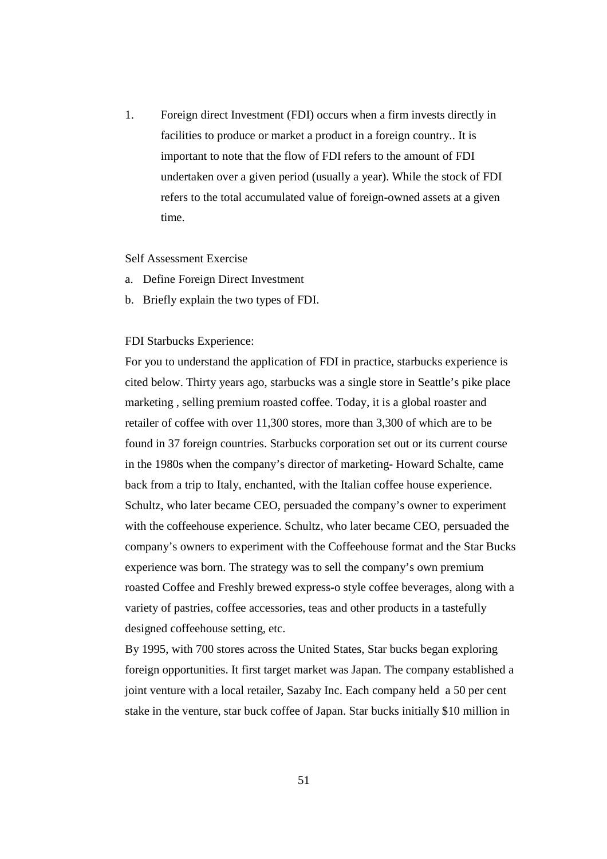1. Foreign direct Investment (FDI) occurs when a firm invests directly in facilities to produce or market a product in a foreign country.. It is important to note that the flow of FDI refers to the amount of FDI undertaken over a given period (usually a year). While the stock of FDI refers to the total accumulated value of foreign-owned assets at a given time.

#### Self Assessment Exercise

- a. Define Foreign Direct Investment
- b. Briefly explain the two types of FDI.

## FDI Starbucks Experience:

For you to understand the application of FDI in practice, starbucks experience is cited below. Thirty years ago, starbucks was a single store in Seattle's pike place marketing , selling premium roasted coffee. Today, it is a global roaster and retailer of coffee with over 11,300 stores, more than 3,300 of which are to be found in 37 foreign countries. Starbucks corporation set out or its current course in the 1980s when the company's director of marketing- Howard Schalte, came back from a trip to Italy, enchanted, with the Italian coffee house experience. Schultz, who later became CEO, persuaded the company's owner to experiment with the coffeehouse experience. Schultz, who later became CEO, persuaded the company's owners to experiment with the Coffeehouse format and the Star Bucks experience was born. The strategy was to sell the company's own premium roasted Coffee and Freshly brewed express-o style coffee beverages, along with a variety of pastries, coffee accessories, teas and other products in a tastefully designed coffeehouse setting, etc.

By 1995, with 700 stores across the United States, Star bucks began exploring foreign opportunities. It first target market was Japan. The company established a joint venture with a local retailer, Sazaby Inc. Each company held a 50 per cent stake in the venture, star buck coffee of Japan. Star bucks initially \$10 million in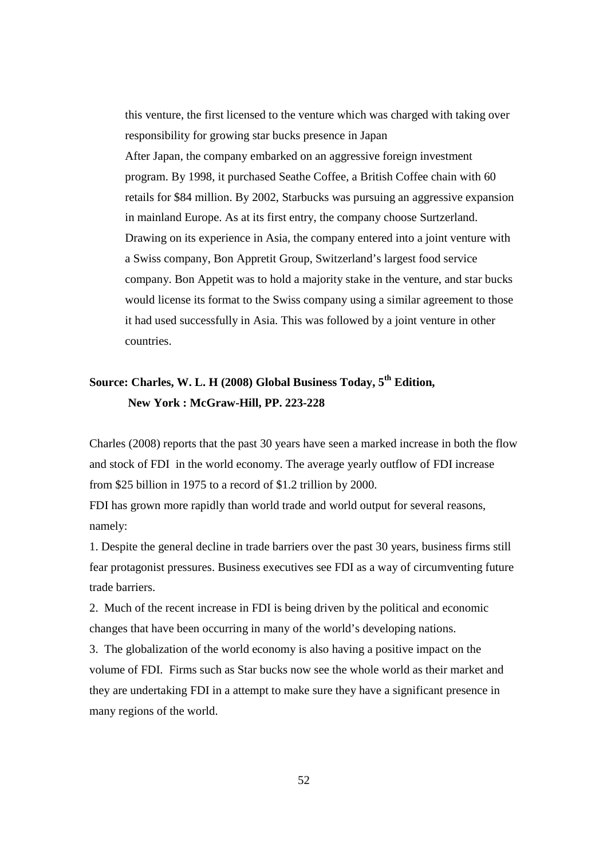this venture, the first licensed to the venture which was charged with taking over responsibility for growing star bucks presence in Japan After Japan, the company embarked on an aggressive foreign investment program. By 1998, it purchased Seathe Coffee, a British Coffee chain with 60 retails for \$84 million. By 2002, Starbucks was pursuing an aggressive expansion in mainland Europe. As at its first entry, the company choose Surtzerland. Drawing on its experience in Asia, the company entered into a joint venture with a Swiss company, Bon Appretit Group, Switzerland's largest food service company. Bon Appetit was to hold a majority stake in the venture, and star bucks would license its format to the Swiss company using a similar agreement to those it had used successfully in Asia. This was followed by a joint venture in other countries.

# **Source: Charles, W. L. H (2008) Global Business Today, 5th Edition, New York : McGraw-Hill, PP. 223-228**

Charles (2008) reports that the past 30 years have seen a marked increase in both the flow and stock of FDI in the world economy. The average yearly outflow of FDI increase from \$25 billion in 1975 to a record of \$1.2 trillion by 2000.

FDI has grown more rapidly than world trade and world output for several reasons, namely:

1. Despite the general decline in trade barriers over the past 30 years, business firms still fear protagonist pressures. Business executives see FDI as a way of circumventing future trade barriers.

2. Much of the recent increase in FDI is being driven by the political and economic changes that have been occurring in many of the world's developing nations.

3. The globalization of the world economy is also having a positive impact on the volume of FDI. Firms such as Star bucks now see the whole world as their market and they are undertaking FDI in a attempt to make sure they have a significant presence in many regions of the world.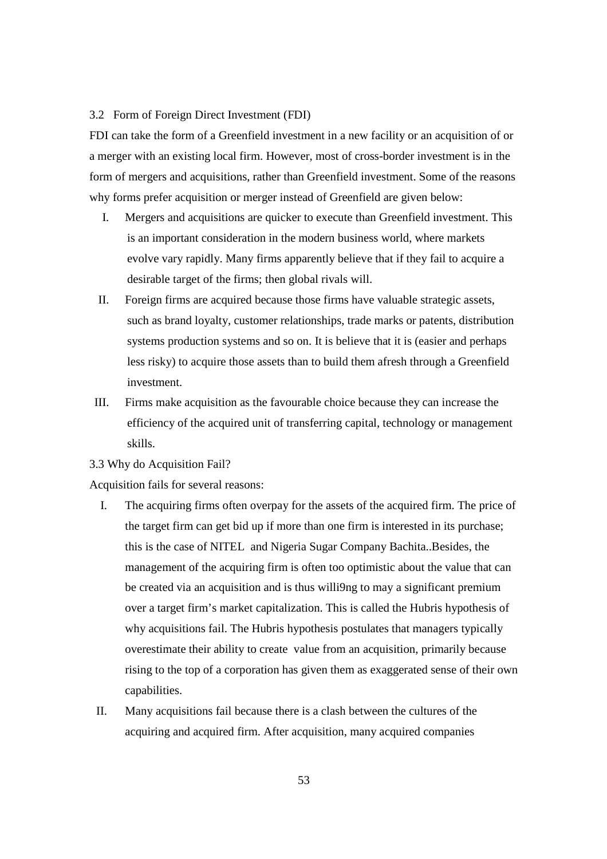#### 3.2 Form of Foreign Direct Investment (FDI)

FDI can take the form of a Greenfield investment in a new facility or an acquisition of or a merger with an existing local firm. However, most of cross-border investment is in the form of mergers and acquisitions, rather than Greenfield investment. Some of the reasons why forms prefer acquisition or merger instead of Greenfield are given below:

- I. Mergers and acquisitions are quicker to execute than Greenfield investment. This is an important consideration in the modern business world, where markets evolve vary rapidly. Many firms apparently believe that if they fail to acquire a desirable target of the firms; then global rivals will.
- II. Foreign firms are acquired because those firms have valuable strategic assets, such as brand loyalty, customer relationships, trade marks or patents, distribution systems production systems and so on. It is believe that it is (easier and perhaps less risky) to acquire those assets than to build them afresh through a Greenfield investment.
- III. Firms make acquisition as the favourable choice because they can increase the efficiency of the acquired unit of transferring capital, technology or management skills.
- 3.3 Why do Acquisition Fail?

Acquisition fails for several reasons:

- I. The acquiring firms often overpay for the assets of the acquired firm. The price of the target firm can get bid up if more than one firm is interested in its purchase; this is the case of NITEL and Nigeria Sugar Company Bachita..Besides, the management of the acquiring firm is often too optimistic about the value that can be created via an acquisition and is thus willi9ng to may a significant premium over a target firm's market capitalization. This is called the Hubris hypothesis of why acquisitions fail. The Hubris hypothesis postulates that managers typically overestimate their ability to create value from an acquisition, primarily because rising to the top of a corporation has given them as exaggerated sense of their own capabilities.
- II. Many acquisitions fail because there is a clash between the cultures of the acquiring and acquired firm. After acquisition, many acquired companies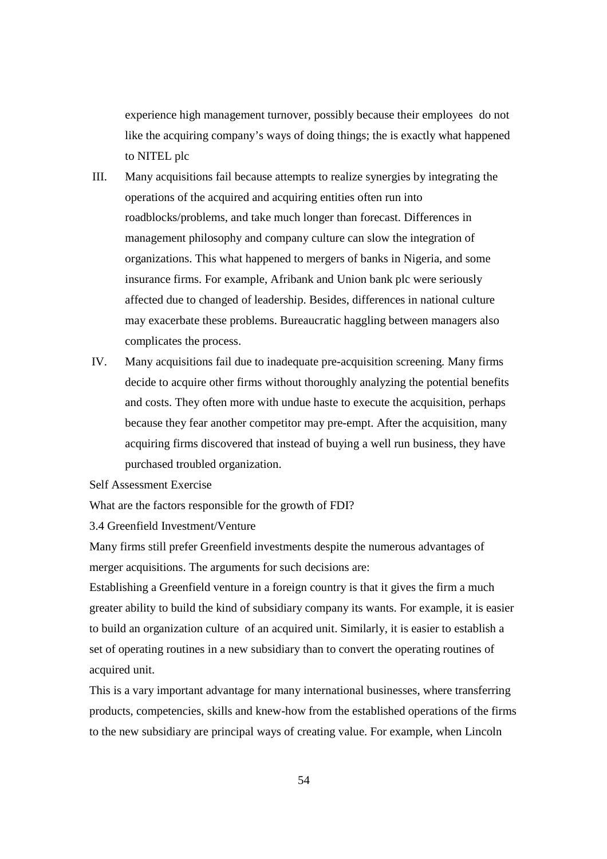experience high management turnover, possibly because their employees do not like the acquiring company's ways of doing things; the is exactly what happened to NITEL plc

- III. Many acquisitions fail because attempts to realize synergies by integrating the operations of the acquired and acquiring entities often run into roadblocks/problems, and take much longer than forecast. Differences in management philosophy and company culture can slow the integration of organizations. This what happened to mergers of banks in Nigeria, and some insurance firms. For example, Afribank and Union bank plc were seriously affected due to changed of leadership. Besides, differences in national culture may exacerbate these problems. Bureaucratic haggling between managers also complicates the process.
- IV. Many acquisitions fail due to inadequate pre-acquisition screening. Many firms decide to acquire other firms without thoroughly analyzing the potential benefits and costs. They often more with undue haste to execute the acquisition, perhaps because they fear another competitor may pre-empt. After the acquisition, many acquiring firms discovered that instead of buying a well run business, they have purchased troubled organization.
- Self Assessment Exercise

What are the factors responsible for the growth of FDI?

3.4 Greenfield Investment/Venture

Many firms still prefer Greenfield investments despite the numerous advantages of merger acquisitions. The arguments for such decisions are:

Establishing a Greenfield venture in a foreign country is that it gives the firm a much greater ability to build the kind of subsidiary company its wants. For example, it is easier to build an organization culture of an acquired unit. Similarly, it is easier to establish a set of operating routines in a new subsidiary than to convert the operating routines of acquired unit.

This is a vary important advantage for many international businesses, where transferring products, competencies, skills and knew-how from the established operations of the firms to the new subsidiary are principal ways of creating value. For example, when Lincoln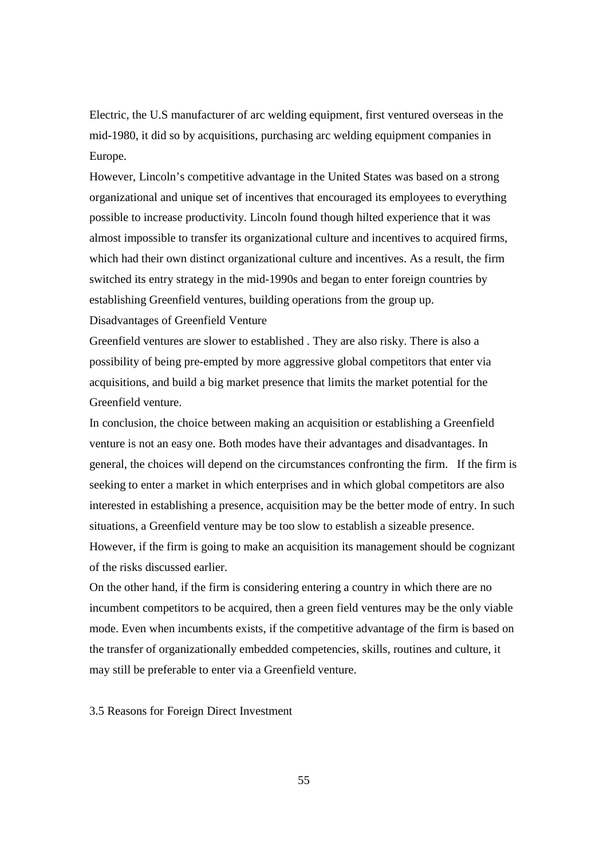Electric, the U.S manufacturer of arc welding equipment, first ventured overseas in the mid-1980, it did so by acquisitions, purchasing arc welding equipment companies in Europe.

However, Lincoln's competitive advantage in the United States was based on a strong organizational and unique set of incentives that encouraged its employees to everything possible to increase productivity. Lincoln found though hilted experience that it was almost impossible to transfer its organizational culture and incentives to acquired firms, which had their own distinct organizational culture and incentives. As a result, the firm switched its entry strategy in the mid-1990s and began to enter foreign countries by establishing Greenfield ventures, building operations from the group up.

Disadvantages of Greenfield Venture

Greenfield ventures are slower to established . They are also risky. There is also a possibility of being pre-empted by more aggressive global competitors that enter via acquisitions, and build a big market presence that limits the market potential for the Greenfield venture.

In conclusion, the choice between making an acquisition or establishing a Greenfield venture is not an easy one. Both modes have their advantages and disadvantages. In general, the choices will depend on the circumstances confronting the firm. If the firm is seeking to enter a market in which enterprises and in which global competitors are also interested in establishing a presence, acquisition may be the better mode of entry. In such situations, a Greenfield venture may be too slow to establish a sizeable presence. However, if the firm is going to make an acquisition its management should be cognizant of the risks discussed earlier.

On the other hand, if the firm is considering entering a country in which there are no incumbent competitors to be acquired, then a green field ventures may be the only viable mode. Even when incumbents exists, if the competitive advantage of the firm is based on the transfer of organizationally embedded competencies, skills, routines and culture, it may still be preferable to enter via a Greenfield venture.

3.5 Reasons for Foreign Direct Investment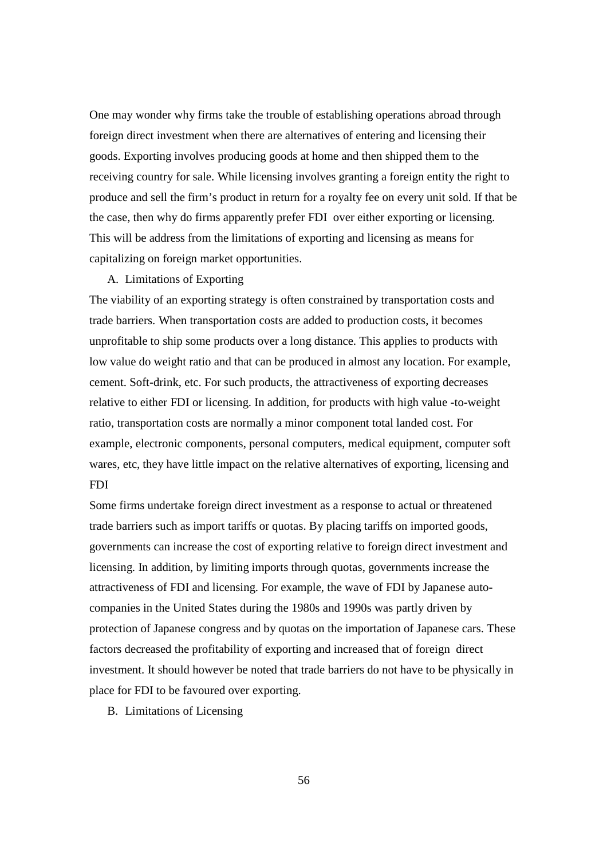One may wonder why firms take the trouble of establishing operations abroad through foreign direct investment when there are alternatives of entering and licensing their goods. Exporting involves producing goods at home and then shipped them to the receiving country for sale. While licensing involves granting a foreign entity the right to produce and sell the firm's product in return for a royalty fee on every unit sold. If that be the case, then why do firms apparently prefer FDI over either exporting or licensing. This will be address from the limitations of exporting and licensing as means for capitalizing on foreign market opportunities.

#### A. Limitations of Exporting

The viability of an exporting strategy is often constrained by transportation costs and trade barriers. When transportation costs are added to production costs, it becomes unprofitable to ship some products over a long distance. This applies to products with low value do weight ratio and that can be produced in almost any location. For example, cement. Soft-drink, etc. For such products, the attractiveness of exporting decreases relative to either FDI or licensing. In addition, for products with high value -to-weight ratio, transportation costs are normally a minor component total landed cost. For example, electronic components, personal computers, medical equipment, computer soft wares, etc, they have little impact on the relative alternatives of exporting, licensing and FDI

Some firms undertake foreign direct investment as a response to actual or threatened trade barriers such as import tariffs or quotas. By placing tariffs on imported goods, governments can increase the cost of exporting relative to foreign direct investment and licensing. In addition, by limiting imports through quotas, governments increase the attractiveness of FDI and licensing. For example, the wave of FDI by Japanese autocompanies in the United States during the 1980s and 1990s was partly driven by protection of Japanese congress and by quotas on the importation of Japanese cars. These factors decreased the profitability of exporting and increased that of foreign direct investment. It should however be noted that trade barriers do not have to be physically in place for FDI to be favoured over exporting.

B. Limitations of Licensing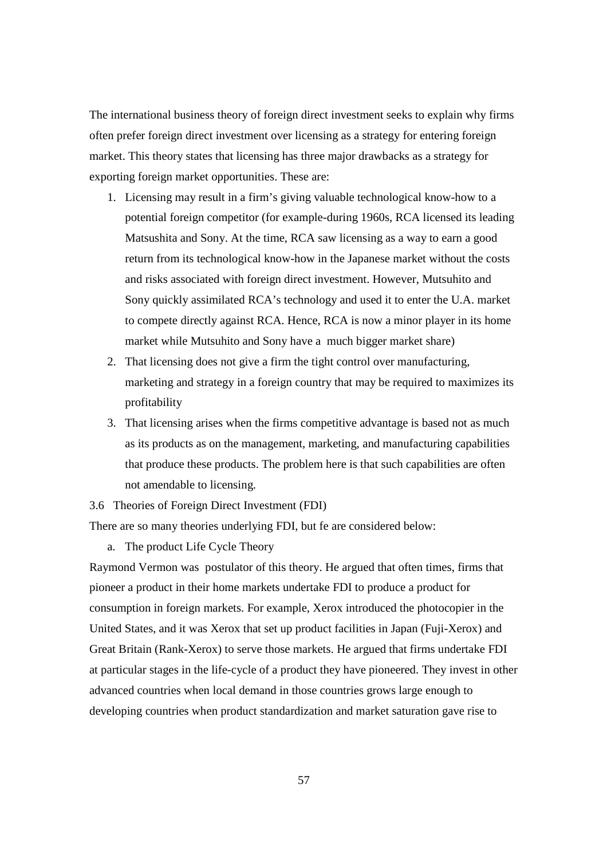The international business theory of foreign direct investment seeks to explain why firms often prefer foreign direct investment over licensing as a strategy for entering foreign market. This theory states that licensing has three major drawbacks as a strategy for exporting foreign market opportunities. These are:

- 1. Licensing may result in a firm's giving valuable technological know-how to a potential foreign competitor (for example-during 1960s, RCA licensed its leading Matsushita and Sony. At the time, RCA saw licensing as a way to earn a good return from its technological know-how in the Japanese market without the costs and risks associated with foreign direct investment. However, Mutsuhito and Sony quickly assimilated RCA's technology and used it to enter the U.A. market to compete directly against RCA. Hence, RCA is now a minor player in its home market while Mutsuhito and Sony have a much bigger market share)
- 2. That licensing does not give a firm the tight control over manufacturing, marketing and strategy in a foreign country that may be required to maximizes its profitability
- 3. That licensing arises when the firms competitive advantage is based not as much as its products as on the management, marketing, and manufacturing capabilities that produce these products. The problem here is that such capabilities are often not amendable to licensing.

3.6 Theories of Foreign Direct Investment (FDI)

There are so many theories underlying FDI, but fe are considered below:

a. The product Life Cycle Theory

Raymond Vermon was postulator of this theory. He argued that often times, firms that pioneer a product in their home markets undertake FDI to produce a product for consumption in foreign markets. For example, Xerox introduced the photocopier in the United States, and it was Xerox that set up product facilities in Japan (Fuji-Xerox) and Great Britain (Rank-Xerox) to serve those markets. He argued that firms undertake FDI at particular stages in the life-cycle of a product they have pioneered. They invest in other advanced countries when local demand in those countries grows large enough to developing countries when product standardization and market saturation gave rise to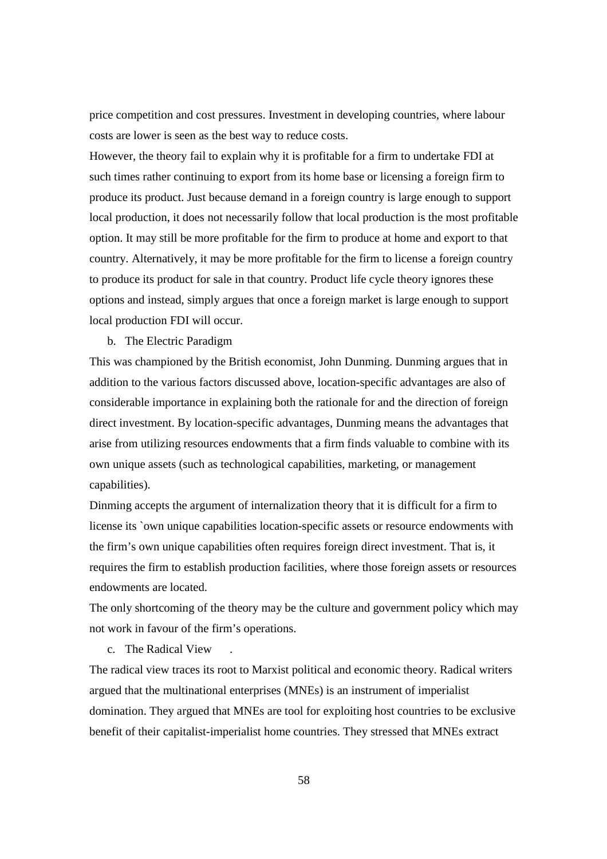price competition and cost pressures. Investment in developing countries, where labour costs are lower is seen as the best way to reduce costs.

However, the theory fail to explain why it is profitable for a firm to undertake FDI at such times rather continuing to export from its home base or licensing a foreign firm to produce its product. Just because demand in a foreign country is large enough to support local production, it does not necessarily follow that local production is the most profitable option. It may still be more profitable for the firm to produce at home and export to that country. Alternatively, it may be more profitable for the firm to license a foreign country to produce its product for sale in that country. Product life cycle theory ignores these options and instead, simply argues that once a foreign market is large enough to support local production FDI will occur.

b. The Electric Paradigm

This was championed by the British economist, John Dunming. Dunming argues that in addition to the various factors discussed above, location-specific advantages are also of considerable importance in explaining both the rationale for and the direction of foreign direct investment. By location-specific advantages, Dunming means the advantages that arise from utilizing resources endowments that a firm finds valuable to combine with its own unique assets (such as technological capabilities, marketing, or management capabilities).

Dinming accepts the argument of internalization theory that it is difficult for a firm to license its `own unique capabilities location-specific assets or resource endowments with the firm's own unique capabilities often requires foreign direct investment. That is, it requires the firm to establish production facilities, where those foreign assets or resources endowments are located.

The only shortcoming of the theory may be the culture and government policy which may not work in favour of the firm's operations.

c. The Radical View .

The radical view traces its root to Marxist political and economic theory. Radical writers argued that the multinational enterprises (MNEs) is an instrument of imperialist domination. They argued that MNEs are tool for exploiting host countries to be exclusive benefit of their capitalist-imperialist home countries. They stressed that MNEs extract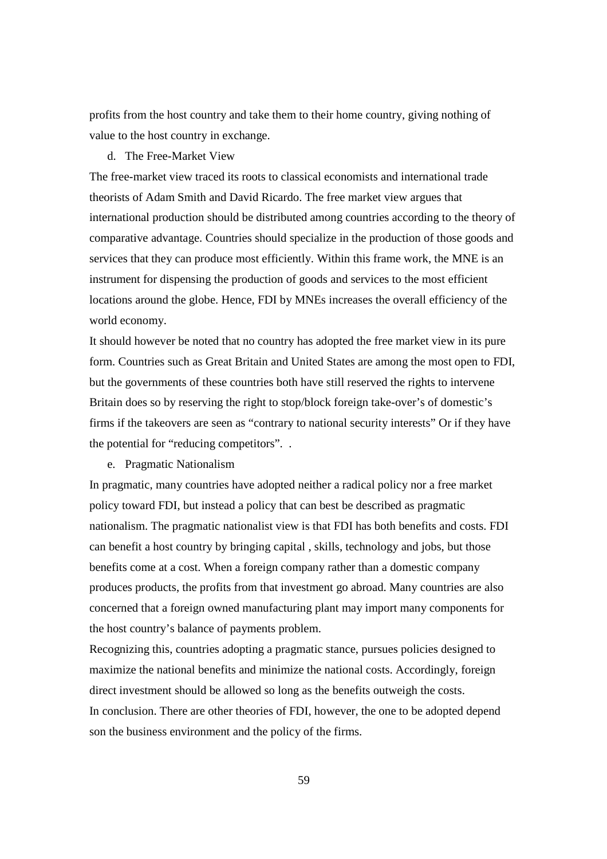profits from the host country and take them to their home country, giving nothing of value to the host country in exchange.

#### d. The Free-Market View

The free-market view traced its roots to classical economists and international trade theorists of Adam Smith and David Ricardo. The free market view argues that international production should be distributed among countries according to the theory of comparative advantage. Countries should specialize in the production of those goods and services that they can produce most efficiently. Within this frame work, the MNE is an instrument for dispensing the production of goods and services to the most efficient locations around the globe. Hence, FDI by MNEs increases the overall efficiency of the world economy.

It should however be noted that no country has adopted the free market view in its pure form. Countries such as Great Britain and United States are among the most open to FDI, but the governments of these countries both have still reserved the rights to intervene Britain does so by reserving the right to stop/block foreign take-over's of domestic's firms if the takeovers are seen as "contrary to national security interests" Or if they have the potential for "reducing competitors". .

e. Pragmatic Nationalism

In pragmatic, many countries have adopted neither a radical policy nor a free market policy toward FDI, but instead a policy that can best be described as pragmatic nationalism. The pragmatic nationalist view is that FDI has both benefits and costs. FDI can benefit a host country by bringing capital , skills, technology and jobs, but those benefits come at a cost. When a foreign company rather than a domestic company produces products, the profits from that investment go abroad. Many countries are also concerned that a foreign owned manufacturing plant may import many components for the host country's balance of payments problem.

Recognizing this, countries adopting a pragmatic stance, pursues policies designed to maximize the national benefits and minimize the national costs. Accordingly, foreign direct investment should be allowed so long as the benefits outweigh the costs. In conclusion. There are other theories of FDI, however, the one to be adopted depend son the business environment and the policy of the firms.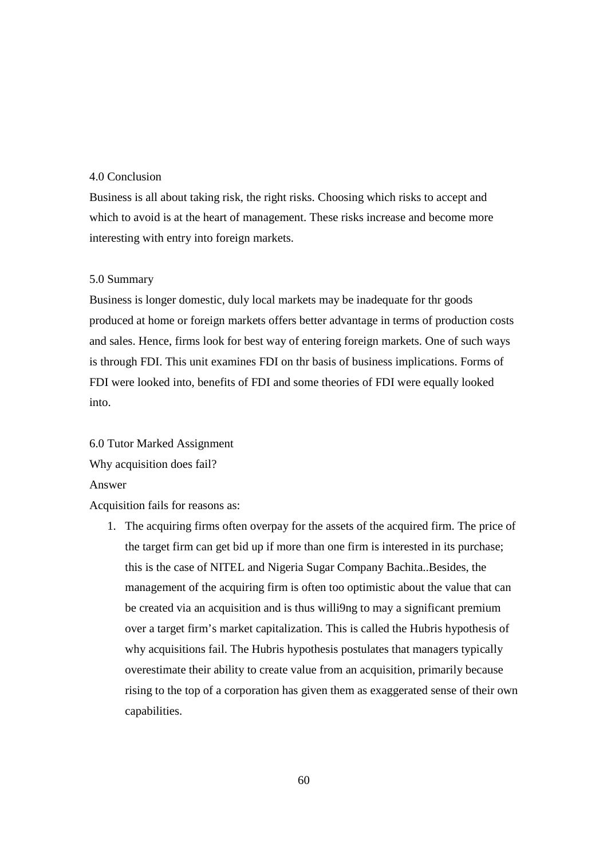#### 4.0 Conclusion

Business is all about taking risk, the right risks. Choosing which risks to accept and which to avoid is at the heart of management. These risks increase and become more interesting with entry into foreign markets.

#### 5.0 Summary

Business is longer domestic, duly local markets may be inadequate for thr goods produced at home or foreign markets offers better advantage in terms of production costs and sales. Hence, firms look for best way of entering foreign markets. One of such ways is through FDI. This unit examines FDI on thr basis of business implications. Forms of FDI were looked into, benefits of FDI and some theories of FDI were equally looked into.

6.0 Tutor Marked Assignment Why acquisition does fail?

Answer

Acquisition fails for reasons as:

1. The acquiring firms often overpay for the assets of the acquired firm. The price of the target firm can get bid up if more than one firm is interested in its purchase; this is the case of NITEL and Nigeria Sugar Company Bachita..Besides, the management of the acquiring firm is often too optimistic about the value that can be created via an acquisition and is thus willi9ng to may a significant premium over a target firm's market capitalization. This is called the Hubris hypothesis of why acquisitions fail. The Hubris hypothesis postulates that managers typically overestimate their ability to create value from an acquisition, primarily because rising to the top of a corporation has given them as exaggerated sense of their own capabilities.

60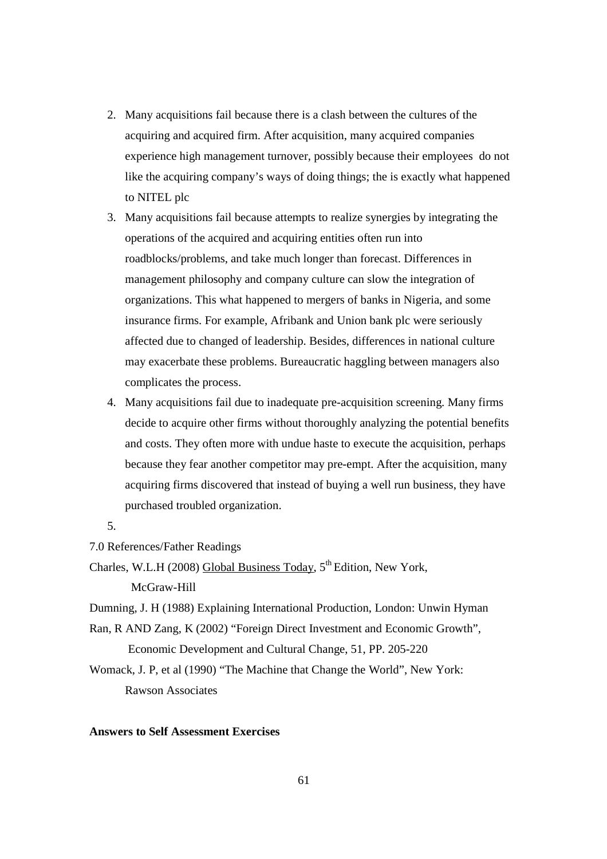- 2. Many acquisitions fail because there is a clash between the cultures of the acquiring and acquired firm. After acquisition, many acquired companies experience high management turnover, possibly because their employees do not like the acquiring company's ways of doing things; the is exactly what happened to NITEL plc
- 3. Many acquisitions fail because attempts to realize synergies by integrating the operations of the acquired and acquiring entities often run into roadblocks/problems, and take much longer than forecast. Differences in management philosophy and company culture can slow the integration of organizations. This what happened to mergers of banks in Nigeria, and some insurance firms. For example, Afribank and Union bank plc were seriously affected due to changed of leadership. Besides, differences in national culture may exacerbate these problems. Bureaucratic haggling between managers also complicates the process.
- 4. Many acquisitions fail due to inadequate pre-acquisition screening. Many firms decide to acquire other firms without thoroughly analyzing the potential benefits and costs. They often more with undue haste to execute the acquisition, perhaps because they fear another competitor may pre-empt. After the acquisition, many acquiring firms discovered that instead of buying a well run business, they have purchased troubled organization.
- 5.

7.0 References/Father Readings

Charles, W.L.H (2008) Global Business Today,  $5<sup>th</sup>$  Edition, New York,

McGraw-Hill

Dumning, J. H (1988) Explaining International Production, London: Unwin Hyman

Ran, R AND Zang, K (2002) "Foreign Direct Investment and Economic Growth", Economic Development and Cultural Change, 51, PP. 205-220

Womack, J. P, et al (1990) "The Machine that Change the World", New York: Rawson Associates

## **Answers to Self Assessment Exercises**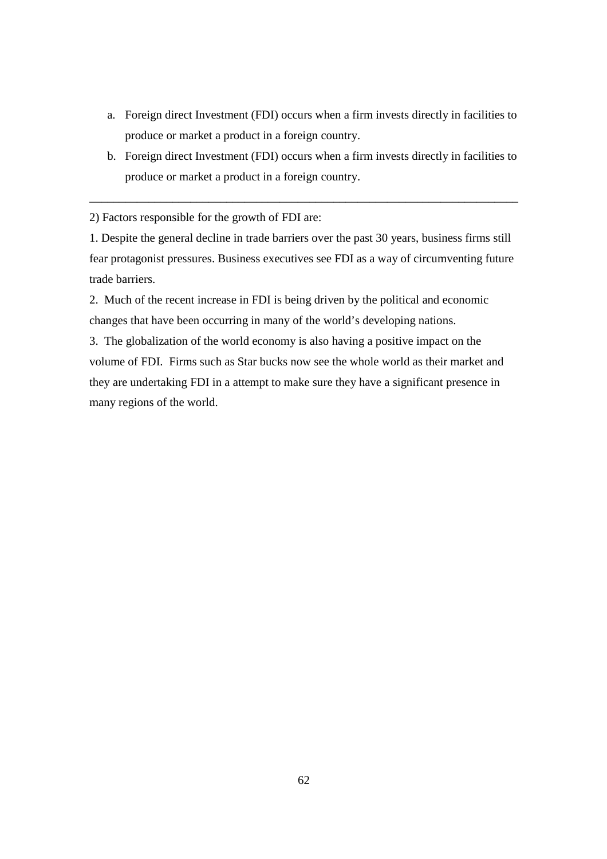- a. Foreign direct Investment (FDI) occurs when a firm invests directly in facilities to produce or market a product in a foreign country.
- b. Foreign direct Investment (FDI) occurs when a firm invests directly in facilities to produce or market a product in a foreign country.

\_\_\_\_\_\_\_\_\_\_\_\_\_\_\_\_\_\_\_\_\_\_\_\_\_\_\_\_\_\_\_\_\_\_\_\_\_\_\_\_\_\_\_\_\_\_\_\_\_\_\_\_\_\_\_\_\_\_\_\_\_\_\_\_\_\_\_\_\_\_\_\_

2) Factors responsible for the growth of FDI are:

1. Despite the general decline in trade barriers over the past 30 years, business firms still fear protagonist pressures. Business executives see FDI as a way of circumventing future trade barriers.

2. Much of the recent increase in FDI is being driven by the political and economic changes that have been occurring in many of the world's developing nations.

3. The globalization of the world economy is also having a positive impact on the volume of FDI. Firms such as Star bucks now see the whole world as their market and they are undertaking FDI in a attempt to make sure they have a significant presence in many regions of the world.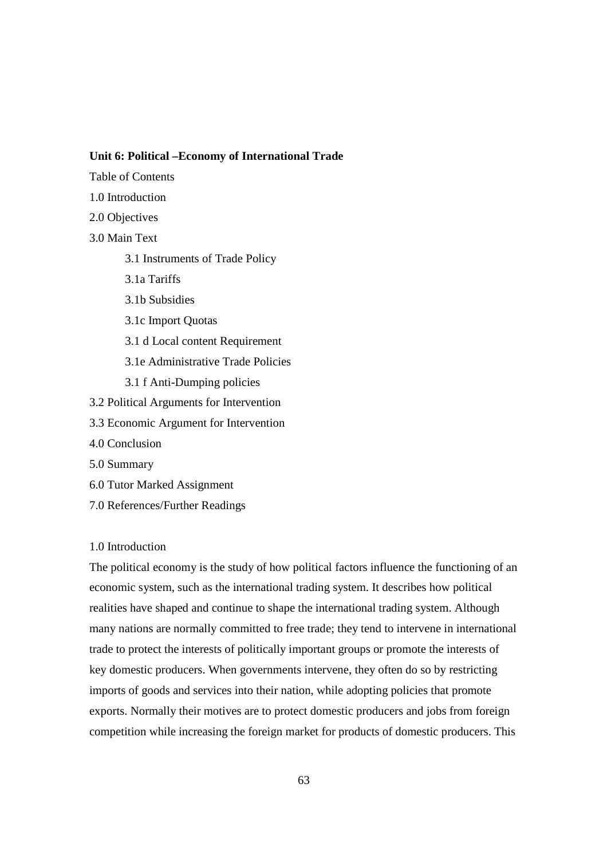#### **Unit 6: Political –Economy of International Trade**

- Table of Contents
- 1.0 Introduction
- 2.0 Objectives
- 3.0 Main Text
	- 3.1 Instruments of Trade Policy
	- 3.1a Tariffs
	- 3.1b Subsidies
	- 3.1c Import Quotas
	- 3.1 d Local content Requirement
	- 3.1e Administrative Trade Policies
	- 3.1 f Anti-Dumping policies
- 3.2 Political Arguments for Intervention
- 3.3 Economic Argument for Intervention
- 4.0 Conclusion
- 5.0 Summary
- 6.0 Tutor Marked Assignment
- 7.0 References/Further Readings

#### 1.0 Introduction

The political economy is the study of how political factors influence the functioning of an economic system, such as the international trading system. It describes how political realities have shaped and continue to shape the international trading system. Although many nations are normally committed to free trade; they tend to intervene in international trade to protect the interests of politically important groups or promote the interests of key domestic producers. When governments intervene, they often do so by restricting imports of goods and services into their nation, while adopting policies that promote exports. Normally their motives are to protect domestic producers and jobs from foreign competition while increasing the foreign market for products of domestic producers. This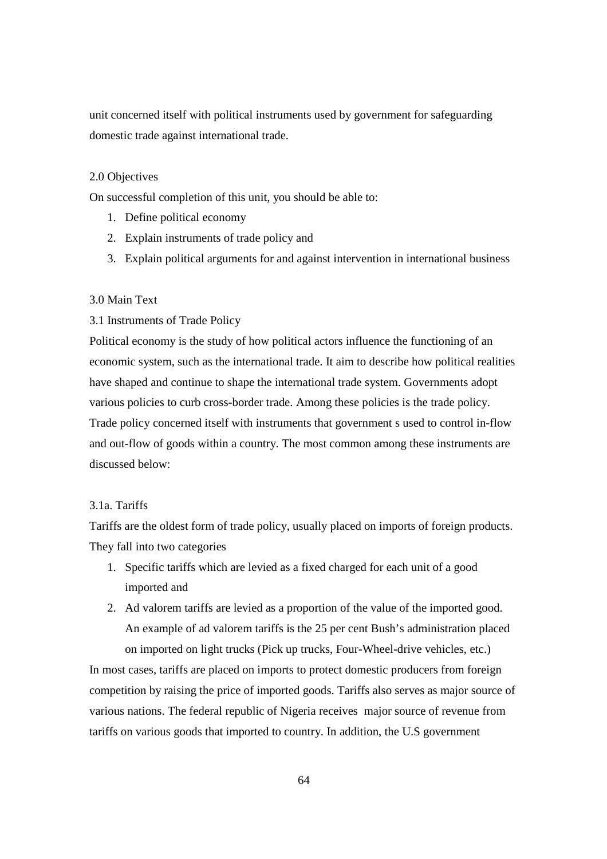unit concerned itself with political instruments used by government for safeguarding domestic trade against international trade.

#### 2.0 Objectives

On successful completion of this unit, you should be able to:

- 1. Define political economy
- 2. Explain instruments of trade policy and
- 3. Explain political arguments for and against intervention in international business

#### 3.0 Main Text

## 3.1 Instruments of Trade Policy

Political economy is the study of how political actors influence the functioning of an economic system, such as the international trade. It aim to describe how political realities have shaped and continue to shape the international trade system. Governments adopt various policies to curb cross-border trade. Among these policies is the trade policy. Trade policy concerned itself with instruments that government s used to control in-flow and out-flow of goods within a country. The most common among these instruments are discussed below:

## 3.1a. Tariffs

Tariffs are the oldest form of trade policy, usually placed on imports of foreign products. They fall into two categories

- 1. Specific tariffs which are levied as a fixed charged for each unit of a good imported and
- 2. Ad valorem tariffs are levied as a proportion of the value of the imported good. An example of ad valorem tariffs is the 25 per cent Bush's administration placed on imported on light trucks (Pick up trucks, Four-Wheel-drive vehicles, etc.)

In most cases, tariffs are placed on imports to protect domestic producers from foreign competition by raising the price of imported goods. Tariffs also serves as major source of various nations. The federal republic of Nigeria receives major source of revenue from tariffs on various goods that imported to country. In addition, the U.S government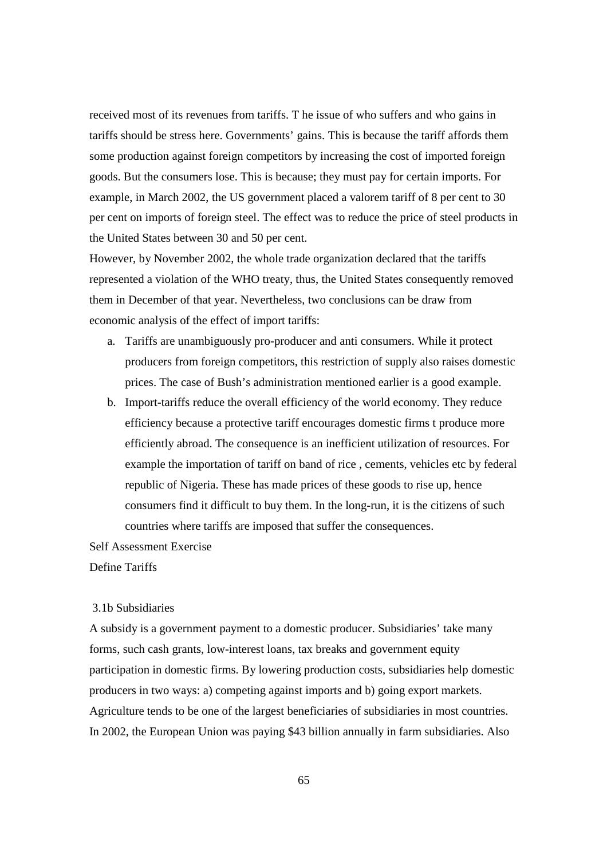received most of its revenues from tariffs. T he issue of who suffers and who gains in tariffs should be stress here. Governments' gains. This is because the tariff affords them some production against foreign competitors by increasing the cost of imported foreign goods. But the consumers lose. This is because; they must pay for certain imports. For example, in March 2002, the US government placed a valorem tariff of 8 per cent to 30 per cent on imports of foreign steel. The effect was to reduce the price of steel products in the United States between 30 and 50 per cent.

However, by November 2002, the whole trade organization declared that the tariffs represented a violation of the WHO treaty, thus, the United States consequently removed them in December of that year. Nevertheless, two conclusions can be draw from economic analysis of the effect of import tariffs:

- a. Tariffs are unambiguously pro-producer and anti consumers. While it protect producers from foreign competitors, this restriction of supply also raises domestic prices. The case of Bush's administration mentioned earlier is a good example.
- b. Import-tariffs reduce the overall efficiency of the world economy. They reduce efficiency because a protective tariff encourages domestic firms t produce more efficiently abroad. The consequence is an inefficient utilization of resources. For example the importation of tariff on band of rice , cements, vehicles etc by federal republic of Nigeria. These has made prices of these goods to rise up, hence consumers find it difficult to buy them. In the long-run, it is the citizens of such countries where tariffs are imposed that suffer the consequences.

Self Assessment Exercise

Define Tariffs

## 3.1b Subsidiaries

A subsidy is a government payment to a domestic producer. Subsidiaries' take many forms, such cash grants, low-interest loans, tax breaks and government equity participation in domestic firms. By lowering production costs, subsidiaries help domestic producers in two ways: a) competing against imports and b) going export markets. Agriculture tends to be one of the largest beneficiaries of subsidiaries in most countries. In 2002, the European Union was paying \$43 billion annually in farm subsidiaries. Also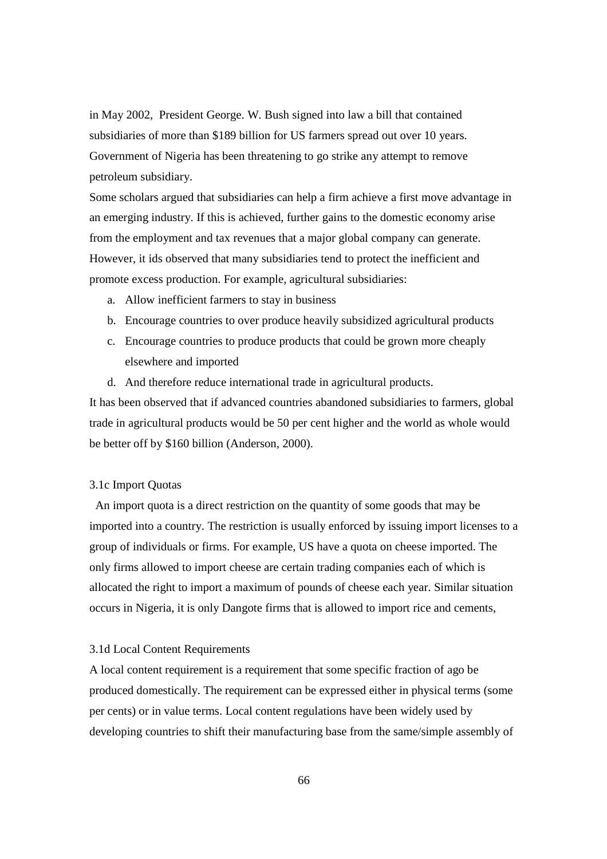in May 2002, President George. W. Bush signed into law a bill that contained subsidiaries of more than \$189 billion for US farmers spread out over 10 years. Government of Nigeria has been threatening to go strike any attempt to remove petroleum subsidiary.

Some scholars argued that subsidiaries can help a firm achieve a first move advantage in an emerging industry. If this is achieved, further gains to the domestic economy arise from the employment and tax revenues that a major global company can generate. However, it ids observed that many subsidiaries tend to protect the inefficient and promote excess production. For example, agricultural subsidiaries:

- a. Allow inefficient farmers to stay in business
- b. Encourage countries to over produce heavily subsidized agricultural products
- c. Encourage countries to produce products that could be grown more cheaply elsewhere and imported
- d. And therefore reduce international trade in agricultural products.

It has been observed that if advanced countries abandoned subsidiaries to farmers, global trade in agricultural products would be 50 per cent higher and the world as whole would be better off by \$160 billion (Anderson, 2000).

## 3.1c Import Quotas

 An import quota is a direct restriction on the quantity of some goods that may be imported into a country. The restriction is usually enforced by issuing import licenses to a group of individuals or firms. For example, US have a quota on cheese imported. The only firms allowed to import cheese are certain trading companies each of which is allocated the right to import a maximum of pounds of cheese each year. Similar situation occurs in Nigeria, it is only Dangote firms that is allowed to import rice and cements,

#### 3.1d Local Content Requirements

A local content requirement is a requirement that some specific fraction of ago be produced domestically. The requirement can be expressed either in physical terms (some per cents) or in value terms. Local content regulations have been widely used by developing countries to shift their manufacturing base from the same/simple assembly of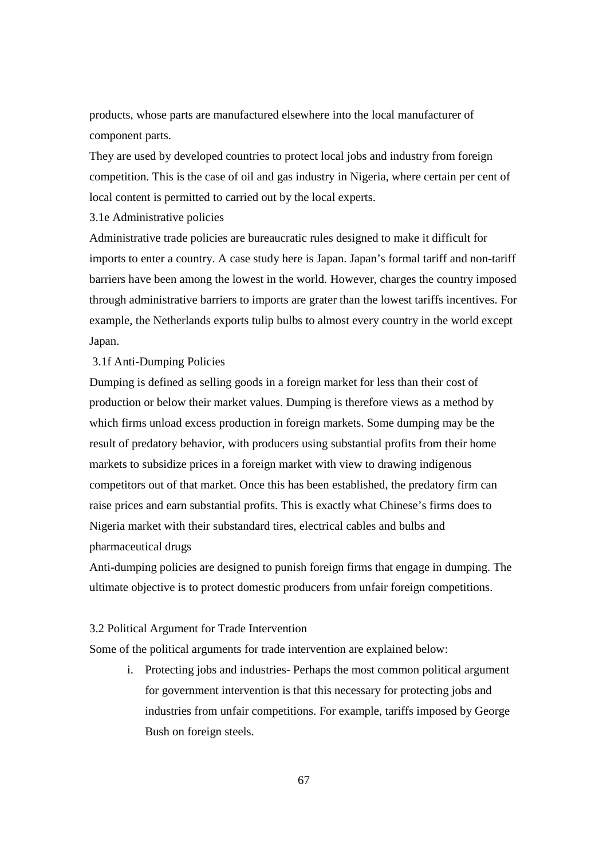products, whose parts are manufactured elsewhere into the local manufacturer of component parts.

They are used by developed countries to protect local jobs and industry from foreign competition. This is the case of oil and gas industry in Nigeria, where certain per cent of local content is permitted to carried out by the local experts.

3.1e Administrative policies

Administrative trade policies are bureaucratic rules designed to make it difficult for imports to enter a country. A case study here is Japan. Japan's formal tariff and non-tariff barriers have been among the lowest in the world. However, charges the country imposed through administrative barriers to imports are grater than the lowest tariffs incentives. For example, the Netherlands exports tulip bulbs to almost every country in the world except Japan.

## 3.1f Anti-Dumping Policies

Dumping is defined as selling goods in a foreign market for less than their cost of production or below their market values. Dumping is therefore views as a method by which firms unload excess production in foreign markets. Some dumping may be the result of predatory behavior, with producers using substantial profits from their home markets to subsidize prices in a foreign market with view to drawing indigenous competitors out of that market. Once this has been established, the predatory firm can raise prices and earn substantial profits. This is exactly what Chinese's firms does to Nigeria market with their substandard tires, electrical cables and bulbs and pharmaceutical drugs

Anti-dumping policies are designed to punish foreign firms that engage in dumping. The ultimate objective is to protect domestic producers from unfair foreign competitions.

#### 3.2 Political Argument for Trade Intervention

Some of the political arguments for trade intervention are explained below:

i. Protecting jobs and industries- Perhaps the most common political argument for government intervention is that this necessary for protecting jobs and industries from unfair competitions. For example, tariffs imposed by George Bush on foreign steels.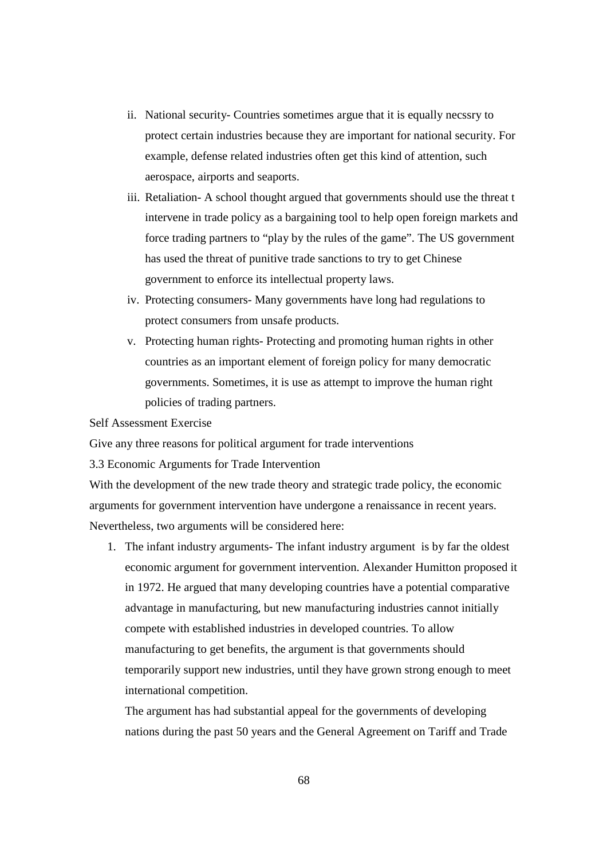- ii. National security- Countries sometimes argue that it is equally necssry to protect certain industries because they are important for national security. For example, defense related industries often get this kind of attention, such aerospace, airports and seaports.
- iii. Retaliation- A school thought argued that governments should use the threat t intervene in trade policy as a bargaining tool to help open foreign markets and force trading partners to "play by the rules of the game". The US government has used the threat of punitive trade sanctions to try to get Chinese government to enforce its intellectual property laws.
- iv. Protecting consumers- Many governments have long had regulations to protect consumers from unsafe products.
- v. Protecting human rights- Protecting and promoting human rights in other countries as an important element of foreign policy for many democratic governments. Sometimes, it is use as attempt to improve the human right policies of trading partners.

Self Assessment Exercise

Give any three reasons for political argument for trade interventions

3.3 Economic Arguments for Trade Intervention

With the development of the new trade theory and strategic trade policy, the economic arguments for government intervention have undergone a renaissance in recent years. Nevertheless, two arguments will be considered here:

1. The infant industry arguments- The infant industry argument is by far the oldest economic argument for government intervention. Alexander Humitton proposed it in 1972. He argued that many developing countries have a potential comparative advantage in manufacturing, but new manufacturing industries cannot initially compete with established industries in developed countries. To allow manufacturing to get benefits, the argument is that governments should temporarily support new industries, until they have grown strong enough to meet international competition.

The argument has had substantial appeal for the governments of developing nations during the past 50 years and the General Agreement on Tariff and Trade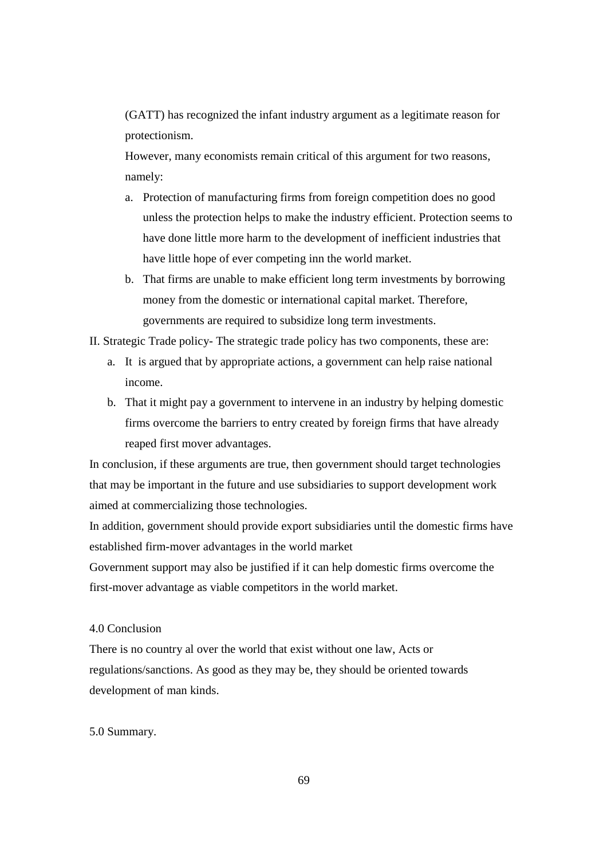(GATT) has recognized the infant industry argument as a legitimate reason for protectionism.

However, many economists remain critical of this argument for two reasons, namely:

- a. Protection of manufacturing firms from foreign competition does no good unless the protection helps to make the industry efficient. Protection seems to have done little more harm to the development of inefficient industries that have little hope of ever competing inn the world market.
- b. That firms are unable to make efficient long term investments by borrowing money from the domestic or international capital market. Therefore, governments are required to subsidize long term investments.

II. Strategic Trade policy- The strategic trade policy has two components, these are:

- a. It is argued that by appropriate actions, a government can help raise national income.
- b. That it might pay a government to intervene in an industry by helping domestic firms overcome the barriers to entry created by foreign firms that have already reaped first mover advantages.

In conclusion, if these arguments are true, then government should target technologies that may be important in the future and use subsidiaries to support development work aimed at commercializing those technologies.

In addition, government should provide export subsidiaries until the domestic firms have established firm-mover advantages in the world market

Government support may also be justified if it can help domestic firms overcome the first-mover advantage as viable competitors in the world market.

## 4.0 Conclusion

There is no country al over the world that exist without one law, Acts or regulations/sanctions. As good as they may be, they should be oriented towards development of man kinds.

#### 5.0 Summary.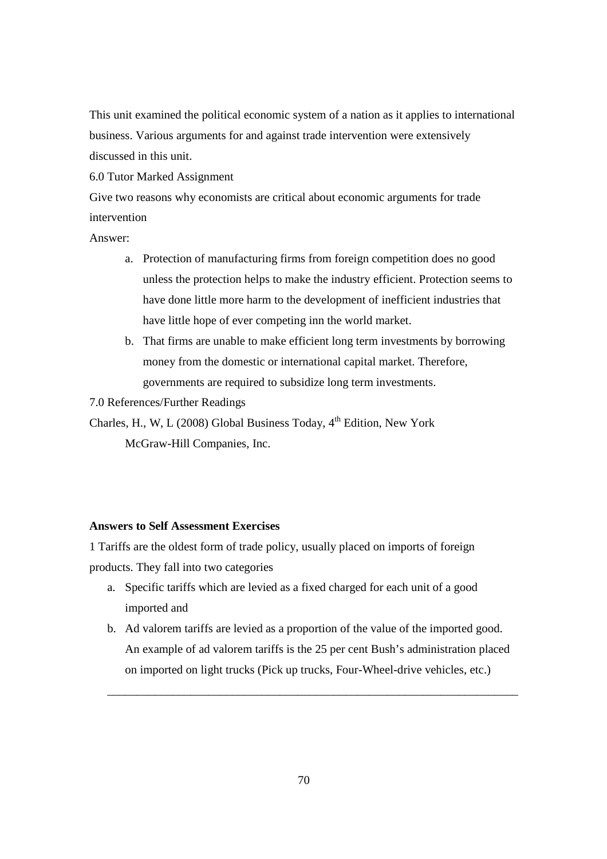This unit examined the political economic system of a nation as it applies to international business. Various arguments for and against trade intervention were extensively discussed in this unit.

6.0 Tutor Marked Assignment

Give two reasons why economists are critical about economic arguments for trade intervention

Answer:

- a. Protection of manufacturing firms from foreign competition does no good unless the protection helps to make the industry efficient. Protection seems to have done little more harm to the development of inefficient industries that have little hope of ever competing inn the world market.
- b. That firms are unable to make efficient long term investments by borrowing money from the domestic or international capital market. Therefore, governments are required to subsidize long term investments.
- 7.0 References/Further Readings

Charles, H., W, L (2008) Global Business Today, 4<sup>th</sup> Edition, New York McGraw-Hill Companies, Inc.

## **Answers to Self Assessment Exercises**

1 Tariffs are the oldest form of trade policy, usually placed on imports of foreign products. They fall into two categories

- a. Specific tariffs which are levied as a fixed charged for each unit of a good imported and
- b. Ad valorem tariffs are levied as a proportion of the value of the imported good. An example of ad valorem tariffs is the 25 per cent Bush's administration placed on imported on light trucks (Pick up trucks, Four-Wheel-drive vehicles, etc.)

\_\_\_\_\_\_\_\_\_\_\_\_\_\_\_\_\_\_\_\_\_\_\_\_\_\_\_\_\_\_\_\_\_\_\_\_\_\_\_\_\_\_\_\_\_\_\_\_\_\_\_\_\_\_\_\_\_\_\_\_\_\_\_\_\_\_\_\_\_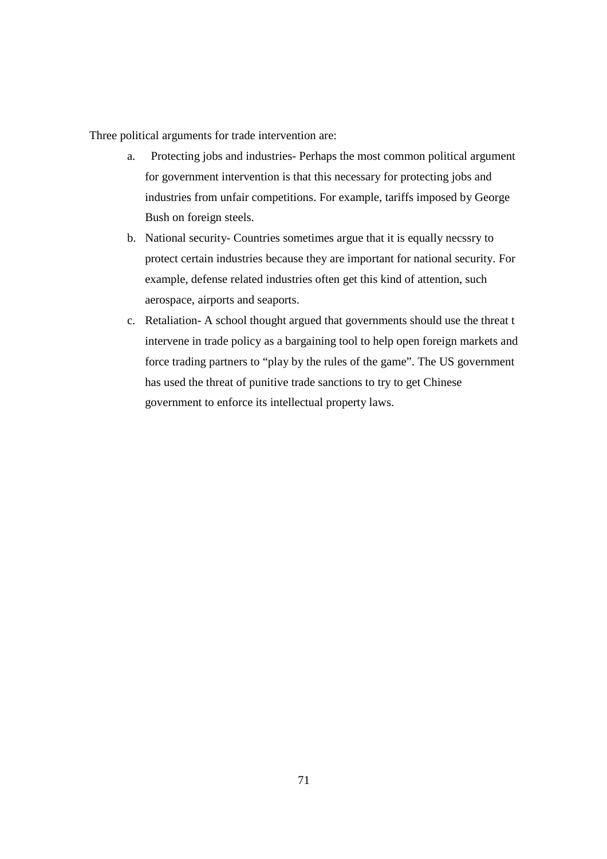Three political arguments for trade intervention are:

- a. Protecting jobs and industries- Perhaps the most common political argument for government intervention is that this necessary for protecting jobs and industries from unfair competitions. For example, tariffs imposed by George Bush on foreign steels.
- b. National security- Countries sometimes argue that it is equally necssry to protect certain industries because they are important for national security. For example, defense related industries often get this kind of attention, such aerospace, airports and seaports.
- c. Retaliation- A school thought argued that governments should use the threat t intervene in trade policy as a bargaining tool to help open foreign markets and force trading partners to "play by the rules of the game". The US government has used the threat of punitive trade sanctions to try to get Chinese government to enforce its intellectual property laws.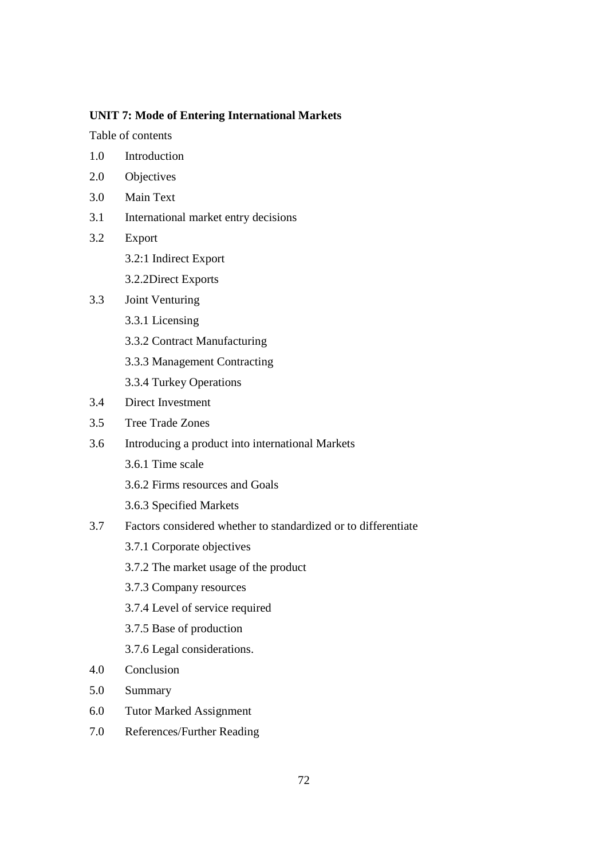## **UNIT 7: Mode of Entering International Markets**

Table of contents

- 1.0 Introduction
- 2.0 Objectives
- 3.0 Main Text
- 3.1 International market entry decisions
- 3.2 Export
	- 3.2:1 Indirect Export
	- 3.2.2Direct Exports
- 3.3 Joint Venturing
	- 3.3.1 Licensing
	- 3.3.2 Contract Manufacturing
	- 3.3.3 Management Contracting
	- 3.3.4 Turkey Operations
- 3.4 Direct Investment
- 3.5 Tree Trade Zones
- 3.6 Introducing a product into international Markets
	- 3.6.1 Time scale
	- 3.6.2 Firms resources and Goals
	- 3.6.3 Specified Markets
- 3.7 Factors considered whether to standardized or to differentiate
	- 3.7.1 Corporate objectives
	- 3.7.2 The market usage of the product
	- 3.7.3 Company resources
	- 3.7.4 Level of service required
	- 3.7.5 Base of production
	- 3.7.6 Legal considerations.
- 4.0 Conclusion
- 5.0 Summary
- 6.0 Tutor Marked Assignment
- 7.0 References/Further Reading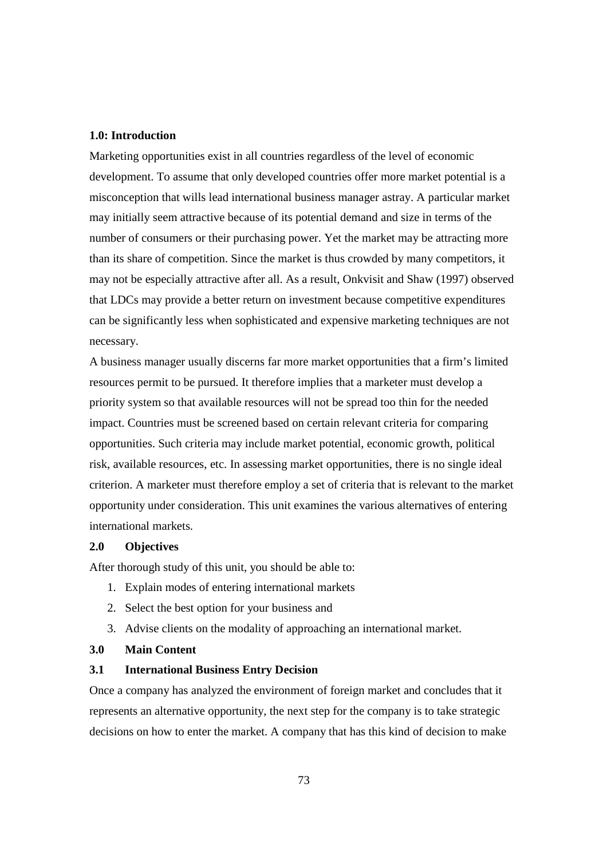#### **1.0: Introduction**

Marketing opportunities exist in all countries regardless of the level of economic development. To assume that only developed countries offer more market potential is a misconception that wills lead international business manager astray. A particular market may initially seem attractive because of its potential demand and size in terms of the number of consumers or their purchasing power. Yet the market may be attracting more than its share of competition. Since the market is thus crowded by many competitors, it may not be especially attractive after all. As a result, Onkvisit and Shaw (1997) observed that LDCs may provide a better return on investment because competitive expenditures can be significantly less when sophisticated and expensive marketing techniques are not necessary.

A business manager usually discerns far more market opportunities that a firm's limited resources permit to be pursued. It therefore implies that a marketer must develop a priority system so that available resources will not be spread too thin for the needed impact. Countries must be screened based on certain relevant criteria for comparing opportunities. Such criteria may include market potential, economic growth, political risk, available resources, etc. In assessing market opportunities, there is no single ideal criterion. A marketer must therefore employ a set of criteria that is relevant to the market opportunity under consideration. This unit examines the various alternatives of entering international markets.

#### **2.0 Objectives**

After thorough study of this unit, you should be able to:

- 1. Explain modes of entering international markets
- 2. Select the best option for your business and
- 3. Advise clients on the modality of approaching an international market.

# **3.0 Main Content**

#### **3.1 International Business Entry Decision**

Once a company has analyzed the environment of foreign market and concludes that it represents an alternative opportunity, the next step for the company is to take strategic decisions on how to enter the market. A company that has this kind of decision to make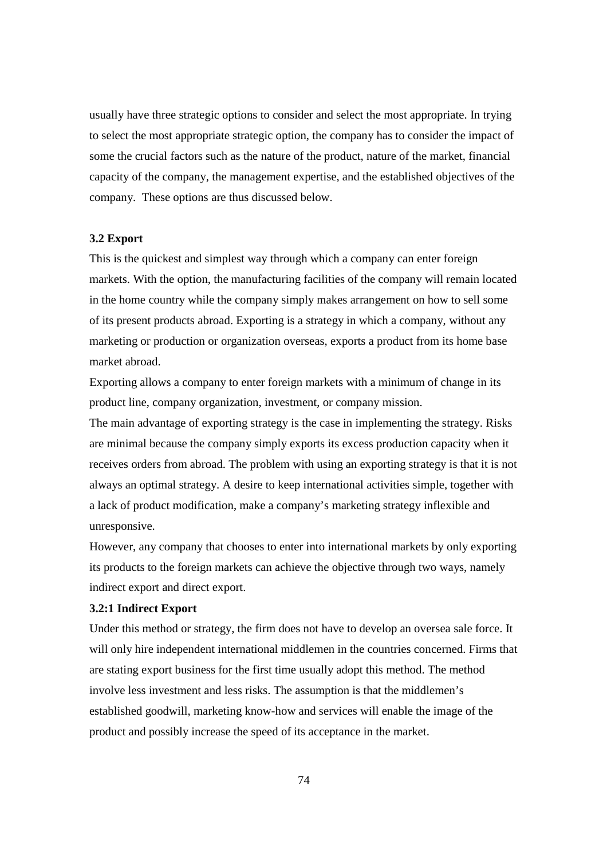usually have three strategic options to consider and select the most appropriate. In trying to select the most appropriate strategic option, the company has to consider the impact of some the crucial factors such as the nature of the product, nature of the market, financial capacity of the company, the management expertise, and the established objectives of the company. These options are thus discussed below.

## **3.2 Export**

This is the quickest and simplest way through which a company can enter foreign markets. With the option, the manufacturing facilities of the company will remain located in the home country while the company simply makes arrangement on how to sell some of its present products abroad. Exporting is a strategy in which a company, without any marketing or production or organization overseas, exports a product from its home base market abroad.

Exporting allows a company to enter foreign markets with a minimum of change in its product line, company organization, investment, or company mission.

The main advantage of exporting strategy is the case in implementing the strategy. Risks are minimal because the company simply exports its excess production capacity when it receives orders from abroad. The problem with using an exporting strategy is that it is not always an optimal strategy. A desire to keep international activities simple, together with a lack of product modification, make a company's marketing strategy inflexible and unresponsive.

However, any company that chooses to enter into international markets by only exporting its products to the foreign markets can achieve the objective through two ways, namely indirect export and direct export.

## **3.2:1 Indirect Export**

Under this method or strategy, the firm does not have to develop an oversea sale force. It will only hire independent international middlemen in the countries concerned. Firms that are stating export business for the first time usually adopt this method. The method involve less investment and less risks. The assumption is that the middlemen's established goodwill, marketing know-how and services will enable the image of the product and possibly increase the speed of its acceptance in the market.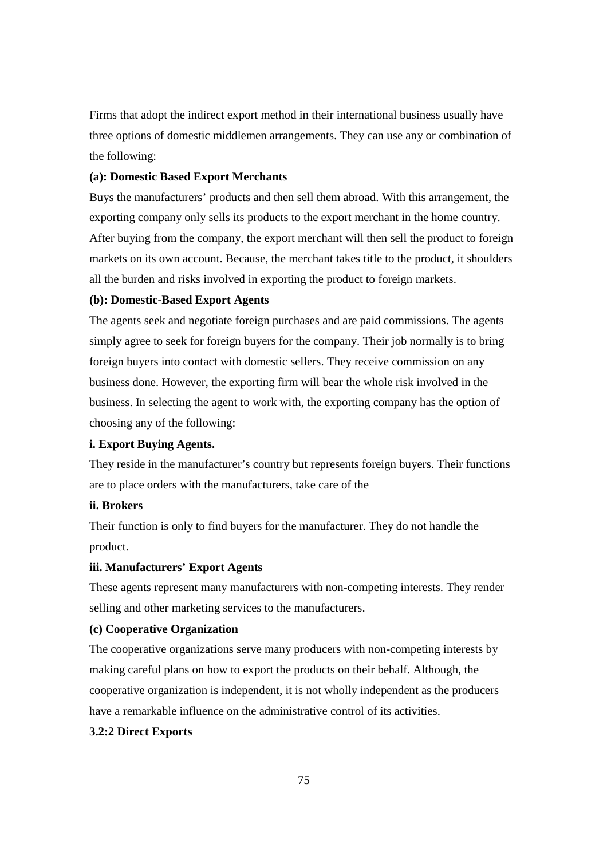Firms that adopt the indirect export method in their international business usually have three options of domestic middlemen arrangements. They can use any or combination of the following:

# **(a): Domestic Based Export Merchants**

Buys the manufacturers' products and then sell them abroad. With this arrangement, the exporting company only sells its products to the export merchant in the home country. After buying from the company, the export merchant will then sell the product to foreign markets on its own account. Because, the merchant takes title to the product, it shoulders all the burden and risks involved in exporting the product to foreign markets.

#### **(b): Domestic-Based Export Agents**

The agents seek and negotiate foreign purchases and are paid commissions. The agents simply agree to seek for foreign buyers for the company. Their job normally is to bring foreign buyers into contact with domestic sellers. They receive commission on any business done. However, the exporting firm will bear the whole risk involved in the business. In selecting the agent to work with, the exporting company has the option of choosing any of the following:

## **i. Export Buying Agents.**

They reside in the manufacturer's country but represents foreign buyers. Their functions are to place orders with the manufacturers, take care of the

## **ii. Brokers**

Their function is only to find buyers for the manufacturer. They do not handle the product.

#### **iii. Manufacturers' Export Agents**

These agents represent many manufacturers with non-competing interests. They render selling and other marketing services to the manufacturers.

#### **(c) Cooperative Organization**

The cooperative organizations serve many producers with non-competing interests by making careful plans on how to export the products on their behalf. Although, the cooperative organization is independent, it is not wholly independent as the producers have a remarkable influence on the administrative control of its activities.

# **3.2:2 Direct Exports**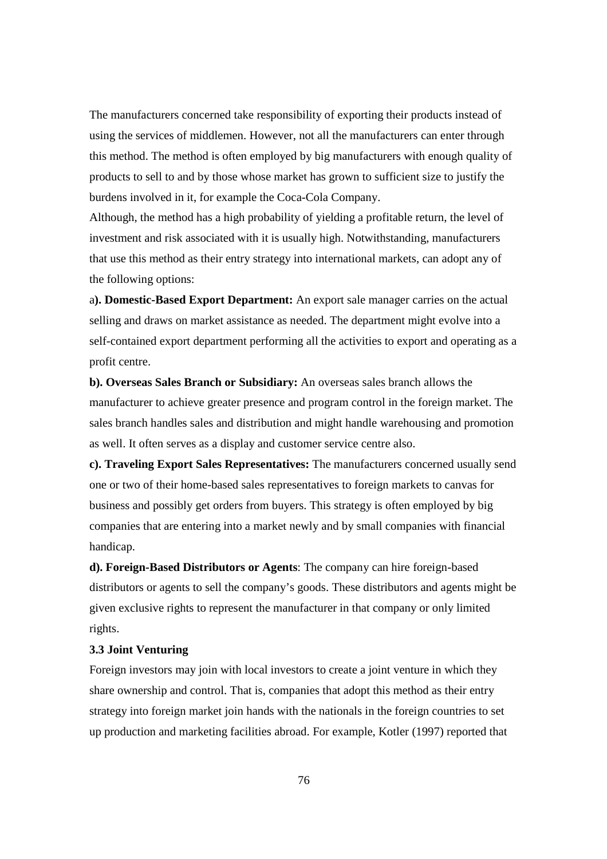The manufacturers concerned take responsibility of exporting their products instead of using the services of middlemen. However, not all the manufacturers can enter through this method. The method is often employed by big manufacturers with enough quality of products to sell to and by those whose market has grown to sufficient size to justify the burdens involved in it, for example the Coca-Cola Company.

Although, the method has a high probability of yielding a profitable return, the level of investment and risk associated with it is usually high. Notwithstanding, manufacturers that use this method as their entry strategy into international markets, can adopt any of the following options:

a**). Domestic-Based Export Department:** An export sale manager carries on the actual selling and draws on market assistance as needed. The department might evolve into a self-contained export department performing all the activities to export and operating as a profit centre.

**b). Overseas Sales Branch or Subsidiary:** An overseas sales branch allows the manufacturer to achieve greater presence and program control in the foreign market. The sales branch handles sales and distribution and might handle warehousing and promotion as well. It often serves as a display and customer service centre also.

**c). Traveling Export Sales Representatives:** The manufacturers concerned usually send one or two of their home-based sales representatives to foreign markets to canvas for business and possibly get orders from buyers. This strategy is often employed by big companies that are entering into a market newly and by small companies with financial handicap.

**d). Foreign-Based Distributors or Agents**: The company can hire foreign-based distributors or agents to sell the company's goods. These distributors and agents might be given exclusive rights to represent the manufacturer in that company or only limited rights.

#### **3.3 Joint Venturing**

Foreign investors may join with local investors to create a joint venture in which they share ownership and control. That is, companies that adopt this method as their entry strategy into foreign market join hands with the nationals in the foreign countries to set up production and marketing facilities abroad. For example, Kotler (1997) reported that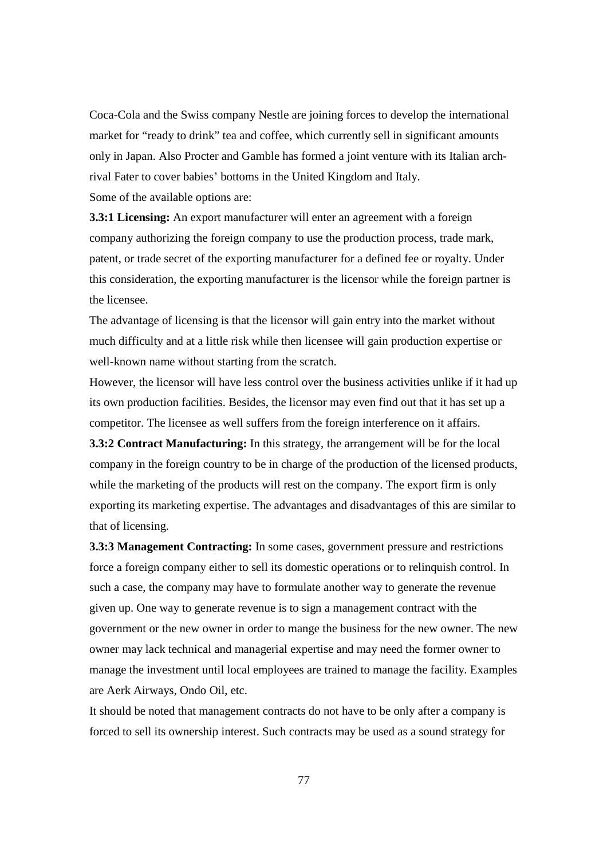Coca-Cola and the Swiss company Nestle are joining forces to develop the international market for "ready to drink" tea and coffee, which currently sell in significant amounts only in Japan. Also Procter and Gamble has formed a joint venture with its Italian archrival Fater to cover babies' bottoms in the United Kingdom and Italy. Some of the available options are:

**3.3:1 Licensing:** An export manufacturer will enter an agreement with a foreign company authorizing the foreign company to use the production process, trade mark, patent, or trade secret of the exporting manufacturer for a defined fee or royalty. Under this consideration, the exporting manufacturer is the licensor while the foreign partner is the licensee.

The advantage of licensing is that the licensor will gain entry into the market without much difficulty and at a little risk while then licensee will gain production expertise or well-known name without starting from the scratch.

However, the licensor will have less control over the business activities unlike if it had up its own production facilities. Besides, the licensor may even find out that it has set up a competitor. The licensee as well suffers from the foreign interference on it affairs.

**3.3:2 Contract Manufacturing:** In this strategy, the arrangement will be for the local company in the foreign country to be in charge of the production of the licensed products, while the marketing of the products will rest on the company. The export firm is only exporting its marketing expertise. The advantages and disadvantages of this are similar to that of licensing.

**3.3:3 Management Contracting:** In some cases, government pressure and restrictions force a foreign company either to sell its domestic operations or to relinquish control. In such a case, the company may have to formulate another way to generate the revenue given up. One way to generate revenue is to sign a management contract with the government or the new owner in order to mange the business for the new owner. The new owner may lack technical and managerial expertise and may need the former owner to manage the investment until local employees are trained to manage the facility. Examples are Aerk Airways, Ondo Oil, etc.

It should be noted that management contracts do not have to be only after a company is forced to sell its ownership interest. Such contracts may be used as a sound strategy for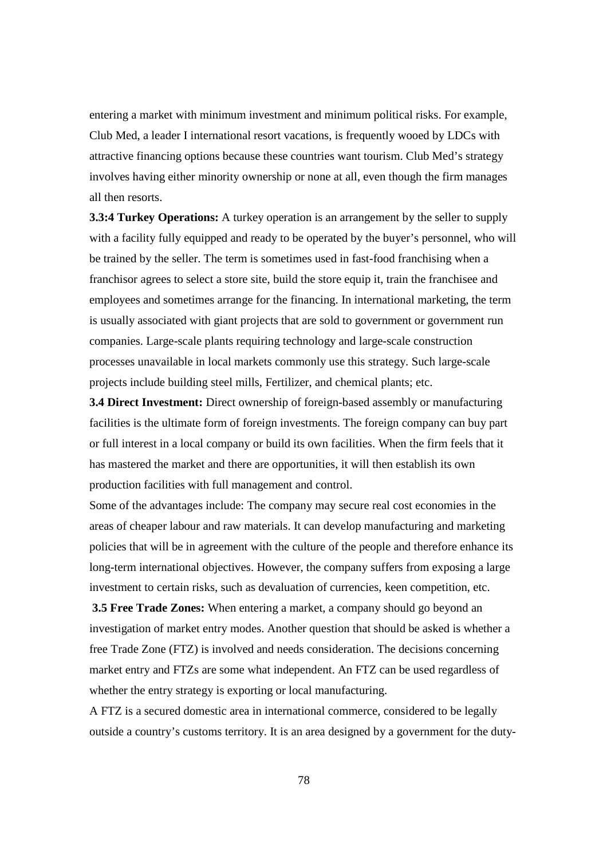entering a market with minimum investment and minimum political risks. For example, Club Med, a leader I international resort vacations, is frequently wooed by LDCs with attractive financing options because these countries want tourism. Club Med's strategy involves having either minority ownership or none at all, even though the firm manages all then resorts.

**3.3:4 Turkey Operations:** A turkey operation is an arrangement by the seller to supply with a facility fully equipped and ready to be operated by the buyer's personnel, who will be trained by the seller. The term is sometimes used in fast-food franchising when a franchisor agrees to select a store site, build the store equip it, train the franchisee and employees and sometimes arrange for the financing. In international marketing, the term is usually associated with giant projects that are sold to government or government run companies. Large-scale plants requiring technology and large-scale construction processes unavailable in local markets commonly use this strategy. Such large-scale projects include building steel mills, Fertilizer, and chemical plants; etc.

**3.4 Direct Investment:** Direct ownership of foreign-based assembly or manufacturing facilities is the ultimate form of foreign investments. The foreign company can buy part or full interest in a local company or build its own facilities. When the firm feels that it has mastered the market and there are opportunities, it will then establish its own production facilities with full management and control.

Some of the advantages include: The company may secure real cost economies in the areas of cheaper labour and raw materials. It can develop manufacturing and marketing policies that will be in agreement with the culture of the people and therefore enhance its long-term international objectives. However, the company suffers from exposing a large investment to certain risks, such as devaluation of currencies, keen competition, etc.

**3.5 Free Trade Zones:** When entering a market, a company should go beyond an investigation of market entry modes. Another question that should be asked is whether a free Trade Zone (FTZ) is involved and needs consideration. The decisions concerning market entry and FTZs are some what independent. An FTZ can be used regardless of whether the entry strategy is exporting or local manufacturing.

A FTZ is a secured domestic area in international commerce, considered to be legally outside a country's customs territory. It is an area designed by a government for the duty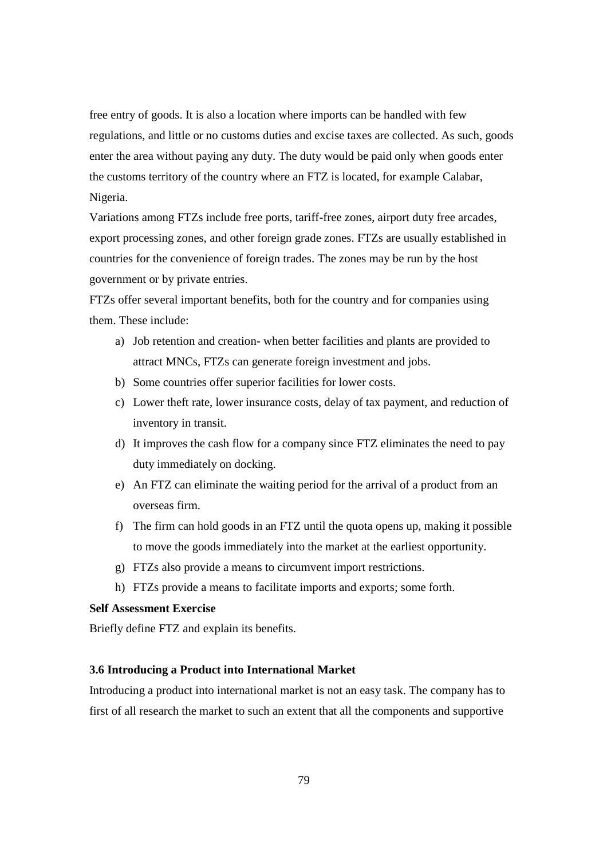free entry of goods. It is also a location where imports can be handled with few regulations, and little or no customs duties and excise taxes are collected. As such, goods enter the area without paying any duty. The duty would be paid only when goods enter the customs territory of the country where an FTZ is located, for example Calabar, Nigeria.

Variations among FTZs include free ports, tariff-free zones, airport duty free arcades, export processing zones, and other foreign grade zones. FTZs are usually established in countries for the convenience of foreign trades. The zones may be run by the host government or by private entries.

FTZs offer several important benefits, both for the country and for companies using them. These include:

- a) Job retention and creation- when better facilities and plants are provided to attract MNCs, FTZs can generate foreign investment and jobs.
- b) Some countries offer superior facilities for lower costs.
- c) Lower theft rate, lower insurance costs, delay of tax payment, and reduction of inventory in transit.
- d) It improves the cash flow for a company since FTZ eliminates the need to pay duty immediately on docking.
- e) An FTZ can eliminate the waiting period for the arrival of a product from an overseas firm.
- f) The firm can hold goods in an FTZ until the quota opens up, making it possible to move the goods immediately into the market at the earliest opportunity.
- g) FTZs also provide a means to circumvent import restrictions.
- h) FTZs provide a means to facilitate imports and exports; some forth.

## **Self Assessment Exercise**

Briefly define FTZ and explain its benefits.

#### **3.6 Introducing a Product into International Market**

Introducing a product into international market is not an easy task. The company has to first of all research the market to such an extent that all the components and supportive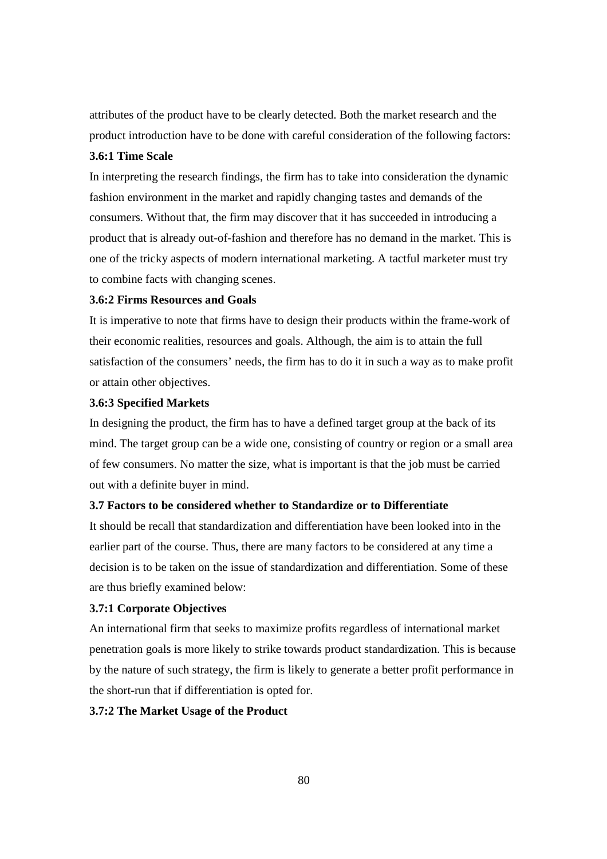attributes of the product have to be clearly detected. Both the market research and the product introduction have to be done with careful consideration of the following factors:

# **3.6:1 Time Scale**

In interpreting the research findings, the firm has to take into consideration the dynamic fashion environment in the market and rapidly changing tastes and demands of the consumers. Without that, the firm may discover that it has succeeded in introducing a product that is already out-of-fashion and therefore has no demand in the market. This is one of the tricky aspects of modern international marketing. A tactful marketer must try to combine facts with changing scenes.

## **3.6:2 Firms Resources and Goals**

It is imperative to note that firms have to design their products within the frame-work of their economic realities, resources and goals. Although, the aim is to attain the full satisfaction of the consumers' needs, the firm has to do it in such a way as to make profit or attain other objectives.

#### **3.6:3 Specified Markets**

In designing the product, the firm has to have a defined target group at the back of its mind. The target group can be a wide one, consisting of country or region or a small area of few consumers. No matter the size, what is important is that the job must be carried out with a definite buyer in mind.

#### **3.7 Factors to be considered whether to Standardize or to Differentiate**

It should be recall that standardization and differentiation have been looked into in the earlier part of the course. Thus, there are many factors to be considered at any time a decision is to be taken on the issue of standardization and differentiation. Some of these are thus briefly examined below:

#### **3.7:1 Corporate Objectives**

An international firm that seeks to maximize profits regardless of international market penetration goals is more likely to strike towards product standardization. This is because by the nature of such strategy, the firm is likely to generate a better profit performance in the short-run that if differentiation is opted for.

# **3.7:2 The Market Usage of the Product**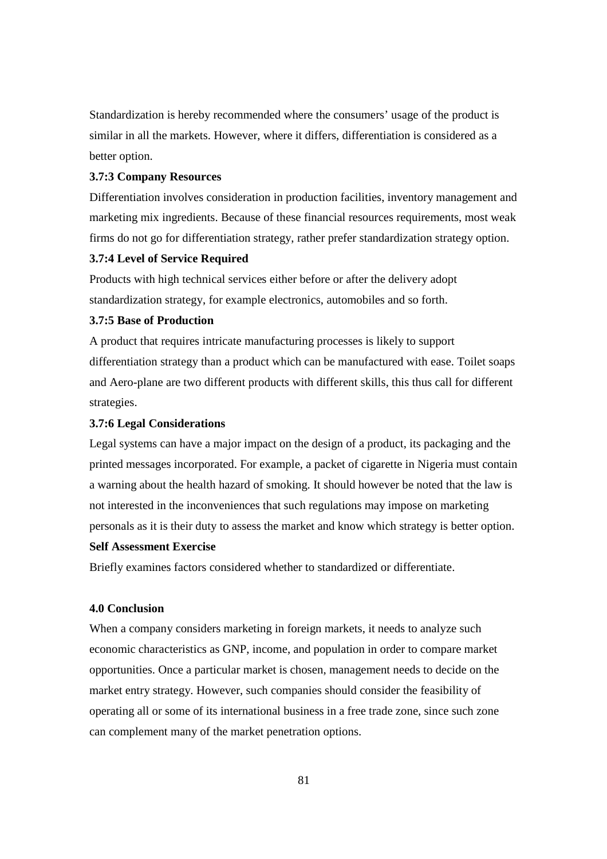Standardization is hereby recommended where the consumers' usage of the product is similar in all the markets. However, where it differs, differentiation is considered as a better option.

#### **3.7:3 Company Resources**

Differentiation involves consideration in production facilities, inventory management and marketing mix ingredients. Because of these financial resources requirements, most weak firms do not go for differentiation strategy, rather prefer standardization strategy option.

## **3.7:4 Level of Service Required**

Products with high technical services either before or after the delivery adopt standardization strategy, for example electronics, automobiles and so forth.

## **3.7:5 Base of Production**

A product that requires intricate manufacturing processes is likely to support differentiation strategy than a product which can be manufactured with ease. Toilet soaps and Aero-plane are two different products with different skills, this thus call for different strategies.

# **3.7:6 Legal Considerations**

Legal systems can have a major impact on the design of a product, its packaging and the printed messages incorporated. For example, a packet of cigarette in Nigeria must contain a warning about the health hazard of smoking. It should however be noted that the law is not interested in the inconveniences that such regulations may impose on marketing personals as it is their duty to assess the market and know which strategy is better option.

#### **Self Assessment Exercise**

Briefly examines factors considered whether to standardized or differentiate.

# **4.0 Conclusion**

When a company considers marketing in foreign markets, it needs to analyze such economic characteristics as GNP, income, and population in order to compare market opportunities. Once a particular market is chosen, management needs to decide on the market entry strategy. However, such companies should consider the feasibility of operating all or some of its international business in a free trade zone, since such zone can complement many of the market penetration options.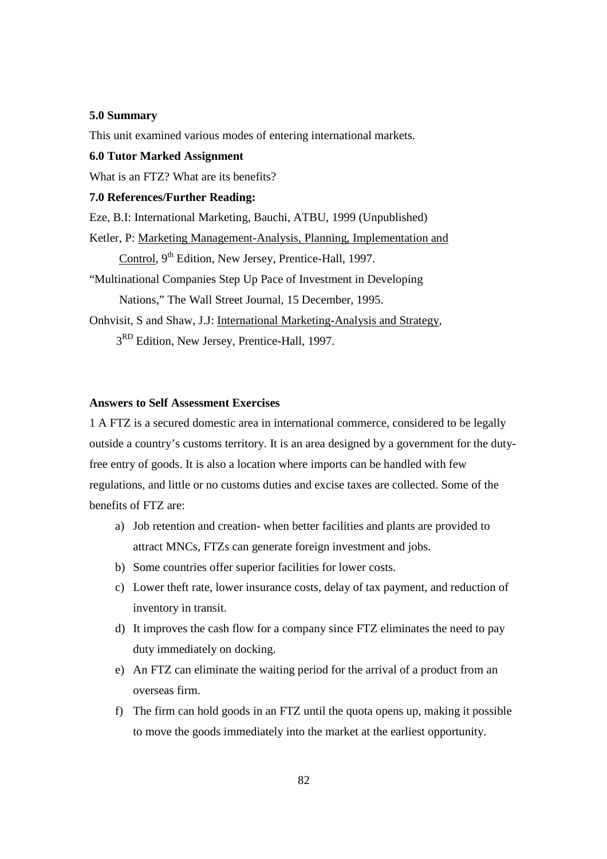## **5.0 Summary**

This unit examined various modes of entering international markets.

#### **6.0 Tutor Marked Assignment**

What is an FTZ? What are its benefits?

## **7.0 References/Further Reading:**

Eze, B.I: International Marketing, Bauchi, ATBU, 1999 (Unpublished)

Ketler, P: Marketing Management-Analysis, Planning, Implementation and Control, 9<sup>th</sup> Edition, New Jersey, Prentice-Hall, 1997.

"Multinational Companies Step Up Pace of Investment in Developing

Nations," The Wall Street Journal, 15 December, 1995.

Onhvisit, S and Shaw, J.J: International Marketing-Analysis and Strategy,

 $3<sup>RD</sup>$  Edition, New Jersey, Prentice-Hall, 1997.

# **Answers to Self Assessment Exercises**

1 A FTZ is a secured domestic area in international commerce, considered to be legally outside a country's customs territory. It is an area designed by a government for the dutyfree entry of goods. It is also a location where imports can be handled with few regulations, and little or no customs duties and excise taxes are collected. Some of the benefits of FTZ are:

- a) Job retention and creation- when better facilities and plants are provided to attract MNCs, FTZs can generate foreign investment and jobs.
- b) Some countries offer superior facilities for lower costs.
- c) Lower theft rate, lower insurance costs, delay of tax payment, and reduction of inventory in transit.
- d) It improves the cash flow for a company since FTZ eliminates the need to pay duty immediately on docking.
- e) An FTZ can eliminate the waiting period for the arrival of a product from an overseas firm.
- f) The firm can hold goods in an FTZ until the quota opens up, making it possible to move the goods immediately into the market at the earliest opportunity.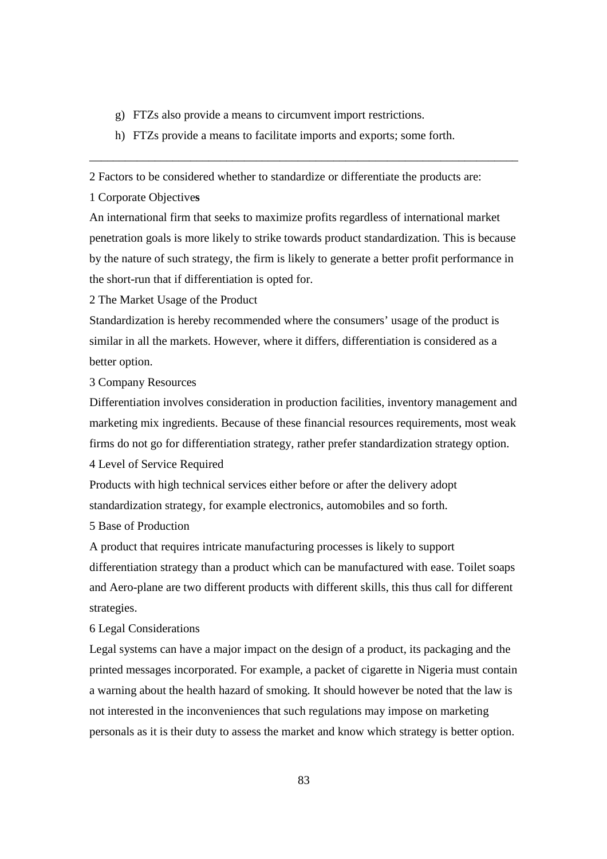- g) FTZs also provide a means to circumvent import restrictions.
- h) FTZs provide a means to facilitate imports and exports; some forth.

2 Factors to be considered whether to standardize or differentiate the products are:

1 Corporate Objective**s** 

An international firm that seeks to maximize profits regardless of international market penetration goals is more likely to strike towards product standardization. This is because by the nature of such strategy, the firm is likely to generate a better profit performance in the short-run that if differentiation is opted for.

\_\_\_\_\_\_\_\_\_\_\_\_\_\_\_\_\_\_\_\_\_\_\_\_\_\_\_\_\_\_\_\_\_\_\_\_\_\_\_\_\_\_\_\_\_\_\_\_\_\_\_\_\_\_\_\_\_\_\_\_\_\_\_\_\_\_\_\_\_\_\_\_

2 The Market Usage of the Product

Standardization is hereby recommended where the consumers' usage of the product is similar in all the markets. However, where it differs, differentiation is considered as a better option.

3 Company Resources

Differentiation involves consideration in production facilities, inventory management and marketing mix ingredients. Because of these financial resources requirements, most weak firms do not go for differentiation strategy, rather prefer standardization strategy option.

4 Level of Service Required

Products with high technical services either before or after the delivery adopt standardization strategy, for example electronics, automobiles and so forth.

## 5 Base of Production

A product that requires intricate manufacturing processes is likely to support differentiation strategy than a product which can be manufactured with ease. Toilet soaps and Aero-plane are two different products with different skills, this thus call for different strategies.

### 6 Legal Considerations

Legal systems can have a major impact on the design of a product, its packaging and the printed messages incorporated. For example, a packet of cigarette in Nigeria must contain a warning about the health hazard of smoking. It should however be noted that the law is not interested in the inconveniences that such regulations may impose on marketing personals as it is their duty to assess the market and know which strategy is better option.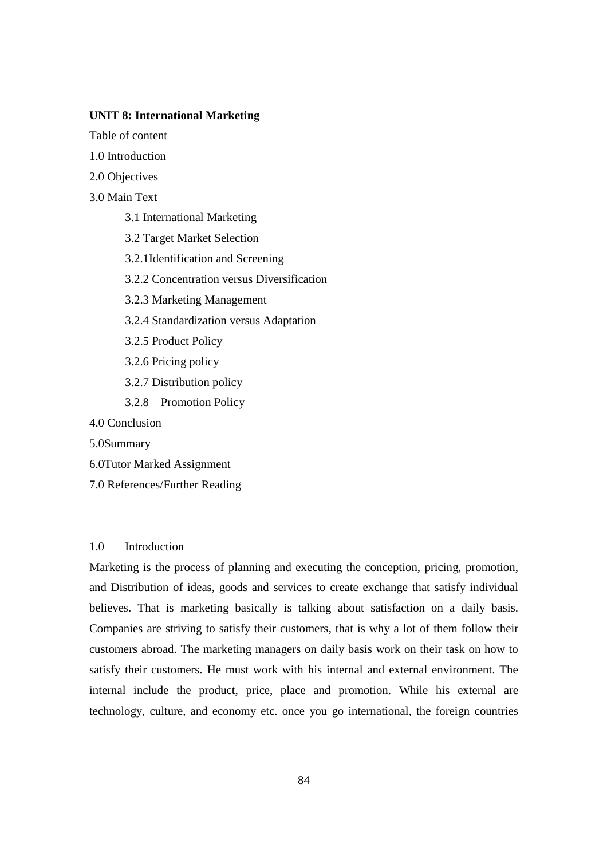## **UNIT 8: International Marketing**

Table of content

1.0 Introduction

- 2.0 Objectives
- 3.0 Main Text
	- 3.1 International Marketing
	- 3.2 Target Market Selection
	- 3.2.1Identification and Screening
	- 3.2.2 Concentration versus Diversification
	- 3.2.3 Marketing Management
	- 3.2.4 Standardization versus Adaptation
	- 3.2.5 Product Policy
	- 3.2.6 Pricing policy
	- 3.2.7 Distribution policy
	- 3.2.8 Promotion Policy
- 4.0 Conclusion
- 5.0Summary
- 6.0Tutor Marked Assignment
- 7.0 References/Further Reading

#### 1.0 Introduction

Marketing is the process of planning and executing the conception, pricing, promotion, and Distribution of ideas, goods and services to create exchange that satisfy individual believes. That is marketing basically is talking about satisfaction on a daily basis. Companies are striving to satisfy their customers, that is why a lot of them follow their customers abroad. The marketing managers on daily basis work on their task on how to satisfy their customers. He must work with his internal and external environment. The internal include the product, price, place and promotion. While his external are technology, culture, and economy etc. once you go international, the foreign countries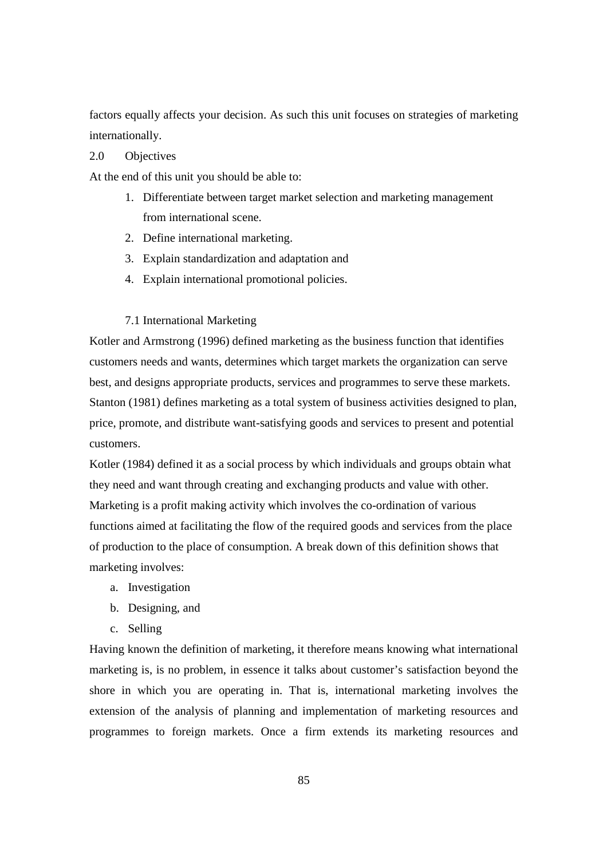factors equally affects your decision. As such this unit focuses on strategies of marketing internationally.

## 2.0 Objectives

At the end of this unit you should be able to:

- 1. Differentiate between target market selection and marketing management from international scene.
- 2. Define international marketing.
- 3. Explain standardization and adaptation and
- 4. Explain international promotional policies.

#### 7.1 International Marketing

Kotler and Armstrong (1996) defined marketing as the business function that identifies customers needs and wants, determines which target markets the organization can serve best, and designs appropriate products, services and programmes to serve these markets. Stanton (1981) defines marketing as a total system of business activities designed to plan, price, promote, and distribute want-satisfying goods and services to present and potential customers.

Kotler (1984) defined it as a social process by which individuals and groups obtain what they need and want through creating and exchanging products and value with other. Marketing is a profit making activity which involves the co-ordination of various functions aimed at facilitating the flow of the required goods and services from the place of production to the place of consumption. A break down of this definition shows that marketing involves:

- a. Investigation
- b. Designing, and
- c. Selling

Having known the definition of marketing, it therefore means knowing what international marketing is, is no problem, in essence it talks about customer's satisfaction beyond the shore in which you are operating in. That is, international marketing involves the extension of the analysis of planning and implementation of marketing resources and programmes to foreign markets. Once a firm extends its marketing resources and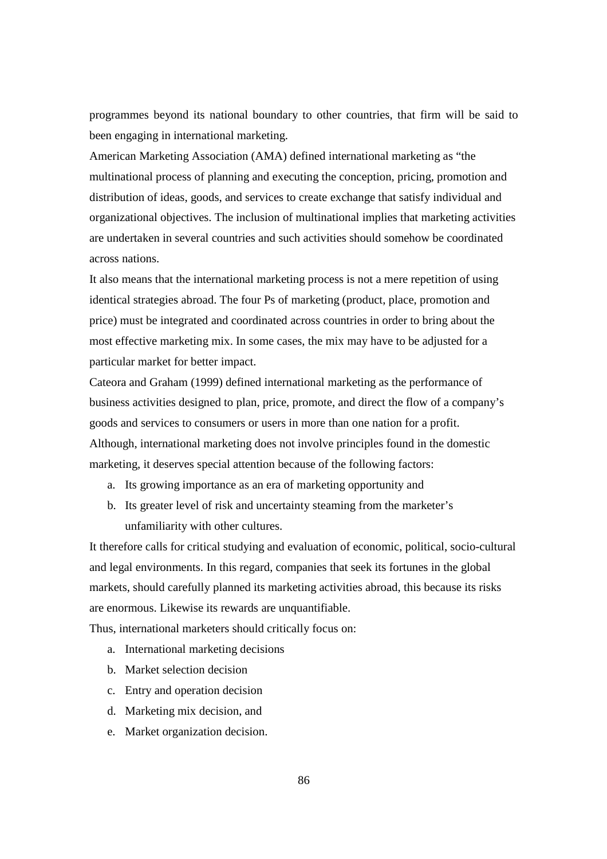programmes beyond its national boundary to other countries, that firm will be said to been engaging in international marketing.

American Marketing Association (AMA) defined international marketing as "the multinational process of planning and executing the conception, pricing, promotion and distribution of ideas, goods, and services to create exchange that satisfy individual and organizational objectives. The inclusion of multinational implies that marketing activities are undertaken in several countries and such activities should somehow be coordinated across nations.

It also means that the international marketing process is not a mere repetition of using identical strategies abroad. The four Ps of marketing (product, place, promotion and price) must be integrated and coordinated across countries in order to bring about the most effective marketing mix. In some cases, the mix may have to be adjusted for a particular market for better impact.

Cateora and Graham (1999) defined international marketing as the performance of business activities designed to plan, price, promote, and direct the flow of a company's goods and services to consumers or users in more than one nation for a profit. Although, international marketing does not involve principles found in the domestic marketing, it deserves special attention because of the following factors:

- a. Its growing importance as an era of marketing opportunity and
- b. Its greater level of risk and uncertainty steaming from the marketer's unfamiliarity with other cultures.

It therefore calls for critical studying and evaluation of economic, political, socio-cultural and legal environments. In this regard, companies that seek its fortunes in the global markets, should carefully planned its marketing activities abroad, this because its risks are enormous. Likewise its rewards are unquantifiable.

Thus, international marketers should critically focus on:

- a. International marketing decisions
- b. Market selection decision
- c. Entry and operation decision
- d. Marketing mix decision, and
- e. Market organization decision.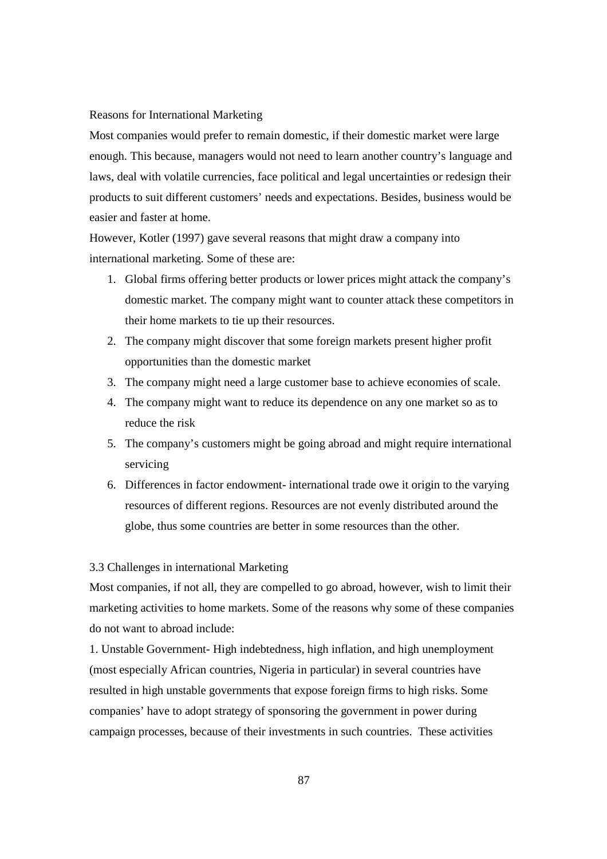#### Reasons for International Marketing

Most companies would prefer to remain domestic, if their domestic market were large enough. This because, managers would not need to learn another country's language and laws, deal with volatile currencies, face political and legal uncertainties or redesign their products to suit different customers' needs and expectations. Besides, business would be easier and faster at home.

However, Kotler (1997) gave several reasons that might draw a company into international marketing. Some of these are:

- 1. Global firms offering better products or lower prices might attack the company's domestic market. The company might want to counter attack these competitors in their home markets to tie up their resources.
- 2. The company might discover that some foreign markets present higher profit opportunities than the domestic market
- 3. The company might need a large customer base to achieve economies of scale.
- 4. The company might want to reduce its dependence on any one market so as to reduce the risk
- 5. The company's customers might be going abroad and might require international servicing
- 6. Differences in factor endowment- international trade owe it origin to the varying resources of different regions. Resources are not evenly distributed around the globe, thus some countries are better in some resources than the other.

#### 3.3 Challenges in international Marketing

Most companies, if not all, they are compelled to go abroad, however, wish to limit their marketing activities to home markets. Some of the reasons why some of these companies do not want to abroad include:

1. Unstable Government- High indebtedness, high inflation, and high unemployment (most especially African countries, Nigeria in particular) in several countries have resulted in high unstable governments that expose foreign firms to high risks. Some companies' have to adopt strategy of sponsoring the government in power during campaign processes, because of their investments in such countries. These activities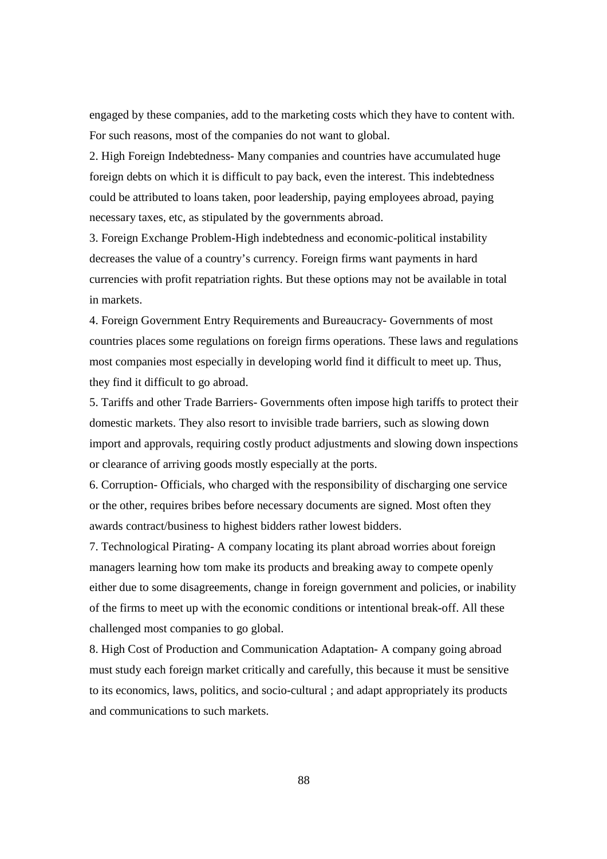engaged by these companies, add to the marketing costs which they have to content with. For such reasons, most of the companies do not want to global.

2. High Foreign Indebtedness- Many companies and countries have accumulated huge foreign debts on which it is difficult to pay back, even the interest. This indebtedness could be attributed to loans taken, poor leadership, paying employees abroad, paying necessary taxes, etc, as stipulated by the governments abroad.

3. Foreign Exchange Problem-High indebtedness and economic-political instability decreases the value of a country's currency. Foreign firms want payments in hard currencies with profit repatriation rights. But these options may not be available in total in markets.

4. Foreign Government Entry Requirements and Bureaucracy- Governments of most countries places some regulations on foreign firms operations. These laws and regulations most companies most especially in developing world find it difficult to meet up. Thus, they find it difficult to go abroad.

5. Tariffs and other Trade Barriers- Governments often impose high tariffs to protect their domestic markets. They also resort to invisible trade barriers, such as slowing down import and approvals, requiring costly product adjustments and slowing down inspections or clearance of arriving goods mostly especially at the ports.

6. Corruption- Officials, who charged with the responsibility of discharging one service or the other, requires bribes before necessary documents are signed. Most often they awards contract/business to highest bidders rather lowest bidders.

7. Technological Pirating- A company locating its plant abroad worries about foreign managers learning how tom make its products and breaking away to compete openly either due to some disagreements, change in foreign government and policies, or inability of the firms to meet up with the economic conditions or intentional break-off. All these challenged most companies to go global.

8. High Cost of Production and Communication Adaptation- A company going abroad must study each foreign market critically and carefully, this because it must be sensitive to its economics, laws, politics, and socio-cultural ; and adapt appropriately its products and communications to such markets.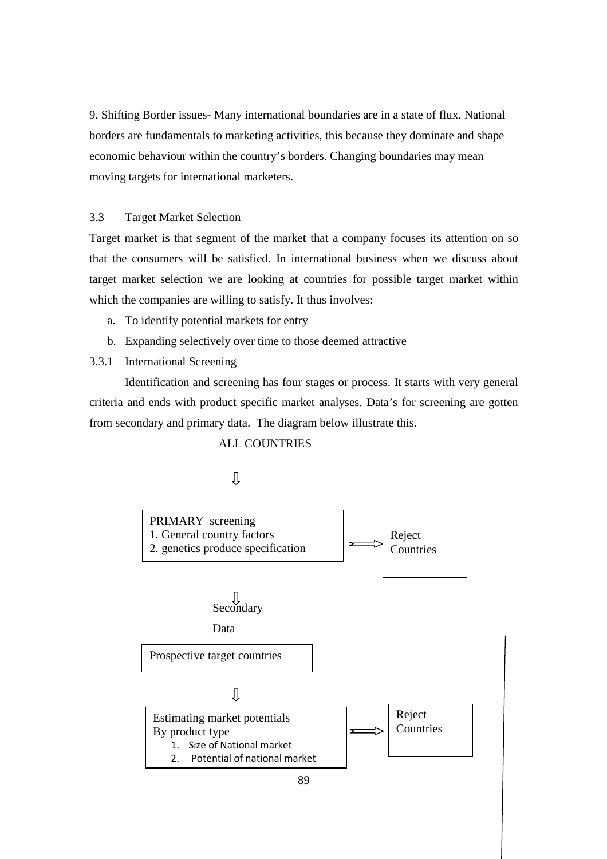9. Shifting Border issues- Many international boundaries are in a state of flux. National borders are fundamentals to marketing activities, this because they dominate and shape economic behaviour within the country's borders. Changing boundaries may mean moving targets for international marketers.

# 3.3 Target Market Selection

Target market is that segment of the market that a company focuses its attention on so that the consumers will be satisfied. In international business when we discuss about target market selection we are looking at countries for possible target market within which the companies are willing to satisfy. It thus involves:

- a. To identify potential markets for entry
- b. Expanding selectively over time to those deemed attractive

## 3.3.1 International Screening

 Identification and screening has four stages or process. It starts with very general criteria and ends with product specific market analyses. Data's for screening are gotten from secondary and primary data. The diagram below illustrate this.

#### ALL COUNTRIES

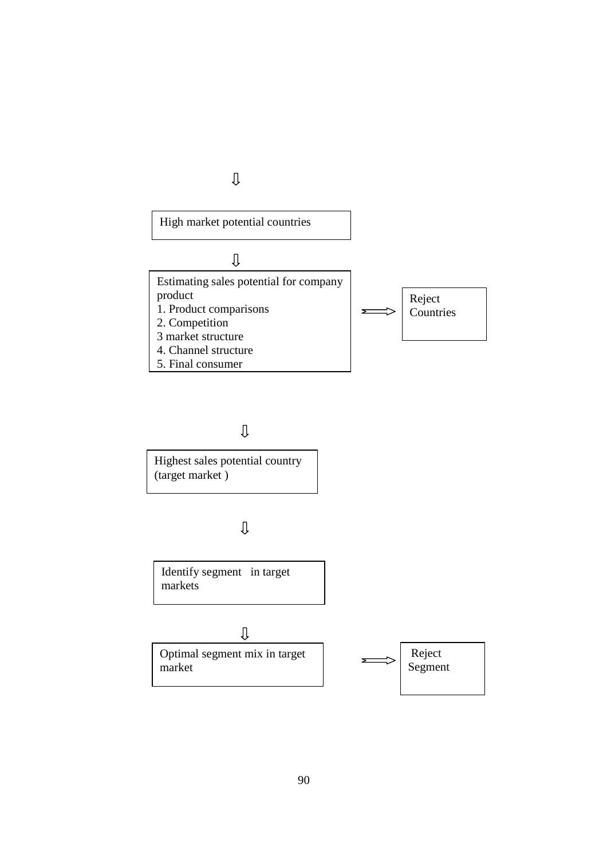

# $\mathbb U$

Highest sales potential country (target market )

 $\rm{U}$ 

Identify segment in target markets

 $\rm{U}$ 

Optimal segment mix in target market

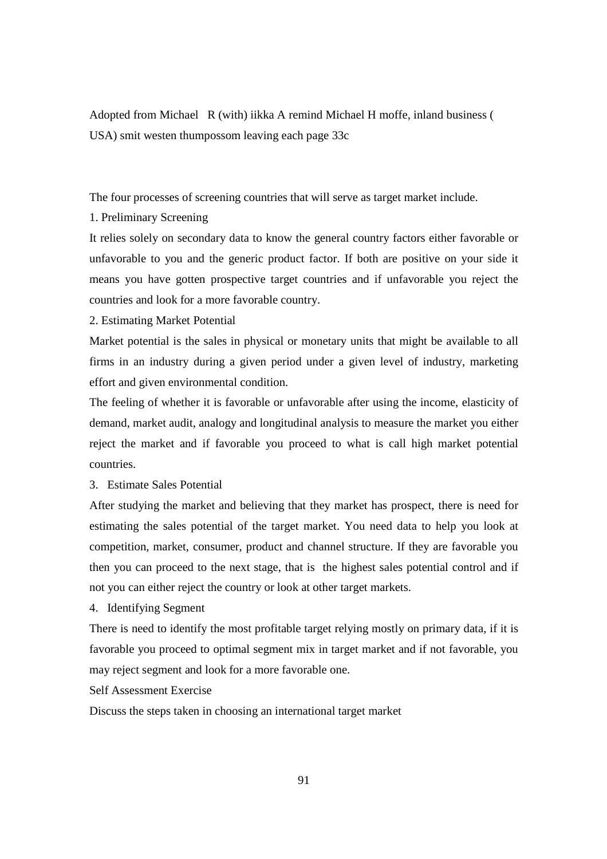Adopted from Michael R (with) iikka A remind Michael H moffe, inland business ( USA) smit westen thumpossom leaving each page 33c

The four processes of screening countries that will serve as target market include.

1. Preliminary Screening

It relies solely on secondary data to know the general country factors either favorable or unfavorable to you and the generic product factor. If both are positive on your side it means you have gotten prospective target countries and if unfavorable you reject the countries and look for a more favorable country.

2. Estimating Market Potential

Market potential is the sales in physical or monetary units that might be available to all firms in an industry during a given period under a given level of industry, marketing effort and given environmental condition.

The feeling of whether it is favorable or unfavorable after using the income, elasticity of demand, market audit, analogy and longitudinal analysis to measure the market you either reject the market and if favorable you proceed to what is call high market potential countries.

3. Estimate Sales Potential

After studying the market and believing that they market has prospect, there is need for estimating the sales potential of the target market. You need data to help you look at competition, market, consumer, product and channel structure. If they are favorable you then you can proceed to the next stage, that is the highest sales potential control and if not you can either reject the country or look at other target markets.

4. Identifying Segment

There is need to identify the most profitable target relying mostly on primary data, if it is favorable you proceed to optimal segment mix in target market and if not favorable, you may reject segment and look for a more favorable one.

Self Assessment Exercise

Discuss the steps taken in choosing an international target market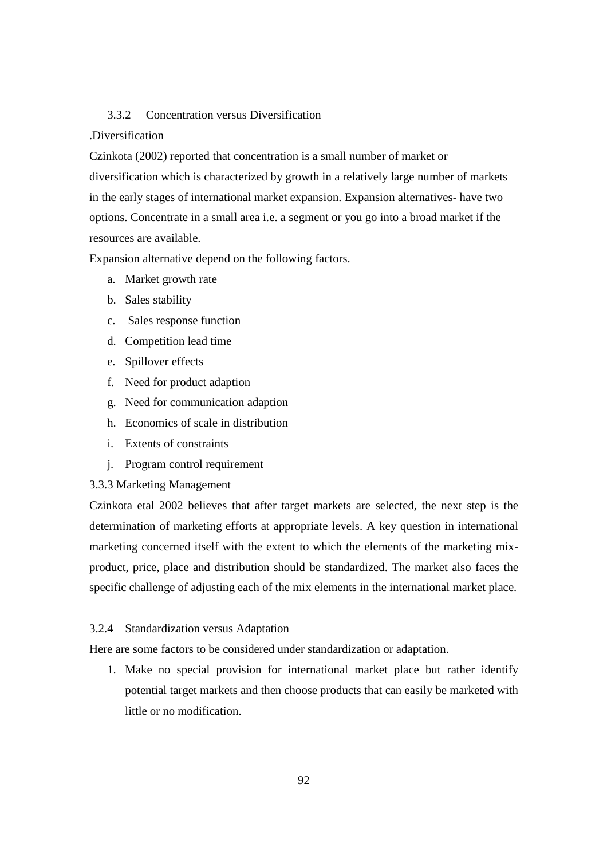# 3.3.2 Concentration versus Diversification

## .Diversification

Czinkota (2002) reported that concentration is a small number of market or diversification which is characterized by growth in a relatively large number of markets in the early stages of international market expansion. Expansion alternatives- have two options. Concentrate in a small area i.e. a segment or you go into a broad market if the resources are available.

Expansion alternative depend on the following factors.

- a. Market growth rate
- b. Sales stability
- c. Sales response function
- d. Competition lead time
- e. Spillover effects
- f. Need for product adaption
- g. Need for communication adaption
- h. Economics of scale in distribution
- i. Extents of constraints
- j. Program control requirement

# 3.3.3 Marketing Management

Czinkota etal 2002 believes that after target markets are selected, the next step is the determination of marketing efforts at appropriate levels. A key question in international marketing concerned itself with the extent to which the elements of the marketing mixproduct, price, place and distribution should be standardized. The market also faces the specific challenge of adjusting each of the mix elements in the international market place.

#### 3.2.4 Standardization versus Adaptation

Here are some factors to be considered under standardization or adaptation.

1. Make no special provision for international market place but rather identify potential target markets and then choose products that can easily be marketed with little or no modification.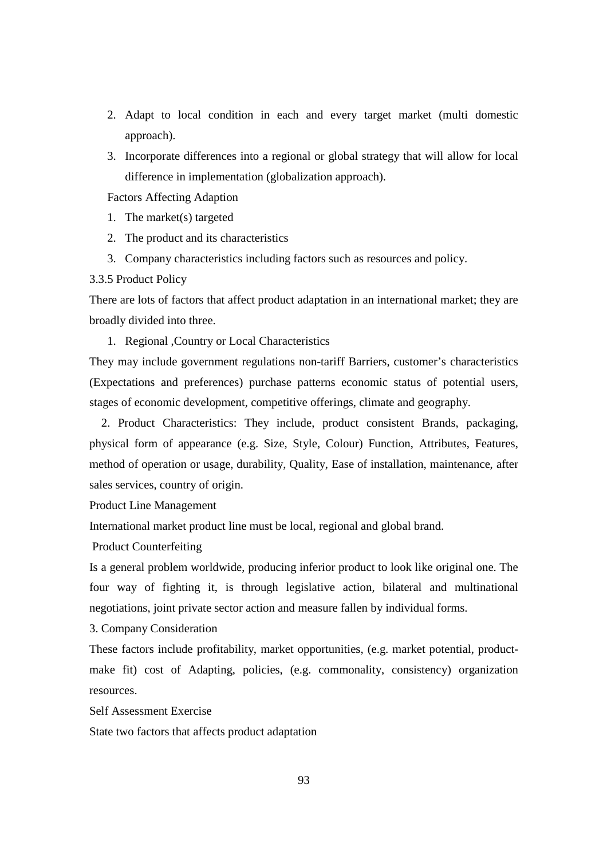- 2. Adapt to local condition in each and every target market (multi domestic approach).
- 3. Incorporate differences into a regional or global strategy that will allow for local difference in implementation (globalization approach).

Factors Affecting Adaption

- 1. The market(s) targeted
- 2. The product and its characteristics
- 3. Company characteristics including factors such as resources and policy.

#### 3.3.5 Product Policy

There are lots of factors that affect product adaptation in an international market; they are broadly divided into three.

1. Regional ,Country or Local Characteristics

They may include government regulations non-tariff Barriers, customer's characteristics (Expectations and preferences) purchase patterns economic status of potential users, stages of economic development, competitive offerings, climate and geography.

 2. Product Characteristics: They include, product consistent Brands, packaging, physical form of appearance (e.g. Size, Style, Colour) Function, Attributes, Features, method of operation or usage, durability, Quality, Ease of installation, maintenance, after sales services, country of origin.

Product Line Management

International market product line must be local, regional and global brand.

Product Counterfeiting

Is a general problem worldwide, producing inferior product to look like original one. The four way of fighting it, is through legislative action, bilateral and multinational negotiations, joint private sector action and measure fallen by individual forms.

3. Company Consideration

These factors include profitability, market opportunities, (e.g. market potential, productmake fit) cost of Adapting, policies, (e.g. commonality, consistency) organization resources.

Self Assessment Exercise

State two factors that affects product adaptation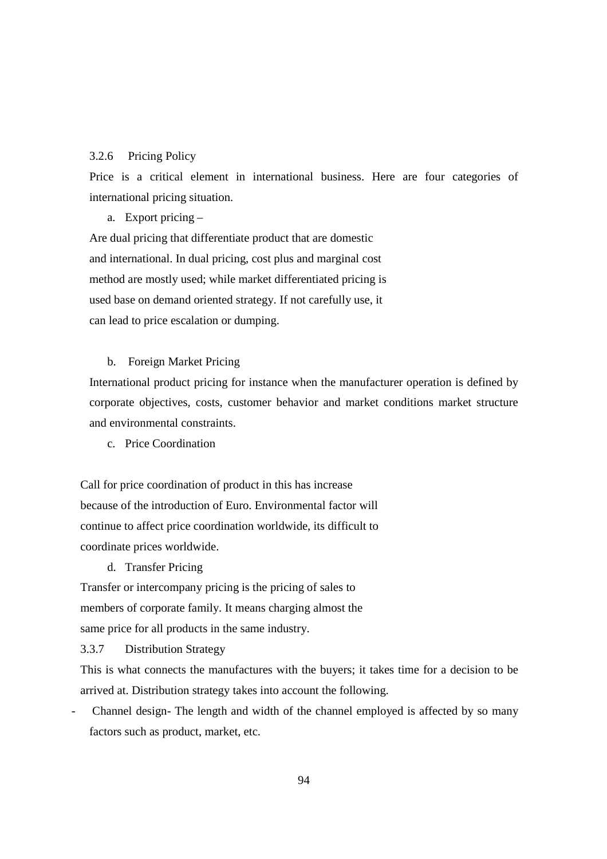# 3.2.6 Pricing Policy

Price is a critical element in international business. Here are four categories of international pricing situation.

a. Export pricing –

Are dual pricing that differentiate product that are domestic and international. In dual pricing, cost plus and marginal cost method are mostly used; while market differentiated pricing is used base on demand oriented strategy. If not carefully use, it can lead to price escalation or dumping.

# b. Foreign Market Pricing

International product pricing for instance when the manufacturer operation is defined by corporate objectives, costs, customer behavior and market conditions market structure and environmental constraints.

c. Price Coordination

Call for price coordination of product in this has increase because of the introduction of Euro. Environmental factor will continue to affect price coordination worldwide, its difficult to coordinate prices worldwide.

d. Transfer Pricing

Transfer or intercompany pricing is the pricing of sales to members of corporate family. It means charging almost the same price for all products in the same industry.

3.3.7 Distribution Strategy

This is what connects the manufactures with the buyers; it takes time for a decision to be arrived at. Distribution strategy takes into account the following.

Channel design- The length and width of the channel employed is affected by so many factors such as product, market, etc.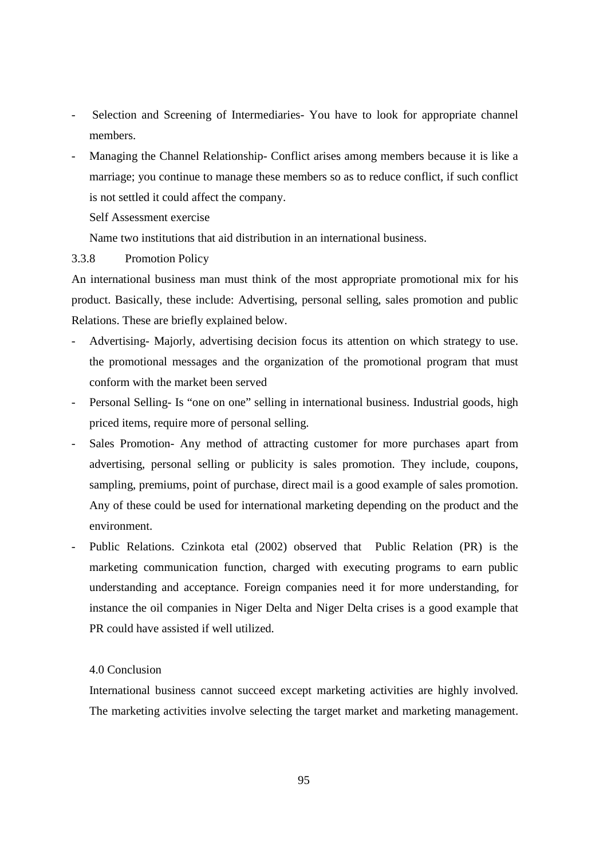- Selection and Screening of Intermediaries- You have to look for appropriate channel members.
- Managing the Channel Relationship- Conflict arises among members because it is like a marriage; you continue to manage these members so as to reduce conflict, if such conflict is not settled it could affect the company.

Self Assessment exercise

Name two institutions that aid distribution in an international business.

# 3.3.8 Promotion Policy

An international business man must think of the most appropriate promotional mix for his product. Basically, these include: Advertising, personal selling, sales promotion and public Relations. These are briefly explained below.

- Advertising- Majorly, advertising decision focus its attention on which strategy to use. the promotional messages and the organization of the promotional program that must conform with the market been served
- Personal Selling- Is "one on one" selling in international business. Industrial goods, high priced items, require more of personal selling.
- Sales Promotion- Any method of attracting customer for more purchases apart from advertising, personal selling or publicity is sales promotion. They include, coupons, sampling, premiums, point of purchase, direct mail is a good example of sales promotion. Any of these could be used for international marketing depending on the product and the environment.
- Public Relations. Czinkota etal (2002) observed that Public Relation (PR) is the marketing communication function, charged with executing programs to earn public understanding and acceptance. Foreign companies need it for more understanding, for instance the oil companies in Niger Delta and Niger Delta crises is a good example that PR could have assisted if well utilized.

## 4.0 Conclusion

International business cannot succeed except marketing activities are highly involved. The marketing activities involve selecting the target market and marketing management.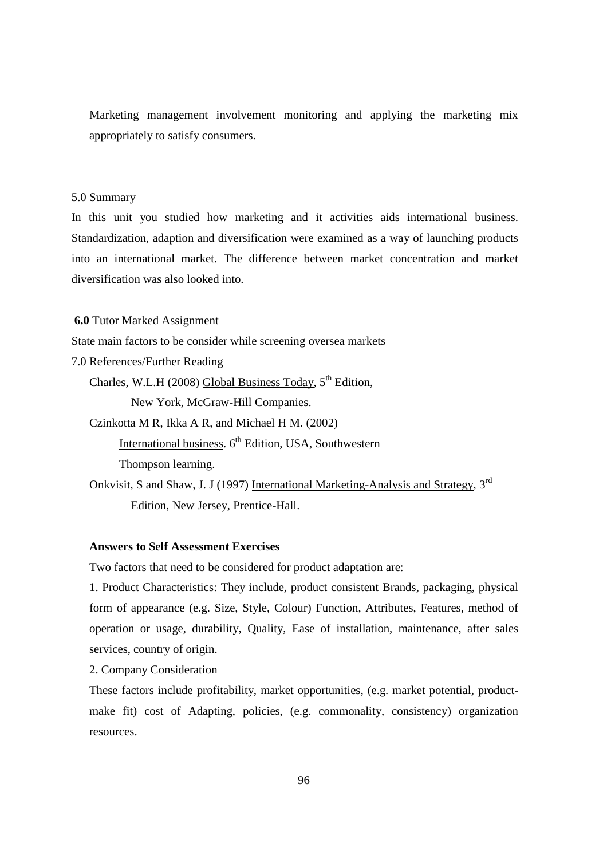Marketing management involvement monitoring and applying the marketing mix appropriately to satisfy consumers.

# 5.0 Summary

In this unit you studied how marketing and it activities aids international business. Standardization, adaption and diversification were examined as a way of launching products into an international market. The difference between market concentration and market diversification was also looked into.

## **6.0** Tutor Marked Assignment

State main factors to be consider while screening oversea markets

7.0 References/Further Reading

Charles, W.L.H (2008) Global Business Today,  $5<sup>th</sup>$  Edition, New York, McGraw-Hill Companies.

Czinkotta M R, Ikka A R, and Michael H M. (2002) International business,  $6<sup>th</sup>$  Edition, USA, Southwestern

Thompson learning.

Onkvisit, S and Shaw, J. J (1997) International Marketing-Analysis and Strategy, 3<sup>rd</sup> Edition, New Jersey, Prentice-Hall.

#### **Answers to Self Assessment Exercises**

Two factors that need to be considered for product adaptation are:

1. Product Characteristics: They include, product consistent Brands, packaging, physical form of appearance (e.g. Size, Style, Colour) Function, Attributes, Features, method of operation or usage, durability, Quality, Ease of installation, maintenance, after sales services, country of origin.

2. Company Consideration

These factors include profitability, market opportunities, (e.g. market potential, productmake fit) cost of Adapting, policies, (e.g. commonality, consistency) organization resources.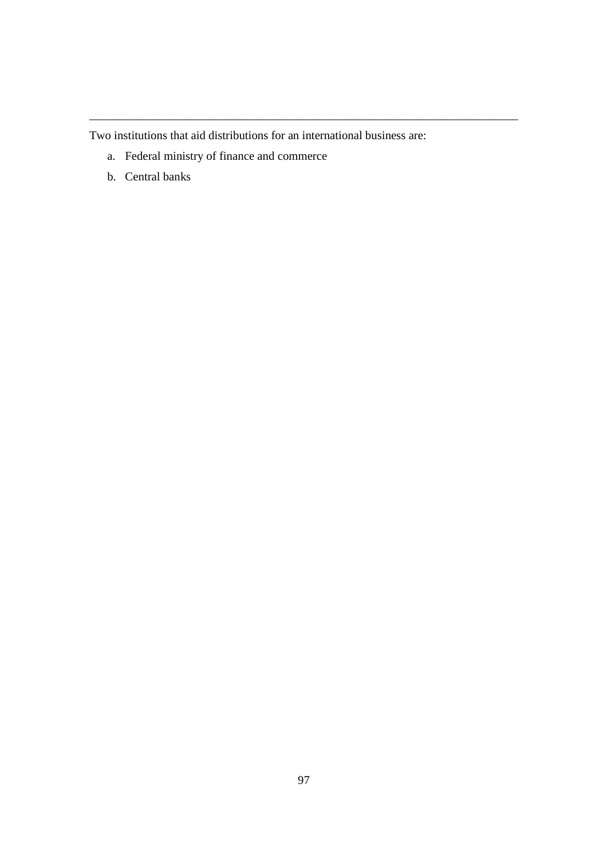Two institutions that aid distributions for an international business are:

\_\_\_\_\_\_\_\_\_\_\_\_\_\_\_\_\_\_\_\_\_\_\_\_\_\_\_\_\_\_\_\_\_\_\_\_\_\_\_\_\_\_\_\_\_\_\_\_\_\_\_\_\_\_\_\_\_\_\_\_\_\_\_\_\_\_\_\_\_\_\_\_

- a. Federal ministry of finance and commerce
- b. Central banks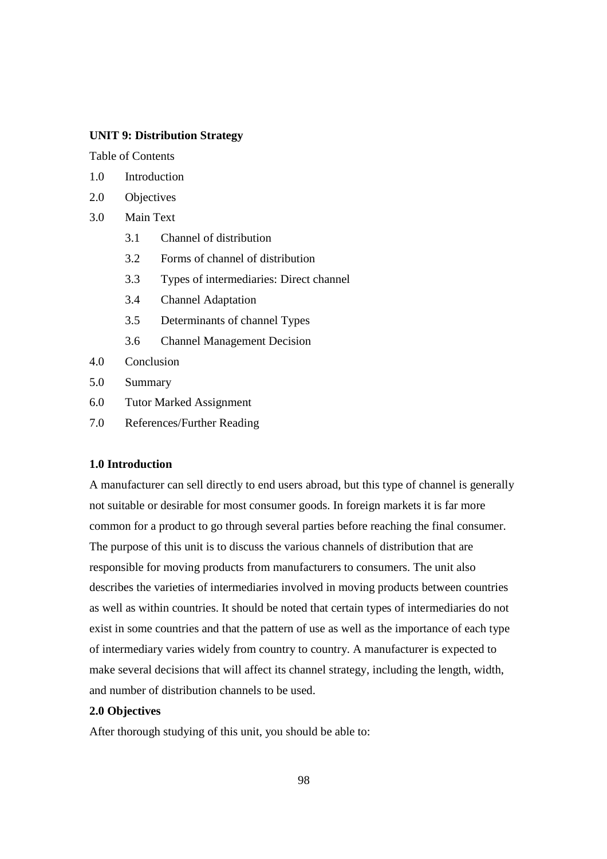# **UNIT 9: Distribution Strategy**

Table of Contents

- 1.0 Introduction
- 2.0 Objectives
- 3.0 Main Text
	- 3.1 Channel of distribution
	- 3.2 Forms of channel of distribution
	- 3.3 Types of intermediaries: Direct channel
	- 3.4 Channel Adaptation
	- 3.5 Determinants of channel Types
	- 3.6 Channel Management Decision
- 4.0 Conclusion
- 5.0 Summary
- 6.0 Tutor Marked Assignment
- 7.0 References/Further Reading

# **1.0 Introduction**

A manufacturer can sell directly to end users abroad, but this type of channel is generally not suitable or desirable for most consumer goods. In foreign markets it is far more common for a product to go through several parties before reaching the final consumer. The purpose of this unit is to discuss the various channels of distribution that are responsible for moving products from manufacturers to consumers. The unit also describes the varieties of intermediaries involved in moving products between countries as well as within countries. It should be noted that certain types of intermediaries do not exist in some countries and that the pattern of use as well as the importance of each type of intermediary varies widely from country to country. A manufacturer is expected to make several decisions that will affect its channel strategy, including the length, width, and number of distribution channels to be used.

#### **2.0 Objectives**

After thorough studying of this unit, you should be able to: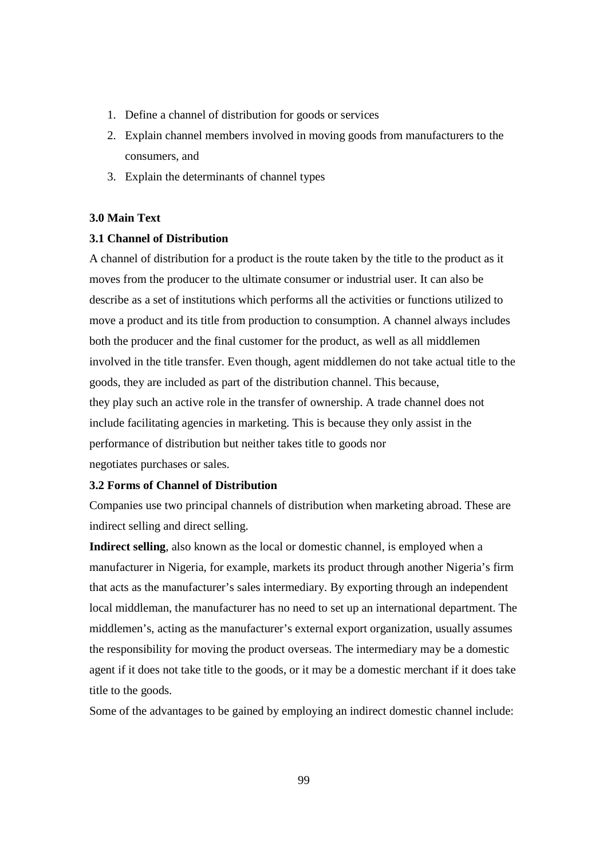- 1. Define a channel of distribution for goods or services
- 2. Explain channel members involved in moving goods from manufacturers to the consumers, and
- 3. Explain the determinants of channel types

# **3.0 Main Text**

# **3.1 Channel of Distribution**

A channel of distribution for a product is the route taken by the title to the product as it moves from the producer to the ultimate consumer or industrial user. It can also be describe as a set of institutions which performs all the activities or functions utilized to move a product and its title from production to consumption. A channel always includes both the producer and the final customer for the product, as well as all middlemen involved in the title transfer. Even though, agent middlemen do not take actual title to the goods, they are included as part of the distribution channel. This because, they play such an active role in the transfer of ownership. A trade channel does not include facilitating agencies in marketing. This is because they only assist in the performance of distribution but neither takes title to goods nor negotiates purchases or sales.

## **3.2 Forms of Channel of Distribution**

Companies use two principal channels of distribution when marketing abroad. These are indirect selling and direct selling.

**Indirect selling**, also known as the local or domestic channel, is employed when a manufacturer in Nigeria, for example, markets its product through another Nigeria's firm that acts as the manufacturer's sales intermediary. By exporting through an independent local middleman, the manufacturer has no need to set up an international department. The middlemen's, acting as the manufacturer's external export organization, usually assumes the responsibility for moving the product overseas. The intermediary may be a domestic agent if it does not take title to the goods, or it may be a domestic merchant if it does take title to the goods.

Some of the advantages to be gained by employing an indirect domestic channel include: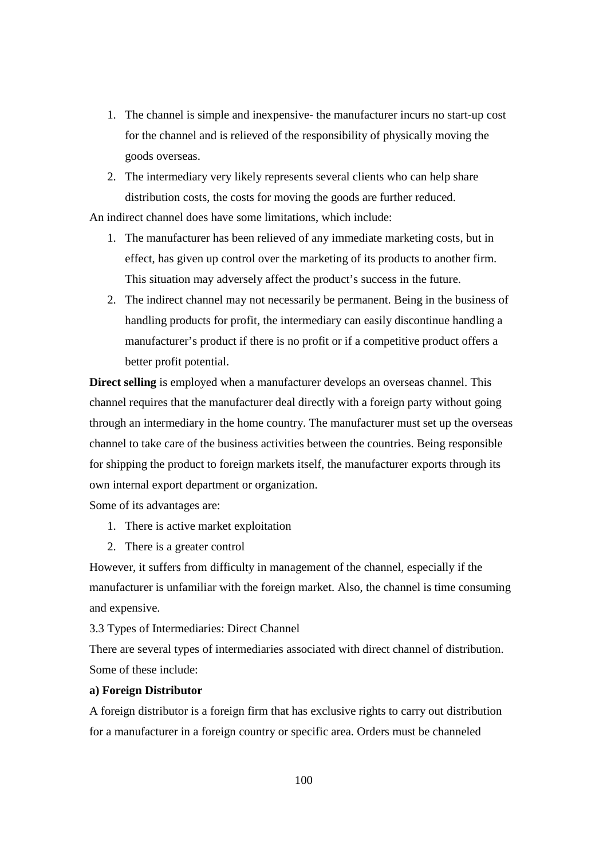- 1. The channel is simple and inexpensive- the manufacturer incurs no start-up cost for the channel and is relieved of the responsibility of physically moving the goods overseas.
- 2. The intermediary very likely represents several clients who can help share distribution costs, the costs for moving the goods are further reduced.

An indirect channel does have some limitations, which include:

- 1. The manufacturer has been relieved of any immediate marketing costs, but in effect, has given up control over the marketing of its products to another firm. This situation may adversely affect the product's success in the future.
- 2. The indirect channel may not necessarily be permanent. Being in the business of handling products for profit, the intermediary can easily discontinue handling a manufacturer's product if there is no profit or if a competitive product offers a better profit potential.

**Direct selling** is employed when a manufacturer develops an overseas channel. This channel requires that the manufacturer deal directly with a foreign party without going through an intermediary in the home country. The manufacturer must set up the overseas channel to take care of the business activities between the countries. Being responsible for shipping the product to foreign markets itself, the manufacturer exports through its own internal export department or organization.

Some of its advantages are:

- 1. There is active market exploitation
- 2. There is a greater control

However, it suffers from difficulty in management of the channel, especially if the manufacturer is unfamiliar with the foreign market. Also, the channel is time consuming and expensive.

3.3 Types of Intermediaries: Direct Channel

There are several types of intermediaries associated with direct channel of distribution. Some of these include:

# **a) Foreign Distributor**

A foreign distributor is a foreign firm that has exclusive rights to carry out distribution for a manufacturer in a foreign country or specific area. Orders must be channeled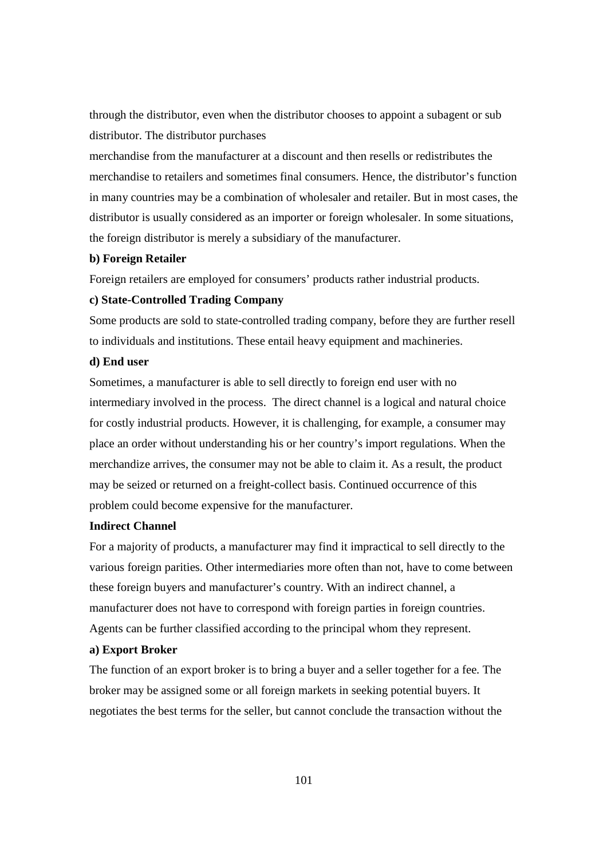through the distributor, even when the distributor chooses to appoint a subagent or sub distributor. The distributor purchases

merchandise from the manufacturer at a discount and then resells or redistributes the merchandise to retailers and sometimes final consumers. Hence, the distributor's function in many countries may be a combination of wholesaler and retailer. But in most cases, the distributor is usually considered as an importer or foreign wholesaler. In some situations, the foreign distributor is merely a subsidiary of the manufacturer.

#### **b) Foreign Retailer**

Foreign retailers are employed for consumers' products rather industrial products.

#### **c) State-Controlled Trading Company**

Some products are sold to state-controlled trading company, before they are further resell to individuals and institutions. These entail heavy equipment and machineries.

# **d) End user**

Sometimes, a manufacturer is able to sell directly to foreign end user with no intermediary involved in the process. The direct channel is a logical and natural choice for costly industrial products. However, it is challenging, for example, a consumer may place an order without understanding his or her country's import regulations. When the merchandize arrives, the consumer may not be able to claim it. As a result, the product may be seized or returned on a freight-collect basis. Continued occurrence of this problem could become expensive for the manufacturer.

## **Indirect Channel**

For a majority of products, a manufacturer may find it impractical to sell directly to the various foreign parities. Other intermediaries more often than not, have to come between these foreign buyers and manufacturer's country. With an indirect channel, a manufacturer does not have to correspond with foreign parties in foreign countries. Agents can be further classified according to the principal whom they represent.

#### **a) Export Broker**

The function of an export broker is to bring a buyer and a seller together for a fee. The broker may be assigned some or all foreign markets in seeking potential buyers. It negotiates the best terms for the seller, but cannot conclude the transaction without the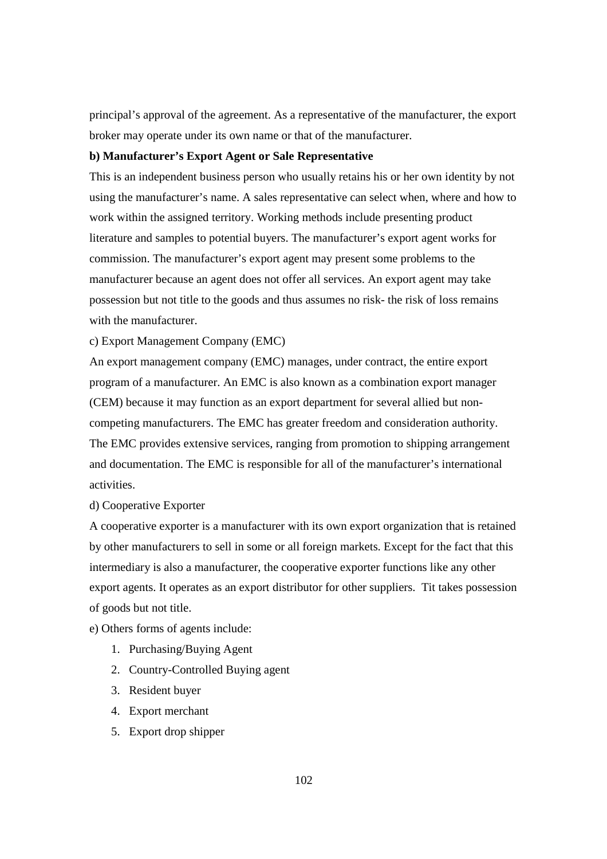principal's approval of the agreement. As a representative of the manufacturer, the export broker may operate under its own name or that of the manufacturer.

# **b) Manufacturer's Export Agent or Sale Representative**

This is an independent business person who usually retains his or her own identity by not using the manufacturer's name. A sales representative can select when, where and how to work within the assigned territory. Working methods include presenting product literature and samples to potential buyers. The manufacturer's export agent works for commission. The manufacturer's export agent may present some problems to the manufacturer because an agent does not offer all services. An export agent may take possession but not title to the goods and thus assumes no risk- the risk of loss remains with the manufacturer.

c) Export Management Company (EMC)

An export management company (EMC) manages, under contract, the entire export program of a manufacturer. An EMC is also known as a combination export manager (CEM) because it may function as an export department for several allied but noncompeting manufacturers. The EMC has greater freedom and consideration authority. The EMC provides extensive services, ranging from promotion to shipping arrangement and documentation. The EMC is responsible for all of the manufacturer's international activities.

#### d) Cooperative Exporter

A cooperative exporter is a manufacturer with its own export organization that is retained by other manufacturers to sell in some or all foreign markets. Except for the fact that this intermediary is also a manufacturer, the cooperative exporter functions like any other export agents. It operates as an export distributor for other suppliers. Tit takes possession of goods but not title.

e) Others forms of agents include:

- 1. Purchasing/Buying Agent
- 2. Country-Controlled Buying agent
- 3. Resident buyer
- 4. Export merchant
- 5. Export drop shipper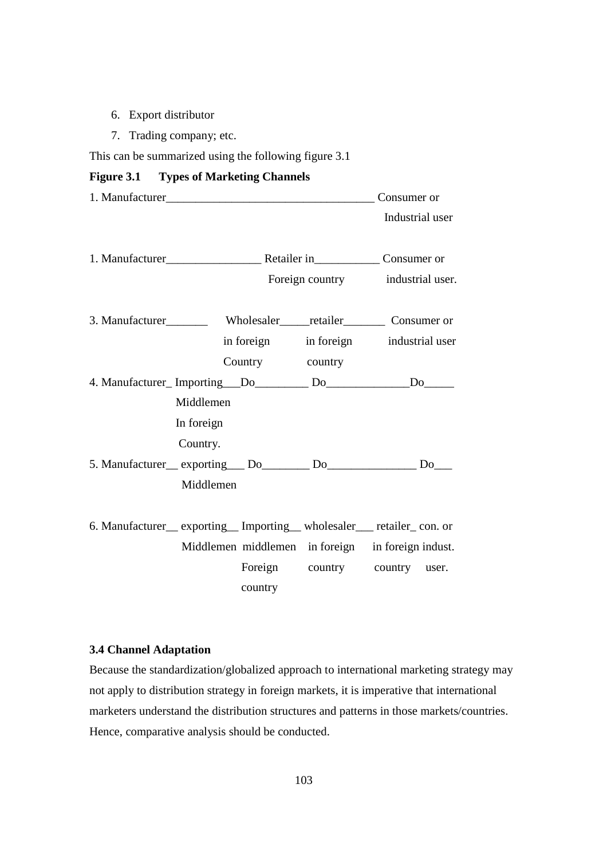- 6. Export distributor
- 7. Trading company; etc.

This can be summarized using the following figure 3.1

# **Figure 3.1 Types of Marketing Channels**

|            |                                  |  | Consumer or                                                                  |
|------------|----------------------------------|--|------------------------------------------------------------------------------|
|            |                                  |  | Industrial user                                                              |
|            |                                  |  |                                                                              |
|            |                                  |  |                                                                              |
|            | Foreign country industrial user. |  |                                                                              |
|            |                                  |  |                                                                              |
|            |                                  |  |                                                                              |
|            |                                  |  | in foreign in foreign industrial user                                        |
|            | Country country                  |  |                                                                              |
|            |                                  |  | 4. Manufacturer_Importing___Do_________Do_____________Do_______              |
| Middlemen  |                                  |  |                                                                              |
| In foreign |                                  |  |                                                                              |
| Country.   |                                  |  |                                                                              |
|            |                                  |  | 5. Manufacturer_exporting__Do_____Do_______Do_________Do___                  |
| Middlemen  |                                  |  |                                                                              |
|            |                                  |  |                                                                              |
|            |                                  |  | 6. Manufacturer __ exporting __ Importing __ wholesaler ___ retailer con. or |
|            |                                  |  | Middlemen middlemen in foreign in foreign indust.                            |
|            |                                  |  | Foreign country country user.                                                |
|            | country                          |  |                                                                              |

#### **3.4 Channel Adaptation**

Because the standardization/globalized approach to international marketing strategy may not apply to distribution strategy in foreign markets, it is imperative that international marketers understand the distribution structures and patterns in those markets/countries. Hence, comparative analysis should be conducted.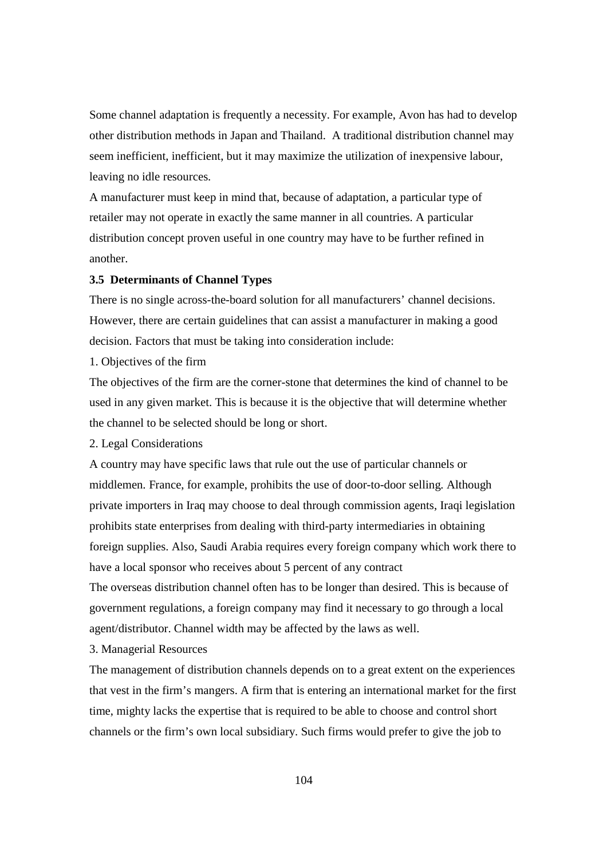Some channel adaptation is frequently a necessity. For example, Avon has had to develop other distribution methods in Japan and Thailand. A traditional distribution channel may seem inefficient, inefficient, but it may maximize the utilization of inexpensive labour, leaving no idle resources.

A manufacturer must keep in mind that, because of adaptation, a particular type of retailer may not operate in exactly the same manner in all countries. A particular distribution concept proven useful in one country may have to be further refined in another.

#### **3.5 Determinants of Channel Types**

There is no single across-the-board solution for all manufacturers' channel decisions. However, there are certain guidelines that can assist a manufacturer in making a good decision. Factors that must be taking into consideration include:

1. Objectives of the firm

The objectives of the firm are the corner-stone that determines the kind of channel to be used in any given market. This is because it is the objective that will determine whether the channel to be selected should be long or short.

2. Legal Considerations

A country may have specific laws that rule out the use of particular channels or middlemen. France, for example, prohibits the use of door-to-door selling. Although private importers in Iraq may choose to deal through commission agents, Iraqi legislation prohibits state enterprises from dealing with third-party intermediaries in obtaining foreign supplies. Also, Saudi Arabia requires every foreign company which work there to have a local sponsor who receives about 5 percent of any contract

The overseas distribution channel often has to be longer than desired. This is because of government regulations, a foreign company may find it necessary to go through a local agent/distributor. Channel width may be affected by the laws as well.

3. Managerial Resources

The management of distribution channels depends on to a great extent on the experiences that vest in the firm's mangers. A firm that is entering an international market for the first time, mighty lacks the expertise that is required to be able to choose and control short channels or the firm's own local subsidiary. Such firms would prefer to give the job to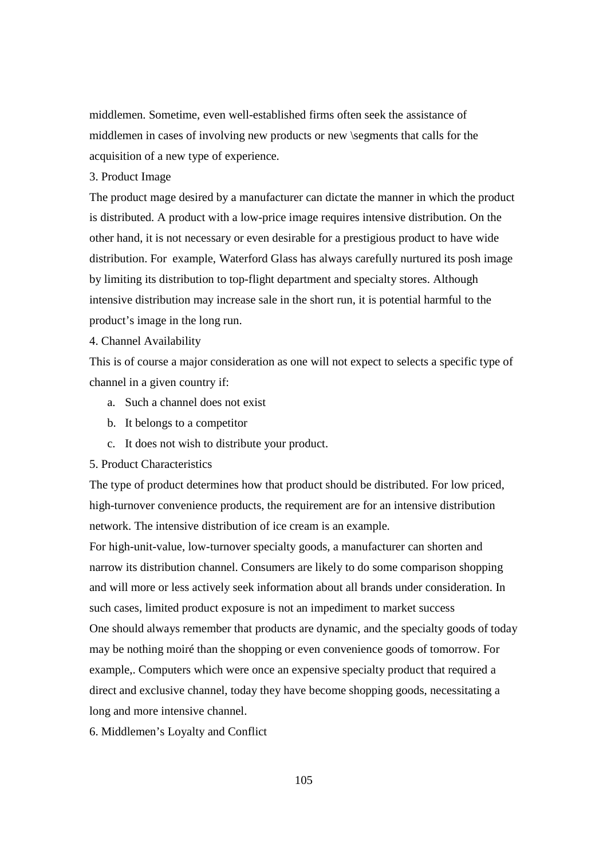middlemen. Sometime, even well-established firms often seek the assistance of middlemen in cases of involving new products or new \segments that calls for the acquisition of a new type of experience.

# 3. Product Image

The product mage desired by a manufacturer can dictate the manner in which the product is distributed. A product with a low-price image requires intensive distribution. On the other hand, it is not necessary or even desirable for a prestigious product to have wide distribution. For example, Waterford Glass has always carefully nurtured its posh image by limiting its distribution to top-flight department and specialty stores. Although intensive distribution may increase sale in the short run, it is potential harmful to the product's image in the long run.

## 4. Channel Availability

This is of course a major consideration as one will not expect to selects a specific type of channel in a given country if:

- a. Such a channel does not exist
- b. It belongs to a competitor
- c. It does not wish to distribute your product.
- 5. Product Characteristics

The type of product determines how that product should be distributed. For low priced, high-turnover convenience products, the requirement are for an intensive distribution network. The intensive distribution of ice cream is an example.

For high-unit-value, low-turnover specialty goods, a manufacturer can shorten and narrow its distribution channel. Consumers are likely to do some comparison shopping and will more or less actively seek information about all brands under consideration. In such cases, limited product exposure is not an impediment to market success One should always remember that products are dynamic, and the specialty goods of today may be nothing moiré than the shopping or even convenience goods of tomorrow. For example,. Computers which were once an expensive specialty product that required a direct and exclusive channel, today they have become shopping goods, necessitating a long and more intensive channel.

6. Middlemen's Loyalty and Conflict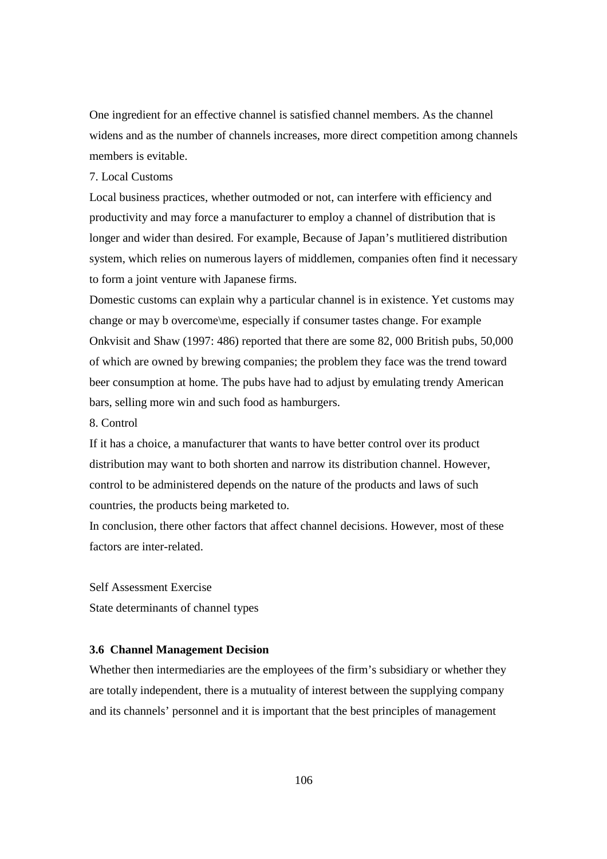One ingredient for an effective channel is satisfied channel members. As the channel widens and as the number of channels increases, more direct competition among channels members is evitable.

# 7. Local Customs

Local business practices, whether outmoded or not, can interfere with efficiency and productivity and may force a manufacturer to employ a channel of distribution that is longer and wider than desired. For example, Because of Japan's mutlitiered distribution system, which relies on numerous layers of middlemen, companies often find it necessary to form a joint venture with Japanese firms.

Domestic customs can explain why a particular channel is in existence. Yet customs may change or may b overcome\me, especially if consumer tastes change. For example Onkvisit and Shaw (1997: 486) reported that there are some 82, 000 British pubs, 50,000 of which are owned by brewing companies; the problem they face was the trend toward beer consumption at home. The pubs have had to adjust by emulating trendy American bars, selling more win and such food as hamburgers.

8. Control

If it has a choice, a manufacturer that wants to have better control over its product distribution may want to both shorten and narrow its distribution channel. However, control to be administered depends on the nature of the products and laws of such countries, the products being marketed to.

In conclusion, there other factors that affect channel decisions. However, most of these factors are inter-related.

Self Assessment Exercise State determinants of channel types

#### **3.6 Channel Management Decision**

Whether then intermediaries are the employees of the firm's subsidiary or whether they are totally independent, there is a mutuality of interest between the supplying company and its channels' personnel and it is important that the best principles of management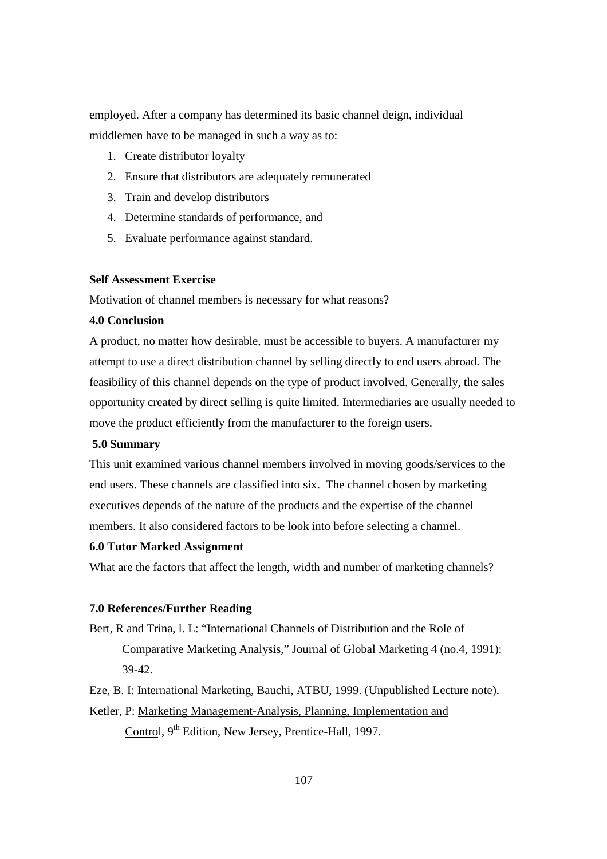employed. After a company has determined its basic channel deign, individual middlemen have to be managed in such a way as to:

- 1. Create distributor loyalty
- 2. Ensure that distributors are adequately remunerated
- 3. Train and develop distributors
- 4. Determine standards of performance, and
- 5. Evaluate performance against standard.

#### **Self Assessment Exercise**

Motivation of channel members is necessary for what reasons?

# **4.0 Conclusion**

A product, no matter how desirable, must be accessible to buyers. A manufacturer my attempt to use a direct distribution channel by selling directly to end users abroad. The feasibility of this channel depends on the type of product involved. Generally, the sales opportunity created by direct selling is quite limited. Intermediaries are usually needed to move the product efficiently from the manufacturer to the foreign users.

## **5.0 Summary**

This unit examined various channel members involved in moving goods/services to the end users. These channels are classified into six. The channel chosen by marketing executives depends of the nature of the products and the expertise of the channel members. It also considered factors to be look into before selecting a channel.

#### **6.0 Tutor Marked Assignment**

What are the factors that affect the length, width and number of marketing channels?

#### **7.0 References/Further Reading**

Bert, R and Trina, l. L: "International Channels of Distribution and the Role of Comparative Marketing Analysis," Journal of Global Marketing 4 (no.4, 1991): 39-42.

Eze, B. I: International Marketing, Bauchi, ATBU, 1999. (Unpublished Lecture note).

Ketler, P: Marketing Management-Analysis, Planning, Implementation and

Control, 9<sup>th</sup> Edition, New Jersey, Prentice-Hall, 1997.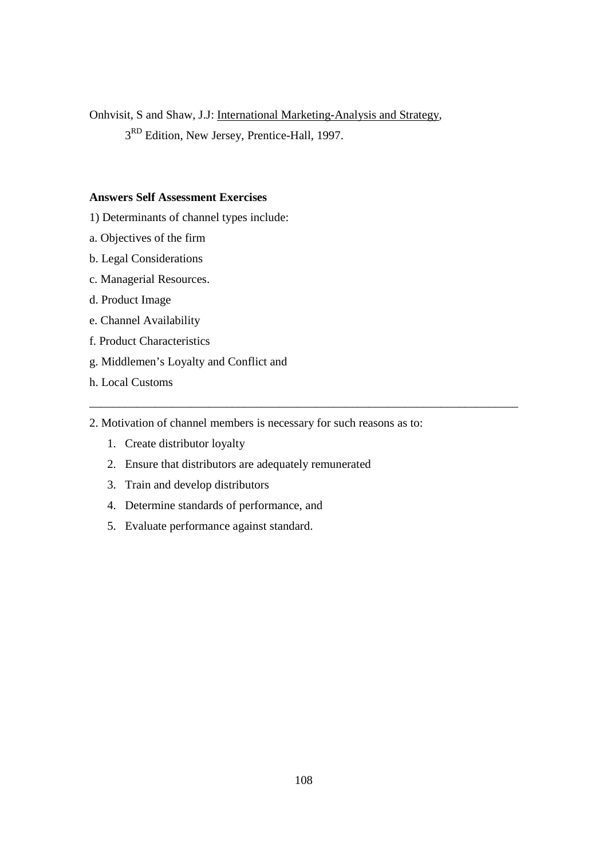Onhvisit, S and Shaw, J.J: International Marketing-Analysis and Strategy,

3<sup>RD</sup> Edition, New Jersey, Prentice-Hall, 1997.

# **Answers Self Assessment Exercises**

- 1) Determinants of channel types include:
- a. Objectives of the firm
- b. Legal Considerations
- c. Managerial Resources.
- d. Product Image
- e. Channel Availability
- f. Product Characteristics
- g. Middlemen's Loyalty and Conflict and
- h. Local Customs

2. Motivation of channel members is necessary for such reasons as to:

\_\_\_\_\_\_\_\_\_\_\_\_\_\_\_\_\_\_\_\_\_\_\_\_\_\_\_\_\_\_\_\_\_\_\_\_\_\_\_\_\_\_\_\_\_\_\_\_\_\_\_\_\_\_\_\_\_\_\_\_\_\_\_\_\_\_\_\_\_\_\_\_

- 1. Create distributor loyalty
- 2. Ensure that distributors are adequately remunerated
- 3. Train and develop distributors
- 4. Determine standards of performance, and
- 5. Evaluate performance against standard.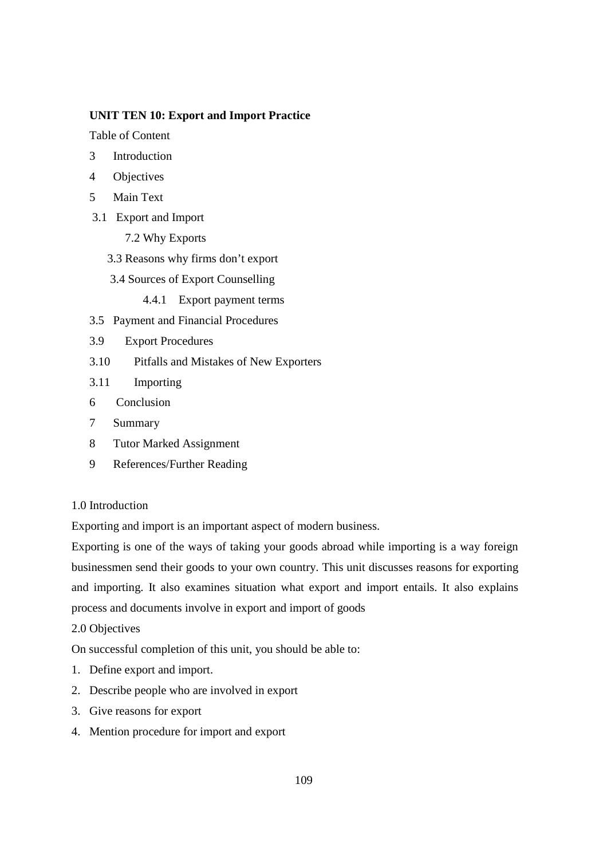### **UNIT TEN 10: Export and Import Practice**

Table of Content

- 3 Introduction
- 4 Objectives
- 5 Main Text
- 3.1 Export and Import
	- 7.2 Why Exports
	- 3.3 Reasons why firms don't export
	- 3.4 Sources of Export Counselling
		- 4.4.1 Export payment terms
- 3.5 Payment and Financial Procedures
- 3.9 Export Procedures
- 3.10 Pitfalls and Mistakes of New Exporters
- 3.11 Importing
- 6 Conclusion
- 7 Summary
- 8 Tutor Marked Assignment
- 9 References/Further Reading

## 1.0 Introduction

Exporting and import is an important aspect of modern business.

Exporting is one of the ways of taking your goods abroad while importing is a way foreign businessmen send their goods to your own country. This unit discusses reasons for exporting and importing. It also examines situation what export and import entails. It also explains process and documents involve in export and import of goods

2.0 Objectives

On successful completion of this unit, you should be able to:

- 1. Define export and import.
- 2. Describe people who are involved in export
- 3. Give reasons for export
- 4. Mention procedure for import and export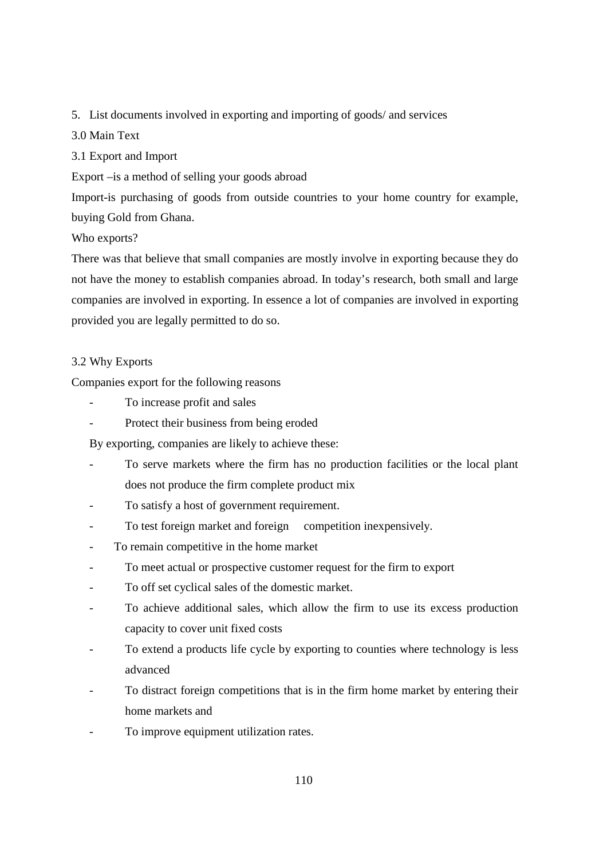## 5. List documents involved in exporting and importing of goods/ and services

## 3.0 Main Text

3.1 Export and Import

Export –is a method of selling your goods abroad

Import-is purchasing of goods from outside countries to your home country for example, buying Gold from Ghana.

## Who exports?

There was that believe that small companies are mostly involve in exporting because they do not have the money to establish companies abroad. In today's research, both small and large companies are involved in exporting. In essence a lot of companies are involved in exporting provided you are legally permitted to do so.

## 3.2 Why Exports

Companies export for the following reasons

- To increase profit and sales
- Protect their business from being eroded

By exporting, companies are likely to achieve these:

- To serve markets where the firm has no production facilities or the local plant does not produce the firm complete product mix
- To satisfy a host of government requirement.
- To test foreign market and foreign competition inexpensively.
- To remain competitive in the home market
- To meet actual or prospective customer request for the firm to export
- To off set cyclical sales of the domestic market.
- To achieve additional sales, which allow the firm to use its excess production capacity to cover unit fixed costs
- To extend a products life cycle by exporting to counties where technology is less advanced
- To distract foreign competitions that is in the firm home market by entering their home markets and
- To improve equipment utilization rates.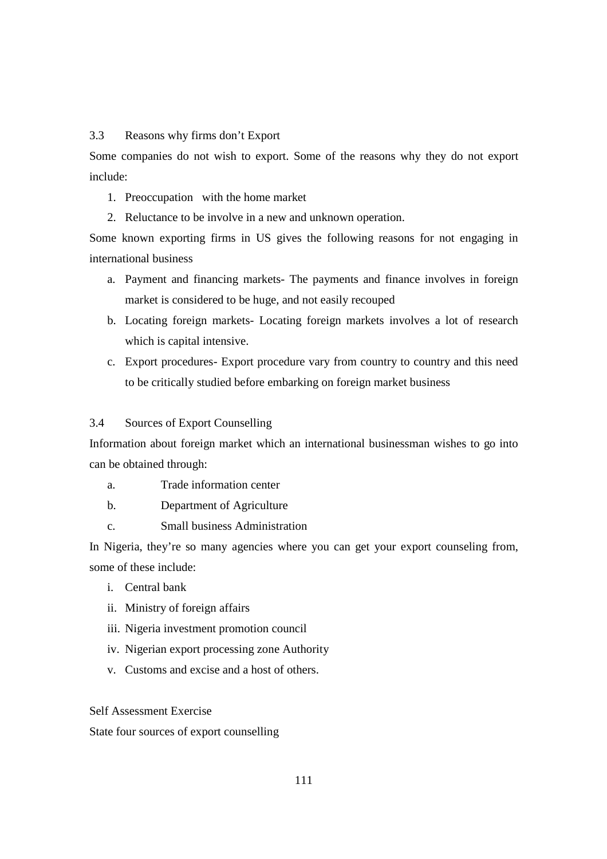3.3 Reasons why firms don't Export

Some companies do not wish to export. Some of the reasons why they do not export include:

- 1. Preoccupation with the home market
- 2. Reluctance to be involve in a new and unknown operation.

Some known exporting firms in US gives the following reasons for not engaging in international business

- a. Payment and financing markets- The payments and finance involves in foreign market is considered to be huge, and not easily recouped
- b. Locating foreign markets- Locating foreign markets involves a lot of research which is capital intensive.
- c. Export procedures- Export procedure vary from country to country and this need to be critically studied before embarking on foreign market business

## 3.4 Sources of Export Counselling

Information about foreign market which an international businessman wishes to go into can be obtained through:

- a. Trade information center
- b. Department of Agriculture
- c. Small business Administration

In Nigeria, they're so many agencies where you can get your export counseling from, some of these include:

- i. Central bank
- ii. Ministry of foreign affairs
- iii. Nigeria investment promotion council
- iv. Nigerian export processing zone Authority
- v. Customs and excise and a host of others.

Self Assessment Exercise

State four sources of export counselling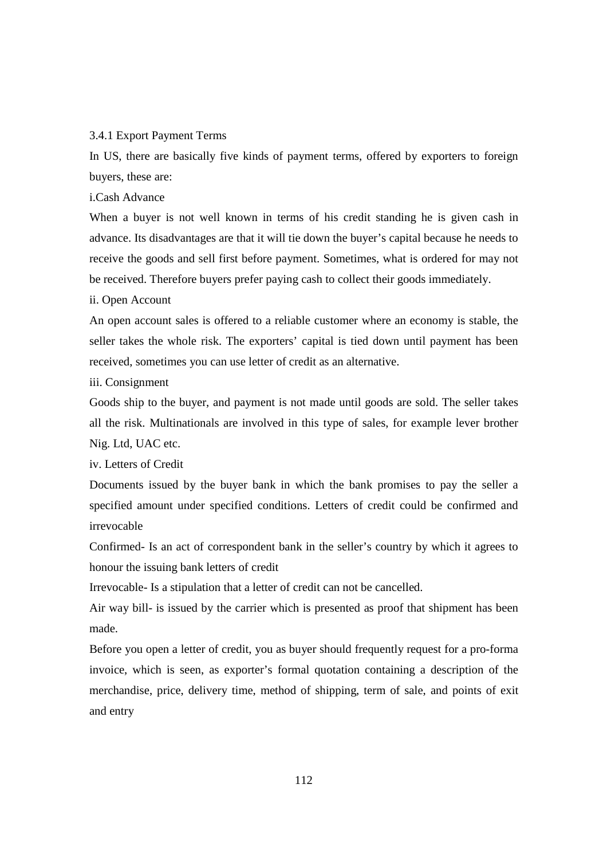#### 3.4.1 Export Payment Terms

In US, there are basically five kinds of payment terms, offered by exporters to foreign buyers, these are:

i.Cash Advance

When a buyer is not well known in terms of his credit standing he is given cash in advance. Its disadvantages are that it will tie down the buyer's capital because he needs to receive the goods and sell first before payment. Sometimes, what is ordered for may not be received. Therefore buyers prefer paying cash to collect their goods immediately.

ii. Open Account

An open account sales is offered to a reliable customer where an economy is stable, the seller takes the whole risk. The exporters' capital is tied down until payment has been received, sometimes you can use letter of credit as an alternative.

iii. Consignment

Goods ship to the buyer, and payment is not made until goods are sold. The seller takes all the risk. Multinationals are involved in this type of sales, for example lever brother Nig. Ltd, UAC etc.

iv. Letters of Credit

Documents issued by the buyer bank in which the bank promises to pay the seller a specified amount under specified conditions. Letters of credit could be confirmed and irrevocable

Confirmed- Is an act of correspondent bank in the seller's country by which it agrees to honour the issuing bank letters of credit

Irrevocable- Is a stipulation that a letter of credit can not be cancelled.

Air way bill- is issued by the carrier which is presented as proof that shipment has been made.

Before you open a letter of credit, you as buyer should frequently request for a pro-forma invoice, which is seen, as exporter's formal quotation containing a description of the merchandise, price, delivery time, method of shipping, term of sale, and points of exit and entry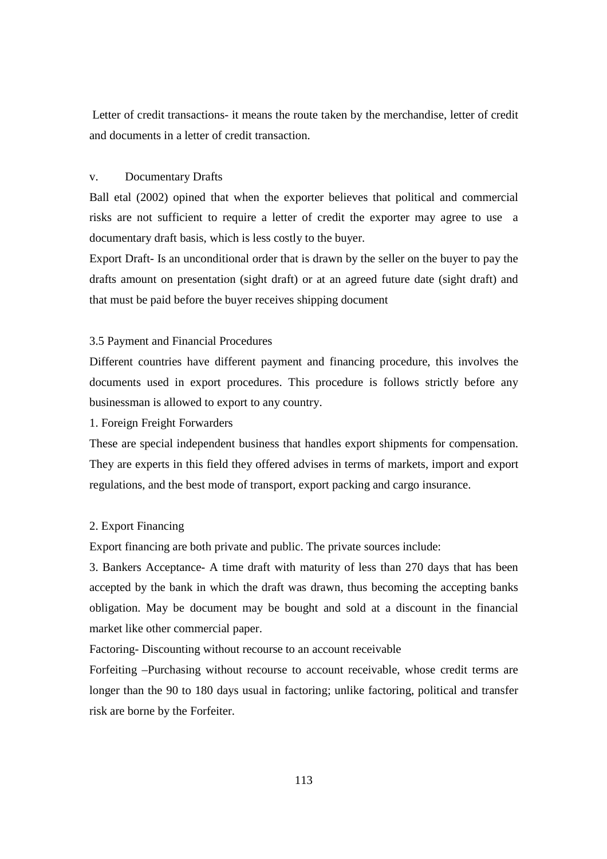Letter of credit transactions- it means the route taken by the merchandise, letter of credit and documents in a letter of credit transaction.

#### v. Documentary Drafts

Ball etal (2002) opined that when the exporter believes that political and commercial risks are not sufficient to require a letter of credit the exporter may agree to use a documentary draft basis, which is less costly to the buyer.

Export Draft- Is an unconditional order that is drawn by the seller on the buyer to pay the drafts amount on presentation (sight draft) or at an agreed future date (sight draft) and that must be paid before the buyer receives shipping document

### 3.5 Payment and Financial Procedures

Different countries have different payment and financing procedure, this involves the documents used in export procedures. This procedure is follows strictly before any businessman is allowed to export to any country.

1. Foreign Freight Forwarders

These are special independent business that handles export shipments for compensation. They are experts in this field they offered advises in terms of markets, import and export regulations, and the best mode of transport, export packing and cargo insurance.

#### 2. Export Financing

Export financing are both private and public. The private sources include:

3. Bankers Acceptance- A time draft with maturity of less than 270 days that has been accepted by the bank in which the draft was drawn, thus becoming the accepting banks obligation. May be document may be bought and sold at a discount in the financial market like other commercial paper.

Factoring- Discounting without recourse to an account receivable

Forfeiting –Purchasing without recourse to account receivable, whose credit terms are longer than the 90 to 180 days usual in factoring; unlike factoring, political and transfer risk are borne by the Forfeiter.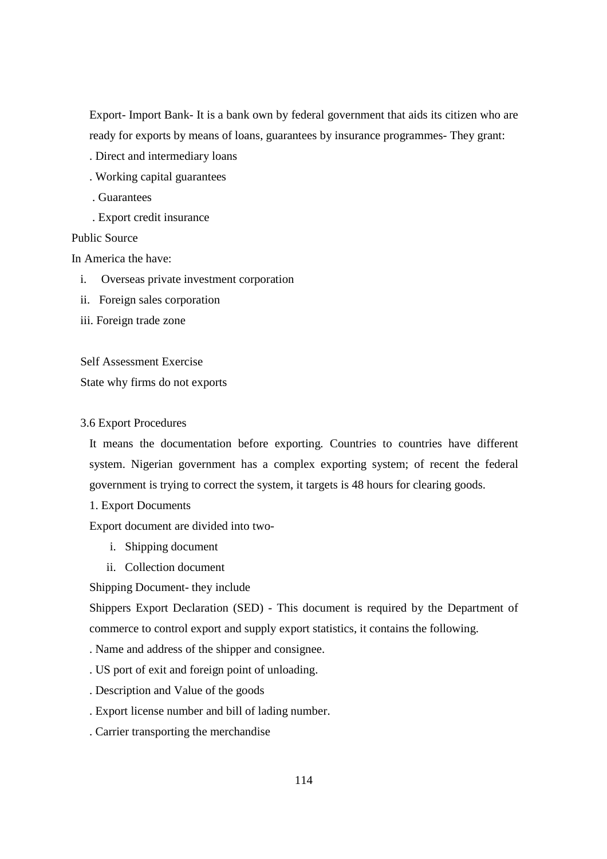Export- Import Bank- It is a bank own by federal government that aids its citizen who are ready for exports by means of loans, guarantees by insurance programmes- They grant:

- . Direct and intermediary loans
- . Working capital guarantees
- . Guarantees
- . Export credit insurance

### Public Source

In America the have:

- i. Overseas private investment corporation
- ii. Foreign sales corporation
- iii. Foreign trade zone

#### Self Assessment Exercise

State why firms do not exports

#### 3.6 Export Procedures

It means the documentation before exporting. Countries to countries have different system. Nigerian government has a complex exporting system; of recent the federal government is trying to correct the system, it targets is 48 hours for clearing goods.

1. Export Documents

Export document are divided into two-

- i. Shipping document
- ii. Collection document

Shipping Document- they include

Shippers Export Declaration (SED) - This document is required by the Department of commerce to control export and supply export statistics, it contains the following.

. Name and address of the shipper and consignee.

- . US port of exit and foreign point of unloading.
- . Description and Value of the goods
- . Export license number and bill of lading number.
- . Carrier transporting the merchandise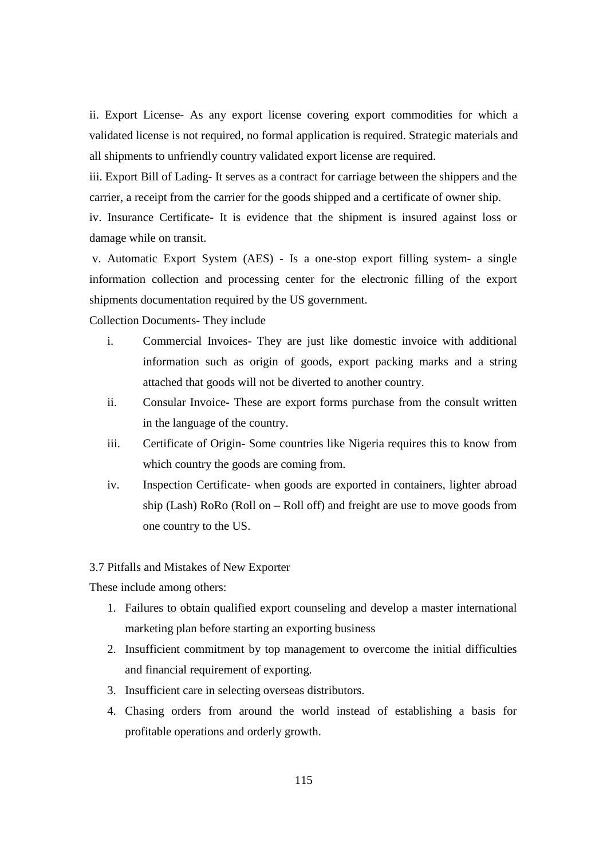ii. Export License- As any export license covering export commodities for which a validated license is not required, no formal application is required. Strategic materials and all shipments to unfriendly country validated export license are required.

iii. Export Bill of Lading- It serves as a contract for carriage between the shippers and the carrier, a receipt from the carrier for the goods shipped and a certificate of owner ship.

iv. Insurance Certificate- It is evidence that the shipment is insured against loss or damage while on transit.

 v. Automatic Export System (AES) - Is a one-stop export filling system- a single information collection and processing center for the electronic filling of the export shipments documentation required by the US government.

Collection Documents- They include

- i. Commercial Invoices- They are just like domestic invoice with additional information such as origin of goods, export packing marks and a string attached that goods will not be diverted to another country.
- ii. Consular Invoice- These are export forms purchase from the consult written in the language of the country.
- iii. Certificate of Origin- Some countries like Nigeria requires this to know from which country the goods are coming from.
- iv. Inspection Certificate- when goods are exported in containers, lighter abroad ship (Lash) RoRo (Roll on – Roll off) and freight are use to move goods from one country to the US.

#### 3.7 Pitfalls and Mistakes of New Exporter

These include among others:

- 1. Failures to obtain qualified export counseling and develop a master international marketing plan before starting an exporting business
- 2. Insufficient commitment by top management to overcome the initial difficulties and financial requirement of exporting.
- 3. Insufficient care in selecting overseas distributors.
- 4. Chasing orders from around the world instead of establishing a basis for profitable operations and orderly growth.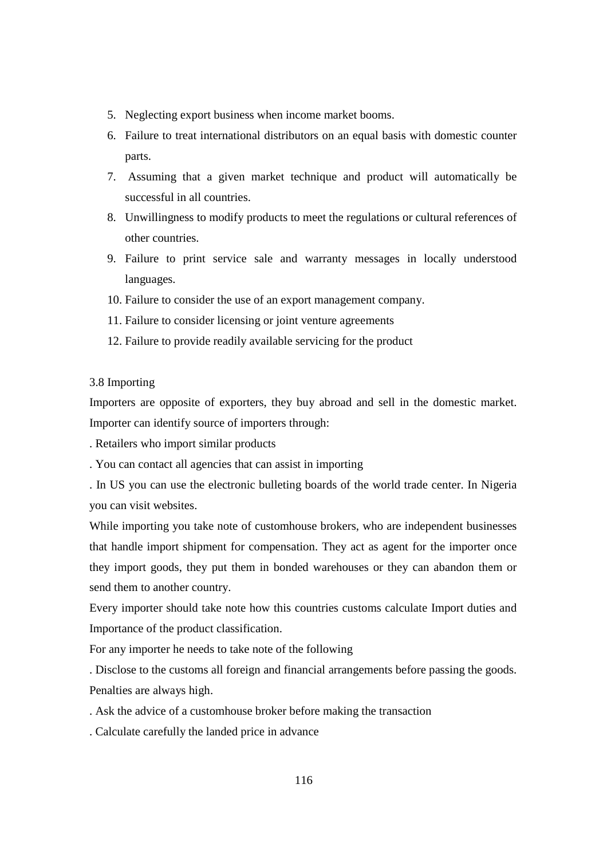- 5. Neglecting export business when income market booms.
- 6. Failure to treat international distributors on an equal basis with domestic counter parts.
- 7. Assuming that a given market technique and product will automatically be successful in all countries.
- 8. Unwillingness to modify products to meet the regulations or cultural references of other countries.
- 9. Failure to print service sale and warranty messages in locally understood languages.
- 10. Failure to consider the use of an export management company.
- 11. Failure to consider licensing or joint venture agreements
- 12. Failure to provide readily available servicing for the product

### 3.8 Importing

Importers are opposite of exporters, they buy abroad and sell in the domestic market. Importer can identify source of importers through:

. Retailers who import similar products

. You can contact all agencies that can assist in importing

. In US you can use the electronic bulleting boards of the world trade center. In Nigeria you can visit websites.

While importing you take note of customhouse brokers, who are independent businesses that handle import shipment for compensation. They act as agent for the importer once they import goods, they put them in bonded warehouses or they can abandon them or send them to another country.

Every importer should take note how this countries customs calculate Import duties and Importance of the product classification.

For any importer he needs to take note of the following

. Disclose to the customs all foreign and financial arrangements before passing the goods. Penalties are always high.

. Ask the advice of a customhouse broker before making the transaction

. Calculate carefully the landed price in advance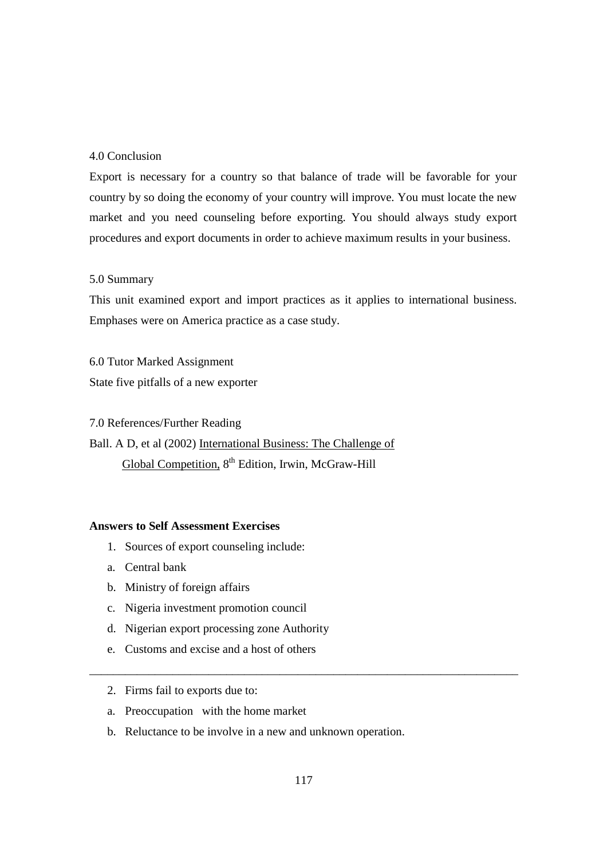### 4.0 Conclusion

Export is necessary for a country so that balance of trade will be favorable for your country by so doing the economy of your country will improve. You must locate the new market and you need counseling before exporting. You should always study export procedures and export documents in order to achieve maximum results in your business.

### 5.0 Summary

This unit examined export and import practices as it applies to international business. Emphases were on America practice as a case study.

6.0 Tutor Marked Assignment State five pitfalls of a new exporter

7.0 References/Further Reading Ball. A D, et al (2002) International Business: The Challenge of Global Competition, 8<sup>th</sup> Edition, Irwin, McGraw-Hill

## **Answers to Self Assessment Exercises**

- 1. Sources of export counseling include:
- a. Central bank
- b. Ministry of foreign affairs
- c. Nigeria investment promotion council
- d. Nigerian export processing zone Authority
- e. Customs and excise and a host of others
- 2. Firms fail to exports due to:
- a. Preoccupation with the home market
- b. Reluctance to be involve in a new and unknown operation.

\_\_\_\_\_\_\_\_\_\_\_\_\_\_\_\_\_\_\_\_\_\_\_\_\_\_\_\_\_\_\_\_\_\_\_\_\_\_\_\_\_\_\_\_\_\_\_\_\_\_\_\_\_\_\_\_\_\_\_\_\_\_\_\_\_\_\_\_\_\_\_\_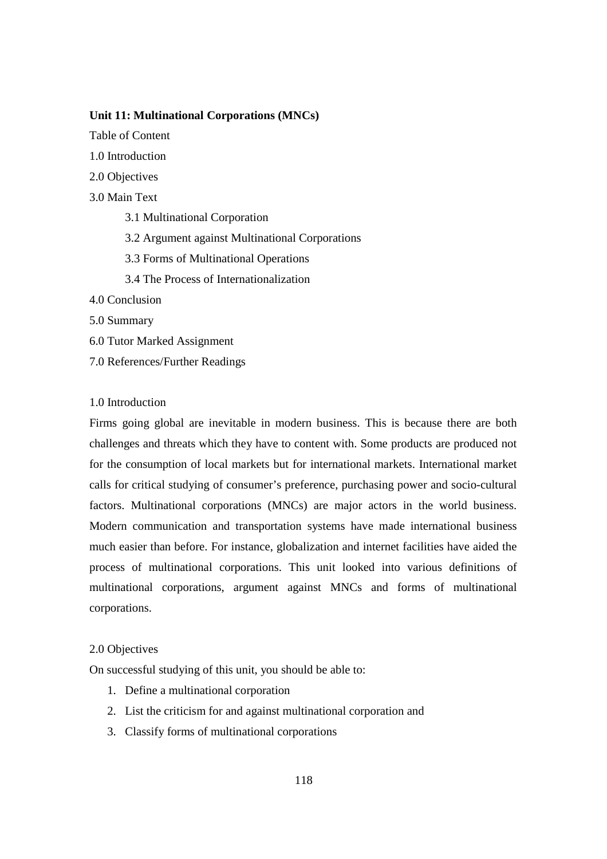### **Unit 11: Multinational Corporations (MNCs)**

Table of Content

- 1.0 Introduction
- 2.0 Objectives
- 3.0 Main Text
	- 3.1 Multinational Corporation
	- 3.2 Argument against Multinational Corporations
	- 3.3 Forms of Multinational Operations
	- 3.4 The Process of Internationalization
- 4.0 Conclusion
- 5.0 Summary
- 6.0 Tutor Marked Assignment
- 7.0 References/Further Readings

### 1.0 Introduction

Firms going global are inevitable in modern business. This is because there are both challenges and threats which they have to content with. Some products are produced not for the consumption of local markets but for international markets. International market calls for critical studying of consumer's preference, purchasing power and socio-cultural factors. Multinational corporations (MNCs) are major actors in the world business. Modern communication and transportation systems have made international business much easier than before. For instance, globalization and internet facilities have aided the process of multinational corporations. This unit looked into various definitions of multinational corporations, argument against MNCs and forms of multinational corporations.

#### 2.0 Objectives

On successful studying of this unit, you should be able to:

- 1. Define a multinational corporation
- 2. List the criticism for and against multinational corporation and
- 3. Classify forms of multinational corporations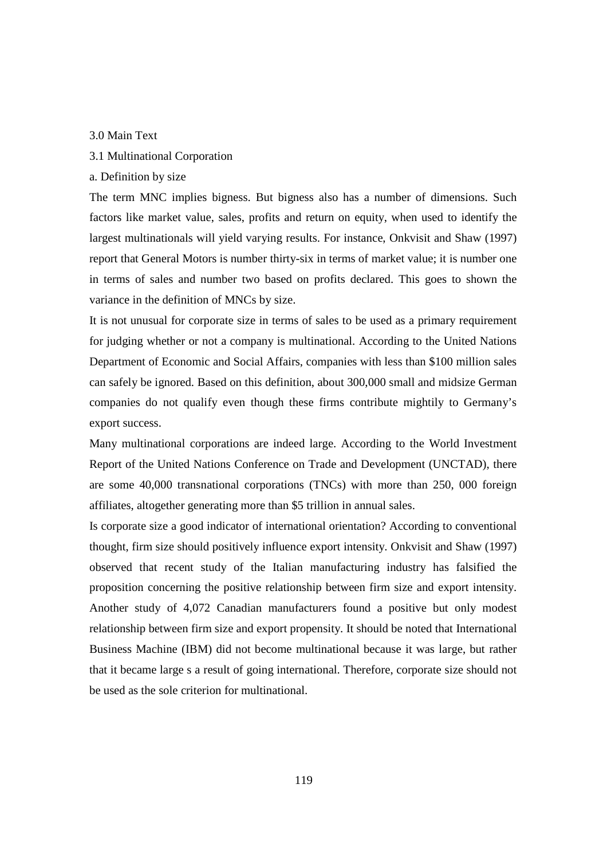#### 3.0 Main Text

## 3.1 Multinational Corporation

a. Definition by size

The term MNC implies bigness. But bigness also has a number of dimensions. Such factors like market value, sales, profits and return on equity, when used to identify the largest multinationals will yield varying results. For instance, Onkvisit and Shaw (1997) report that General Motors is number thirty-six in terms of market value; it is number one in terms of sales and number two based on profits declared. This goes to shown the variance in the definition of MNCs by size.

It is not unusual for corporate size in terms of sales to be used as a primary requirement for judging whether or not a company is multinational. According to the United Nations Department of Economic and Social Affairs, companies with less than \$100 million sales can safely be ignored. Based on this definition, about 300,000 small and midsize German companies do not qualify even though these firms contribute mightily to Germany's export success.

Many multinational corporations are indeed large. According to the World Investment Report of the United Nations Conference on Trade and Development (UNCTAD), there are some 40,000 transnational corporations (TNCs) with more than 250, 000 foreign affiliates, altogether generating more than \$5 trillion in annual sales.

Is corporate size a good indicator of international orientation? According to conventional thought, firm size should positively influence export intensity. Onkvisit and Shaw (1997) observed that recent study of the Italian manufacturing industry has falsified the proposition concerning the positive relationship between firm size and export intensity. Another study of 4,072 Canadian manufacturers found a positive but only modest relationship between firm size and export propensity. It should be noted that International Business Machine (IBM) did not become multinational because it was large, but rather that it became large s a result of going international. Therefore, corporate size should not be used as the sole criterion for multinational.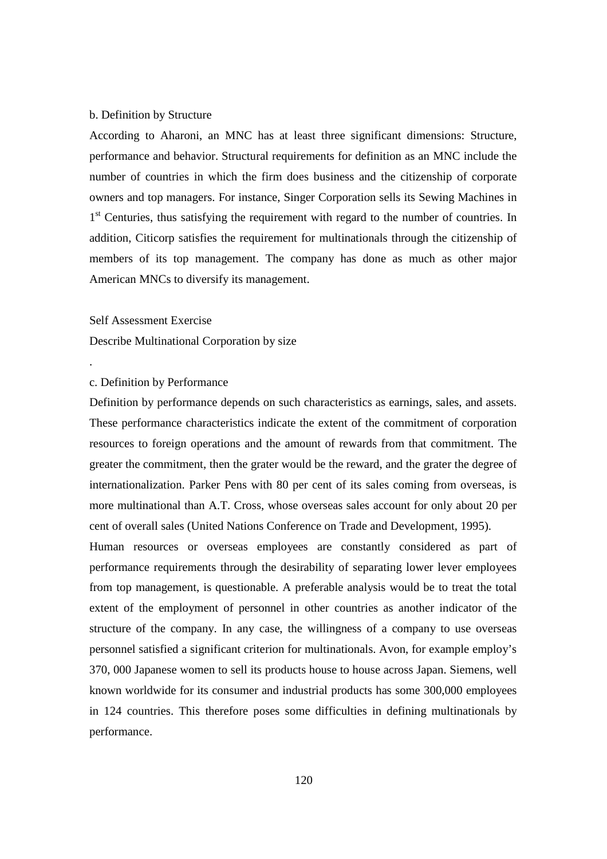#### b. Definition by Structure

According to Aharoni, an MNC has at least three significant dimensions: Structure, performance and behavior. Structural requirements for definition as an MNC include the number of countries in which the firm does business and the citizenship of corporate owners and top managers. For instance, Singer Corporation sells its Sewing Machines in 1<sup>st</sup> Centuries, thus satisfying the requirement with regard to the number of countries. In addition, Citicorp satisfies the requirement for multinationals through the citizenship of members of its top management. The company has done as much as other major American MNCs to diversify its management.

#### Self Assessment Exercise

.

Describe Multinational Corporation by size

#### c. Definition by Performance

Definition by performance depends on such characteristics as earnings, sales, and assets. These performance characteristics indicate the extent of the commitment of corporation resources to foreign operations and the amount of rewards from that commitment. The greater the commitment, then the grater would be the reward, and the grater the degree of internationalization. Parker Pens with 80 per cent of its sales coming from overseas, is more multinational than A.T. Cross, whose overseas sales account for only about 20 per cent of overall sales (United Nations Conference on Trade and Development, 1995).

Human resources or overseas employees are constantly considered as part of performance requirements through the desirability of separating lower lever employees from top management, is questionable. A preferable analysis would be to treat the total extent of the employment of personnel in other countries as another indicator of the structure of the company. In any case, the willingness of a company to use overseas personnel satisfied a significant criterion for multinationals. Avon, for example employ's 370, 000 Japanese women to sell its products house to house across Japan. Siemens, well known worldwide for its consumer and industrial products has some 300,000 employees in 124 countries. This therefore poses some difficulties in defining multinationals by performance.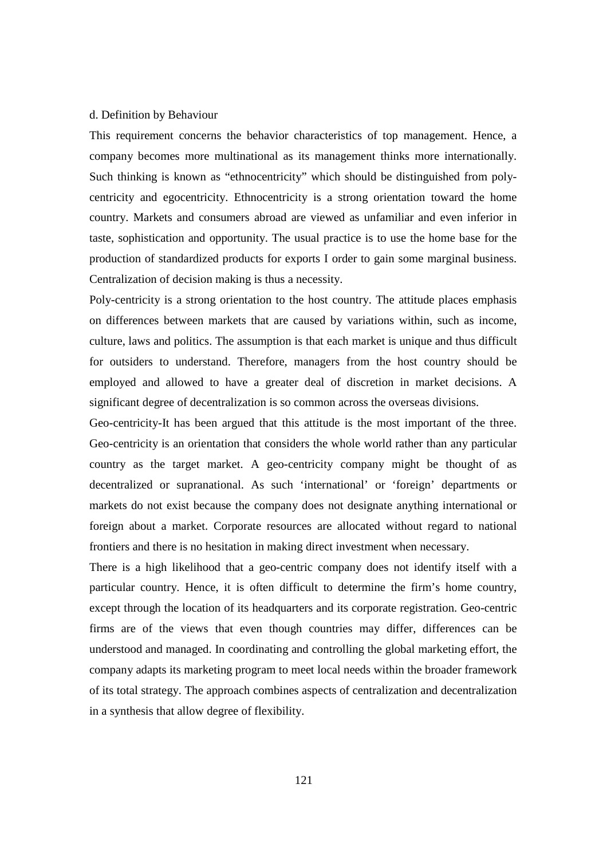#### d. Definition by Behaviour

This requirement concerns the behavior characteristics of top management. Hence, a company becomes more multinational as its management thinks more internationally. Such thinking is known as "ethnocentricity" which should be distinguished from polycentricity and egocentricity. Ethnocentricity is a strong orientation toward the home country. Markets and consumers abroad are viewed as unfamiliar and even inferior in taste, sophistication and opportunity. The usual practice is to use the home base for the production of standardized products for exports I order to gain some marginal business. Centralization of decision making is thus a necessity.

Poly-centricity is a strong orientation to the host country. The attitude places emphasis on differences between markets that are caused by variations within, such as income, culture, laws and politics. The assumption is that each market is unique and thus difficult for outsiders to understand. Therefore, managers from the host country should be employed and allowed to have a greater deal of discretion in market decisions. A significant degree of decentralization is so common across the overseas divisions.

Geo-centricity-It has been argued that this attitude is the most important of the three. Geo-centricity is an orientation that considers the whole world rather than any particular country as the target market. A geo-centricity company might be thought of as decentralized or supranational. As such 'international' or 'foreign' departments or markets do not exist because the company does not designate anything international or foreign about a market. Corporate resources are allocated without regard to national frontiers and there is no hesitation in making direct investment when necessary.

There is a high likelihood that a geo-centric company does not identify itself with a particular country. Hence, it is often difficult to determine the firm's home country, except through the location of its headquarters and its corporate registration. Geo-centric firms are of the views that even though countries may differ, differences can be understood and managed. In coordinating and controlling the global marketing effort, the company adapts its marketing program to meet local needs within the broader framework of its total strategy. The approach combines aspects of centralization and decentralization in a synthesis that allow degree of flexibility.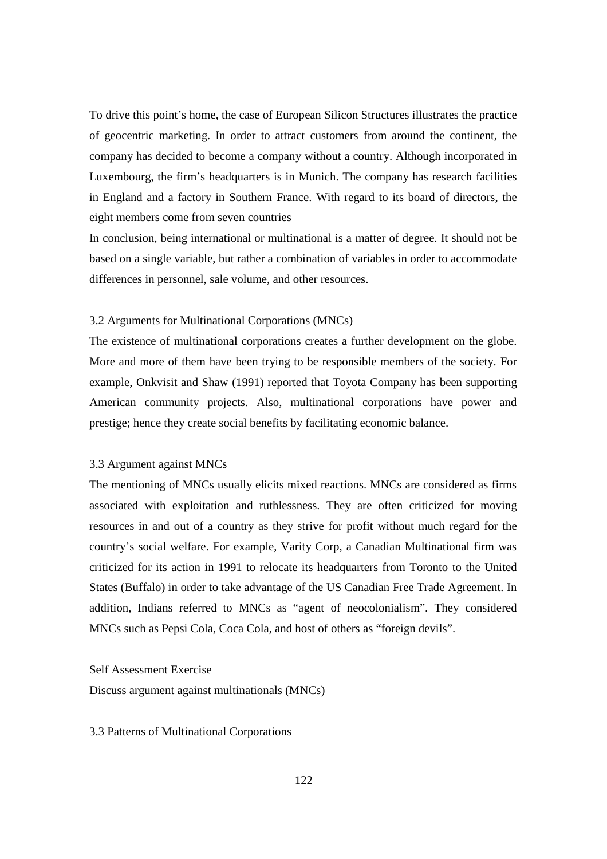To drive this point's home, the case of European Silicon Structures illustrates the practice of geocentric marketing. In order to attract customers from around the continent, the company has decided to become a company without a country. Although incorporated in Luxembourg, the firm's headquarters is in Munich. The company has research facilities in England and a factory in Southern France. With regard to its board of directors, the eight members come from seven countries

In conclusion, being international or multinational is a matter of degree. It should not be based on a single variable, but rather a combination of variables in order to accommodate differences in personnel, sale volume, and other resources.

#### 3.2 Arguments for Multinational Corporations (MNCs)

The existence of multinational corporations creates a further development on the globe. More and more of them have been trying to be responsible members of the society. For example, Onkvisit and Shaw (1991) reported that Toyota Company has been supporting American community projects. Also, multinational corporations have power and prestige; hence they create social benefits by facilitating economic balance.

#### 3.3 Argument against MNCs

The mentioning of MNCs usually elicits mixed reactions. MNCs are considered as firms associated with exploitation and ruthlessness. They are often criticized for moving resources in and out of a country as they strive for profit without much regard for the country's social welfare. For example, Varity Corp, a Canadian Multinational firm was criticized for its action in 1991 to relocate its headquarters from Toronto to the United States (Buffalo) in order to take advantage of the US Canadian Free Trade Agreement. In addition, Indians referred to MNCs as "agent of neocolonialism". They considered MNCs such as Pepsi Cola, Coca Cola, and host of others as "foreign devils".

Self Assessment Exercise

Discuss argument against multinationals (MNCs)

3.3 Patterns of Multinational Corporations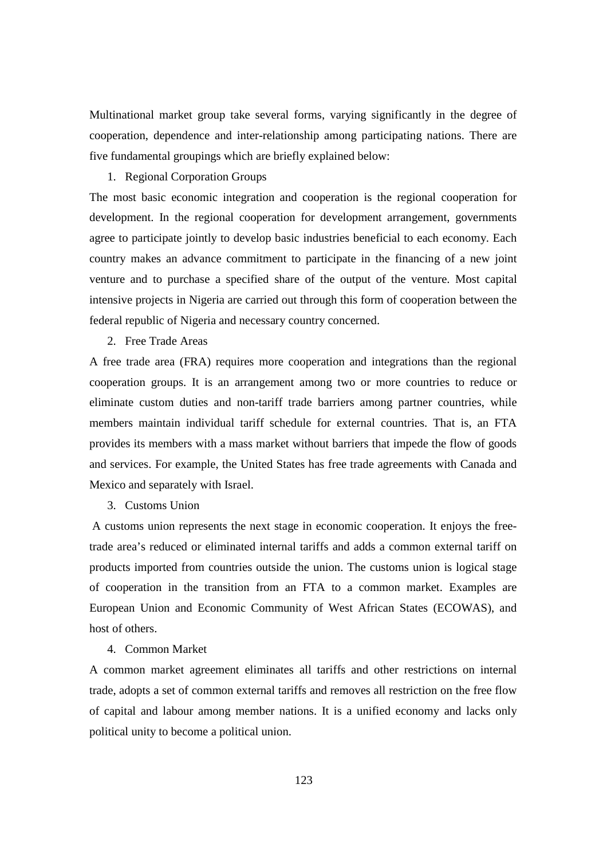Multinational market group take several forms, varying significantly in the degree of cooperation, dependence and inter-relationship among participating nations. There are five fundamental groupings which are briefly explained below:

#### 1. Regional Corporation Groups

The most basic economic integration and cooperation is the regional cooperation for development. In the regional cooperation for development arrangement, governments agree to participate jointly to develop basic industries beneficial to each economy. Each country makes an advance commitment to participate in the financing of a new joint venture and to purchase a specified share of the output of the venture. Most capital intensive projects in Nigeria are carried out through this form of cooperation between the federal republic of Nigeria and necessary country concerned.

2. Free Trade Areas

A free trade area (FRA) requires more cooperation and integrations than the regional cooperation groups. It is an arrangement among two or more countries to reduce or eliminate custom duties and non-tariff trade barriers among partner countries, while members maintain individual tariff schedule for external countries. That is, an FTA provides its members with a mass market without barriers that impede the flow of goods and services. For example, the United States has free trade agreements with Canada and Mexico and separately with Israel.

3. Customs Union

 A customs union represents the next stage in economic cooperation. It enjoys the freetrade area's reduced or eliminated internal tariffs and adds a common external tariff on products imported from countries outside the union. The customs union is logical stage of cooperation in the transition from an FTA to a common market. Examples are European Union and Economic Community of West African States (ECOWAS), and host of others.

#### 4. Common Market

A common market agreement eliminates all tariffs and other restrictions on internal trade, adopts a set of common external tariffs and removes all restriction on the free flow of capital and labour among member nations. It is a unified economy and lacks only political unity to become a political union.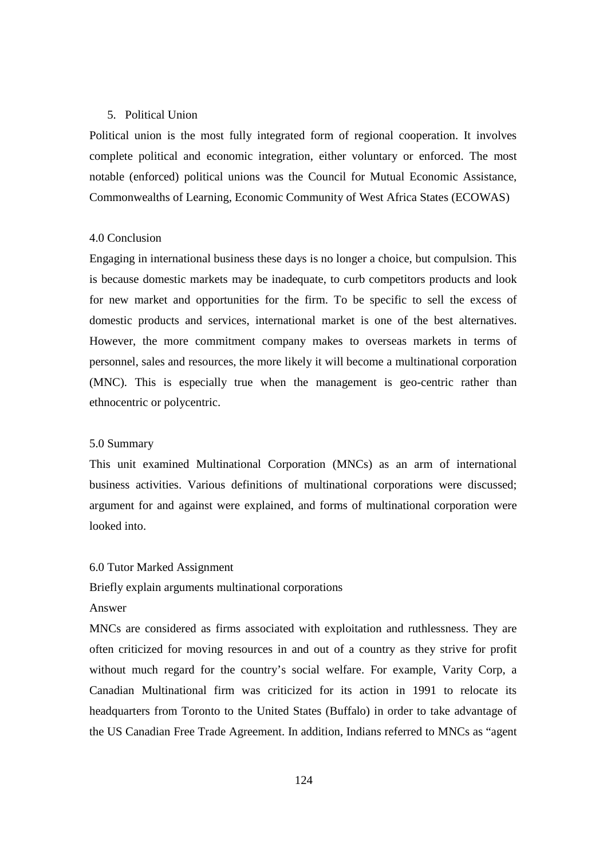#### 5. Political Union

Political union is the most fully integrated form of regional cooperation. It involves complete political and economic integration, either voluntary or enforced. The most notable (enforced) political unions was the Council for Mutual Economic Assistance, Commonwealths of Learning, Economic Community of West Africa States (ECOWAS)

### 4.0 Conclusion

Engaging in international business these days is no longer a choice, but compulsion. This is because domestic markets may be inadequate, to curb competitors products and look for new market and opportunities for the firm. To be specific to sell the excess of domestic products and services, international market is one of the best alternatives. However, the more commitment company makes to overseas markets in terms of personnel, sales and resources, the more likely it will become a multinational corporation (MNC). This is especially true when the management is geo-centric rather than ethnocentric or polycentric.

#### 5.0 Summary

This unit examined Multinational Corporation (MNCs) as an arm of international business activities. Various definitions of multinational corporations were discussed; argument for and against were explained, and forms of multinational corporation were looked into.

#### 6.0 Tutor Marked Assignment

### Briefly explain arguments multinational corporations

### Answer

MNCs are considered as firms associated with exploitation and ruthlessness. They are often criticized for moving resources in and out of a country as they strive for profit without much regard for the country's social welfare. For example, Varity Corp, a Canadian Multinational firm was criticized for its action in 1991 to relocate its headquarters from Toronto to the United States (Buffalo) in order to take advantage of the US Canadian Free Trade Agreement. In addition, Indians referred to MNCs as "agent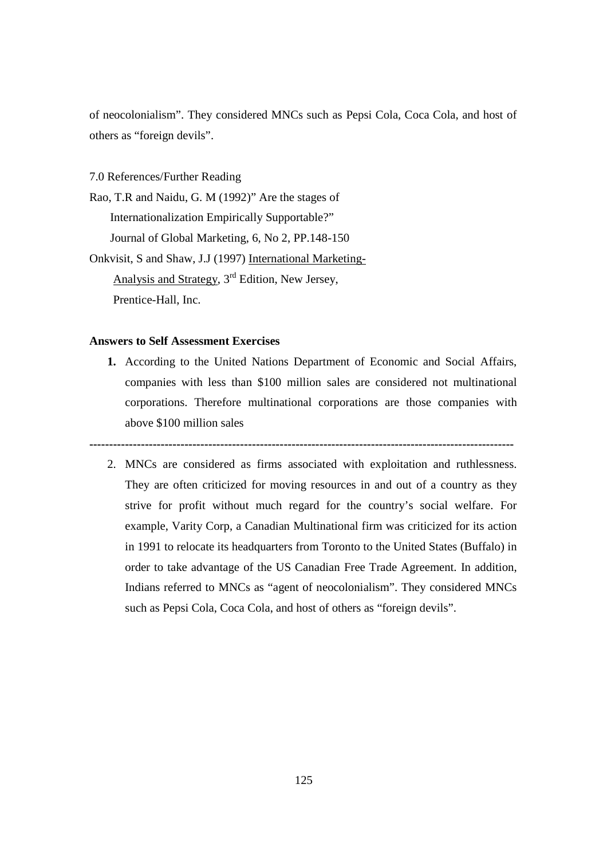of neocolonialism". They considered MNCs such as Pepsi Cola, Coca Cola, and host of others as "foreign devils".

7.0 References/Further Reading

Rao, T.R and Naidu, G. M (1992)" Are the stages of Internationalization Empirically Supportable?" Journal of Global Marketing, 6, No 2, PP.148-150 Onkvisit, S and Shaw, J.J (1997) International Marketing- Analysis and Strategy, 3rd Edition, New Jersey,

Prentice-Hall, Inc.

### **Answers to Self Assessment Exercises**

**1.** According to the United Nations Department of Economic and Social Affairs, companies with less than \$100 million sales are considered not multinational corporations. Therefore multinational corporations are those companies with above \$100 million sales

**-----------------------------------------------------------------------------------------------------------** 

2. MNCs are considered as firms associated with exploitation and ruthlessness. They are often criticized for moving resources in and out of a country as they strive for profit without much regard for the country's social welfare. For example, Varity Corp, a Canadian Multinational firm was criticized for its action in 1991 to relocate its headquarters from Toronto to the United States (Buffalo) in order to take advantage of the US Canadian Free Trade Agreement. In addition, Indians referred to MNCs as "agent of neocolonialism". They considered MNCs such as Pepsi Cola, Coca Cola, and host of others as "foreign devils".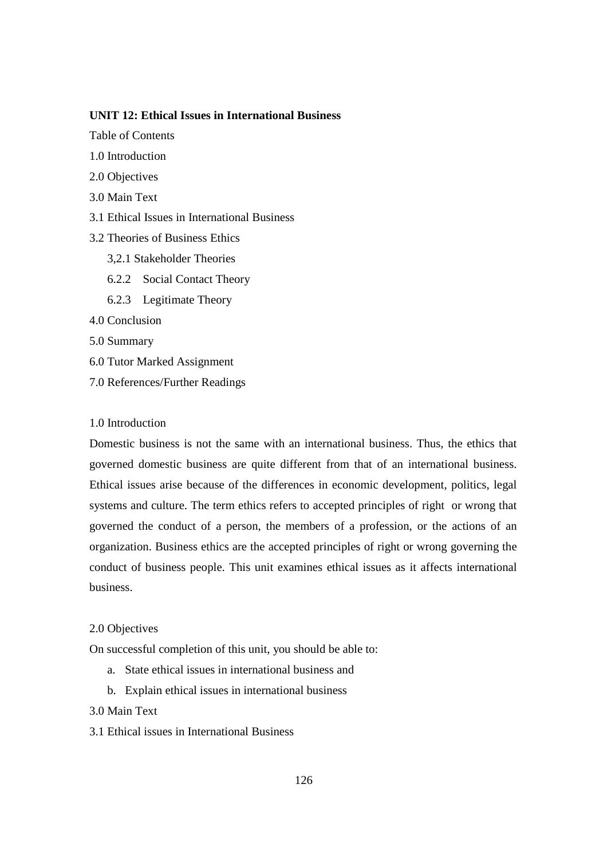### **UNIT 12: Ethical Issues in International Business**

- Table of Contents
- 1.0 Introduction
- 2.0 Objectives
- 3.0 Main Text
- 3.1 Ethical Issues in International Business
- 3.2 Theories of Business Ethics
	- 3,2.1 Stakeholder Theories
	- 6.2.2 Social Contact Theory
	- 6.2.3 Legitimate Theory
- 4.0 Conclusion
- 5.0 Summary
- 6.0 Tutor Marked Assignment
- 7.0 References/Further Readings

#### 1.0 Introduction

Domestic business is not the same with an international business. Thus, the ethics that governed domestic business are quite different from that of an international business. Ethical issues arise because of the differences in economic development, politics, legal systems and culture. The term ethics refers to accepted principles of right or wrong that governed the conduct of a person, the members of a profession, or the actions of an organization. Business ethics are the accepted principles of right or wrong governing the conduct of business people. This unit examines ethical issues as it affects international business.

### 2.0 Objectives

On successful completion of this unit, you should be able to:

- a. State ethical issues in international business and
- b. Explain ethical issues in international business

## 3.0 Main Text

3.1 Ethical issues in International Business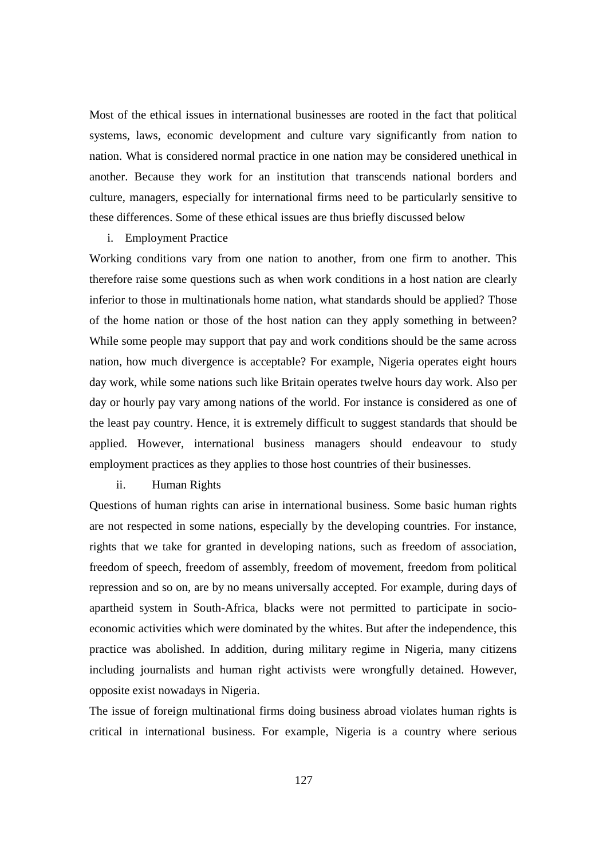Most of the ethical issues in international businesses are rooted in the fact that political systems, laws, economic development and culture vary significantly from nation to nation. What is considered normal practice in one nation may be considered unethical in another. Because they work for an institution that transcends national borders and culture, managers, especially for international firms need to be particularly sensitive to these differences. Some of these ethical issues are thus briefly discussed below

i. Employment Practice

Working conditions vary from one nation to another, from one firm to another. This therefore raise some questions such as when work conditions in a host nation are clearly inferior to those in multinationals home nation, what standards should be applied? Those of the home nation or those of the host nation can they apply something in between? While some people may support that pay and work conditions should be the same across nation, how much divergence is acceptable? For example, Nigeria operates eight hours day work, while some nations such like Britain operates twelve hours day work. Also per day or hourly pay vary among nations of the world. For instance is considered as one of the least pay country. Hence, it is extremely difficult to suggest standards that should be applied. However, international business managers should endeavour to study employment practices as they applies to those host countries of their businesses.

### ii. Human Rights

Questions of human rights can arise in international business. Some basic human rights are not respected in some nations, especially by the developing countries. For instance, rights that we take for granted in developing nations, such as freedom of association, freedom of speech, freedom of assembly, freedom of movement, freedom from political repression and so on, are by no means universally accepted. For example, during days of apartheid system in South-Africa, blacks were not permitted to participate in socioeconomic activities which were dominated by the whites. But after the independence, this practice was abolished. In addition, during military regime in Nigeria, many citizens including journalists and human right activists were wrongfully detained. However, opposite exist nowadays in Nigeria.

The issue of foreign multinational firms doing business abroad violates human rights is critical in international business. For example, Nigeria is a country where serious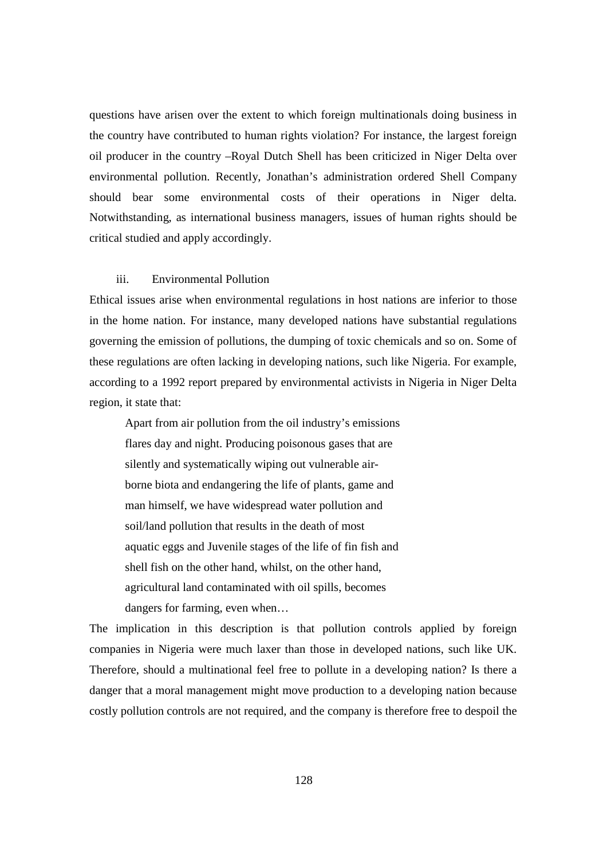questions have arisen over the extent to which foreign multinationals doing business in the country have contributed to human rights violation? For instance, the largest foreign oil producer in the country –Royal Dutch Shell has been criticized in Niger Delta over environmental pollution. Recently, Jonathan's administration ordered Shell Company should bear some environmental costs of their operations in Niger delta. Notwithstanding, as international business managers, issues of human rights should be critical studied and apply accordingly.

#### iii. Environmental Pollution

Ethical issues arise when environmental regulations in host nations are inferior to those in the home nation. For instance, many developed nations have substantial regulations governing the emission of pollutions, the dumping of toxic chemicals and so on. Some of these regulations are often lacking in developing nations, such like Nigeria. For example, according to a 1992 report prepared by environmental activists in Nigeria in Niger Delta region, it state that:

 Apart from air pollution from the oil industry's emissions flares day and night. Producing poisonous gases that are silently and systematically wiping out vulnerable air borne biota and endangering the life of plants, game and man himself, we have widespread water pollution and soil/land pollution that results in the death of most aquatic eggs and Juvenile stages of the life of fin fish and shell fish on the other hand, whilst, on the other hand, agricultural land contaminated with oil spills, becomes dangers for farming, even when…

The implication in this description is that pollution controls applied by foreign companies in Nigeria were much laxer than those in developed nations, such like UK. Therefore, should a multinational feel free to pollute in a developing nation? Is there a danger that a moral management might move production to a developing nation because costly pollution controls are not required, and the company is therefore free to despoil the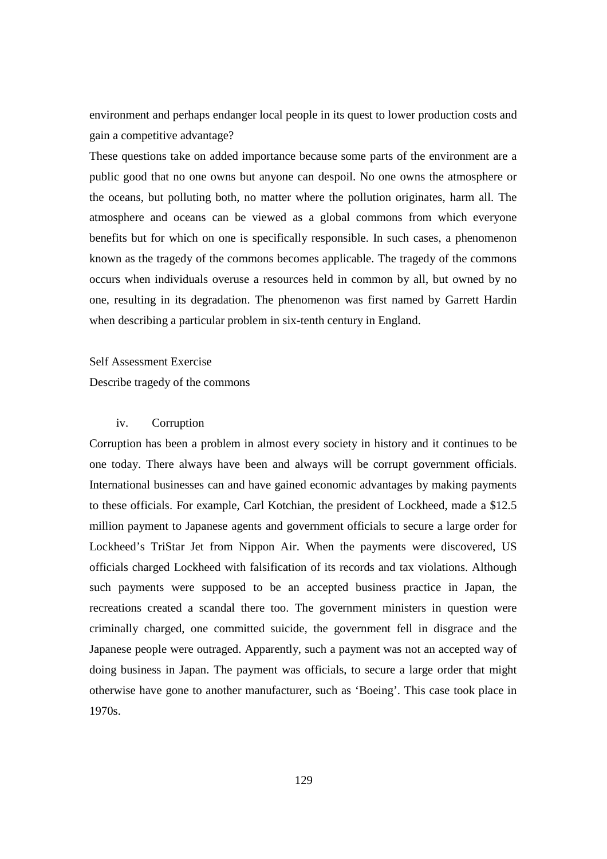environment and perhaps endanger local people in its quest to lower production costs and gain a competitive advantage?

These questions take on added importance because some parts of the environment are a public good that no one owns but anyone can despoil. No one owns the atmosphere or the oceans, but polluting both, no matter where the pollution originates, harm all. The atmosphere and oceans can be viewed as a global commons from which everyone benefits but for which on one is specifically responsible. In such cases, a phenomenon known as the tragedy of the commons becomes applicable. The tragedy of the commons occurs when individuals overuse a resources held in common by all, but owned by no one, resulting in its degradation. The phenomenon was first named by Garrett Hardin when describing a particular problem in six-tenth century in England.

#### Self Assessment Exercise

Describe tragedy of the commons

### iv. Corruption

Corruption has been a problem in almost every society in history and it continues to be one today. There always have been and always will be corrupt government officials. International businesses can and have gained economic advantages by making payments to these officials. For example, Carl Kotchian, the president of Lockheed, made a \$12.5 million payment to Japanese agents and government officials to secure a large order for Lockheed's TriStar Jet from Nippon Air. When the payments were discovered, US officials charged Lockheed with falsification of its records and tax violations. Although such payments were supposed to be an accepted business practice in Japan, the recreations created a scandal there too. The government ministers in question were criminally charged, one committed suicide, the government fell in disgrace and the Japanese people were outraged. Apparently, such a payment was not an accepted way of doing business in Japan. The payment was officials, to secure a large order that might otherwise have gone to another manufacturer, such as 'Boeing'. This case took place in 1970s.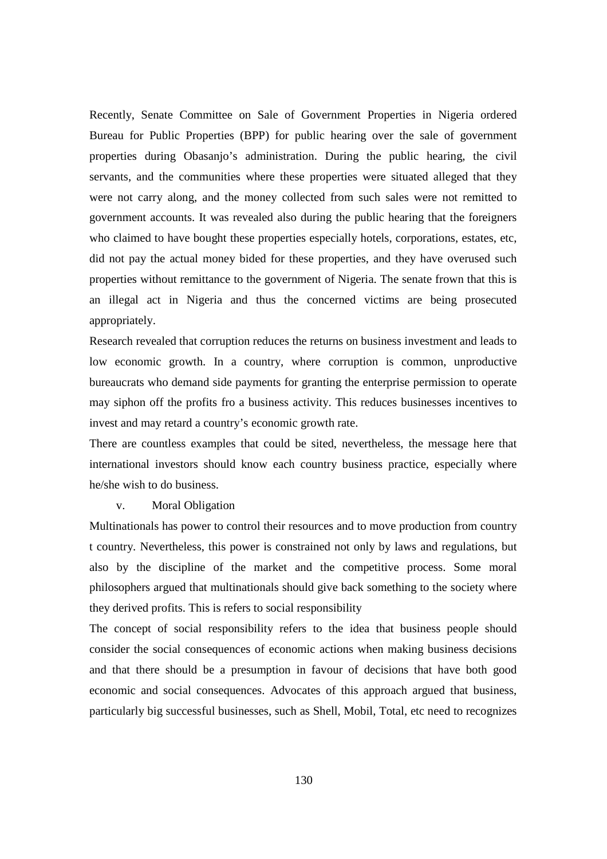Recently, Senate Committee on Sale of Government Properties in Nigeria ordered Bureau for Public Properties (BPP) for public hearing over the sale of government properties during Obasanjo's administration. During the public hearing, the civil servants, and the communities where these properties were situated alleged that they were not carry along, and the money collected from such sales were not remitted to government accounts. It was revealed also during the public hearing that the foreigners who claimed to have bought these properties especially hotels, corporations, estates, etc, did not pay the actual money bided for these properties, and they have overused such properties without remittance to the government of Nigeria. The senate frown that this is an illegal act in Nigeria and thus the concerned victims are being prosecuted appropriately.

Research revealed that corruption reduces the returns on business investment and leads to low economic growth. In a country, where corruption is common, unproductive bureaucrats who demand side payments for granting the enterprise permission to operate may siphon off the profits fro a business activity. This reduces businesses incentives to invest and may retard a country's economic growth rate.

There are countless examples that could be sited, nevertheless, the message here that international investors should know each country business practice, especially where he/she wish to do business.

#### v. Moral Obligation

Multinationals has power to control their resources and to move production from country t country. Nevertheless, this power is constrained not only by laws and regulations, but also by the discipline of the market and the competitive process. Some moral philosophers argued that multinationals should give back something to the society where they derived profits. This is refers to social responsibility

The concept of social responsibility refers to the idea that business people should consider the social consequences of economic actions when making business decisions and that there should be a presumption in favour of decisions that have both good economic and social consequences. Advocates of this approach argued that business, particularly big successful businesses, such as Shell, Mobil, Total, etc need to recognizes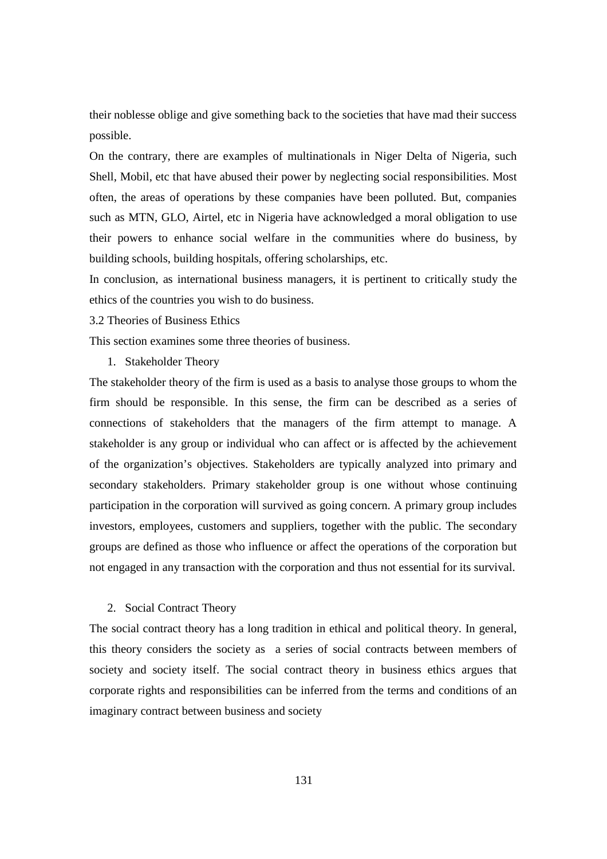their noblesse oblige and give something back to the societies that have mad their success possible.

On the contrary, there are examples of multinationals in Niger Delta of Nigeria, such Shell, Mobil, etc that have abused their power by neglecting social responsibilities. Most often, the areas of operations by these companies have been polluted. But, companies such as MTN, GLO, Airtel, etc in Nigeria have acknowledged a moral obligation to use their powers to enhance social welfare in the communities where do business, by building schools, building hospitals, offering scholarships, etc.

In conclusion, as international business managers, it is pertinent to critically study the ethics of the countries you wish to do business.

3.2 Theories of Business Ethics

This section examines some three theories of business.

1. Stakeholder Theory

The stakeholder theory of the firm is used as a basis to analyse those groups to whom the firm should be responsible. In this sense, the firm can be described as a series of connections of stakeholders that the managers of the firm attempt to manage. A stakeholder is any group or individual who can affect or is affected by the achievement of the organization's objectives. Stakeholders are typically analyzed into primary and secondary stakeholders. Primary stakeholder group is one without whose continuing participation in the corporation will survived as going concern. A primary group includes investors, employees, customers and suppliers, together with the public. The secondary groups are defined as those who influence or affect the operations of the corporation but not engaged in any transaction with the corporation and thus not essential for its survival.

#### 2. Social Contract Theory

The social contract theory has a long tradition in ethical and political theory. In general, this theory considers the society as a series of social contracts between members of society and society itself. The social contract theory in business ethics argues that corporate rights and responsibilities can be inferred from the terms and conditions of an imaginary contract between business and society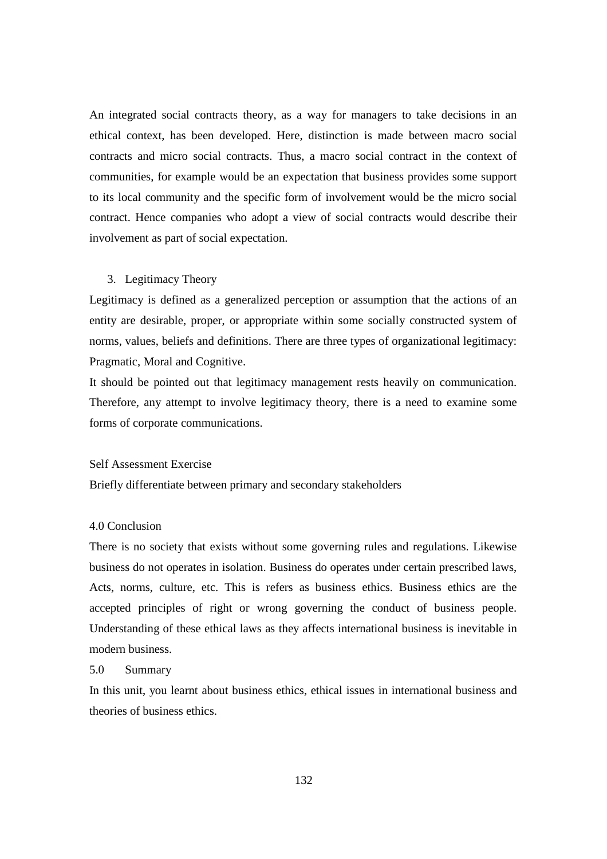An integrated social contracts theory, as a way for managers to take decisions in an ethical context, has been developed. Here, distinction is made between macro social contracts and micro social contracts. Thus, a macro social contract in the context of communities, for example would be an expectation that business provides some support to its local community and the specific form of involvement would be the micro social contract. Hence companies who adopt a view of social contracts would describe their involvement as part of social expectation.

#### 3. Legitimacy Theory

Legitimacy is defined as a generalized perception or assumption that the actions of an entity are desirable, proper, or appropriate within some socially constructed system of norms, values, beliefs and definitions. There are three types of organizational legitimacy: Pragmatic, Moral and Cognitive.

It should be pointed out that legitimacy management rests heavily on communication. Therefore, any attempt to involve legitimacy theory, there is a need to examine some forms of corporate communications.

#### Self Assessment Exercise

Briefly differentiate between primary and secondary stakeholders

### 4.0 Conclusion

There is no society that exists without some governing rules and regulations. Likewise business do not operates in isolation. Business do operates under certain prescribed laws, Acts, norms, culture, etc. This is refers as business ethics. Business ethics are the accepted principles of right or wrong governing the conduct of business people. Understanding of these ethical laws as they affects international business is inevitable in modern business.

#### 5.0 Summary

In this unit, you learnt about business ethics, ethical issues in international business and theories of business ethics.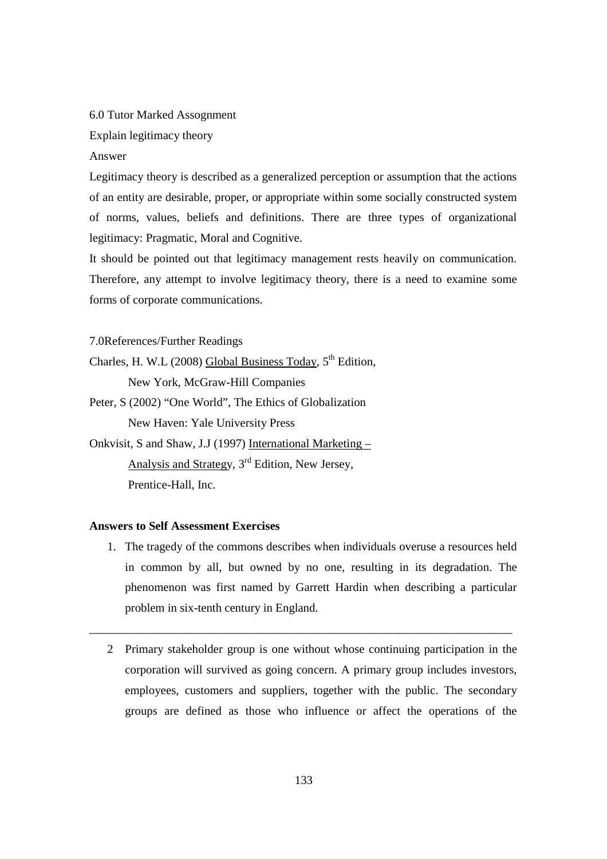#### 6.0 Tutor Marked Assognment

Explain legitimacy theory

#### Answer

Legitimacy theory is described as a generalized perception or assumption that the actions of an entity are desirable, proper, or appropriate within some socially constructed system of norms, values, beliefs and definitions. There are three types of organizational legitimacy: Pragmatic, Moral and Cognitive.

It should be pointed out that legitimacy management rests heavily on communication. Therefore, any attempt to involve legitimacy theory, there is a need to examine some forms of corporate communications.

7.0References/Further Readings

- Charles, H. W.L (2008) Global Business Today,  $5<sup>th</sup>$  Edition, New York, McGraw-Hill Companies
- Peter, S (2002) "One World", The Ethics of Globalization New Haven: Yale University Press

Onkvisit, S and Shaw, J.J (1997) International Marketing – Analysis and Strategy, 3rd Edition, New Jersey, Prentice-Hall, Inc.

### **Answers to Self Assessment Exercises**

- 1. The tragedy of the commons describes when individuals overuse a resources held in common by all, but owned by no one, resulting in its degradation. The phenomenon was first named by Garrett Hardin when describing a particular problem in six-tenth century in England.
- 2 Primary stakeholder group is one without whose continuing participation in the corporation will survived as going concern. A primary group includes investors, employees, customers and suppliers, together with the public. The secondary groups are defined as those who influence or affect the operations of the

\_\_\_\_\_\_\_\_\_\_\_\_\_\_\_\_\_\_\_\_\_\_\_\_\_\_\_\_\_\_\_\_\_\_\_\_\_\_\_\_\_\_\_\_\_\_\_\_\_\_\_\_\_\_\_\_\_\_\_\_\_\_\_\_\_\_\_\_\_\_\_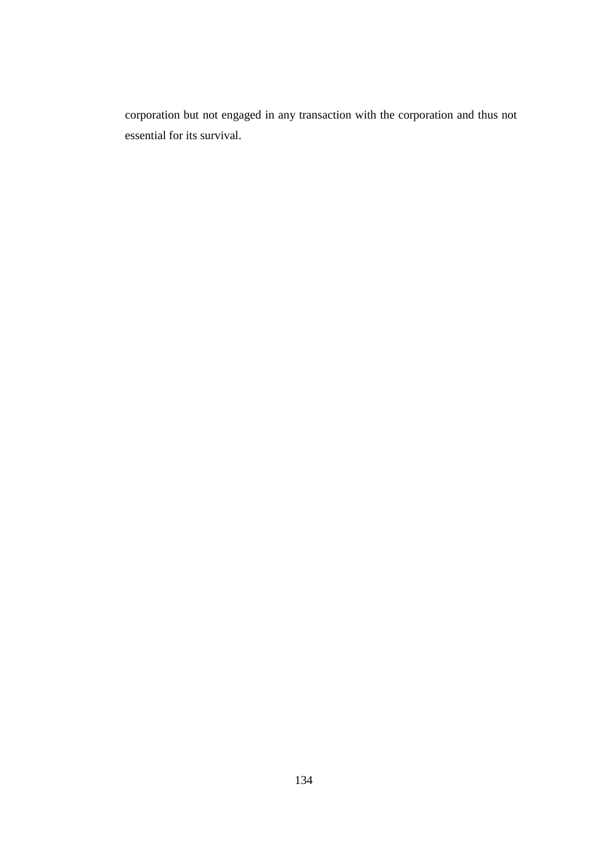corporation but not engaged in any transaction with the corporation and thus not essential for its survival.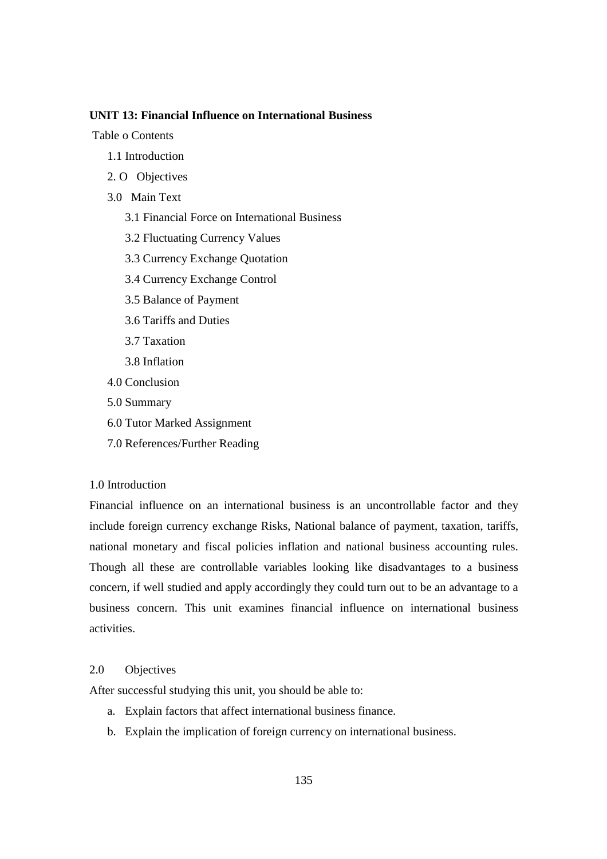### **UNIT 13: Financial Influence on International Business**

Table o Contents

- 1.1 Introduction
- 2. O Objectives
- 3.0 Main Text
	- 3.1 Financial Force on International Business
	- 3.2 Fluctuating Currency Values
	- 3.3 Currency Exchange Quotation
	- 3.4 Currency Exchange Control
	- 3.5 Balance of Payment
	- 3.6 Tariffs and Duties
	- 3.7 Taxation
	- 3.8 Inflation
- 4.0 Conclusion
- 5.0 Summary
- 6.0 Tutor Marked Assignment
- 7.0 References/Further Reading

#### 1.0 Introduction

Financial influence on an international business is an uncontrollable factor and they include foreign currency exchange Risks, National balance of payment, taxation, tariffs, national monetary and fiscal policies inflation and national business accounting rules. Though all these are controllable variables looking like disadvantages to a business concern, if well studied and apply accordingly they could turn out to be an advantage to a business concern. This unit examines financial influence on international business activities.

#### 2.0 Objectives

After successful studying this unit, you should be able to:

- a. Explain factors that affect international business finance.
- b. Explain the implication of foreign currency on international business.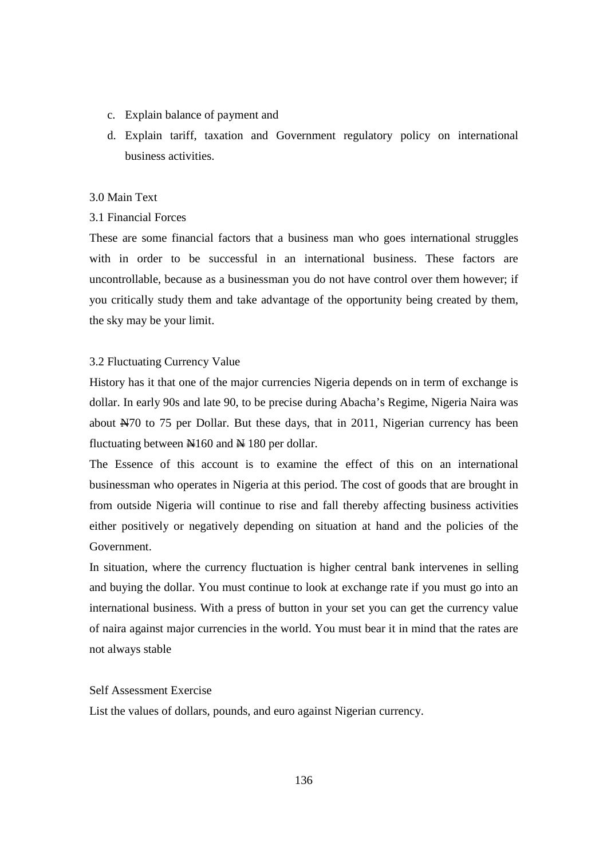- c. Explain balance of payment and
- d. Explain tariff, taxation and Government regulatory policy on international business activities.

#### 3.0 Main Text

### 3.1 Financial Forces

These are some financial factors that a business man who goes international struggles with in order to be successful in an international business. These factors are uncontrollable, because as a businessman you do not have control over them however; if you critically study them and take advantage of the opportunity being created by them, the sky may be your limit.

### 3.2 Fluctuating Currency Value

History has it that one of the major currencies Nigeria depends on in term of exchange is dollar. In early 90s and late 90, to be precise during Abacha's Regime, Nigeria Naira was about  $\frac{1470}{15}$  to 75 per Dollar. But these days, that in 2011, Nigerian currency has been fluctuating between  $\mathbb{N}160$  and  $\mathbb{N}180$  per dollar.

The Essence of this account is to examine the effect of this on an international businessman who operates in Nigeria at this period. The cost of goods that are brought in from outside Nigeria will continue to rise and fall thereby affecting business activities either positively or negatively depending on situation at hand and the policies of the Government.

In situation, where the currency fluctuation is higher central bank intervenes in selling and buying the dollar. You must continue to look at exchange rate if you must go into an international business. With a press of button in your set you can get the currency value of naira against major currencies in the world. You must bear it in mind that the rates are not always stable

### Self Assessment Exercise

List the values of dollars, pounds, and euro against Nigerian currency.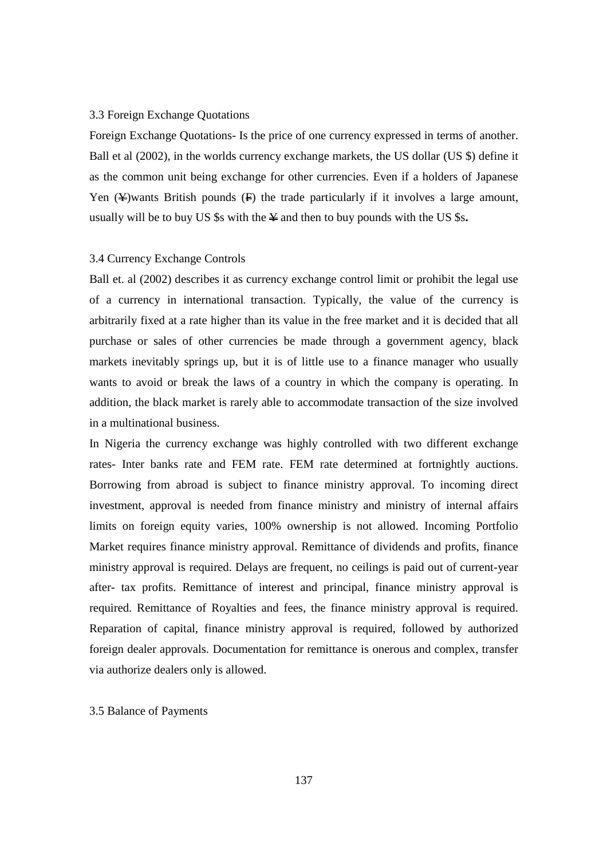#### 3.3 Foreign Exchange Quotations

Foreign Exchange Quotations- Is the price of one currency expressed in terms of another. Ball et al (2002), in the worlds currency exchange markets, the US dollar (US \$) define it as the common unit being exchange for other currencies. Even if a holders of Japanese Yen  $(\frac{\psi}{\psi})$  wants British pounds  $(\frac{\psi}{\psi})$  the trade particularly if it involves a large amount, usually will be to buy US  $\$ s with the  $\angle$  and then to buy pounds with the US  $\$ s.

### 3.4 Currency Exchange Controls

Ball et. al (2002) describes it as currency exchange control limit or prohibit the legal use of a currency in international transaction. Typically, the value of the currency is arbitrarily fixed at a rate higher than its value in the free market and it is decided that all purchase or sales of other currencies be made through a government agency, black markets inevitably springs up, but it is of little use to a finance manager who usually wants to avoid or break the laws of a country in which the company is operating. In addition, the black market is rarely able to accommodate transaction of the size involved in a multinational business.

In Nigeria the currency exchange was highly controlled with two different exchange rates- Inter banks rate and FEM rate. FEM rate determined at fortnightly auctions. Borrowing from abroad is subject to finance ministry approval. To incoming direct investment, approval is needed from finance ministry and ministry of internal affairs limits on foreign equity varies, 100% ownership is not allowed. Incoming Portfolio Market requires finance ministry approval. Remittance of dividends and profits, finance ministry approval is required. Delays are frequent, no ceilings is paid out of current-year after- tax profits. Remittance of interest and principal, finance ministry approval is required. Remittance of Royalties and fees, the finance ministry approval is required. Reparation of capital, finance ministry approval is required, followed by authorized foreign dealer approvals. Documentation for remittance is onerous and complex, transfer via authorize dealers only is allowed.

#### 3.5 Balance of Payments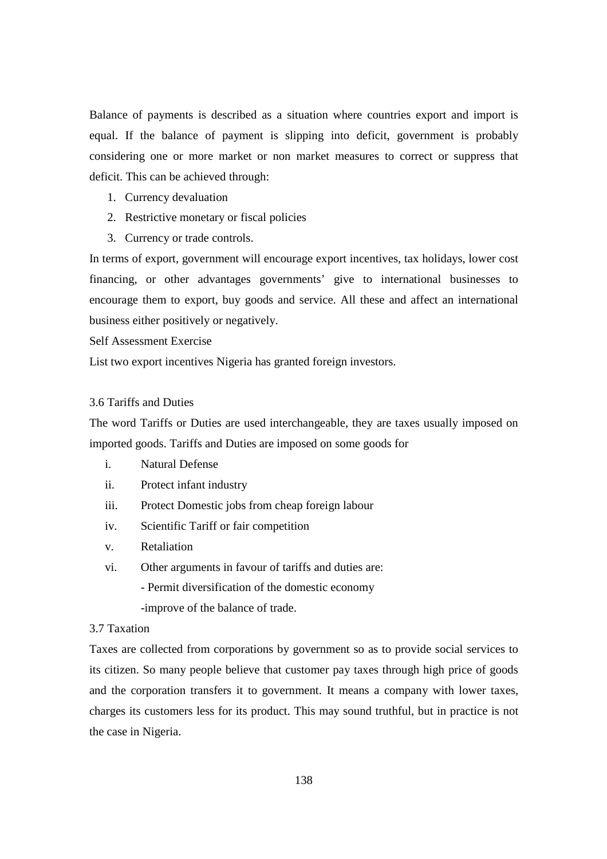Balance of payments is described as a situation where countries export and import is equal. If the balance of payment is slipping into deficit, government is probably considering one or more market or non market measures to correct or suppress that deficit. This can be achieved through:

- 1. Currency devaluation
- 2. Restrictive monetary or fiscal policies
- 3. Currency or trade controls.

In terms of export, government will encourage export incentives, tax holidays, lower cost financing, or other advantages governments' give to international businesses to encourage them to export, buy goods and service. All these and affect an international business either positively or negatively.

Self Assessment Exercise

List two export incentives Nigeria has granted foreign investors.

### 3.6 Tariffs and Duties

The word Tariffs or Duties are used interchangeable, they are taxes usually imposed on imported goods. Tariffs and Duties are imposed on some goods for

- i. Natural Defense
- ii. Protect infant industry
- iii. Protect Domestic jobs from cheap foreign labour
- iv. Scientific Tariff or fair competition
- v. Retaliation
- vi. Other arguments in favour of tariffs and duties are:
	- Permit diversification of the domestic economy
		- -improve of the balance of trade.

## 3.7 Taxation

Taxes are collected from corporations by government so as to provide social services to its citizen. So many people believe that customer pay taxes through high price of goods and the corporation transfers it to government. It means a company with lower taxes, charges its customers less for its product. This may sound truthful, but in practice is not the case in Nigeria.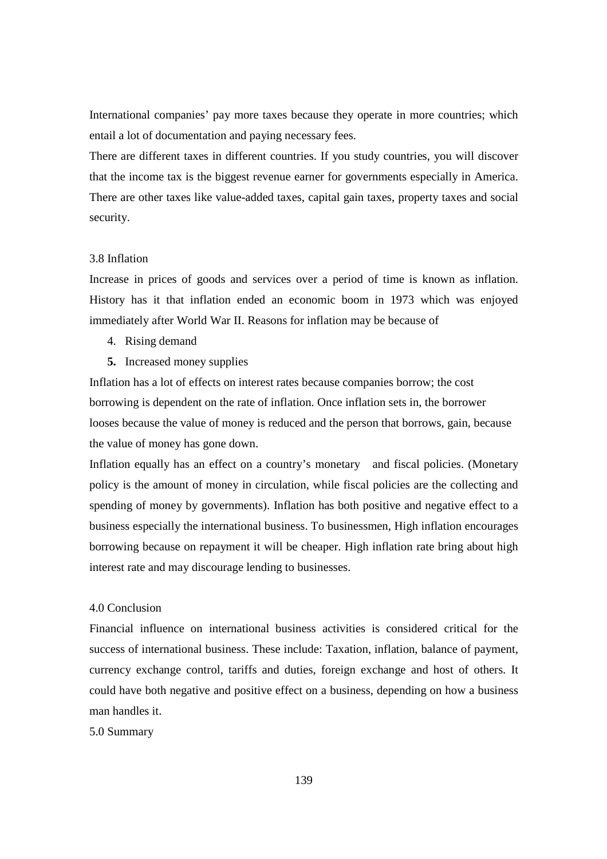International companies' pay more taxes because they operate in more countries; which entail a lot of documentation and paying necessary fees.

There are different taxes in different countries. If you study countries, you will discover that the income tax is the biggest revenue earner for governments especially in America. There are other taxes like value-added taxes, capital gain taxes, property taxes and social security.

### 3.8 Inflation

Increase in prices of goods and services over a period of time is known as inflation. History has it that inflation ended an economic boom in 1973 which was enjoyed immediately after World War II. Reasons for inflation may be because of

- 4. Rising demand
- **5.** Increased money supplies

Inflation has a lot of effects on interest rates because companies borrow; the cost borrowing is dependent on the rate of inflation. Once inflation sets in, the borrower looses because the value of money is reduced and the person that borrows, gain, because the value of money has gone down.

Inflation equally has an effect on a country's monetary and fiscal policies. (Monetary policy is the amount of money in circulation, while fiscal policies are the collecting and spending of money by governments). Inflation has both positive and negative effect to a business especially the international business. To businessmen, High inflation encourages borrowing because on repayment it will be cheaper. High inflation rate bring about high interest rate and may discourage lending to businesses.

## 4.0 Conclusion

Financial influence on international business activities is considered critical for the success of international business. These include: Taxation, inflation, balance of payment, currency exchange control, tariffs and duties, foreign exchange and host of others. It could have both negative and positive effect on a business, depending on how a business man handles it.

5.0 Summary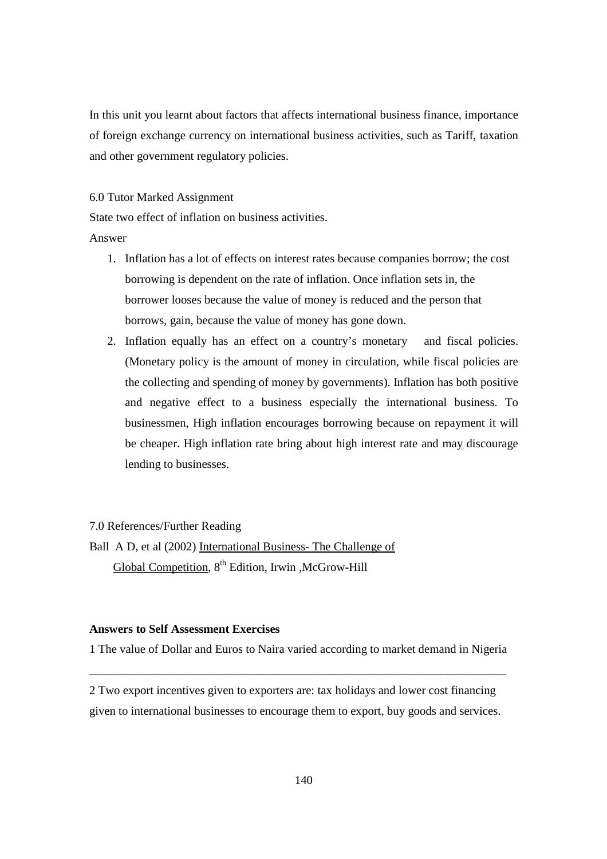In this unit you learnt about factors that affects international business finance, importance of foreign exchange currency on international business activities, such as Tariff, taxation and other government regulatory policies.

#### 6.0 Tutor Marked Assignment

State two effect of inflation on business activities.

#### Answer

- 1. Inflation has a lot of effects on interest rates because companies borrow; the cost borrowing is dependent on the rate of inflation. Once inflation sets in, the borrower looses because the value of money is reduced and the person that borrows, gain, because the value of money has gone down.
- 2. Inflation equally has an effect on a country's monetary and fiscal policies. (Monetary policy is the amount of money in circulation, while fiscal policies are the collecting and spending of money by governments). Inflation has both positive and negative effect to a business especially the international business. To businessmen, High inflation encourages borrowing because on repayment it will be cheaper. High inflation rate bring about high interest rate and may discourage lending to businesses.

#### 7.0 References/Further Reading

Ball A D, et al (2002) International Business- The Challenge of Global Competition, 8<sup>th</sup> Edition, Irwin ,McGrow-Hill

### **Answers to Self Assessment Exercises**

1 The value of Dollar and Euros to Naira varied according to market demand in Nigeria \_\_\_\_\_\_\_\_\_\_\_\_\_\_\_\_\_\_\_\_\_\_\_\_\_\_\_\_\_\_\_\_\_\_\_\_\_\_\_\_\_\_\_\_\_\_\_\_\_\_\_\_\_\_\_\_\_\_\_\_\_\_\_\_\_\_\_\_\_\_

2 Two export incentives given to exporters are: tax holidays and lower cost financing given to international businesses to encourage them to export, buy goods and services.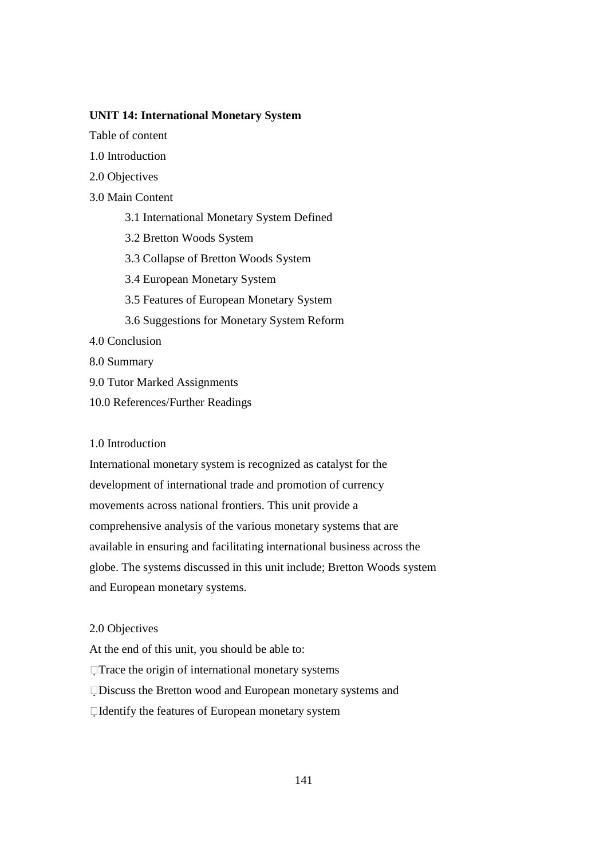### **UNIT 14: International Monetary System**

Table of content

- 1.0 Introduction
- 2.0 Objectives
- 3.0 Main Content
	- 3.1 International Monetary System Defined
	- 3.2 Bretton Woods System
	- 3.3 Collapse of Bretton Woods System
	- 3.4 European Monetary System
	- 3.5 Features of European Monetary System
	- 3.6 Suggestions for Monetary System Reform
- 4.0 Conclusion
- 8.0 Summary
- 9.0 Tutor Marked Assignments
- 10.0 References/Further Readings

### 1.0 Introduction

International monetary system is recognized as catalyst for the development of international trade and promotion of currency movements across national frontiers. This unit provide a comprehensive analysis of the various monetary systems that are available in ensuring and facilitating international business across the globe. The systems discussed in this unit include; Bretton Woods system and European monetary systems.

### 2.0 Objectives

At the end of this unit, you should be able to: Trace the origin of international monetary systems Discuss the Bretton wood and European monetary systems and Identify the features of European monetary system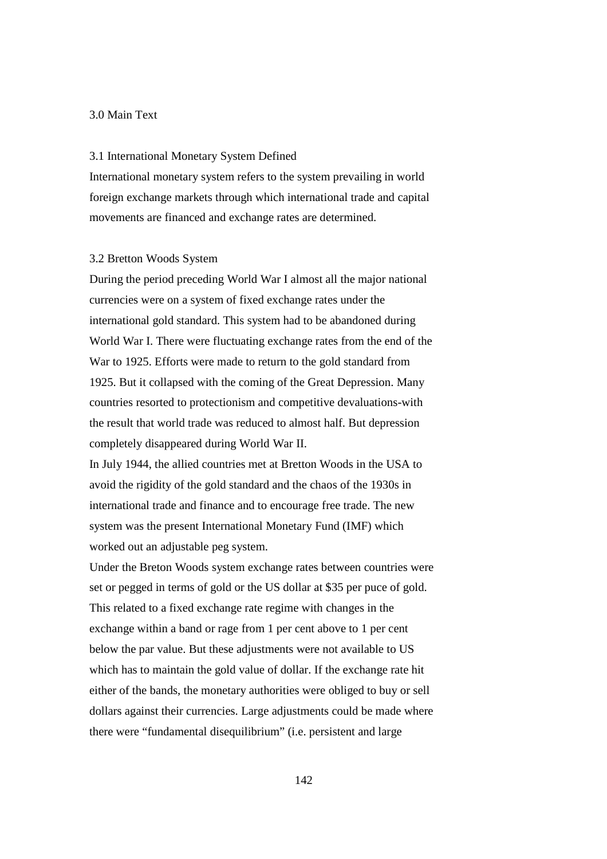### 3.0 Main Text

#### 3.1 International Monetary System Defined

International monetary system refers to the system prevailing in world foreign exchange markets through which international trade and capital movements are financed and exchange rates are determined.

#### 3.2 Bretton Woods System

During the period preceding World War I almost all the major national currencies were on a system of fixed exchange rates under the international gold standard. This system had to be abandoned during World War I. There were fluctuating exchange rates from the end of the War to 1925. Efforts were made to return to the gold standard from 1925. But it collapsed with the coming of the Great Depression. Many countries resorted to protectionism and competitive devaluations-with the result that world trade was reduced to almost half. But depression completely disappeared during World War II.

In July 1944, the allied countries met at Bretton Woods in the USA to avoid the rigidity of the gold standard and the chaos of the 1930s in international trade and finance and to encourage free trade. The new system was the present International Monetary Fund (IMF) which worked out an adjustable peg system.

Under the Breton Woods system exchange rates between countries were set or pegged in terms of gold or the US dollar at \$35 per puce of gold. This related to a fixed exchange rate regime with changes in the exchange within a band or rage from 1 per cent above to 1 per cent below the par value. But these adjustments were not available to US which has to maintain the gold value of dollar. If the exchange rate hit either of the bands, the monetary authorities were obliged to buy or sell dollars against their currencies. Large adjustments could be made where there were "fundamental disequilibrium" (i.e. persistent and large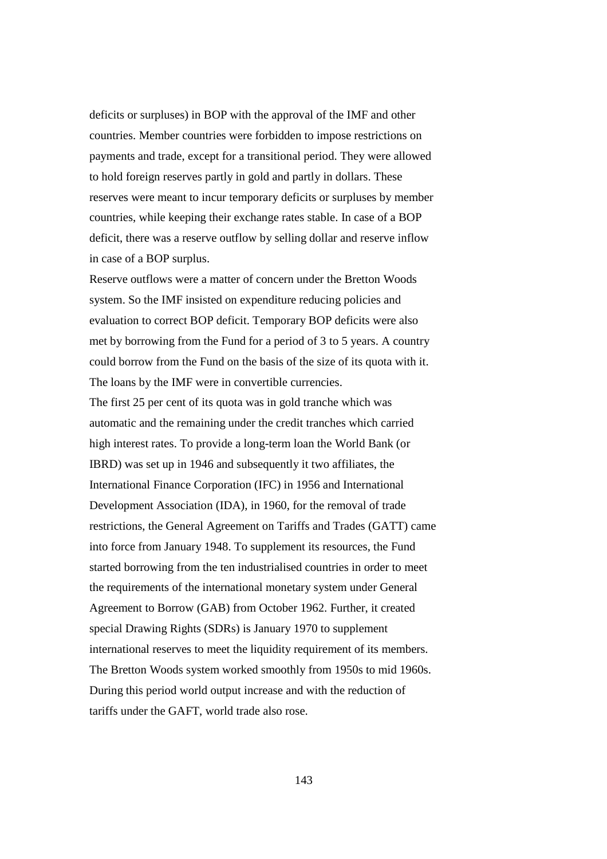deficits or surpluses) in BOP with the approval of the IMF and other countries. Member countries were forbidden to impose restrictions on payments and trade, except for a transitional period. They were allowed to hold foreign reserves partly in gold and partly in dollars. These reserves were meant to incur temporary deficits or surpluses by member countries, while keeping their exchange rates stable. In case of a BOP deficit, there was a reserve outflow by selling dollar and reserve inflow in case of a BOP surplus.

Reserve outflows were a matter of concern under the Bretton Woods system. So the IMF insisted on expenditure reducing policies and evaluation to correct BOP deficit. Temporary BOP deficits were also met by borrowing from the Fund for a period of 3 to 5 years. A country could borrow from the Fund on the basis of the size of its quota with it. The loans by the IMF were in convertible currencies.

The first 25 per cent of its quota was in gold tranche which was automatic and the remaining under the credit tranches which carried high interest rates. To provide a long-term loan the World Bank (or IBRD) was set up in 1946 and subsequently it two affiliates, the International Finance Corporation (IFC) in 1956 and International Development Association (IDA), in 1960, for the removal of trade restrictions, the General Agreement on Tariffs and Trades (GATT) came into force from January 1948. To supplement its resources, the Fund started borrowing from the ten industrialised countries in order to meet the requirements of the international monetary system under General Agreement to Borrow (GAB) from October 1962. Further, it created special Drawing Rights (SDRs) is January 1970 to supplement international reserves to meet the liquidity requirement of its members. The Bretton Woods system worked smoothly from 1950s to mid 1960s. During this period world output increase and with the reduction of tariffs under the GAFT, world trade also rose.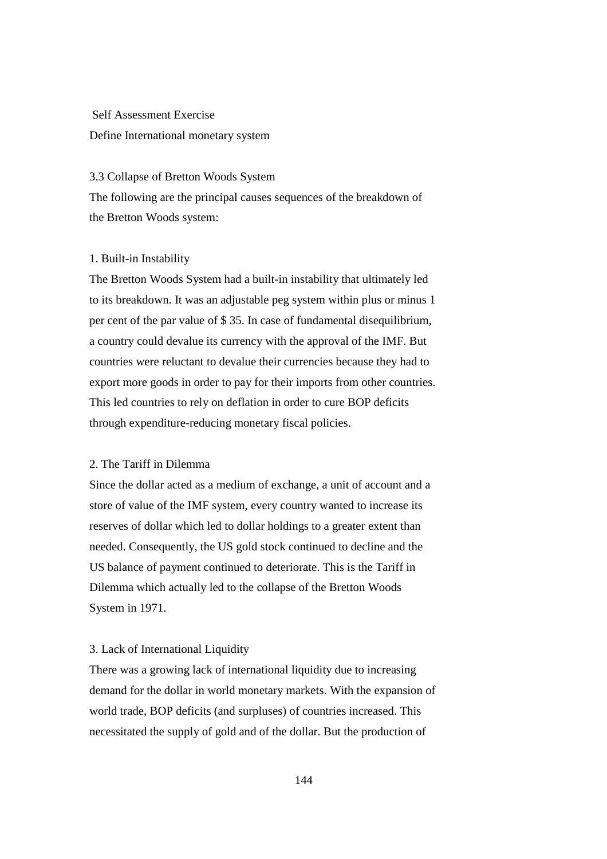# Self Assessment Exercise Define International monetary system

#### 3.3 Collapse of Bretton Woods System

The following are the principal causes sequences of the breakdown of the Bretton Woods system:

#### 1. Built-in Instability

The Bretton Woods System had a built-in instability that ultimately led to its breakdown. It was an adjustable peg system within plus or minus 1 per cent of the par value of \$ 35. In case of fundamental disequilibrium, a country could devalue its currency with the approval of the IMF. But countries were reluctant to devalue their currencies because they had to export more goods in order to pay for their imports from other countries. This led countries to rely on deflation in order to cure BOP deficits through expenditure-reducing monetary fiscal policies.

## 2. The Tariff in Dilemma

Since the dollar acted as a medium of exchange, a unit of account and a store of value of the IMF system, every country wanted to increase its reserves of dollar which led to dollar holdings to a greater extent than needed. Consequently, the US gold stock continued to decline and the US balance of payment continued to deteriorate. This is the Tariff in Dilemma which actually led to the collapse of the Bretton Woods System in 1971.

#### 3. Lack of International Liquidity

There was a growing lack of international liquidity due to increasing demand for the dollar in world monetary markets. With the expansion of world trade, BOP deficits (and surpluses) of countries increased. This necessitated the supply of gold and of the dollar. But the production of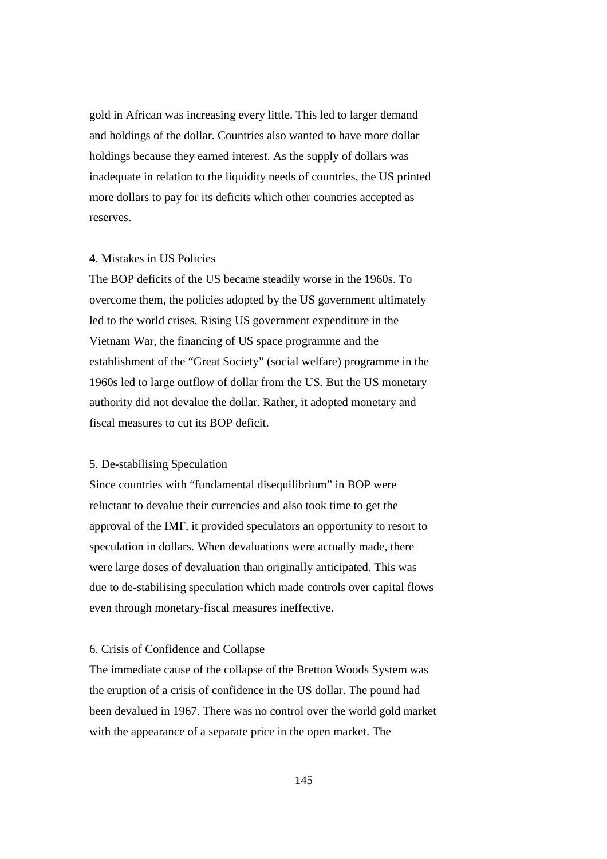gold in African was increasing every little. This led to larger demand and holdings of the dollar. Countries also wanted to have more dollar holdings because they earned interest. As the supply of dollars was inadequate in relation to the liquidity needs of countries, the US printed more dollars to pay for its deficits which other countries accepted as reserves.

# **4**. Mistakes in US Policies

The BOP deficits of the US became steadily worse in the 1960s. To overcome them, the policies adopted by the US government ultimately led to the world crises. Rising US government expenditure in the Vietnam War, the financing of US space programme and the establishment of the "Great Society" (social welfare) programme in the 1960s led to large outflow of dollar from the US. But the US monetary authority did not devalue the dollar. Rather, it adopted monetary and fiscal measures to cut its BOP deficit.

# 5. De-stabilising Speculation

Since countries with "fundamental disequilibrium" in BOP were reluctant to devalue their currencies and also took time to get the approval of the IMF, it provided speculators an opportunity to resort to speculation in dollars. When devaluations were actually made, there were large doses of devaluation than originally anticipated. This was due to de-stabilising speculation which made controls over capital flows even through monetary-fiscal measures ineffective.

#### 6. Crisis of Confidence and Collapse

The immediate cause of the collapse of the Bretton Woods System was the eruption of a crisis of confidence in the US dollar. The pound had been devalued in 1967. There was no control over the world gold market with the appearance of a separate price in the open market. The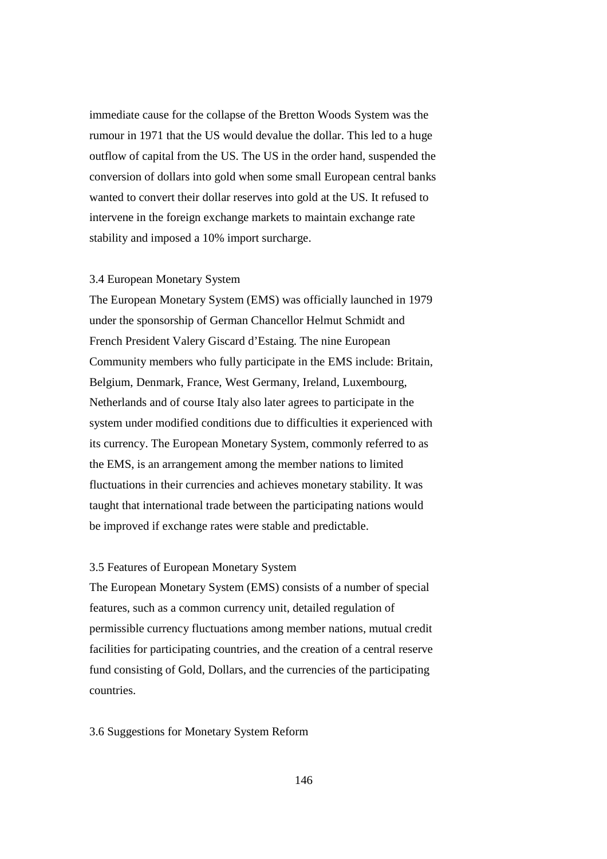immediate cause for the collapse of the Bretton Woods System was the rumour in 1971 that the US would devalue the dollar. This led to a huge outflow of capital from the US. The US in the order hand, suspended the conversion of dollars into gold when some small European central banks wanted to convert their dollar reserves into gold at the US. It refused to intervene in the foreign exchange markets to maintain exchange rate stability and imposed a 10% import surcharge.

## 3.4 European Monetary System

The European Monetary System (EMS) was officially launched in 1979 under the sponsorship of German Chancellor Helmut Schmidt and French President Valery Giscard d'Estaing. The nine European Community members who fully participate in the EMS include: Britain, Belgium, Denmark, France, West Germany, Ireland, Luxembourg, Netherlands and of course Italy also later agrees to participate in the system under modified conditions due to difficulties it experienced with its currency. The European Monetary System, commonly referred to as the EMS, is an arrangement among the member nations to limited fluctuations in their currencies and achieves monetary stability. It was taught that international trade between the participating nations would be improved if exchange rates were stable and predictable.

## 3.5 Features of European Monetary System

The European Monetary System (EMS) consists of a number of special features, such as a common currency unit, detailed regulation of permissible currency fluctuations among member nations, mutual credit facilities for participating countries, and the creation of a central reserve fund consisting of Gold, Dollars, and the currencies of the participating countries.

# 3.6 Suggestions for Monetary System Reform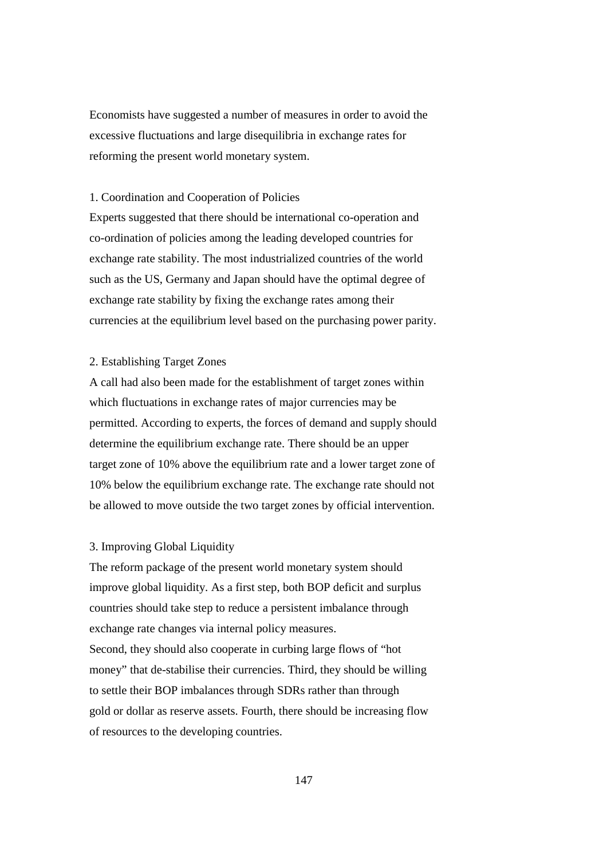Economists have suggested a number of measures in order to avoid the excessive fluctuations and large disequilibria in exchange rates for reforming the present world monetary system.

# 1. Coordination and Cooperation of Policies

Experts suggested that there should be international co-operation and co-ordination of policies among the leading developed countries for exchange rate stability. The most industrialized countries of the world such as the US, Germany and Japan should have the optimal degree of exchange rate stability by fixing the exchange rates among their currencies at the equilibrium level based on the purchasing power parity.

# 2. Establishing Target Zones

A call had also been made for the establishment of target zones within which fluctuations in exchange rates of major currencies may be permitted. According to experts, the forces of demand and supply should determine the equilibrium exchange rate. There should be an upper target zone of 10% above the equilibrium rate and a lower target zone of 10% below the equilibrium exchange rate. The exchange rate should not be allowed to move outside the two target zones by official intervention.

# 3. Improving Global Liquidity

The reform package of the present world monetary system should improve global liquidity. As a first step, both BOP deficit and surplus countries should take step to reduce a persistent imbalance through exchange rate changes via internal policy measures. Second, they should also cooperate in curbing large flows of "hot money" that de-stabilise their currencies. Third, they should be willing to settle their BOP imbalances through SDRs rather than through gold or dollar as reserve assets. Fourth, there should be increasing flow of resources to the developing countries.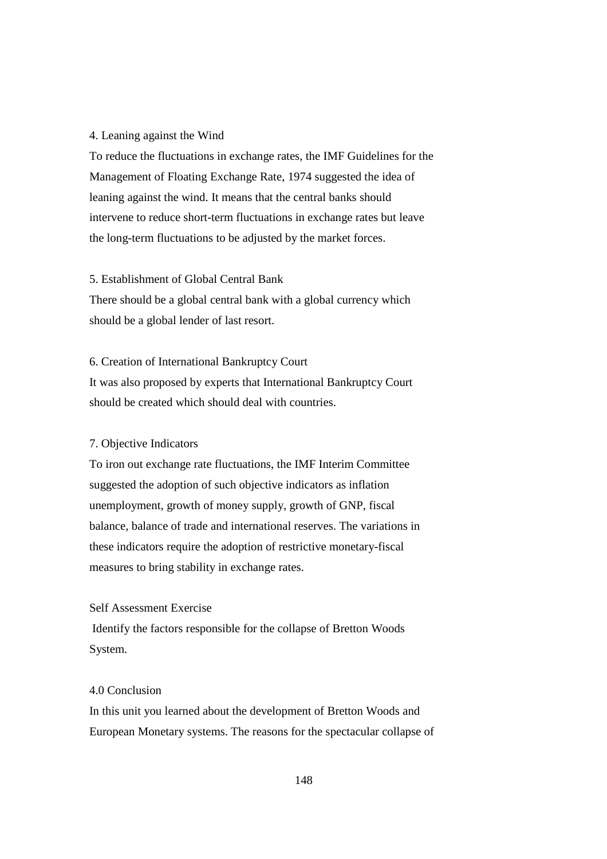#### 4. Leaning against the Wind

To reduce the fluctuations in exchange rates, the IMF Guidelines for the Management of Floating Exchange Rate, 1974 suggested the idea of leaning against the wind. It means that the central banks should intervene to reduce short-term fluctuations in exchange rates but leave the long-term fluctuations to be adjusted by the market forces.

# 5. Establishment of Global Central Bank

There should be a global central bank with a global currency which should be a global lender of last resort.

# 6. Creation of International Bankruptcy Court

It was also proposed by experts that International Bankruptcy Court should be created which should deal with countries.

# 7. Objective Indicators

To iron out exchange rate fluctuations, the IMF Interim Committee suggested the adoption of such objective indicators as inflation unemployment, growth of money supply, growth of GNP, fiscal balance, balance of trade and international reserves. The variations in these indicators require the adoption of restrictive monetary-fiscal measures to bring stability in exchange rates.

# Self Assessment Exercise

 Identify the factors responsible for the collapse of Bretton Woods System.

# 4.0 Conclusion

In this unit you learned about the development of Bretton Woods and European Monetary systems. The reasons for the spectacular collapse of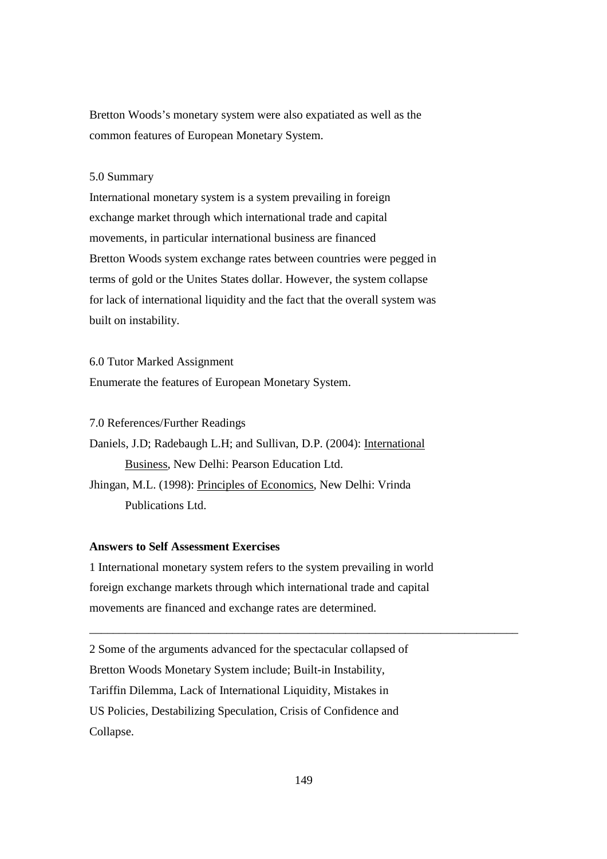Bretton Woods's monetary system were also expatiated as well as the common features of European Monetary System.

# 5.0 Summary

International monetary system is a system prevailing in foreign exchange market through which international trade and capital movements, in particular international business are financed Bretton Woods system exchange rates between countries were pegged in terms of gold or the Unites States dollar. However, the system collapse for lack of international liquidity and the fact that the overall system was built on instability.

6.0 Tutor Marked Assignment

Enumerate the features of European Monetary System.

7.0 References/Further Readings

Daniels, J.D; Radebaugh L.H; and Sullivan, D.P. (2004): International Business, New Delhi: Pearson Education Ltd. Jhingan, M.L. (1998): Principles of Economics, New Delhi: Vrinda Publications Ltd.

# **Answers to Self Assessment Exercises**

1 International monetary system refers to the system prevailing in world foreign exchange markets through which international trade and capital movements are financed and exchange rates are determined.

2 Some of the arguments advanced for the spectacular collapsed of Bretton Woods Monetary System include; Built-in Instability, Tariffin Dilemma, Lack of International Liquidity, Mistakes in US Policies, Destabilizing Speculation, Crisis of Confidence and Collapse.

\_\_\_\_\_\_\_\_\_\_\_\_\_\_\_\_\_\_\_\_\_\_\_\_\_\_\_\_\_\_\_\_\_\_\_\_\_\_\_\_\_\_\_\_\_\_\_\_\_\_\_\_\_\_\_\_\_\_\_\_\_\_\_\_\_\_\_\_\_\_\_\_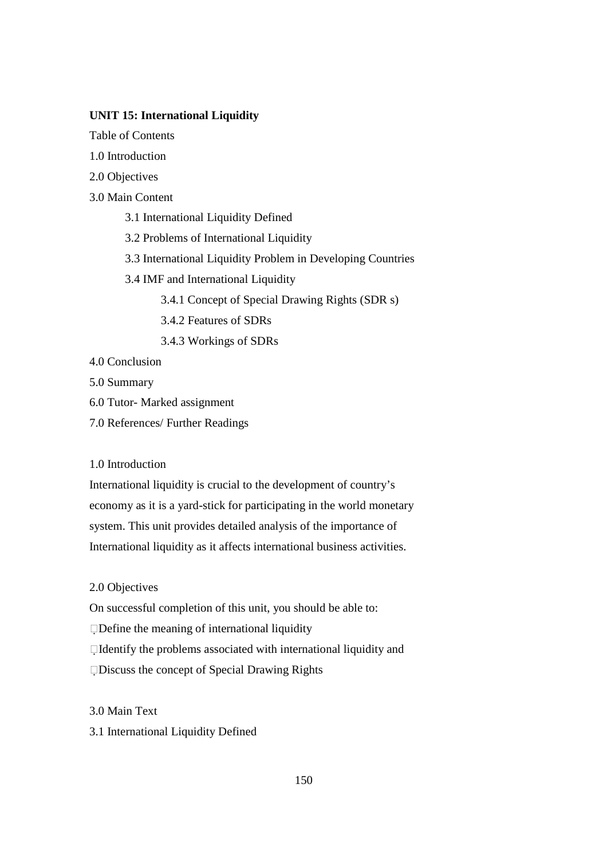# **UNIT 15: International Liquidity**

Table of Contents

- 1.0 Introduction
- 2.0 Objectives
- 3.0 Main Content
	- 3.1 International Liquidity Defined
	- 3.2 Problems of International Liquidity
	- 3.3 International Liquidity Problem in Developing Countries
	- 3.4 IMF and International Liquidity

3.4.1 Concept of Special Drawing Rights (SDR s)

- 3.4.2 Features of SDRs
- 3.4.3 Workings of SDRs
- 4.0 Conclusion
- 5.0 Summary
- 6.0 Tutor- Marked assignment
- 7.0 References/ Further Readings

# 1.0 Introduction

International liquidity is crucial to the development of country's economy as it is a yard-stick for participating in the world monetary system. This unit provides detailed analysis of the importance of International liquidity as it affects international business activities.

# 2.0 Objectives

On successful completion of this unit, you should be able to:

Define the meaning of international liquidity

Identify the problems associated with international liquidity and

Discuss the concept of Special Drawing Rights

# 3.0 Main Text

3.1 International Liquidity Defined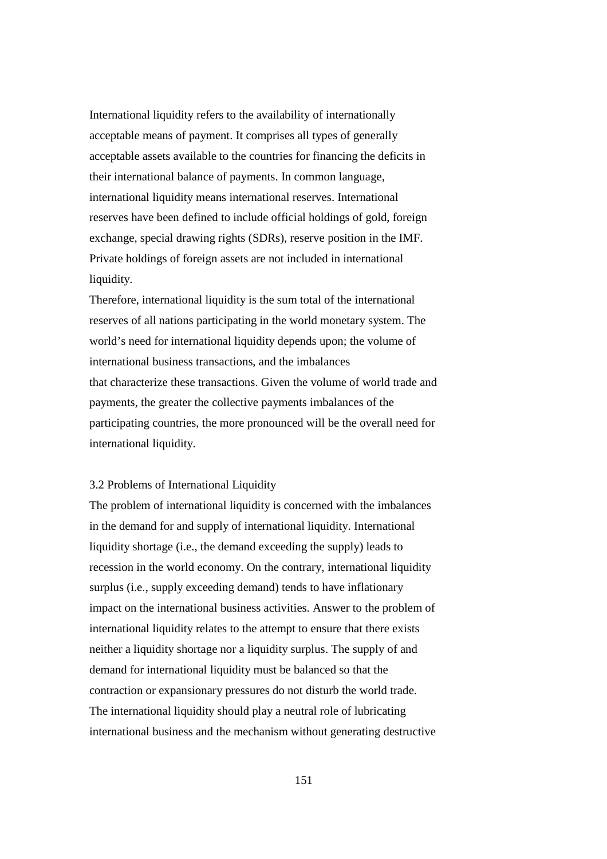International liquidity refers to the availability of internationally acceptable means of payment. It comprises all types of generally acceptable assets available to the countries for financing the deficits in their international balance of payments. In common language, international liquidity means international reserves. International reserves have been defined to include official holdings of gold, foreign exchange, special drawing rights (SDRs), reserve position in the IMF. Private holdings of foreign assets are not included in international liquidity.

Therefore, international liquidity is the sum total of the international reserves of all nations participating in the world monetary system. The world's need for international liquidity depends upon; the volume of international business transactions, and the imbalances that characterize these transactions. Given the volume of world trade and payments, the greater the collective payments imbalances of the participating countries, the more pronounced will be the overall need for international liquidity.

# 3.2 Problems of International Liquidity

The problem of international liquidity is concerned with the imbalances in the demand for and supply of international liquidity. International liquidity shortage (i.e., the demand exceeding the supply) leads to recession in the world economy. On the contrary, international liquidity surplus (i.e., supply exceeding demand) tends to have inflationary impact on the international business activities. Answer to the problem of international liquidity relates to the attempt to ensure that there exists neither a liquidity shortage nor a liquidity surplus. The supply of and demand for international liquidity must be balanced so that the contraction or expansionary pressures do not disturb the world trade. The international liquidity should play a neutral role of lubricating international business and the mechanism without generating destructive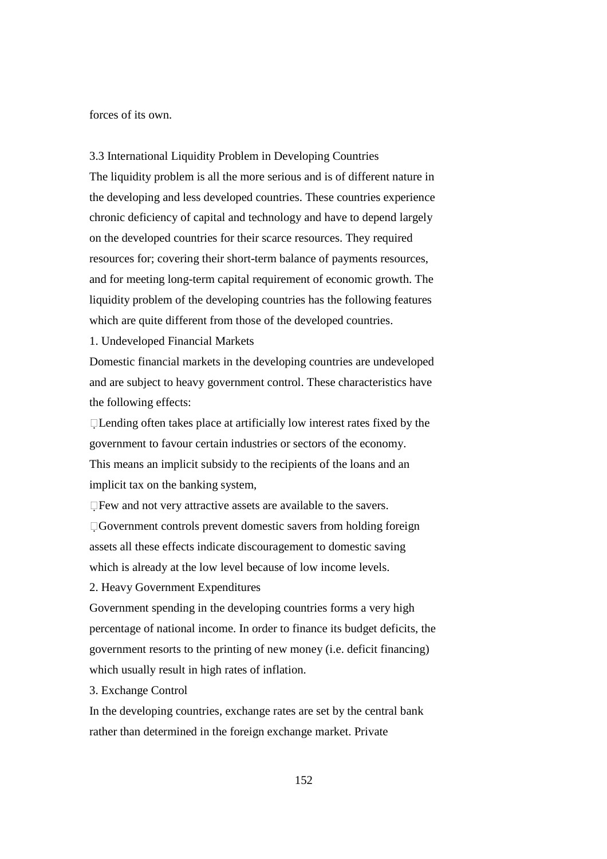forces of its own.

3.3 International Liquidity Problem in Developing Countries The liquidity problem is all the more serious and is of different nature in the developing and less developed countries. These countries experience chronic deficiency of capital and technology and have to depend largely on the developed countries for their scarce resources. They required resources for; covering their short-term balance of payments resources, and for meeting long-term capital requirement of economic growth. The liquidity problem of the developing countries has the following features which are quite different from those of the developed countries.

1. Undeveloped Financial Markets

Domestic financial markets in the developing countries are undeveloped and are subject to heavy government control. These characteristics have the following effects:

 $\Box$  Lending often takes place at artificially low interest rates fixed by the government to favour certain industries or sectors of the economy. This means an implicit subsidy to the recipients of the loans and an implicit tax on the banking system,

Few and not very attractive assets are available to the savers. Government controls prevent domestic savers from holding foreign assets all these effects indicate discouragement to domestic saving which is already at the low level because of low income levels.

2. Heavy Government Expenditures

Government spending in the developing countries forms a very high percentage of national income. In order to finance its budget deficits, the government resorts to the printing of new money (i.e. deficit financing) which usually result in high rates of inflation.

3. Exchange Control

In the developing countries, exchange rates are set by the central bank rather than determined in the foreign exchange market. Private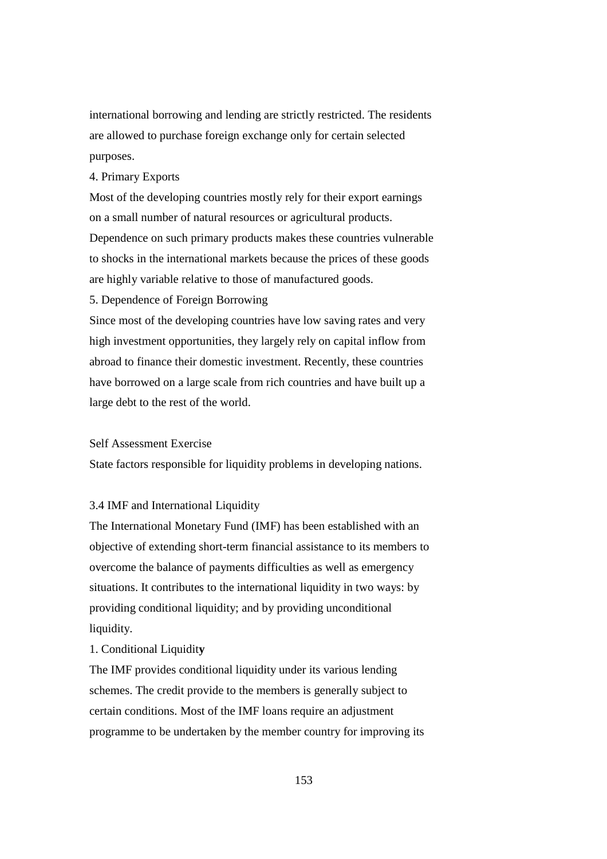international borrowing and lending are strictly restricted. The residents are allowed to purchase foreign exchange only for certain selected purposes.

# 4. Primary Exports

Most of the developing countries mostly rely for their export earnings on a small number of natural resources or agricultural products. Dependence on such primary products makes these countries vulnerable to shocks in the international markets because the prices of these goods are highly variable relative to those of manufactured goods.

5. Dependence of Foreign Borrowing

Since most of the developing countries have low saving rates and very high investment opportunities, they largely rely on capital inflow from abroad to finance their domestic investment. Recently, these countries have borrowed on a large scale from rich countries and have built up a large debt to the rest of the world.

## Self Assessment Exercise

State factors responsible for liquidity problems in developing nations.

### 3.4 IMF and International Liquidity

The International Monetary Fund (IMF) has been established with an objective of extending short-term financial assistance to its members to overcome the balance of payments difficulties as well as emergency situations. It contributes to the international liquidity in two ways: by providing conditional liquidity; and by providing unconditional liquidity.

#### 1. Conditional Liquidit**y**

The IMF provides conditional liquidity under its various lending schemes. The credit provide to the members is generally subject to certain conditions. Most of the IMF loans require an adjustment programme to be undertaken by the member country for improving its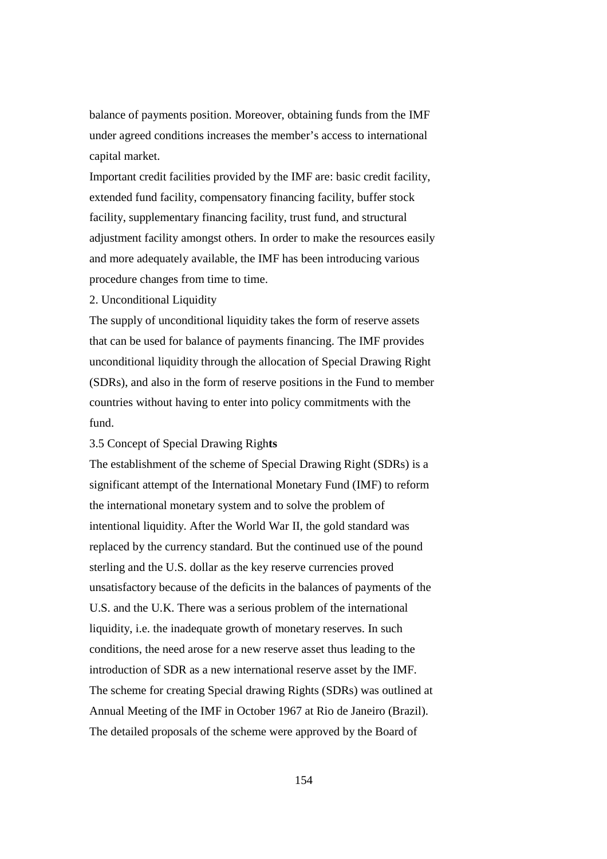balance of payments position. Moreover, obtaining funds from the IMF under agreed conditions increases the member's access to international capital market.

Important credit facilities provided by the IMF are: basic credit facility, extended fund facility, compensatory financing facility, buffer stock facility, supplementary financing facility, trust fund, and structural adjustment facility amongst others. In order to make the resources easily and more adequately available, the IMF has been introducing various procedure changes from time to time.

#### 2. Unconditional Liquidity

The supply of unconditional liquidity takes the form of reserve assets that can be used for balance of payments financing. The IMF provides unconditional liquidity through the allocation of Special Drawing Right (SDRs), and also in the form of reserve positions in the Fund to member countries without having to enter into policy commitments with the fund.

# 3.5 Concept of Special Drawing Righ**ts**

The establishment of the scheme of Special Drawing Right (SDRs) is a significant attempt of the International Monetary Fund (IMF) to reform the international monetary system and to solve the problem of intentional liquidity. After the World War II, the gold standard was replaced by the currency standard. But the continued use of the pound sterling and the U.S. dollar as the key reserve currencies proved unsatisfactory because of the deficits in the balances of payments of the U.S. and the U.K. There was a serious problem of the international liquidity, i.e. the inadequate growth of monetary reserves. In such conditions, the need arose for a new reserve asset thus leading to the introduction of SDR as a new international reserve asset by the IMF. The scheme for creating Special drawing Rights (SDRs) was outlined at Annual Meeting of the IMF in October 1967 at Rio de Janeiro (Brazil). The detailed proposals of the scheme were approved by the Board of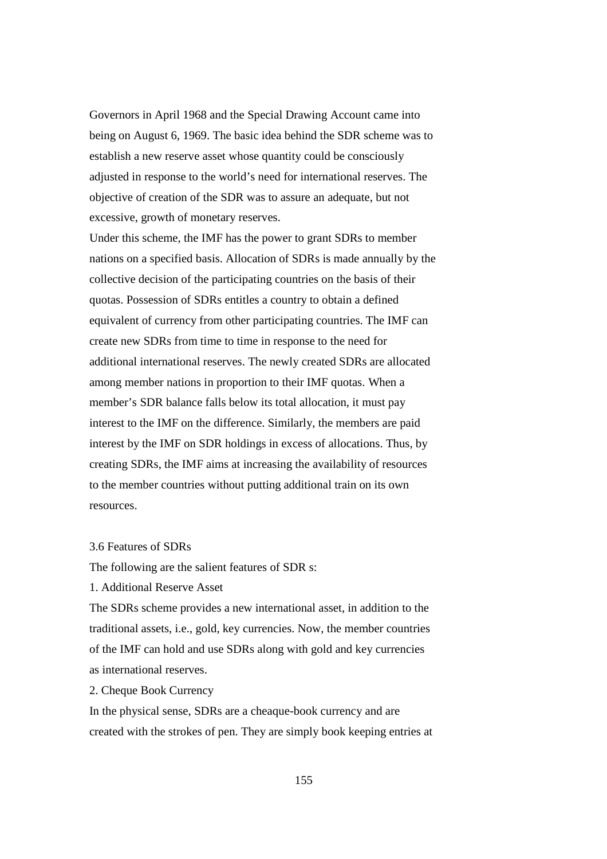Governors in April 1968 and the Special Drawing Account came into being on August 6, 1969. The basic idea behind the SDR scheme was to establish a new reserve asset whose quantity could be consciously adjusted in response to the world's need for international reserves. The objective of creation of the SDR was to assure an adequate, but not excessive, growth of monetary reserves.

Under this scheme, the IMF has the power to grant SDRs to member nations on a specified basis. Allocation of SDRs is made annually by the collective decision of the participating countries on the basis of their quotas. Possession of SDRs entitles a country to obtain a defined equivalent of currency from other participating countries. The IMF can create new SDRs from time to time in response to the need for additional international reserves. The newly created SDRs are allocated among member nations in proportion to their IMF quotas. When a member's SDR balance falls below its total allocation, it must pay interest to the IMF on the difference. Similarly, the members are paid interest by the IMF on SDR holdings in excess of allocations. Thus, by creating SDRs, the IMF aims at increasing the availability of resources to the member countries without putting additional train on its own resources.

# 3.6 Features of SDRs

The following are the salient features of SDR s:

1. Additional Reserve Asset

The SDRs scheme provides a new international asset, in addition to the traditional assets, i.e., gold, key currencies. Now, the member countries of the IMF can hold and use SDRs along with gold and key currencies as international reserves.

2. Cheque Book Currency

In the physical sense, SDRs are a cheaque-book currency and are created with the strokes of pen. They are simply book keeping entries at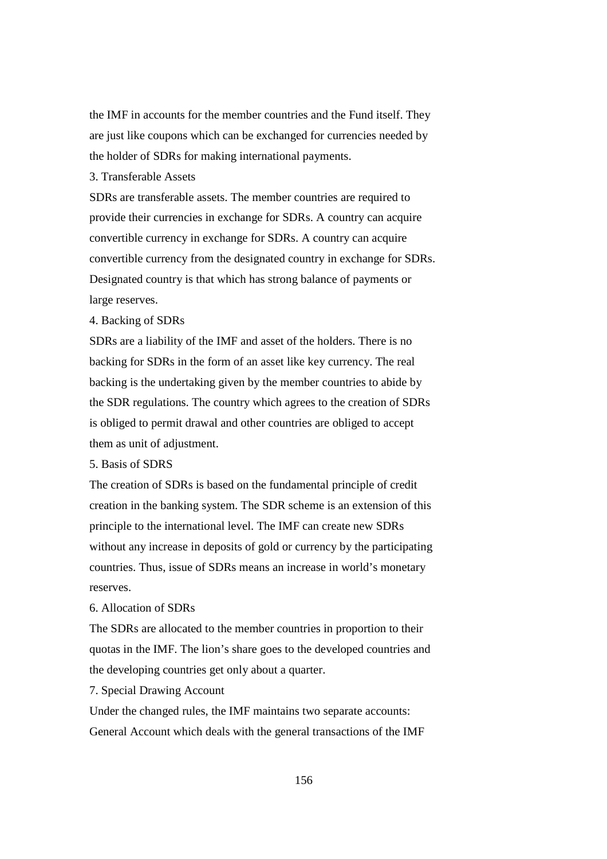the IMF in accounts for the member countries and the Fund itself. They are just like coupons which can be exchanged for currencies needed by the holder of SDRs for making international payments.

3. Transferable Assets

SDRs are transferable assets. The member countries are required to provide their currencies in exchange for SDRs. A country can acquire convertible currency in exchange for SDRs. A country can acquire convertible currency from the designated country in exchange for SDRs. Designated country is that which has strong balance of payments or large reserves.

### 4. Backing of SDRs

SDRs are a liability of the IMF and asset of the holders. There is no backing for SDRs in the form of an asset like key currency. The real backing is the undertaking given by the member countries to abide by the SDR regulations. The country which agrees to the creation of SDRs is obliged to permit drawal and other countries are obliged to accept them as unit of adjustment.

# 5. Basis of SDRS

The creation of SDRs is based on the fundamental principle of credit creation in the banking system. The SDR scheme is an extension of this principle to the international level. The IMF can create new SDRs without any increase in deposits of gold or currency by the participating countries. Thus, issue of SDRs means an increase in world's monetary reserves.

# 6. Allocation of SDRs

The SDRs are allocated to the member countries in proportion to their quotas in the IMF. The lion's share goes to the developed countries and the developing countries get only about a quarter.

7. Special Drawing Account

Under the changed rules, the IMF maintains two separate accounts: General Account which deals with the general transactions of the IMF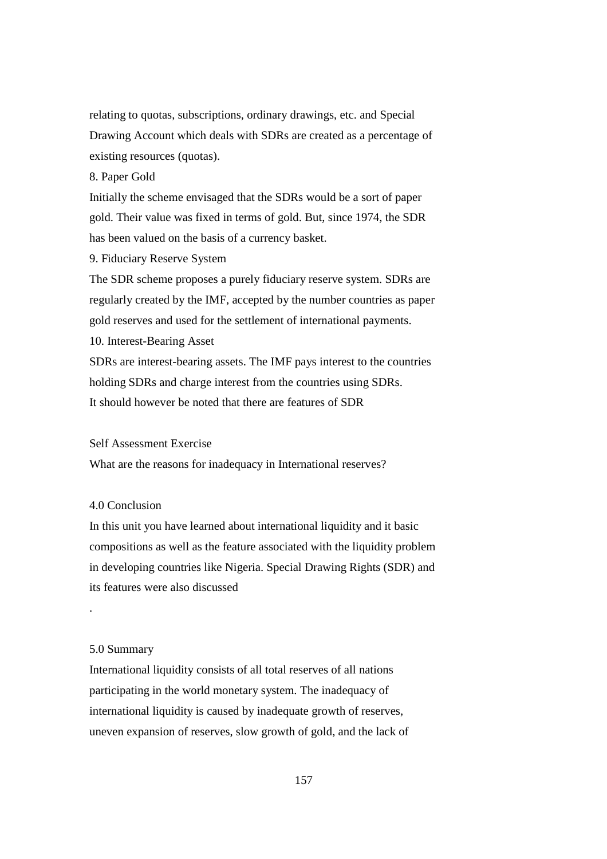relating to quotas, subscriptions, ordinary drawings, etc. and Special Drawing Account which deals with SDRs are created as a percentage of existing resources (quotas).

8. Paper Gold

Initially the scheme envisaged that the SDRs would be a sort of paper gold. Their value was fixed in terms of gold. But, since 1974, the SDR has been valued on the basis of a currency basket.

9. Fiduciary Reserve System

The SDR scheme proposes a purely fiduciary reserve system. SDRs are regularly created by the IMF, accepted by the number countries as paper gold reserves and used for the settlement of international payments. 10. Interest-Bearing Asset SDRs are interest-bearing assets. The IMF pays interest to the countries

holding SDRs and charge interest from the countries using SDRs.

It should however be noted that there are features of SDR

## Self Assessment Exercise

What are the reasons for inadequacy in International reserves?

# 4.0 Conclusion

In this unit you have learned about international liquidity and it basic compositions as well as the feature associated with the liquidity problem in developing countries like Nigeria. Special Drawing Rights (SDR) and its features were also discussed

#### 5.0 Summary

.

International liquidity consists of all total reserves of all nations participating in the world monetary system. The inadequacy of international liquidity is caused by inadequate growth of reserves, uneven expansion of reserves, slow growth of gold, and the lack of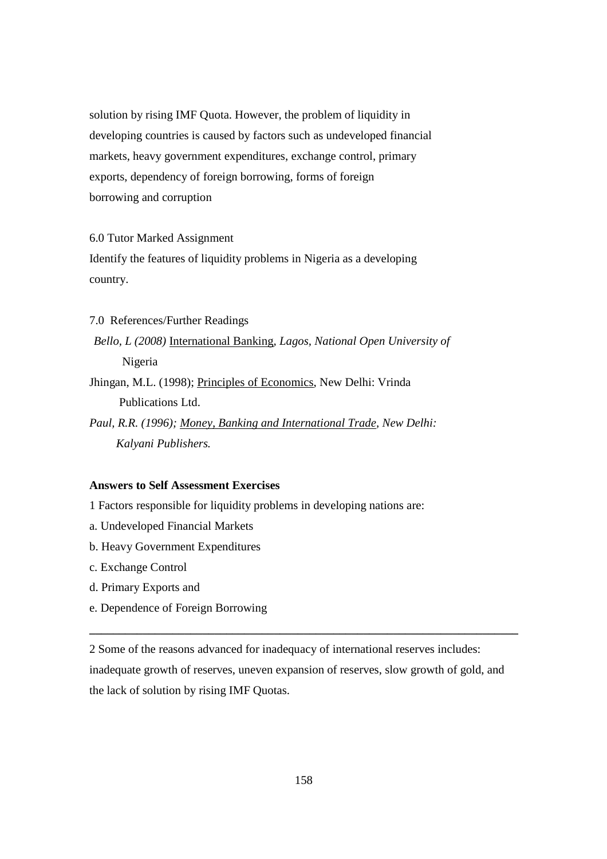solution by rising IMF Quota. However, the problem of liquidity in developing countries is caused by factors such as undeveloped financial markets, heavy government expenditures, exchange control, primary exports, dependency of foreign borrowing, forms of foreign borrowing and corruption

# 6.0 Tutor Marked Assignment

Identify the features of liquidity problems in Nigeria as a developing country.

# 7.0 References/Further Readings

*Bello, L (2008)* International Banking*, Lagos, National Open University of*  Nigeria

Jhingan, M.L. (1998); Principles of Economics, New Delhi: Vrinda Publications Ltd.

*Paul, R.R. (1996); Money, Banking and International Trade, New Delhi: Kalyani Publishers.* 

# **Answers to Self Assessment Exercises**

1 Factors responsible for liquidity problems in developing nations are:

- a. Undeveloped Financial Markets
- b. Heavy Government Expenditures
- c. Exchange Control
- d. Primary Exports and
- e. Dependence of Foreign Borrowing

2 Some of the reasons advanced for inadequacy of international reserves includes: inadequate growth of reserves, uneven expansion of reserves, slow growth of gold, and the lack of solution by rising IMF Quotas.

**\_\_\_\_\_\_\_\_\_\_\_\_\_\_\_\_\_\_\_\_\_\_\_\_\_\_\_\_\_\_\_\_\_\_\_\_\_\_\_\_\_\_\_\_\_\_\_\_\_\_\_\_\_\_\_\_\_\_\_\_\_\_\_\_\_\_\_\_\_\_\_\_**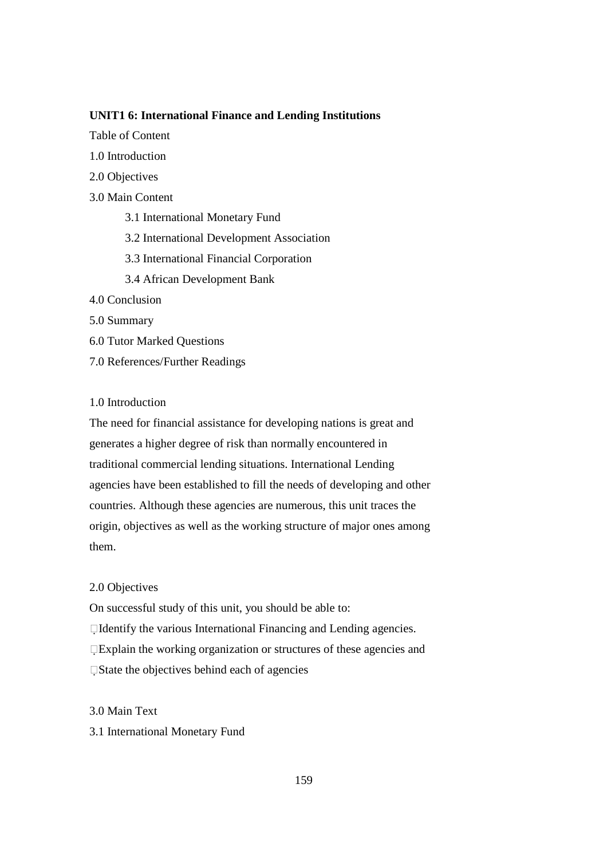# **UNIT1 6: International Finance and Lending Institutions**

Table of Content

- 1.0 Introduction
- 2.0 Objectives
- 3.0 Main Content
	- 3.1 International Monetary Fund
	- 3.2 International Development Association
	- 3.3 International Financial Corporation
	- 3.4 African Development Bank
- 4.0 Conclusion
- 5.0 Summary
- 6.0 Tutor Marked Questions
- 7.0 References/Further Readings

# 1.0 Introduction

The need for financial assistance for developing nations is great and generates a higher degree of risk than normally encountered in traditional commercial lending situations. International Lending agencies have been established to fill the needs of developing and other countries. Although these agencies are numerous, this unit traces the origin, objectives as well as the working structure of major ones among them.

# 2.0 Objectives

On successful study of this unit, you should be able to:

Identify the various International Financing and Lending agencies.

Explain the working organization or structures of these agencies and State the objectives behind each of agencies

# 3.0 Main Text

# 3.1 International Monetary Fund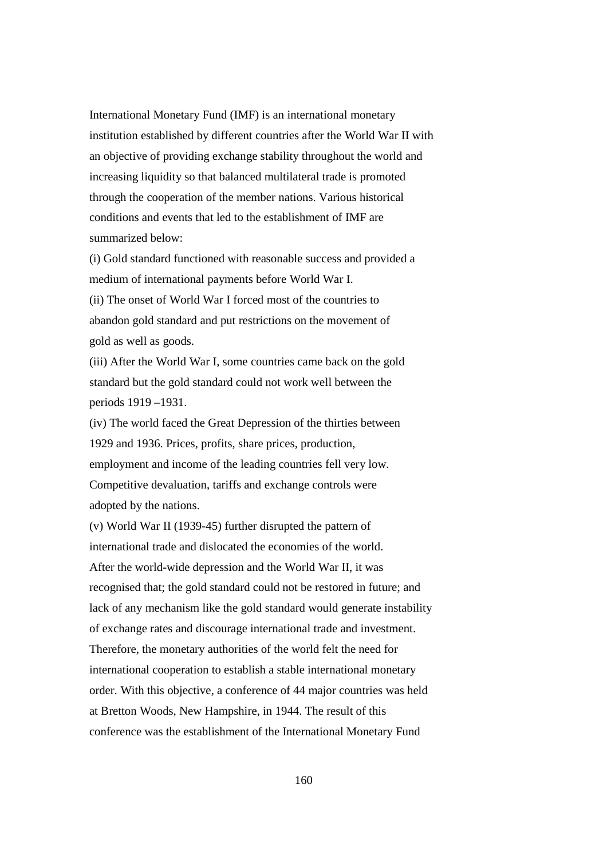International Monetary Fund (IMF) is an international monetary institution established by different countries after the World War II with an objective of providing exchange stability throughout the world and increasing liquidity so that balanced multilateral trade is promoted through the cooperation of the member nations. Various historical conditions and events that led to the establishment of IMF are summarized below:

(i) Gold standard functioned with reasonable success and provided a medium of international payments before World War I. (ii) The onset of World War I forced most of the countries to abandon gold standard and put restrictions on the movement of gold as well as goods.

(iii) After the World War I, some countries came back on the gold standard but the gold standard could not work well between the periods 1919 –1931.

(iv) The world faced the Great Depression of the thirties between 1929 and 1936. Prices, profits, share prices, production, employment and income of the leading countries fell very low. Competitive devaluation, tariffs and exchange controls were adopted by the nations.

(v) World War II (1939-45) further disrupted the pattern of international trade and dislocated the economies of the world. After the world-wide depression and the World War II, it was recognised that; the gold standard could not be restored in future; and lack of any mechanism like the gold standard would generate instability of exchange rates and discourage international trade and investment. Therefore, the monetary authorities of the world felt the need for international cooperation to establish a stable international monetary order. With this objective, a conference of 44 major countries was held at Bretton Woods, New Hampshire, in 1944. The result of this conference was the establishment of the International Monetary Fund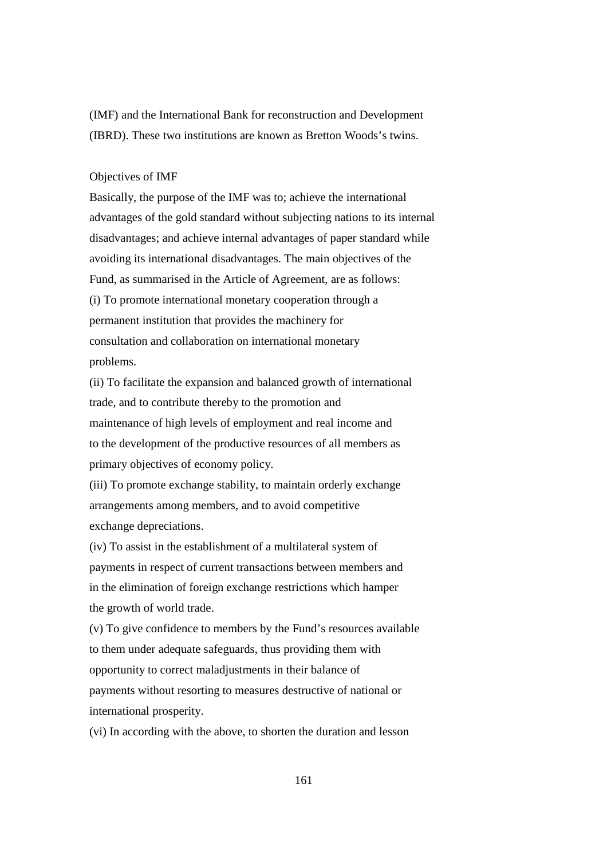(IMF) and the International Bank for reconstruction and Development (IBRD). These two institutions are known as Bretton Woods's twins.

## Objectives of IMF

Basically, the purpose of the IMF was to; achieve the international advantages of the gold standard without subjecting nations to its internal disadvantages; and achieve internal advantages of paper standard while avoiding its international disadvantages. The main objectives of the Fund, as summarised in the Article of Agreement, are as follows: (i) To promote international monetary cooperation through a permanent institution that provides the machinery for consultation and collaboration on international monetary problems.

(ii) To facilitate the expansion and balanced growth of international trade, and to contribute thereby to the promotion and maintenance of high levels of employment and real income and to the development of the productive resources of all members as primary objectives of economy policy.

(iii) To promote exchange stability, to maintain orderly exchange arrangements among members, and to avoid competitive exchange depreciations.

(iv) To assist in the establishment of a multilateral system of payments in respect of current transactions between members and in the elimination of foreign exchange restrictions which hamper the growth of world trade.

(v) To give confidence to members by the Fund's resources available to them under adequate safeguards, thus providing them with opportunity to correct maladjustments in their balance of payments without resorting to measures destructive of national or international prosperity.

(vi) In according with the above, to shorten the duration and lesson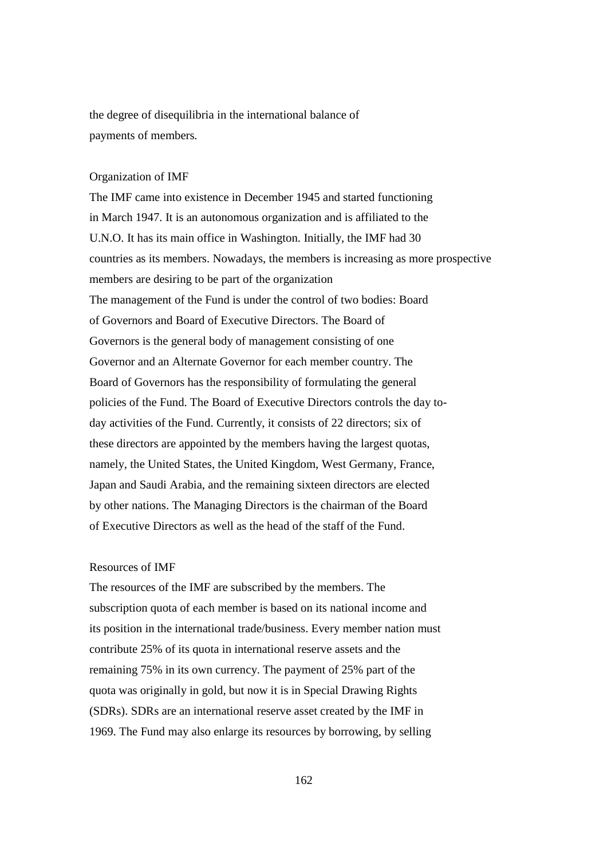the degree of disequilibria in the international balance of payments of members.

#### Organization of IMF

The IMF came into existence in December 1945 and started functioning in March 1947. It is an autonomous organization and is affiliated to the U.N.O. It has its main office in Washington. Initially, the IMF had 30 countries as its members. Nowadays, the members is increasing as more prospective members are desiring to be part of the organization The management of the Fund is under the control of two bodies: Board of Governors and Board of Executive Directors. The Board of Governors is the general body of management consisting of one Governor and an Alternate Governor for each member country. The Board of Governors has the responsibility of formulating the general policies of the Fund. The Board of Executive Directors controls the day today activities of the Fund. Currently, it consists of 22 directors; six of these directors are appointed by the members having the largest quotas, namely, the United States, the United Kingdom, West Germany, France, Japan and Saudi Arabia, and the remaining sixteen directors are elected by other nations. The Managing Directors is the chairman of the Board of Executive Directors as well as the head of the staff of the Fund.

### Resources of IMF

The resources of the IMF are subscribed by the members. The subscription quota of each member is based on its national income and its position in the international trade/business. Every member nation must contribute 25% of its quota in international reserve assets and the remaining 75% in its own currency. The payment of 25% part of the quota was originally in gold, but now it is in Special Drawing Rights (SDRs). SDRs are an international reserve asset created by the IMF in 1969. The Fund may also enlarge its resources by borrowing, by selling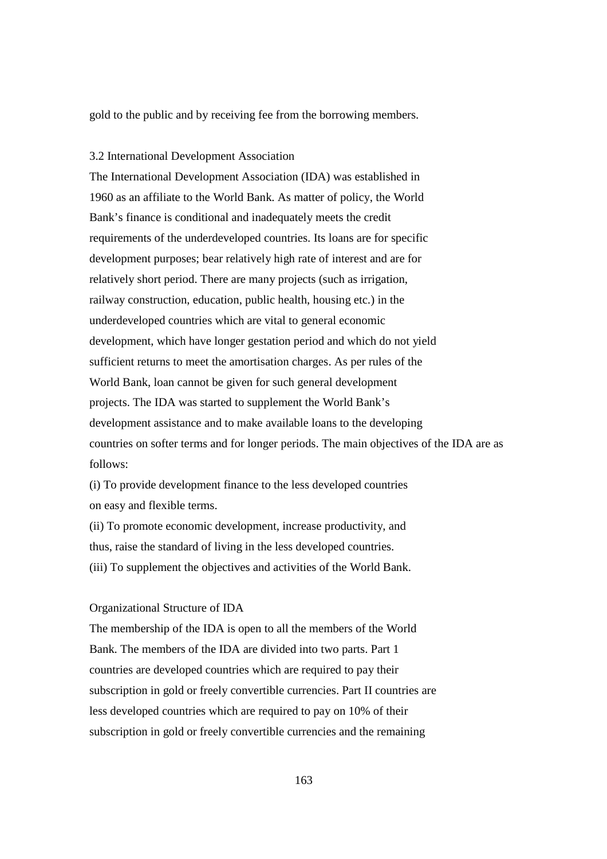gold to the public and by receiving fee from the borrowing members.

## 3.2 International Development Association

The International Development Association (IDA) was established in 1960 as an affiliate to the World Bank. As matter of policy, the World Bank's finance is conditional and inadequately meets the credit requirements of the underdeveloped countries. Its loans are for specific development purposes; bear relatively high rate of interest and are for relatively short period. There are many projects (such as irrigation, railway construction, education, public health, housing etc.) in the underdeveloped countries which are vital to general economic development, which have longer gestation period and which do not yield sufficient returns to meet the amortisation charges. As per rules of the World Bank, loan cannot be given for such general development projects. The IDA was started to supplement the World Bank's development assistance and to make available loans to the developing countries on softer terms and for longer periods. The main objectives of the IDA are as follows:

(i) To provide development finance to the less developed countries on easy and flexible terms.

(ii) To promote economic development, increase productivity, and thus, raise the standard of living in the less developed countries. (iii) To supplement the objectives and activities of the World Bank.

# Organizational Structure of IDA

The membership of the IDA is open to all the members of the World Bank. The members of the IDA are divided into two parts. Part 1 countries are developed countries which are required to pay their subscription in gold or freely convertible currencies. Part II countries are less developed countries which are required to pay on 10% of their subscription in gold or freely convertible currencies and the remaining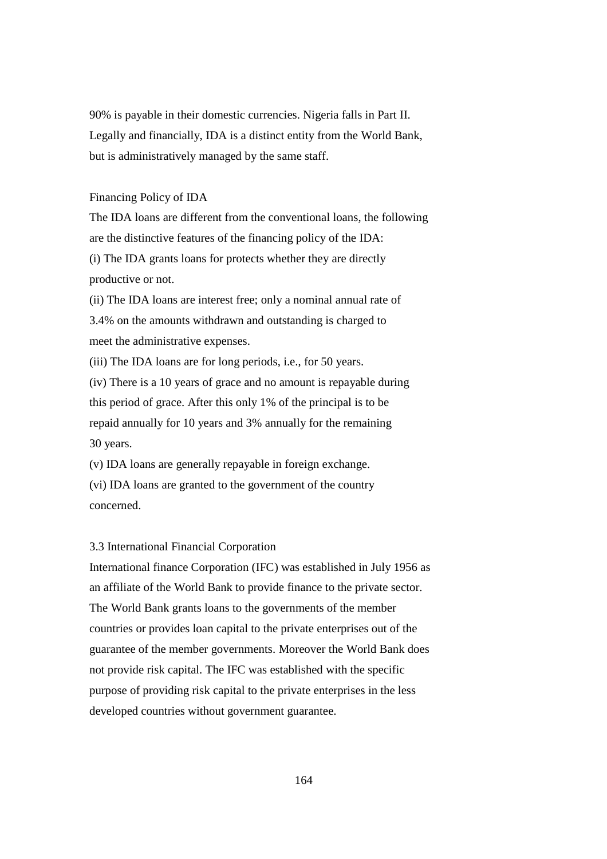90% is payable in their domestic currencies. Nigeria falls in Part II. Legally and financially, IDA is a distinct entity from the World Bank, but is administratively managed by the same staff.

## Financing Policy of IDA

The IDA loans are different from the conventional loans, the following are the distinctive features of the financing policy of the IDA: (i) The IDA grants loans for protects whether they are directly productive or not.

(ii) The IDA loans are interest free; only a nominal annual rate of 3.4% on the amounts withdrawn and outstanding is charged to meet the administrative expenses.

(iii) The IDA loans are for long periods, i.e., for 50 years.

(iv) There is a 10 years of grace and no amount is repayable during this period of grace. After this only 1% of the principal is to be repaid annually for 10 years and 3% annually for the remaining 30 years.

(v) IDA loans are generally repayable in foreign exchange. (vi) IDA loans are granted to the government of the country concerned.

# 3.3 International Financial Corporation

International finance Corporation (IFC) was established in July 1956 as an affiliate of the World Bank to provide finance to the private sector. The World Bank grants loans to the governments of the member countries or provides loan capital to the private enterprises out of the guarantee of the member governments. Moreover the World Bank does not provide risk capital. The IFC was established with the specific purpose of providing risk capital to the private enterprises in the less developed countries without government guarantee.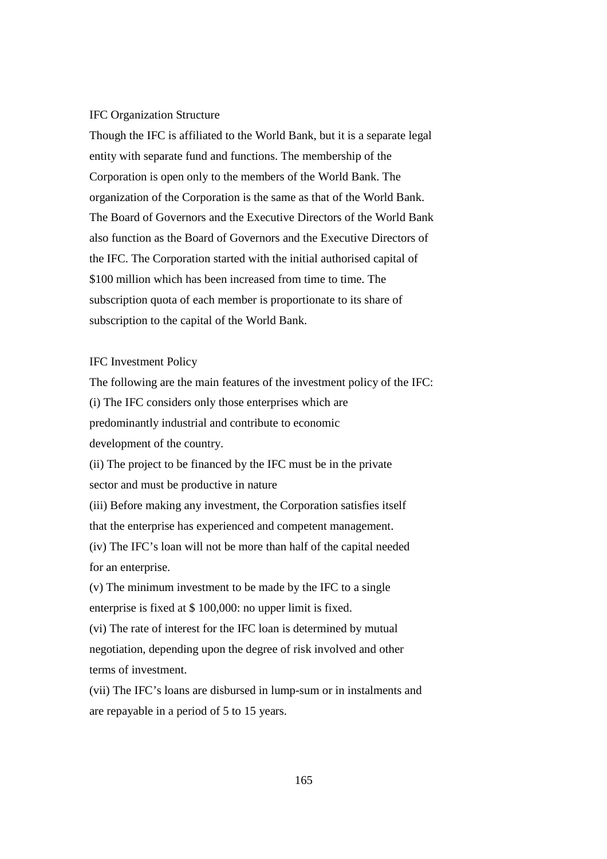#### IFC Organization Structure

Though the IFC is affiliated to the World Bank, but it is a separate legal entity with separate fund and functions. The membership of the Corporation is open only to the members of the World Bank. The organization of the Corporation is the same as that of the World Bank. The Board of Governors and the Executive Directors of the World Bank also function as the Board of Governors and the Executive Directors of the IFC. The Corporation started with the initial authorised capital of \$100 million which has been increased from time to time. The subscription quota of each member is proportionate to its share of subscription to the capital of the World Bank.

# IFC Investment Policy

The following are the main features of the investment policy of the IFC: (i) The IFC considers only those enterprises which are predominantly industrial and contribute to economic development of the country.

(ii) The project to be financed by the IFC must be in the private sector and must be productive in nature

(iii) Before making any investment, the Corporation satisfies itself that the enterprise has experienced and competent management.

(iv) The IFC's loan will not be more than half of the capital needed for an enterprise.

(v) The minimum investment to be made by the IFC to a single enterprise is fixed at \$ 100,000: no upper limit is fixed.

(vi) The rate of interest for the IFC loan is determined by mutual negotiation, depending upon the degree of risk involved and other terms of investment.

(vii) The IFC's loans are disbursed in lump-sum or in instalments and are repayable in a period of 5 to 15 years.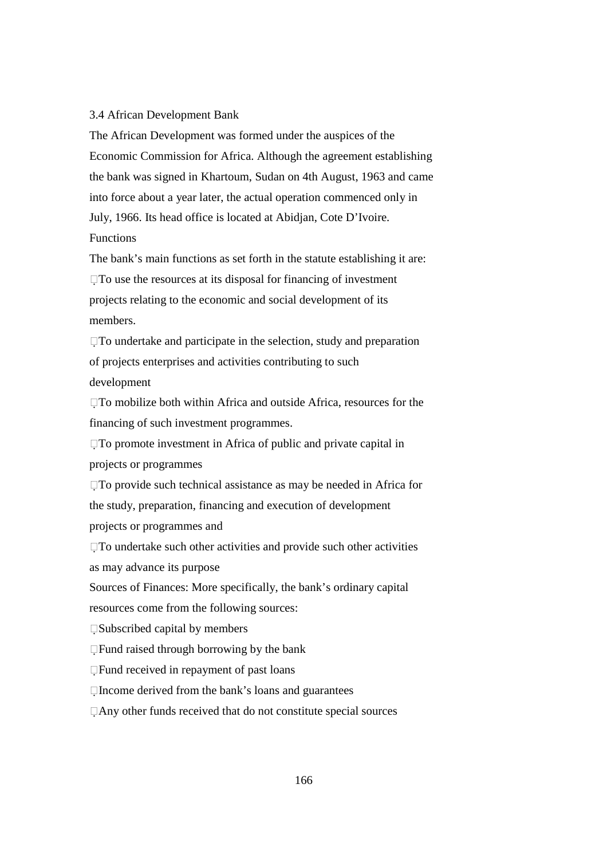#### 3.4 African Development Bank

The African Development was formed under the auspices of the Economic Commission for Africa. Although the agreement establishing the bank was signed in Khartoum, Sudan on 4th August, 1963 and came into force about a year later, the actual operation commenced only in July, 1966. Its head office is located at Abidjan, Cote D'Ivoire. **Functions** 

The bank's main functions as set forth in the statute establishing it are:  $\Box$  To use the resources at its disposal for financing of investment projects relating to the economic and social development of its members.

 $\square$  To undertake and participate in the selection, study and preparation of projects enterprises and activities contributing to such development

 $\Box$  To mobilize both within Africa and outside Africa, resources for the financing of such investment programmes.

To promote investment in Africa of public and private capital in projects or programmes

To provide such technical assistance as may be needed in Africa for the study, preparation, financing and execution of development projects or programmes and

To undertake such other activities and provide such other activities as may advance its purpose

Sources of Finances: More specifically, the bank's ordinary capital

resources come from the following sources:

Subscribed capital by members

Fund raised through borrowing by the bank

Fund received in repayment of past loans

 $\Box$  Income derived from the bank's loans and guarantees

Any other funds received that do not constitute special sources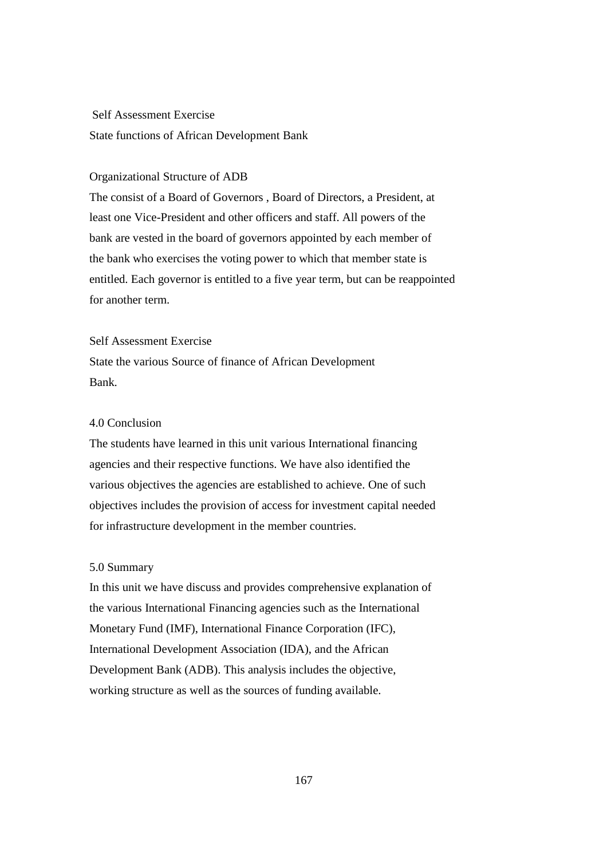# Self Assessment Exercise

State functions of African Development Bank

## Organizational Structure of ADB

The consist of a Board of Governors , Board of Directors, a President, at least one Vice-President and other officers and staff. All powers of the bank are vested in the board of governors appointed by each member of the bank who exercises the voting power to which that member state is entitled. Each governor is entitled to a five year term, but can be reappointed for another term.

### Self Assessment Exercise

State the various Source of finance of African Development Bank.

# 4.0 Conclusion

The students have learned in this unit various International financing agencies and their respective functions. We have also identified the various objectives the agencies are established to achieve. One of such objectives includes the provision of access for investment capital needed for infrastructure development in the member countries.

#### 5.0 Summary

In this unit we have discuss and provides comprehensive explanation of the various International Financing agencies such as the International Monetary Fund (IMF), International Finance Corporation (IFC), International Development Association (IDA), and the African Development Bank (ADB). This analysis includes the objective, working structure as well as the sources of funding available.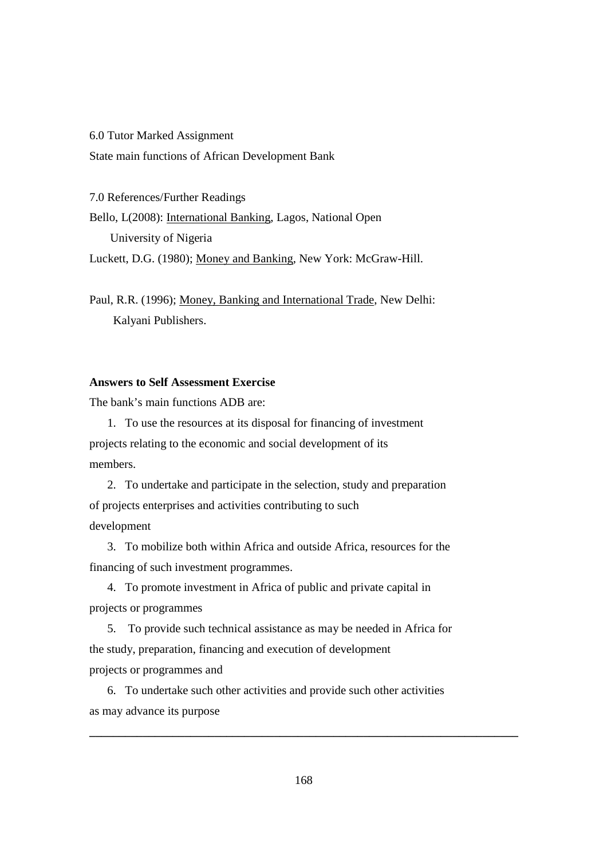6.0 Tutor Marked Assignment State main functions of African Development Bank

7.0 References/Further Readings Bello, L(2008): International Banking, Lagos, National Open University of Nigeria Luckett, D.G. (1980); Money and Banking, New York: McGraw-Hill.

Paul, R.R. (1996); Money, Banking and International Trade, New Delhi: Kalyani Publishers.

# **Answers to Self Assessment Exercise**

The bank's main functions ADB are:

1. To use the resources at its disposal for financing of investment projects relating to the economic and social development of its members.

2. To undertake and participate in the selection, study and preparation of projects enterprises and activities contributing to such development

3. To mobilize both within Africa and outside Africa, resources for the financing of such investment programmes.

4. To promote investment in Africa of public and private capital in projects or programmes

5. To provide such technical assistance as may be needed in Africa for the study, preparation, financing and execution of development projects or programmes and

6. To undertake such other activities and provide such other activities as may advance its purpose

**\_\_\_\_\_\_\_\_\_\_\_\_\_\_\_\_\_\_\_\_\_\_\_\_\_\_\_\_\_\_\_\_\_\_\_\_\_\_\_\_\_\_\_\_\_\_\_\_\_\_\_\_\_\_\_\_\_\_\_\_\_\_\_\_\_\_\_\_\_\_\_\_**